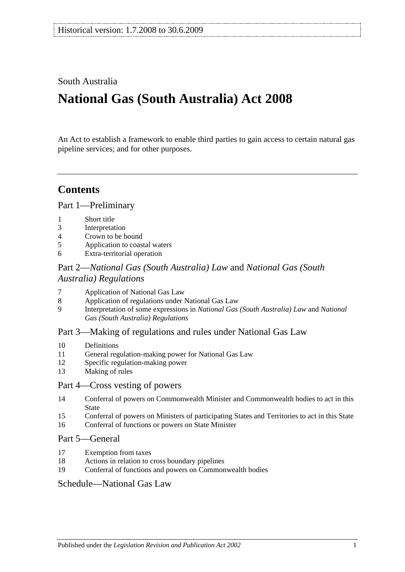# South Australia

# **National Gas (South Australia) Act 2008**

An Act to establish a framework to enable third parties to gain access to certain natural gas pipeline services; and for other purposes.

# **Contents**

[Part 1—Preliminary](#page-12-0)

- 1 [Short title](#page-12-1)
- 3 [Interpretation](#page-13-0)
- 4 [Crown to be bound](#page-13-1)
- 5 [Application to](#page-13-2) coastal waters
- 6 [Extra-territorial operation](#page-13-3)

# Part 2—*[National Gas \(South Australia\) Law](#page-13-4)* and *National Gas (South [Australia\) Regulations](#page-13-4)*

- 7 [Application of National Gas Law](#page-13-5)
- 8 [Application of regulations under National Gas Law](#page-14-0)
- 9 [Interpretation of some expressions in](#page-14-1) *National Gas (South Australia) Law* and *National [Gas \(South Australia\) Regulations](#page-14-1)*

# [Part 3—Making of regulations and rules under National Gas Law](#page-14-2)

- 10 [Definitions](#page-14-3)
- 11 [General regulation-making power for National Gas Law](#page-14-4)
- 12 [Specific regulation-making power](#page-15-0)
- 13 [Making of rules](#page-16-0)

# [Part 4—Cross vesting of powers](#page-16-1)

- 14 [Conferral of powers on Commonwealth Minister and Commonwealth bodies to act in this](#page-16-2)  [State](#page-16-2)
- 15 [Conferral of powers on Ministers of participating States and Territories to act in this State](#page-16-3)
- 16 [Conferral of functions or powers on State Minister](#page-16-4)

# [Part 5—General](#page-16-5)

- 17 [Exemption from taxes](#page-16-6)
- 18 [Actions in relation to cross boundary pipelines](#page-17-0)
- 19 [Conferral of functions and powers on Commonwealth bodies](#page-18-0)

# [Schedule—National Gas Law](#page-18-1)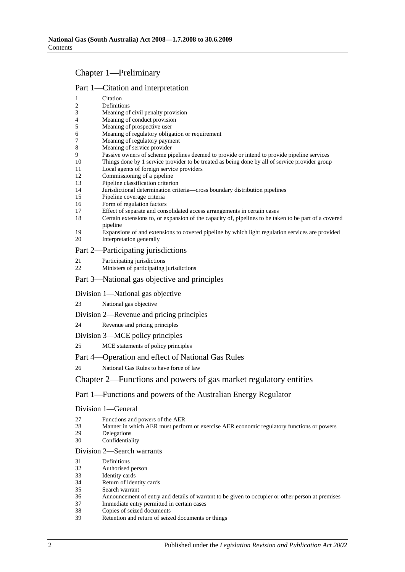# Chapter 1—Preliminary

# Part 1—Citation and interpretation

| 1                       | Citation                                                                                                                     |
|-------------------------|------------------------------------------------------------------------------------------------------------------------------|
| $\overline{\mathbf{c}}$ | Definitions                                                                                                                  |
| 3                       | Meaning of civil penalty provision                                                                                           |
| 4                       | Meaning of conduct provision                                                                                                 |
| 5                       | Meaning of prospective user                                                                                                  |
| 6                       | Meaning of regulatory obligation or requirement                                                                              |
| 7<br>8                  | Meaning of regulatory payment<br>Meaning of service provider                                                                 |
| 9                       | Passive owners of scheme pipelines deemed to provide or intend to provide pipeline services                                  |
| 10                      | Things done by 1 service provider to be treated as being done by all of service provider group                               |
| 11                      | Local agents of foreign service providers                                                                                    |
| 12                      | Commissioning of a pipeline                                                                                                  |
| 13                      | Pipeline classification criterion                                                                                            |
| 14                      | Jurisdictional determination criteria-cross boundary distribution pipelines                                                  |
| 15                      | Pipeline coverage criteria                                                                                                   |
| 16                      | Form of regulation factors                                                                                                   |
| 17                      | Effect of separate and consolidated access arrangements in certain cases                                                     |
| 18                      | Certain extensions to, or expansion of the capacity of, pipelines to be taken to be part of a covered<br>pipeline            |
| 19<br>20                | Expansions of and extensions to covered pipeline by which light regulation services are provided<br>Interpretation generally |
|                         | Part 2—Participating jurisdictions                                                                                           |
| 21                      | Participating jurisdictions                                                                                                  |
| 22                      | Ministers of participating jurisdictions                                                                                     |
|                         | Part 3—National gas objective and principles                                                                                 |
|                         | Division 1—National gas objective                                                                                            |
| 23                      | National gas objective                                                                                                       |
|                         | Division 2—Revenue and pricing principles                                                                                    |
| 24                      | Revenue and pricing principles                                                                                               |
|                         | Division 3—MCE policy principles                                                                                             |
| 25                      | MCE statements of policy principles                                                                                          |
|                         | Part 4-Operation and effect of National Gas Rules                                                                            |
| 26                      | National Gas Rules to have force of law                                                                                      |
|                         |                                                                                                                              |
|                         | Chapter 2—Functions and powers of gas market regulatory entities                                                             |
|                         | Part 1—Functions and powers of the Australian Energy Regulator                                                               |
|                         | Division 1-General                                                                                                           |
| 27                      | Functions and powers of the AER                                                                                              |
| 28                      | Manner in which AER must perform or exercise AER economic regulatory functions or powers                                     |
| 29                      | Delegations                                                                                                                  |
| 30                      | Confidentiality                                                                                                              |
|                         | Division 2-Search warrants                                                                                                   |
| 31                      | Definitions                                                                                                                  |
| 32                      | Authorised person                                                                                                            |
| 33                      | Identity cards                                                                                                               |
| 34                      | Return of identity cards<br>Search warrant                                                                                   |
| 35<br>36                | Announcement of entry and details of warrant to be given to occupier or other person at premises                             |
| 37                      | Immediate entry permitted in certain cases                                                                                   |
| 38                      | Copies of seized documents                                                                                                   |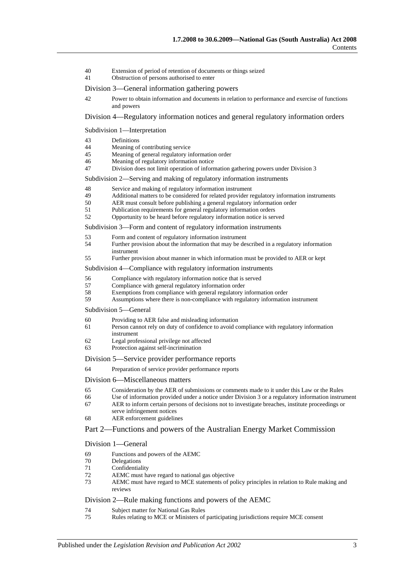- 40 Extension of period of retention of documents or things seized
- 41 Obstruction of persons authorised to enter
- Division 3—General information gathering powers
- 42 Power to obtain information and documents in relation to performance and exercise of functions and powers

## Division 4—Regulatory information notices and general regulatory information orders

#### Subdivision 1—Interpretation

- 43 Definitions<br>  $\frac{44}{\text{Meaning of}}$
- 44 Meaning of contributing service<br>45 Meaning of general regulatory in
- Meaning of general regulatory information order
- 46 Meaning of regulatory information notice
- 47 Division does not limit operation of information gathering powers under Division 3

#### Subdivision 2—Serving and making of regulatory information instruments

- 48 Service and making of regulatory information instrument
- 49 Additional matters to be considered for related provider regulatory information instruments<br>50 AER must consult before publishing a general regulatory information order
- AER must consult before publishing a general regulatory information order
- 51 Publication requirements for general regulatory information orders
- 52 Opportunity to be heard before regulatory information notice is served

Subdivision 3—Form and content of regulatory information instruments

- 53 Form and content of regulatory information instrument<br>54 Further provision about the information that may be de-
- Further provision about the information that may be described in a regulatory information instrument
- 55 Further provision about manner in which information must be provided to AER or kept

#### Subdivision 4—Compliance with regulatory information instruments

- 56 Compliance with regulatory information notice that is served
- 57 Compliance with general regulatory information order<br>58 Exemptions from compliance with general regulatory
- Exemptions from compliance with general regulatory information order
- 59 Assumptions where there is non-compliance with regulatory information instrument

Subdivision 5—General

- 60 Providing to AER false and misleading information
- 61 Person cannot rely on duty of confidence to avoid compliance with regulatory information instrument
- 62 Legal professional privilege not affected
- 63 Protection against self-incrimination

#### Division 5—Service provider performance reports

64 Preparation of service provider performance reports

#### Division 6—Miscellaneous matters

- 65 Consideration by the AER of submissions or comments made to it under this Law or the Rules
- 66 Use of information provided under a notice under Division 3 or a regulatory information instrument 67 AER to inform certain persons of decisions not to investigate breaches, institute proceedings or
- AER to inform certain persons of decisions not to investigate breaches, institute proceedings or serve infringement notices
- 68 AER enforcement guidelines

#### Part 2—Functions and powers of the Australian Energy Market Commission

#### Division 1—General

- 69 Functions and powers of the AEMC
- 70 Delegations<br>71 Confidential
- Confidentiality
- 72 AEMC must have regard to national gas objective
- 73 AEMC must have regard to MCE statements of policy principles in relation to Rule making and reviews

#### Division 2—Rule making functions and powers of the AEMC

- 74 Subject matter for National Gas Rules
- 75 Rules relating to MCE or Ministers of participating jurisdictions require MCE consent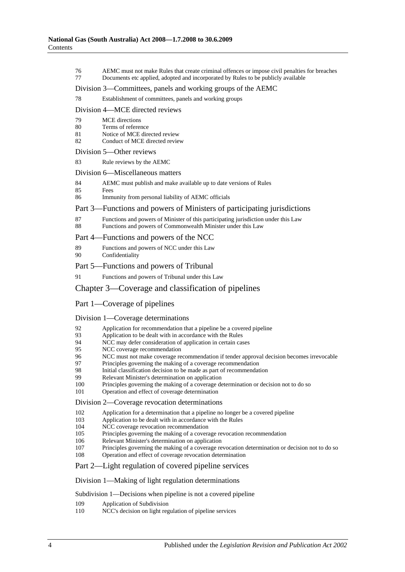76 AEMC must not make Rules that create criminal offences or impose civil penalties for breaches 77 Documents etc applied, adopted and incorporated by Rules to be publicly available Division 3—Committees, panels and working groups of the AEMC 78 Establishment of committees, panels and working groups Division 4—MCE directed reviews 79 MCE directions 80 Terms of reference<br>81 Notice of MCE director Notice of MCE directed review 82 Conduct of MCE directed review Division 5—Other reviews 83 Rule reviews by the AEMC Division 6—Miscellaneous matters 84 AEMC must publish and make available up to date versions of Rules 85 Fees 86 Immunity from personal liability of AEMC officials Part 3—Functions and powers of Ministers of participating jurisdictions 87 Functions and powers of Minister of this participating jurisdiction under this Law 88 Functions and powers of Commonwealth Minister under this Law Part 4—Functions and powers of the NCC 89 Functions and powers of NCC under this Law 90 Confidentiality Part 5—Functions and powers of Tribunal 91 Functions and powers of Tribunal under this Law Chapter 3—Coverage and classification of pipelines Part 1—Coverage of pipelines Division 1—Coverage determinations 92 Application for recommendation that a pipeline be a covered pipeline 93 Application to be dealt with in accordance with the Rules<br>94 NCC may defer consideration of application in certain cas 94 NCC may defer consideration of application in certain cases<br>95 NCC coverage recommendation NCC coverage recommendation 96 NCC must not make coverage recommendation if tender approval decision becomes irrevocable 97 Principles governing the making of a coverage recommendation<br>98 Initial classification decision to be made as part of recommendation 98 Initial classification decision to be made as part of recommendation<br>99 Relevant Minister's determination on application 99 Relevant Minister's determination on application<br>100 Principles governing the making of a coverage de Principles governing the making of a coverage determination or decision not to do so 101 Operation and effect of coverage determination Division 2—Coverage revocation determinations 102 Application for a determination that a pipeline no longer be a covered pipeline<br>103 Application to be dealt with in accordance with the Rules Application to be dealt with in accordance with the Rules 104 NCC coverage revocation recommendation 105 Principles governing the making of a coverage revocation recommendation 106 Relevant Minister's determination on application 107 Principles governing the making of a coverage revocation determination or decision not to do so 108 Operation and effect of coverage revocation determination Part 2—Light regulation of covered pipeline services Division 1—Making of light regulation determinations Subdivision 1—Decisions when pipeline is not a covered pipeline 109 Application of Subdivision<br>110 NCC's decision on light reg NCC's decision on light regulation of pipeline services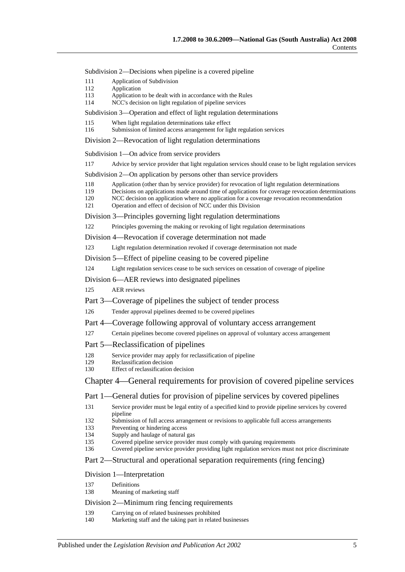Subdivision 2—Decisions when pipeline is a covered pipeline

- 111 Application of Subdivision
- 112 Application
- 113 Application to be dealt with in accordance with the Rules
- 114 NCC's decision on light regulation of pipeline services

Subdivision 3—Operation and effect of light regulation determinations

- 115 When light regulation determinations take effect
- 116 Submission of limited access arrangement for light regulation services

Division 2—Revocation of light regulation determinations

Subdivision 1—On advice from service providers

117 Advice by service provider that light regulation services should cease to be light regulation services

Subdivision 2—On application by persons other than service providers

- 118 Application (other than by service provider) for revocation of light regulation determinations<br>119 Decisions on applications made around time of applications for coverage revocation determin
- Decisions on applications made around time of applications for coverage revocation determinations
- 120 NCC decision on application where no application for a coverage revocation recommendation
- 121 Operation and effect of decision of NCC under this Division

Division 3—Principles governing light regulation determinations

122 Principles governing the making or revoking of light regulation determinations

Division 4—Revocation if coverage determination not made

123 Light regulation determination revoked if coverage determination not made

Division 5—Effect of pipeline ceasing to be covered pipeline

124 Light regulation services cease to be such services on cessation of coverage of pipeline

Division 6—AER reviews into designated pipelines

125 AER reviews

Part 3—Coverage of pipelines the subject of tender process

126 Tender approval pipelines deemed to be covered pipelines

Part 4—Coverage following approval of voluntary access arrangement

- 127 Certain pipelines become covered pipelines on approval of voluntary access arrangement
- Part 5—Reclassification of pipelines
- 128 Service provider may apply for reclassification of pipeline<br>129 Reclassification decision
- 129 Reclassification decision<br>130 Effect of reclassification
- Effect of reclassification decision

Chapter 4—General requirements for provision of covered pipeline services

Part 1—General duties for provision of pipeline services by covered pipelines

131 Service provider must be legal entity of a specified kind to provide pipeline services by covered pipeline

132 Submission of full access arrangement or revisions to applicable full access arrangements

- 133 Preventing or hindering access
- 134 Supply and haulage of natural gas
- 135 Covered pipeline service provider must comply with queuing requirements<br>136 Covered pipeline service provider providing light regulation services must a

Covered pipeline service provider providing light regulation services must not price discriminate

### Part 2—Structural and operational separation requirements (ring fencing)

#### Division 1—Interpretation

- 137 Definitions
- 138 Meaning of marketing staff

## Division 2—Minimum ring fencing requirements

- 139 Carrying on of related businesses prohibited
- 140 Marketing staff and the taking part in related businesses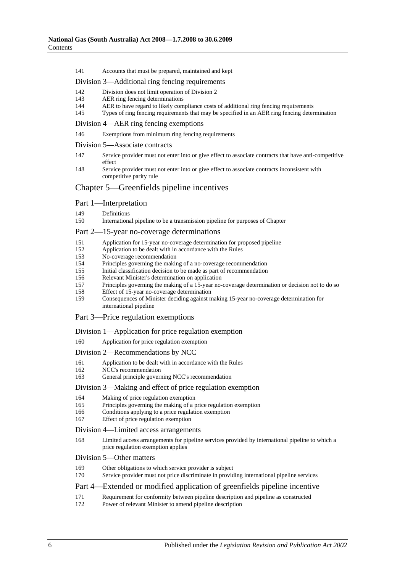141 Accounts that must be prepared, maintained and kept

## Division 3—Additional ring fencing requirements

- 142 Division does not limit operation of Division 2
- 143 AER ring fencing determinations<br>144 AER to have regard to likely con
- AER to have regard to likely compliance costs of additional ring fencing requirements
- 145 Types of ring fencing requirements that may be specified in an AER ring fencing determination

Division 4—AER ring fencing exemptions

- 146 Exemptions from minimum ring fencing requirements
- Division 5—Associate contracts
- 147 Service provider must not enter into or give effect to associate contracts that have anti-competitive effect

148 Service provider must not enter into or give effect to associate contracts inconsistent with competitive parity rule

## Chapter 5—Greenfields pipeline incentives

#### Part 1—Interpretation

149 Definitions<br>150 Internation

International pipeline to be a transmission pipeline for purposes of Chapter

#### Part 2—15-year no-coverage determinations

- 151 Application for 15-year no-coverage determination for proposed pipeline<br>152 Application to be dealt with in accordance with the Rules
- Application to be dealt with in accordance with the Rules
- 153 No-coverage recommendation<br>154 Principles governing the makin
- 154 Principles governing the making of a no-coverage recommendation<br>155 Initial classification decision to be made as part of recommendation
- 155 Initial classification decision to be made as part of recommendation
- 156 Relevant Minister's determination on application
- 157 Principles governing the making of a 15-year no-coverage determination or decision not to do so
- 158 Effect of 15-year no-coverage determination
- 159 Consequences of Minister deciding against making 15-year no-coverage determination for international pipeline

## Part 3—Price regulation exemptions

#### Division 1—Application for price regulation exemption

160 Application for price regulation exemption

#### Division 2—Recommendations by NCC

- 161 Application to be dealt with in accordance with the Rules<br>162 NCC's recommendation
- NCC's recommendation
- 163 General principle governing NCC's recommendation

#### Division 3—Making and effect of price regulation exemption

- 164 Making of price regulation exemption
- 165 Principles governing the making of a price regulation exemption
- 166 Conditions applying to a price regulation exemption
- 167 Effect of price regulation exemption

#### Division 4—Limited access arrangements

168 Limited access arrangements for pipeline services provided by international pipeline to which a price regulation exemption applies

### Division 5—Other matters

- 169 Other obligations to which service provider is subject
- 170 Service provider must not price discriminate in providing international pipeline services

# Part 4—Extended or modified application of greenfields pipeline incentive

- 171 Requirement for conformity between pipeline description and pipeline as constructed
- 172 Power of relevant Minister to amend pipeline description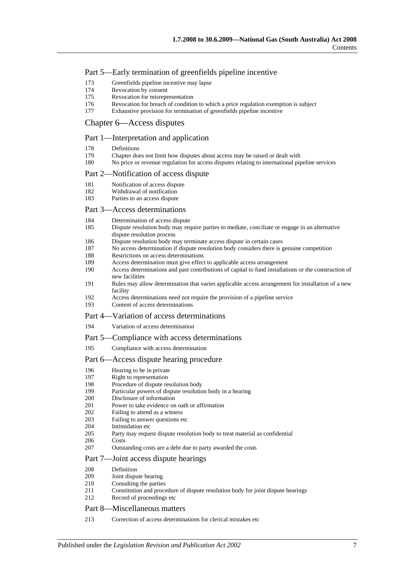## Part 5—Early termination of greenfields pipeline incentive

- 173 Greenfields pipeline incentive may lapse
- 174 Revocation by consent
- 175 Revocation for misrepresentation
- 176 Revocation for breach of condition to which a price regulation exemption is subject<br>177 Exhaustive provision for termination of greenfields pipeline incentive
- Exhaustive provision for termination of greenfields pipeline incentive

## Chapter 6—Access disputes

## Part 1—Interpretation and application

- 178 Definitions<br>179 Chapter do
- 179 Chapter does not limit how disputes about access may be raised or dealt with 180 No price or revenue regulation for access disputes relating to international pin
- 180 No price or revenue regulation for access disputes relating to international pipeline services

## Part 2—Notification of access dispute

- 181 Notification of access dispute<br>182 Withdrawal of notification
- Withdrawal of notification
- 183 Parties to an access dispute

## Part 3—Access determinations

- 184 Determination of access dispute<br>185 Dispute resolution body may rec
- Dispute resolution body may require parties to mediate, conciliate or engage in an alternative dispute resolution process
- 186 Dispute resolution body may terminate access dispute in certain cases
- 187 No access determination if dispute resolution body considers there is genuine competition
- 188 Restrictions on access determinations
- 189 Access determination must give effect to applicable access arrangement
- 190 Access determinations and past contributions of capital to fund installations or the construction of new facilities
- 191 Rules may allow determination that varies applicable access arrangement for installation of a new facility
- 192 Access determinations need not require the provision of a pipeline service
- 193 Content of access determinations

### Part 4—Variation of access determinations

194 Variation of access determination

#### Part 5—Compliance with access determinations

195 Compliance with access determination

#### Part 6—Access dispute hearing procedure

- 196 Hearing to be in private
- 197 Right to representation<br>198 Procedure of dispute re
- 198 Procedure of dispute resolution body<br>199 Particular powers of dispute resolution
- 199 Particular powers of dispute resolution body in a hearing<br>200 Disclosure of information
- Disclosure of information
- 201 Power to take evidence on oath or affirmation<br>202 Failing to attend as a witness
- 202 Failing to attend as a witness<br>203 Failing to answer questions et
- 203 Failing to answer questions etc<br>204 Intimidation etc
- 204 Intimidation etc<br>205 Party may reque
- Party may request dispute resolution body to treat material as confidential
- 206 Costs
- 207 Outstanding costs are a debt due to party awarded the costs

#### Part 7—Joint access dispute hearings

- 208 Definition
- 209 Joint dispute hearing<br>210 Consulting the parties
- Consulting the parties
- 211 Constitution and procedure of dispute resolution body for joint dispute hearings
- 212 Record of proceedings etc

#### Part 8—Miscellaneous matters

213 Correction of access determinations for clerical mistakes etc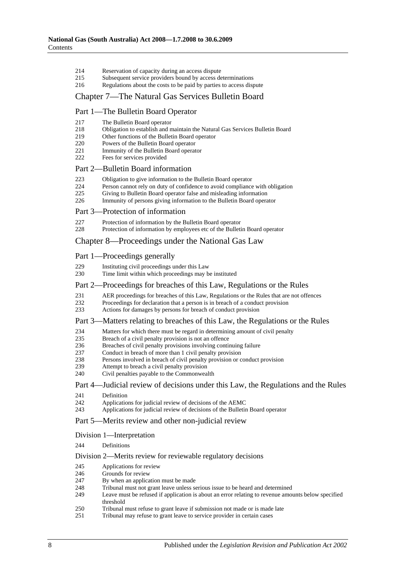- 214 Reservation of capacity during an access dispute
- 215 Subsequent service providers bound by access determinations
- 216 Regulations about the costs to be paid by parties to access dispute

## Chapter 7—The Natural Gas Services Bulletin Board

## Part 1—The Bulletin Board Operator

| 217 | The Bulletin Board operator |
|-----|-----------------------------|
|-----|-----------------------------|

- 218 Obligation to establish and maintain the Natural Gas Services Bulletin Board
- 219 Other functions of the Bulletin Board operator
- 220 Powers of the Bulletin Board operator
- 221 Immunity of the Bulletin Board operator<br>222 Eees for services provided
- Fees for services provided

#### Part 2—Bulletin Board information

- 223 Obligation to give information to the Bulletin Board operator<br>224 Person cannot rely on duty of confidence to avoid compliance
- 224 Person cannot rely on duty of confidence to avoid compliance with obligation<br>225 Giving to Bulletin Board operator false and misleading information
- Giving to Bulletin Board operator false and misleading information
- 226 Immunity of persons giving information to the Bulletin Board operator

## Part 3—Protection of information

- 227 Protection of information by the Bulletin Board operator<br>228 Protection of information by employees etc of the Bulletin
- Protection of information by employees etc of the Bulletin Board operator

## Chapter 8—Proceedings under the National Gas Law

## Part 1—Proceedings generally

| 229 |  | Instituting civil proceedings under this Law |  |
|-----|--|----------------------------------------------|--|
|     |  |                                              |  |

230 Time limit within which proceedings may be instituted

## Part 2—Proceedings for breaches of this Law, Regulations or the Rules

- 231 AER proceedings for breaches of this Law, Regulations or the Rules that are not offences<br>232 Proceedings for declaration that a person is in breach of a conduct provision
- 232 Proceedings for declaration that a person is in breach of a conduct provision<br>233 Actions for damages by persons for breach of conduct provision
- Actions for damages by persons for breach of conduct provision

#### Part 3—Matters relating to breaches of this Law, the Regulations or the Rules

- 234 Matters for which there must be regard in determining amount of civil penalty<br>235 Breach of a civil penalty provision is not an offence
- 235 Breach of a civil penalty provision is not an offence<br>236 Breaches of civil penalty provisions involving conti
- 236 Breaches of civil penalty provisions involving continuing failure<br>237 Conduct in breach of more than 1 civil penalty provision
- 237 Conduct in breach of more than 1 civil penalty provision<br>238 Persons involved in breach of civil penalty provision or c
- Persons involved in breach of civil penalty provision or conduct provision
- 239 Attempt to breach a civil penalty provision
- 240 Civil penalties payable to the Commonwealth

### Part 4—Judicial review of decisions under this Law, the Regulations and the Rules

- 241 Definition<br>242 Application
- Applications for judicial review of decisions of the AEMC
- 243 Applications for judicial review of decisions of the Bulletin Board operator

## Part 5—Merits review and other non-judicial review

#### Division 1—Interpretation

244 Definitions

## Division 2—Merits review for reviewable regulatory decisions

- 245 Applications for review
- 246 Grounds for review
- 247 By when an application must be made
- 248 Tribunal must not grant leave unless serious issue to be heard and determined<br>249 I eave must be refused if application is about an error relating to revenue amou
- Leave must be refused if application is about an error relating to revenue amounts below specified threshold
- 250 Tribunal must refuse to grant leave if submission not made or is made late
- 251 Tribunal may refuse to grant leave to service provider in certain cases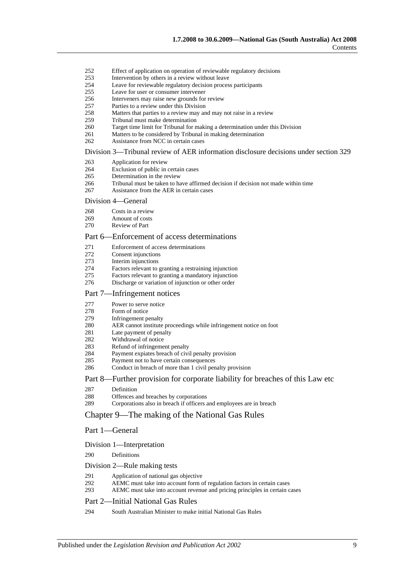- 252 Effect of application on operation of reviewable regulatory decisions
- 253 Intervention by others in a review without leave
- 254 Leave for reviewable regulatory decision process participants
- 255 Leave for user or consumer intervener
- 256 Interveners may raise new grounds for review
- 257 Parties to a review under this Division<br>258 Matters that parties to a review may an
- Matters that parties to a review may and may not raise in a review
- 259 Tribunal must make determination
- 260 Target time limit for Tribunal for making a determination under this Division 261 Matters to be considered by Tribunal in making determination
- 261 Matters to be considered by Tribunal in making determination<br>262 Assistance from NCC in certain cases
- Assistance from NCC in certain cases

#### Division 3—Tribunal review of AER information disclosure decisions under section 329

- 263 Application for review
- 264 Exclusion of public in certain cases<br>265 Determination in the review
- 265 Determination in the review<br>266 Tribunal must be taken to ha
- 266 Tribunal must be taken to have affirmed decision if decision not made within time
- 267 Assistance from the AER in certain cases

#### Division 4—General

- 268 Costs in a review
- 269 Amount of costs
- 270 Review of Part

## Part 6—Enforcement of access determinations

- 271 Enforcement of access determinations<br>272 Consent injunctions
- 272 Consent injunctions<br>273 Interim injunctions
- Interim injunctions
- 274 Factors relevant to granting a restraining injunction
- 275 Factors relevant to granting a mandatory injunction
- 276 Discharge or variation of injunction or other order

#### Part 7—Infringement notices

- 277 Power to serve notice<br>278 Form of notice
- 
- 278 Form of notice<br>279 Infringement p Infringement penalty
- 280 AER cannot institute proceedings while infringement notice on foot<br>281 Late payment of penalty
- Late payment of penalty
- 282 Withdrawal of notice
- 283 Refund of infringement penalty<br>284 Payment expires breach of civi
- Payment expiates breach of civil penalty provision
- 285 Payment not to have certain consequences
- 286 Conduct in breach of more than 1 civil penalty provision

#### Part 8—Further provision for corporate liability for breaches of this Law etc

- 287 Definition<br>288 Offences
- 288 Offences and breaches by corporations<br>289 Corporations also in breach if officers a
- Corporations also in breach if officers and employees are in breach

## Chapter 9—The making of the National Gas Rules

#### Part 1—General

#### Division 1—Interpretation

290 Definitions

# Division 2—Rule making tests

- 291 Application of national gas objective<br>292 AEMC must take into account form of
- 292 AEMC must take into account form of regulation factors in certain cases<br>293 AEMC must take into account revenue and pricing principles in certain c
- AEMC must take into account revenue and pricing principles in certain cases

#### Part 2—Initial National Gas Rules

294 South Australian Minister to make initial National Gas Rules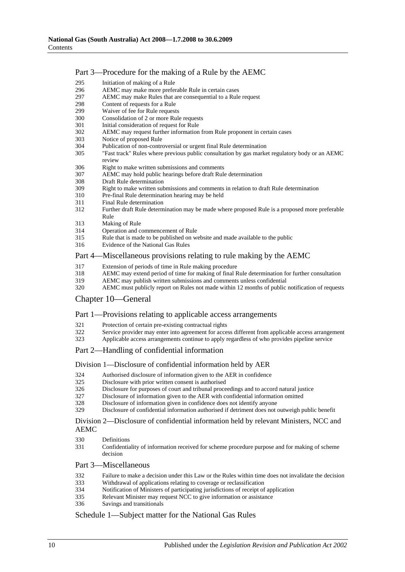## Part 3—Procedure for the making of a Rule by the AEMC

- 295 Initiation of making of a Rule
- 296 AEMC may make more preferable Rule in certain cases
- 297 AEMC may make Rules that are consequential to a Rule request<br>298 Content of requests for a Rule
- 298 Content of requests for a Rule<br>299 Waiver of fee for Rule request
- Waiver of fee for Rule requests
- 300 Consolidation of 2 or more Rule requests
- 301 Initial consideration of request for Rule
- 302 AEMC may request further information from Rule proponent in certain cases
- Notice of proposed Rule
- 304 Publication of non-controversial or urgent final Rule determination<br>305 "Fast track" Rules where previous public consultation by gas marke
- "Fast track" Rules where previous public consultation by gas market regulatory body or an AEMC review
- 306 Right to make written submissions and comments<br>307 AEMC may hold public bearings before draft Rule
- 307 AEMC may hold public hearings before draft Rule determination
- 308 Draft Rule determination<br>309 Right to make written sub
- 309 Right to make written submissions and comments in relation to draft Rule determination
- 310 Pre-final Rule determination hearing may be held
- 311 Final Rule determination
- 312 Further draft Rule determination may be made where proposed Rule is a proposed more preferable Rule
- 313 Making of Rule
- 314 Operation and commencement of Rule
- 315 Rule that is made to be published on website and made available to the public
- Evidence of the National Gas Rules

## Part 4—Miscellaneous provisions relating to rule making by the AEMC

- 317 Extension of periods of time in Rule making procedure<br>318 AEMC may extend period of time for making of final R
- 318 AEMC may extend period of time for making of final Rule determination for further consultation
- 319 AEMC may publish written submissions and comments unless confidential
- 320 AEMC must publicly report on Rules not made within 12 months of public notification of requests

## Chapter 10—General

## Part 1—Provisions relating to applicable access arrangements

- 321 Protection of certain pre-existing contractual rights<br>322 Service provider may enter into agreement for acce
- Service provider may enter into agreement for access different from applicable access arrangement
- 323 Applicable access arrangements continue to apply regardless of who provides pipeline service

## Part 2—Handling of confidential information

#### Division 1—Disclosure of confidential information held by AER

- 324 Authorised disclosure of information given to the AER in confidence<br>325 Disclosure with prior written consent is authorised
- Disclosure with prior written consent is authorised
- 326 Disclosure for purposes of court and tribunal proceedings and to accord natural justice
- 327 Disclosure of information given to the AER with confidential information omitted
- 328 Disclosure of information given in confidence does not identify anyone
- 329 Disclosure of confidential information authorised if detriment does not outweigh public benefit

#### Division 2—Disclosure of confidential information held by relevant Ministers, NCC and AEMC

- 330 Definitions
- 331 Confidentiality of information received for scheme procedure purpose and for making of scheme decision

#### Part 3—Miscellaneous

- 332 Failure to make a decision under this Law or the Rules within time does not invalidate the decision
- 333 Withdrawal of applications relating to coverage or reclassification
- 334 Notification of Ministers of participating jurisdictions of receipt of application
- 335 Relevant Minister may request NCC to give information or assistance<br>336 Savings and transitionals
- Savings and transitionals

## Schedule 1—Subject matter for the National Gas Rules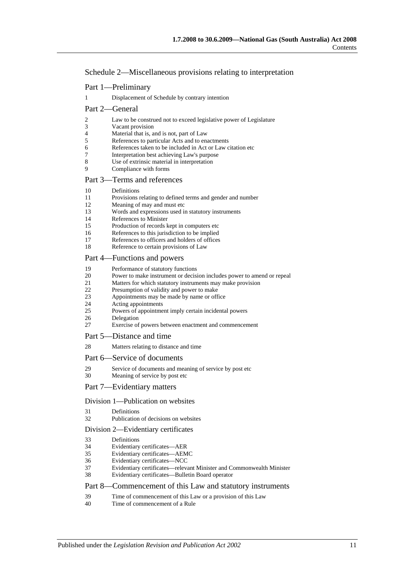Schedule 2—Miscellaneous provisions relating to interpretation

- Part 1—Preliminary
- 1 Displacement of Schedule by contrary intention

## Part 2—General

- 2 Law to be construed not to exceed legislative power of Legislature
- 3 Vacant provision<br>4 Material that is, a
- 4 Material that is, and is not, part of Law<br>5 References to particular Acts and to en-
- 5 References to particular Acts and to enactments<br>6 References taken to be included in Act or Law of
- References taken to be included in Act or Law citation etc
- 7 Interpretation best achieving Law's purpose
- 8 Use of extrinsic material in interpretation<br>9 Compliance with forms
- Compliance with forms

## Part 3—Terms and references

- 10 Definitions
- 11 Provisions relating to defined terms and gender and number<br>12 Meaning of may and must etc
- Meaning of may and must etc
- 13 Words and expressions used in statutory instruments
- 14 References to Minister<br>15 Production of records k
- Production of records kept in computers etc
- 16 References to this jurisdiction to be implied
- 17 References to officers and holders of offices
- 18 Reference to certain provisions of Law

## Part 4—Functions and powers

- 19 Performance of statutory functions
- 20 Power to make instrument or decision includes power to amend or repeal<br>21 Matters for which statutory instruments may make provision
- 21 Matters for which statutory instruments may make provision<br>22 Presumption of validity and power to make
- 22 Presumption of validity and power to make<br>23 Appointments may be made by name or off
- Appointments may be made by name or office
- 24 Acting appointments
- 25 Powers of appointment imply certain incidental powers
- 26 Delegation<br>27 Exercise of
- Exercise of powers between enactment and commencement

#### Part 5—Distance and time

28 Matters relating to distance and time

#### Part 6—Service of documents

- 29 Service of documents and meaning of service by post etc
- 30 Meaning of service by post etc

#### Part 7—Evidentiary matters

#### Division 1—Publication on websites

- 31 Definitions
- 32 Publication of decisions on websites

#### Division 2—Evidentiary certificates

- 33 Definitions
- Evidentiary certificates-AER
- 35 Evidentiary certificates—AEMC
- 36 Evidentiary certificates—NCC
- 37 Evidentiary certificates—relevant Minister and Commonwealth Minister
- 38 Evidentiary certificates—Bulletin Board operator

## Part 8—Commencement of this Law and statutory instruments

- 39 Time of commencement of this Law or a provision of this Law
- 40 Time of commencement of a Rule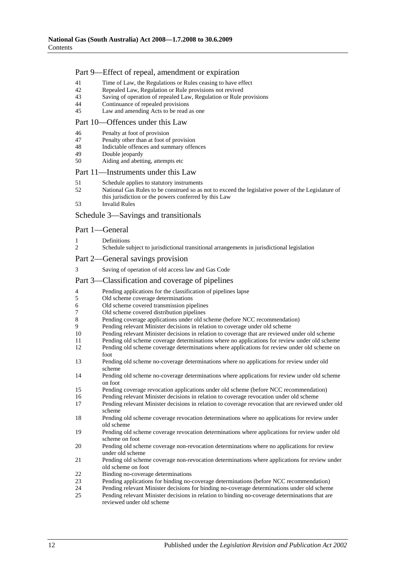## Part 9—Effect of repeal, amendment or expiration

- 41 Time of Law, the Regulations or Rules ceasing to have effect
- 42 Repealed Law, Regulation or Rule provisions not revived
- 43 Saving of operation of repealed Law, Regulation or Rule provisions<br>44 Continuance of repealed provisions
- 44 Continuance of repealed provisions<br>45 I aw and amending Acts to be read a
- Law and amending Acts to be read as one

### Part 10—Offences under this Law

- 46 Penalty at foot of provision<br>47 Penalty other than at foot of
- Penalty other than at foot of provision
- 48 Indictable offences and summary offences
- 49 Double jeopardy<br>50 Aiding and abetti
- Aiding and abetting, attempts etc

## Part 11—Instruments under this Law

- 51 Schedule applies to statutory instruments
- 52 National Gas Rules to be construed so as not to exceed the legislative power of the Legislature of this jurisdiction or the powers conferred by this Law
- 53 Invalid Rules

#### Schedule 3—Savings and transitionals

### Part 1—General

- 1 Definitions
- 2 Schedule subject to jurisdictional transitional arrangements in jurisdictional legislation
- Part 2—General savings provision
- 3 Saving of operation of old access law and Gas Code

### Part 3—Classification and coverage of pipelines

- 4 Pending applications for the classification of pipelines lapse
- 5 Old scheme coverage determinations
- 6 Old scheme covered transmission pipelines
- 7 Old scheme covered distribution pipelines<br>8 Pending coverage applications under old se
- 8 Pending coverage applications under old scheme (before NCC recommendation)<br>9 Pending relevant Minister decisions in relation to coverage under old scheme
- Pending relevant Minister decisions in relation to coverage under old scheme
- 10 Pending relevant Minister decisions in relation to coverage that are reviewed under old scheme
- 11 Pending old scheme coverage determinations where no applications for review under old scheme<br>12 Pending old scheme coverage determinations where applications for review under old scheme on Pending old scheme coverage determinations where applications for review under old scheme on
- foot 13 Pending old scheme no-coverage determinations where no applications for review under old
- scheme
- 14 Pending old scheme no-coverage determinations where applications for review under old scheme on foot
- 15 Pending coverage revocation applications under old scheme (before NCC recommendation)<br>16 Pending relevant Minister decisions in relation to coverage revocation under old scheme
- Pending relevant Minister decisions in relation to coverage revocation under old scheme
- 17 Pending relevant Minister decisions in relation to coverage revocation that are reviewed under old scheme
- 18 Pending old scheme coverage revocation determinations where no applications for review under old scheme
- 19 Pending old scheme coverage revocation determinations where applications for review under old scheme on foot
- 20 Pending old scheme coverage non-revocation determinations where no applications for review under old scheme
- 21 Pending old scheme coverage non-revocation determinations where applications for review under old scheme on foot
- 22 Binding no-coverage determinations
- 23 Pending applications for binding no-coverage determinations (before NCC recommendation)
- 24 Pending relevant Minister decisions for binding no-coverage determinations under old scheme<br>25 Pending relevant Minister decisions in relation to binding no-coverage determinations that are
- 25 Pending relevant Minister decisions in relation to binding no-coverage determinations that are reviewed under old scheme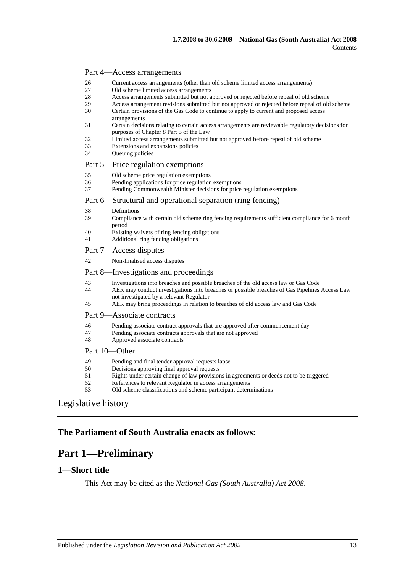### Part 4—Access arrangements

- 26 Current access arrangements (other than old scheme limited access arrangements)
- 27 Old scheme limited access arrangements
- 28 Access arrangements submitted but not approved or rejected before repeal of old scheme<br>29 Access arrangement revisions submitted but not approved or rejected before repeal of old
- 29 Access arrangement revisions submitted but not approved or rejected before repeal of old scheme<br>20 Certain provisions of the Gas Code to continue to apply to current and proposed access
- Certain provisions of the Gas Code to continue to apply to current and proposed access arrangements
- 31 Certain decisions relating to certain access arrangements are reviewable regulatory decisions for purposes of Chapter 8 Part 5 of the Law
- 32 Limited access arrangements submitted but not approved before repeal of old scheme
- 33 Extensions and expansions policies
- 34 Queuing policies

## Part 5—Price regulation exemptions

- 35 Old scheme price regulation exemptions
- 36 Pending applications for price regulation exemptions<br>37 Pending Commonwealth Minister decisions for price
- Pending Commonwealth Minister decisions for price regulation exemptions

#### Part 6—Structural and operational separation (ring fencing)

- 38 Definitions<br>39 Compliance
- Compliance with certain old scheme ring fencing requirements sufficient compliance for 6 month period
- 40 Existing waivers of ring fencing obligations
- 41 Additional ring fencing obligations

### Part 7—Access disputes

42 Non-finalised access disputes

## Part 8—Investigations and proceedings

- 43 Investigations into breaches and possible breaches of the old access law or Gas Code
- 44 AER may conduct investigations into breaches or possible breaches of Gas Pipelines Access Law not investigated by a relevant Regulator
- 45 AER may bring proceedings in relation to breaches of old access law and Gas Code

## Part 9—Associate contracts

- 46 Pending associate contract approvals that are approved after commencement day<br>47 Pending associate contracts approvals that are not approved
- 47 Pending associate contracts approvals that are not approved<br>48 Approved associate contracts
- Approved associate contracts

## Part 10—Other

- 49 Pending and final tender approval requests lapse<br>50 Decisions approving final approval requests
- 50 Decisions approving final approval requests
- 51 Rights under certain change of law provisions in agreements or deeds not to be triggered<br>52 References to relevant Regulator in access arrangements
- 52 References to relevant Regulator in access arrangements<br>53 Old scheme classifications and scheme participant determents
- Old scheme classifications and scheme participant determinations

# [Legislative history](#page-217-0)

# <span id="page-12-0"></span>**The Parliament of South Australia enacts as follows:**

# **Part 1—Preliminary**

## <span id="page-12-1"></span>**1—Short title**

This Act may be cited as the *National Gas (South Australia) Act 2008*.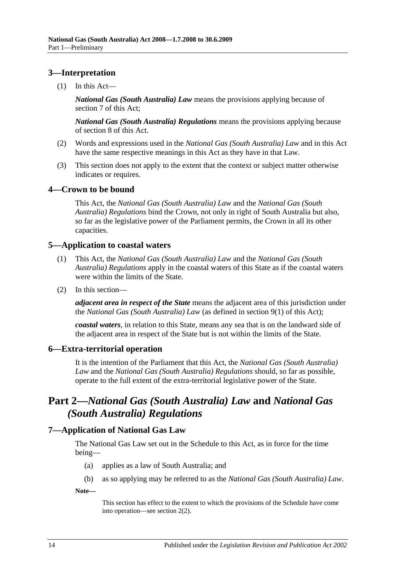# <span id="page-13-0"></span>**3—Interpretation**

 $(1)$  In this Act—

*National Gas (South Australia) Law* means the provisions applying because of [section](#page-13-5) 7 of this Act;

*National Gas (South Australia) Regulations* means the provisions applying because of [section](#page-14-0) 8 of this Act.

- (2) Words and expressions used in the *National Gas (South Australia) Law* and in this Act have the same respective meanings in this Act as they have in that Law.
- (3) This section does not apply to the extent that the context or subject matter otherwise indicates or requires.

# <span id="page-13-1"></span>**4—Crown to be bound**

This Act, the *National Gas (South Australia) Law* and the *[National Gas \(South](http://www.legislation.sa.gov.au/index.aspx?action=legref&type=subordleg&legtitle=National%20Gas%20(South%20Australia)%20Regulations)  [Australia\) Regulations](http://www.legislation.sa.gov.au/index.aspx?action=legref&type=subordleg&legtitle=National%20Gas%20(South%20Australia)%20Regulations)* bind the Crown, not only in right of South Australia but also, so far as the legislative power of the Parliament permits, the Crown in all its other capacities.

# <span id="page-13-2"></span>**5—Application to coastal waters**

- (1) This Act, the *National Gas (South Australia) Law* and the *[National Gas \(South](http://www.legislation.sa.gov.au/index.aspx?action=legref&type=subordleg&legtitle=National%20Gas%20(South%20Australia)%20Regulations)  [Australia\) Regulations](http://www.legislation.sa.gov.au/index.aspx?action=legref&type=subordleg&legtitle=National%20Gas%20(South%20Australia)%20Regulations)* apply in the coastal waters of this State as if the coastal waters were within the limits of the State.
- (2) In this section—

*adjacent area in respect of the State* means the adjacent area of this jurisdiction under the *National Gas (South Australia) Law* (as defined in [section](#page-14-5) 9(1) of this Act);

*coastal waters*, in relation to this State, means any sea that is on the landward side of the adjacent area in respect of the State but is not within the limits of the State.

# <span id="page-13-3"></span>**6—Extra-territorial operation**

It is the intention of the Parliament that this Act, the *National Gas (South Australia) Law* and the *[National Gas \(South Australia\) Regulations](http://www.legislation.sa.gov.au/index.aspx?action=legref&type=subordleg&legtitle=National%20Gas%20(South%20Australia)%20Regulations)* should, so far as possible, operate to the full extent of the extra-territorial legislative power of the State.

# <span id="page-13-4"></span>**Part 2—***National Gas (South Australia) Law* **and** *National Gas (South Australia) Regulations*

# <span id="page-13-5"></span>**7—Application of National Gas Law**

The National Gas Law set out in the [Schedule](#page-18-1) to this Act, as in force for the time being—

- (a) applies as a law of South Australia; and
- (b) as so applying may be referred to as the *National Gas (South Australia) Law*.

**Note—**

This section has effect to the extent to which the provisions of the [Schedule](#page-18-1) have come into operation—see section 2(2).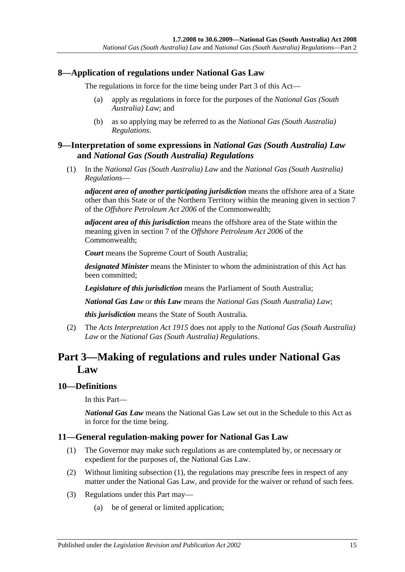# <span id="page-14-0"></span>**8—Application of regulations under National Gas Law**

The regulations in force for the time being under [Part 3](#page-14-2) of this Act—

- (a) apply as regulations in force for the purposes of the *National Gas (South Australia) Law*; and
- (b) as so applying may be referred to as the *[National Gas \(South Australia\)](http://www.legislation.sa.gov.au/index.aspx?action=legref&type=subordleg&legtitle=National%20Gas%20(South%20Australia)%20Regulations)  [Regulations](http://www.legislation.sa.gov.au/index.aspx?action=legref&type=subordleg&legtitle=National%20Gas%20(South%20Australia)%20Regulations)*.

# <span id="page-14-1"></span>**9—Interpretation of some expressions in** *National Gas (South Australia) Law* **and** *National Gas (South Australia) Regulations*

<span id="page-14-5"></span>(1) In the *National Gas (South Australia) Law* and the *[National Gas \(South Australia\)](http://www.legislation.sa.gov.au/index.aspx?action=legref&type=subordleg&legtitle=National%20Gas%20(South%20Australia)%20Regulations)  [Regulations](http://www.legislation.sa.gov.au/index.aspx?action=legref&type=subordleg&legtitle=National%20Gas%20(South%20Australia)%20Regulations)*—

*adjacent area of another participating jurisdiction* means the offshore area of a State other than this State or of the Northern Territory within the meaning given in section 7 of the *Offshore Petroleum Act 2006* of the Commonwealth;

*adjacent area of this jurisdiction* means the offshore area of the State within the meaning given in section 7 of the *Offshore Petroleum Act 2006* of the Commonwealth;

*Court* means the Supreme Court of South Australia;

*designated Minister* means the Minister to whom the administration of this Act has been committed;

*Legislature of this jurisdiction* means the Parliament of South Australia;

*National Gas Law* or *this Law* means the *National Gas (South Australia) Law*;

*this jurisdiction* means the State of South Australia.

(2) The *[Acts Interpretation Act](http://www.legislation.sa.gov.au/index.aspx?action=legref&type=act&legtitle=Acts%20Interpretation%20Act%201915) 1915* does not apply to the *National Gas (South Australia) Law* or the *[National Gas \(South Australia\) Regulations](http://www.legislation.sa.gov.au/index.aspx?action=legref&type=subordleg&legtitle=National%20Gas%20(South%20Australia)%20Regulations)*.

# <span id="page-14-2"></span>**Part 3—Making of regulations and rules under National Gas Law**

# <span id="page-14-3"></span>**10—Definitions**

In this Part—

*National Gas Law* means the National Gas Law set out in the [Schedule](#page-18-1) to this Act as in force for the time being.

# <span id="page-14-6"></span><span id="page-14-4"></span>**11—General regulation-making power for National Gas Law**

- (1) The Governor may make such regulations as are contemplated by, or necessary or expedient for the purposes of, the National Gas Law.
- (2) Without limiting [subsection](#page-14-6) (1), the regulations may prescribe fees in respect of any matter under the National Gas Law, and provide for the waiver or refund of such fees.
- (3) Regulations under this Part may—
	- (a) be of general or limited application;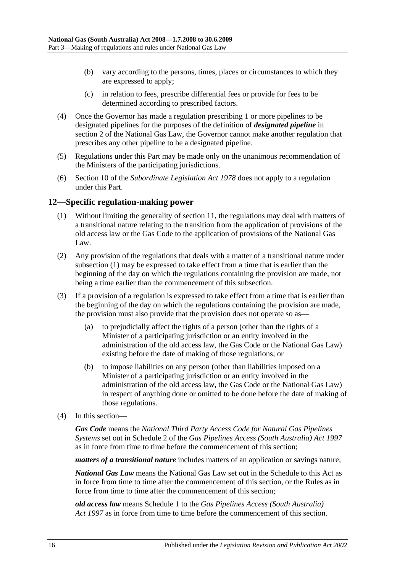- (b) vary according to the persons, times, places or circumstances to which they are expressed to apply;
- (c) in relation to fees, prescribe differential fees or provide for fees to be determined according to prescribed factors.
- (4) Once the Governor has made a regulation prescribing 1 or more pipelines to be designated pipelines for the purposes of the definition of *designated pipeline* in section 2 of the National Gas Law, the Governor cannot make another regulation that prescribes any other pipeline to be a designated pipeline.
- (5) Regulations under this Part may be made only on the unanimous recommendation of the Ministers of the participating jurisdictions.
- (6) Section 10 of the *[Subordinate Legislation Act](http://www.legislation.sa.gov.au/index.aspx?action=legref&type=act&legtitle=Subordinate%20Legislation%20Act%201978) 1978* does not apply to a regulation under this Part.

# <span id="page-15-1"></span><span id="page-15-0"></span>**12—Specific regulation-making power**

- (1) Without limiting the generality of [section](#page-14-4) 11, the regulations may deal with matters of a transitional nature relating to the transition from the application of provisions of the old access law or the Gas Code to the application of provisions of the National Gas Law.
- (2) Any provision of the regulations that deals with a matter of a transitional nature under [subsection](#page-15-1) (1) may be expressed to take effect from a time that is earlier than the beginning of the day on which the regulations containing the provision are made, not being a time earlier than the commencement of this subsection.
- (3) If a provision of a regulation is expressed to take effect from a time that is earlier than the beginning of the day on which the regulations containing the provision are made, the provision must also provide that the provision does not operate so as—
	- (a) to prejudicially affect the rights of a person (other than the rights of a Minister of a participating jurisdiction or an entity involved in the administration of the old access law, the Gas Code or the National Gas Law) existing before the date of making of those regulations; or
	- (b) to impose liabilities on any person (other than liabilities imposed on a Minister of a participating jurisdiction or an entity involved in the administration of the old access law, the Gas Code or the National Gas Law) in respect of anything done or omitted to be done before the date of making of those regulations.
- (4) In this section—

*Gas Code* means the *National Third Party Access Code for Natural Gas Pipelines Systems* set out in Schedule 2 of the *[Gas Pipelines Access \(South Australia\) Act](http://www.legislation.sa.gov.au/index.aspx?action=legref&type=act&legtitle=Gas%20Pipelines%20Access%20(South%20Australia)%20Act%201997) 1997* as in force from time to time before the commencement of this section;

*matters of a transitional nature* includes matters of an application or savings nature;

*National Gas Law* means the National Gas Law set out in the [Schedule](#page-18-1) to this Act as in force from time to time after the commencement of this section, or the Rules as in force from time to time after the commencement of this section;

*old access law* means Schedule 1 to the *[Gas Pipelines Access \(South Australia\)](http://www.legislation.sa.gov.au/index.aspx?action=legref&type=act&legtitle=Gas%20Pipelines%20Access%20(South%20Australia)%20Act%201997)  Act [1997](http://www.legislation.sa.gov.au/index.aspx?action=legref&type=act&legtitle=Gas%20Pipelines%20Access%20(South%20Australia)%20Act%201997)* as in force from time to time before the commencement of this section.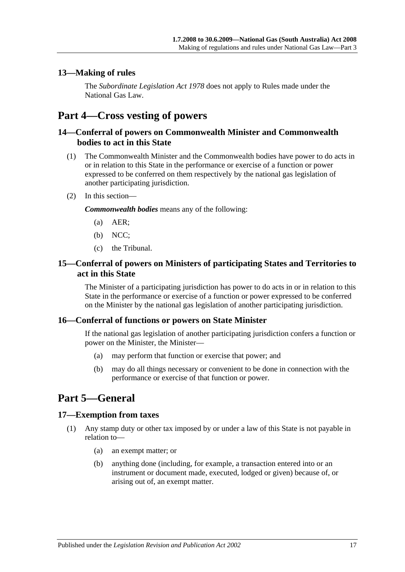# <span id="page-16-0"></span>**13—Making of rules**

The *[Subordinate Legislation Act](http://www.legislation.sa.gov.au/index.aspx?action=legref&type=act&legtitle=Subordinate%20Legislation%20Act%201978) 1978* does not apply to Rules made under the National Gas Law.

# <span id="page-16-1"></span>**Part 4—Cross vesting of powers**

# <span id="page-16-2"></span>**14—Conferral of powers on Commonwealth Minister and Commonwealth bodies to act in this State**

- (1) The Commonwealth Minister and the Commonwealth bodies have power to do acts in or in relation to this State in the performance or exercise of a function or power expressed to be conferred on them respectively by the national gas legislation of another participating jurisdiction.
- (2) In this section—

*Commonwealth bodies* means any of the following:

- (a) AER;
- (b) NCC;
- (c) the Tribunal.

# <span id="page-16-3"></span>**15—Conferral of powers on Ministers of participating States and Territories to act in this State**

The Minister of a participating jurisdiction has power to do acts in or in relation to this State in the performance or exercise of a function or power expressed to be conferred on the Minister by the national gas legislation of another participating jurisdiction.

# <span id="page-16-4"></span>**16—Conferral of functions or powers on State Minister**

If the national gas legislation of another participating jurisdiction confers a function or power on the Minister, the Minister—

- (a) may perform that function or exercise that power; and
- (b) may do all things necessary or convenient to be done in connection with the performance or exercise of that function or power.

# <span id="page-16-5"></span>**Part 5—General**

# <span id="page-16-6"></span>**17—Exemption from taxes**

- (1) Any stamp duty or other tax imposed by or under a law of this State is not payable in relation to—
	- (a) an exempt matter; or
	- (b) anything done (including, for example, a transaction entered into or an instrument or document made, executed, lodged or given) because of, or arising out of, an exempt matter.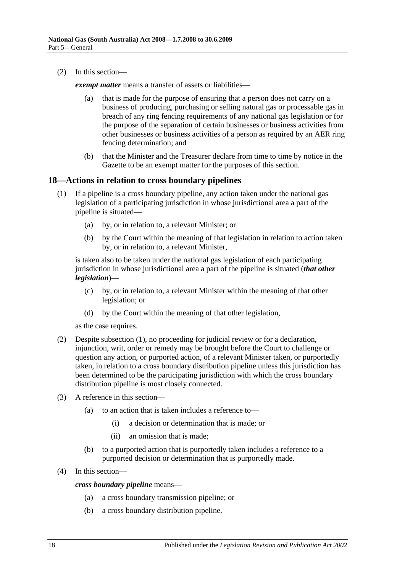(2) In this section—

*exempt matter* means a transfer of assets or liabilities—

- (a) that is made for the purpose of ensuring that a person does not carry on a business of producing, purchasing or selling natural gas or processable gas in breach of any ring fencing requirements of any national gas legislation or for the purpose of the separation of certain businesses or business activities from other businesses or business activities of a person as required by an AER ring fencing determination; and
- (b) that the Minister and the Treasurer declare from time to time by notice in the Gazette to be an exempt matter for the purposes of this section.

# <span id="page-17-1"></span><span id="page-17-0"></span>**18—Actions in relation to cross boundary pipelines**

- (1) If a pipeline is a cross boundary pipeline, any action taken under the national gas legislation of a participating jurisdiction in whose jurisdictional area a part of the pipeline is situated—
	- (a) by, or in relation to, a relevant Minister; or
	- (b) by the Court within the meaning of that legislation in relation to action taken by, or in relation to, a relevant Minister,

is taken also to be taken under the national gas legislation of each participating jurisdiction in whose jurisdictional area a part of the pipeline is situated (*that other legislation*)—

- (c) by, or in relation to, a relevant Minister within the meaning of that other legislation; or
- (d) by the Court within the meaning of that other legislation,

as the case requires.

- (2) Despite [subsection](#page-17-1) (1), no proceeding for judicial review or for a declaration, injunction, writ, order or remedy may be brought before the Court to challenge or question any action, or purported action, of a relevant Minister taken, or purportedly taken, in relation to a cross boundary distribution pipeline unless this jurisdiction has been determined to be the participating jurisdiction with which the cross boundary distribution pipeline is most closely connected.
- (3) A reference in this section—
	- (a) to an action that is taken includes a reference to—
		- (i) a decision or determination that is made; or
		- (ii) an omission that is made;
	- (b) to a purported action that is purportedly taken includes a reference to a purported decision or determination that is purportedly made.
- (4) In this section—

*cross boundary pipeline* means—

- (a) a cross boundary transmission pipeline; or
- (b) a cross boundary distribution pipeline.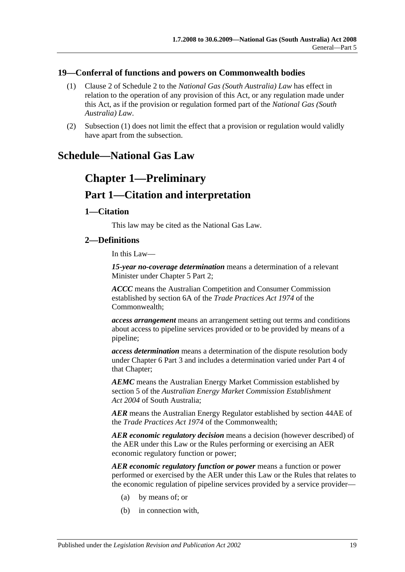# <span id="page-18-2"></span><span id="page-18-0"></span>**19—Conferral of functions and powers on Commonwealth bodies**

- (1) Clause 2 of Schedule 2 to the *National Gas (South Australia) Law* has effect in relation to the operation of any provision of this Act, or any regulation made under this Act, as if the provision or regulation formed part of the *National Gas (South Australia) Law*.
- (2) [Subsection](#page-18-2) (1) does not limit the effect that a provision or regulation would validly have apart from the subsection.

# <span id="page-18-1"></span>**Schedule—National Gas Law**

# **Chapter 1—Preliminary Part 1—Citation and interpretation**

# **1—Citation**

This law may be cited as the National Gas Law.

# **2—Definitions**

In this Law—

*15-year no-coverage determination* means a determination of a relevant Minister under Chapter 5 Part 2;

*ACCC* means the Australian Competition and Consumer Commission established by section 6A of the *Trade Practices Act 1974* of the Commonwealth;

*access arrangement* means an arrangement setting out terms and conditions about access to pipeline services provided or to be provided by means of a pipeline;

*access determination* means a determination of the dispute resolution body under Chapter 6 Part 3 and includes a determination varied under Part 4 of that Chapter;

*AEMC* means the Australian Energy Market Commission established by section 5 of the *[Australian Energy Market Commission Establishment](http://www.legislation.sa.gov.au/index.aspx?action=legref&type=act&legtitle=Australian%20Energy%20Market%20Commission%20Establishment%20Act%202004)  Act [2004](http://www.legislation.sa.gov.au/index.aspx?action=legref&type=act&legtitle=Australian%20Energy%20Market%20Commission%20Establishment%20Act%202004)* of South Australia;

*AER* means the Australian Energy Regulator established by section 44AE of the *Trade Practices Act 1974* of the Commonwealth;

*AER economic regulatory decision* means a decision (however described) of the AER under this Law or the Rules performing or exercising an AER economic regulatory function or power;

*AER economic regulatory function or power* means a function or power performed or exercised by the AER under this Law or the Rules that relates to the economic regulation of pipeline services provided by a service provider—

- (a) by means of; or
- (b) in connection with,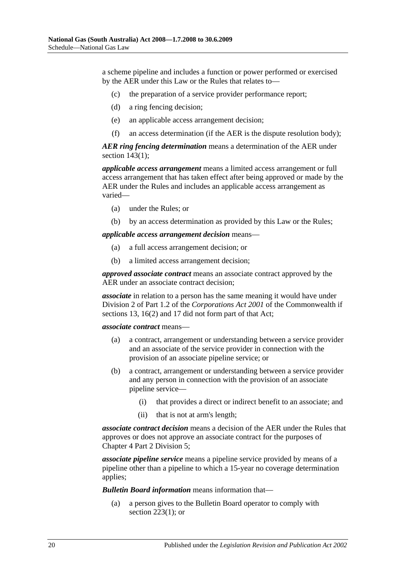a scheme pipeline and includes a function or power performed or exercised by the AER under this Law or the Rules that relates to—

- (c) the preparation of a service provider performance report;
- (d) a ring fencing decision;
- (e) an applicable access arrangement decision;
- (f) an access determination (if the AER is the dispute resolution body);

*AER ring fencing determination* means a determination of the AER under section [143\(1\);](#page-86-0)

*applicable access arrangement* means a limited access arrangement or full access arrangement that has taken effect after being approved or made by the AER under the Rules and includes an applicable access arrangement as varied—

- (a) under the Rules; or
- (b) by an access determination as provided by this Law or the Rules;

*applicable access arrangement decision* means—

- (a) a full access arrangement decision; or
- (b) a limited access arrangement decision;

*approved associate contract* means an associate contract approved by the AER under an associate contract decision;

*associate* in relation to a person has the same meaning it would have under Division 2 of Part 1.2 of the *Corporations Act 2001* of the Commonwealth if sections 13, 16(2) and 17 did not form part of that Act;

*associate contract* means—

- (a) a contract, arrangement or understanding between a service provider and an associate of the service provider in connection with the provision of an associate pipeline service; or
- (b) a contract, arrangement or understanding between a service provider and any person in connection with the provision of an associate pipeline service—
	- (i) that provides a direct or indirect benefit to an associate; and
	- (ii) that is not at arm's length;

*associate contract decision* means a decision of the AER under the Rules that approves or does not approve an associate contract for the purposes of Chapter 4 Part 2 Division 5;

*associate pipeline service* means a pipeline service provided by means of a pipeline other than a pipeline to which a 15-year no coverage determination applies;

*Bulletin Board information* means information that—

(a) a person gives to the Bulletin Board operator to comply with [section](#page-114-0)  $223(1)$ ; or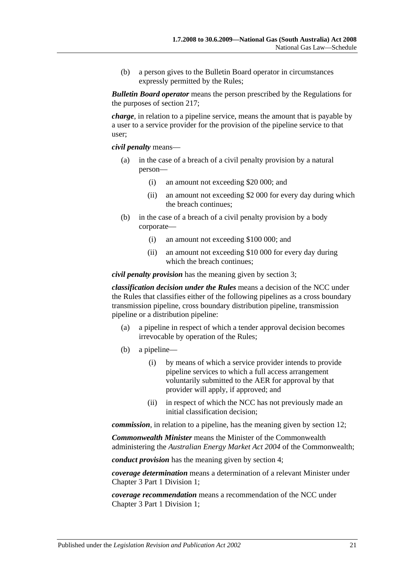(b) a person gives to the Bulletin Board operator in circumstances expressly permitted by the Rules;

*Bulletin Board operator* means the person prescribed by the Regulations for the purposes of section 217;

*charge*, in relation to a pipeline service, means the amount that is payable by a user to a service provider for the provision of the pipeline service to that user;

*civil penalty* means—

- (a) in the case of a breach of a civil penalty provision by a natural person—
	- (i) an amount not exceeding \$20 000; and
	- (ii) an amount not exceeding \$2 000 for every day during which the breach continues;
- (b) in the case of a breach of a civil penalty provision by a body corporate—
	- (i) an amount not exceeding \$100 000; and
	- (ii) an amount not exceeding \$10 000 for every day during which the breach continues:

*civil penalty provision* has the meaning given by section 3;

*classification decision under the Rules* means a decision of the NCC under the Rules that classifies either of the following pipelines as a cross boundary transmission pipeline, cross boundary distribution pipeline, transmission pipeline or a distribution pipeline:

- (a) a pipeline in respect of which a tender approval decision becomes irrevocable by operation of the Rules;
- (b) a pipeline—
	- (i) by means of which a service provider intends to provide pipeline services to which a full access arrangement voluntarily submitted to the AER for approval by that provider will apply, if approved; and
	- (ii) in respect of which the NCC has not previously made an initial classification decision;

*commission*, in relation to a pipeline, has the meaning given by section 12;

*Commonwealth Minister* means the Minister of the Commonwealth administering the *Australian Energy Market Act 2004* of the Commonwealth;

*conduct provision* has the meaning given by section 4;

*coverage determination* means a determination of a relevant Minister under Chapter 3 Part 1 Division 1;

*coverage recommendation* means a recommendation of the NCC under Chapter 3 Part 1 Division 1;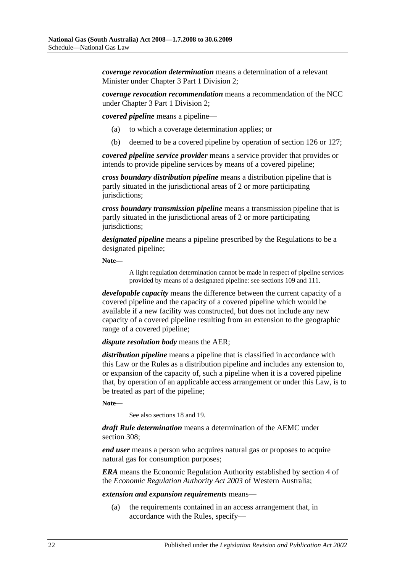*coverage revocation determination* means a determination of a relevant Minister under Chapter 3 Part 1 Division 2;

*coverage revocation recommendation* means a recommendation of the NCC under Chapter 3 Part 1 Division 2;

*covered pipeline* means a pipeline—

- (a) to which a coverage determination applies; or
- (b) deemed to be a covered pipeline by operation of section 126 or 127;

*covered pipeline service provider* means a service provider that provides or intends to provide pipeline services by means of a covered pipeline;

*cross boundary distribution pipeline* means a distribution pipeline that is partly situated in the jurisdictional areas of 2 or more participating jurisdictions;

*cross boundary transmission pipeline* means a transmission pipeline that is partly situated in the jurisdictional areas of 2 or more participating jurisdictions;

*designated pipeline* means a pipeline prescribed by the Regulations to be a designated pipeline;

**Note—**

A light regulation determination cannot be made in respect of pipeline services provided by means of a designated pipeline: see sections 109 and 111.

*developable capacity* means the difference between the current capacity of a covered pipeline and the capacity of a covered pipeline which would be available if a new facility was constructed, but does not include any new capacity of a covered pipeline resulting from an extension to the geographic range of a covered pipeline;

## *dispute resolution body* means the AER;

*distribution pipeline* means a pipeline that is classified in accordance with this Law or the Rules as a distribution pipeline and includes any extension to, or expansion of the capacity of, such a pipeline when it is a covered pipeline that, by operation of an applicable access arrangement or under this Law, is to be treated as part of the pipeline;

**Note—**

See also sections 18 and 19.

*draft Rule determination* means a determination of the AEMC under section 308:

*end user* means a person who acquires natural gas or proposes to acquire natural gas for consumption purposes;

*ERA* means the Economic Regulation Authority established by section 4 of the *Economic Regulation Authority Act 2003* of Western Australia;

## *extension and expansion requirements* means—

(a) the requirements contained in an access arrangement that, in accordance with the Rules, specify—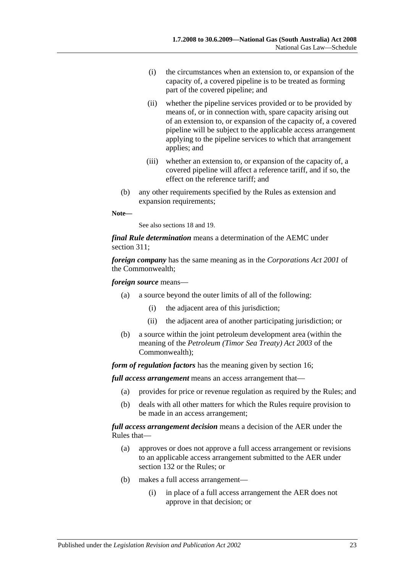- (i) the circumstances when an extension to, or expansion of the capacity of, a covered pipeline is to be treated as forming part of the covered pipeline; and
- (ii) whether the pipeline services provided or to be provided by means of, or in connection with, spare capacity arising out of an extension to, or expansion of the capacity of, a covered pipeline will be subject to the applicable access arrangement applying to the pipeline services to which that arrangement applies; and
- (iii) whether an extension to, or expansion of the capacity of, a covered pipeline will affect a reference tariff, and if so, the effect on the reference tariff; and
- (b) any other requirements specified by the Rules as extension and expansion requirements;

## **Note—**

See also sections 18 and 19.

*final Rule determination* means a determination of the AEMC under section 311;

*foreign company* has the same meaning as in the *Corporations Act 2001* of the Commonwealth;

# *foreign source* means—

- (a) a source beyond the outer limits of all of the following:
	- (i) the adjacent area of this jurisdiction;
	- (ii) the adjacent area of another participating jurisdiction; or
- (b) a source within the joint petroleum development area (within the meaning of the *Petroleum (Timor Sea Treaty) Act 2003* of the Commonwealth);

*form of regulation factors* has the meaning given by section 16;

*full access arrangement* means an access arrangement that—

- (a) provides for price or revenue regulation as required by the Rules; and
- (b) deals with all other matters for which the Rules require provision to be made in an access arrangement;

# *full access arrangement decision* means a decision of the AER under the Rules that—

- (a) approves or does not approve a full access arrangement or revisions to an applicable access arrangement submitted to the AER under section 132 or the Rules; or
- (b) makes a full access arrangement—
	- (i) in place of a full access arrangement the AER does not approve in that decision; or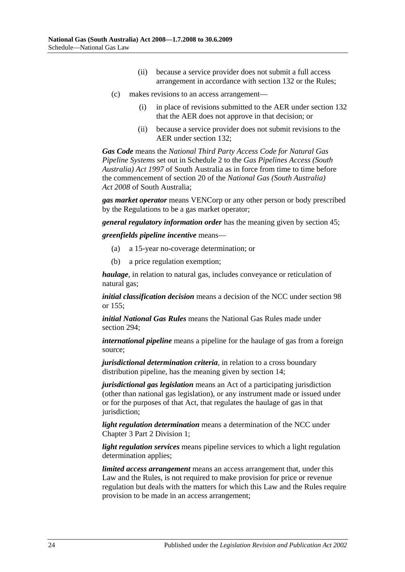- (ii) because a service provider does not submit a full access arrangement in accordance with section 132 or the Rules;
- (c) makes revisions to an access arrangement—
	- (i) in place of revisions submitted to the AER under section 132 that the AER does not approve in that decision; or
	- (ii) because a service provider does not submit revisions to the AER under section 132;

*Gas Code* means the *National Third Party Access Code for Natural Gas Pipeline Systems* set out in Schedule 2 to the *[Gas Pipelines Access \(South](http://www.legislation.sa.gov.au/index.aspx?action=legref&type=act&legtitle=Gas%20Pipelines%20Access%20(South%20Australia)%20Act%201997)  [Australia\) Act](http://www.legislation.sa.gov.au/index.aspx?action=legref&type=act&legtitle=Gas%20Pipelines%20Access%20(South%20Australia)%20Act%201997) 1997* of South Australia as in force from time to time before the commencement of section 20 of the *[National Gas \(South Australia\)](http://www.legislation.sa.gov.au/index.aspx?action=legref&type=act&legtitle=National%20Gas%20(South%20Australia)%20Act%202008)  Act [2008](http://www.legislation.sa.gov.au/index.aspx?action=legref&type=act&legtitle=National%20Gas%20(South%20Australia)%20Act%202008)* of South Australia;

*gas market operator* means VENCorp or any other person or body prescribed by the Regulations to be a gas market operator;

*general regulatory information order* has the meaning given by section 45;

*greenfields pipeline incentive* means—

- (a) a 15-year no-coverage determination; or
- (b) a price regulation exemption;

*haulage*, in relation to natural gas, includes conveyance or reticulation of natural gas;

*initial classification decision* means a decision of the NCC under section 98 or 155;

*initial National Gas Rules* means the National Gas Rules made under section 294;

*international pipeline* means a pipeline for the haulage of gas from a foreign source;

*jurisdictional determination criteria*, in relation to a cross boundary distribution pipeline, has the meaning given by section 14;

*jurisdictional gas legislation* means an Act of a participating jurisdiction (other than national gas legislation), or any instrument made or issued under or for the purposes of that Act, that regulates the haulage of gas in that jurisdiction;

*light regulation determination* means a determination of the NCC under Chapter 3 Part 2 Division 1;

*light regulation services* means pipeline services to which a light regulation determination applies;

*limited access arrangement* means an access arrangement that, under this Law and the Rules, is not required to make provision for price or revenue regulation but deals with the matters for which this Law and the Rules require provision to be made in an access arrangement;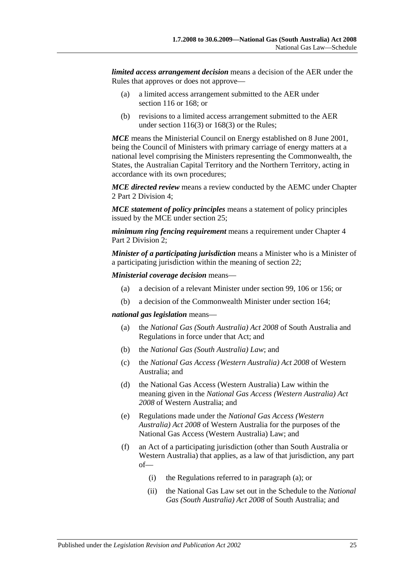*limited access arrangement decision* means a decision of the AER under the Rules that approves or does not approve—

- (a) a limited access arrangement submitted to the AER under section 116 or 168; or
- (b) revisions to a limited access arrangement submitted to the AER under [section](#page-74-0) 116(3) or [168\(3\)](#page-96-0) or the Rules;

*MCE* means the Ministerial Council on Energy established on 8 June 2001, being the Council of Ministers with primary carriage of energy matters at a national level comprising the Ministers representing the Commonwealth, the States, the Australian Capital Territory and the Northern Territory, acting in accordance with its own procedures;

*MCE directed review* means a review conducted by the AEMC under Chapter 2 Part 2 Division 4;

*MCE statement of policy principles* means a statement of policy principles issued by the MCE under section 25;

*minimum ring fencing requirement* means a requirement under Chapter 4 Part 2 Division 2;

*Minister of a participating jurisdiction* means a Minister who is a Minister of a participating jurisdiction within the meaning of section 22;

*Ministerial coverage decision* means—

- (a) a decision of a relevant Minister under section 99, 106 or 156; or
- (b) a decision of the Commonwealth Minister under section 164;

## <span id="page-24-0"></span>*national gas legislation* means—

- (a) the *[National Gas \(South Australia\) Act](http://www.legislation.sa.gov.au/index.aspx?action=legref&type=act&legtitle=National%20Gas%20(South%20Australia)%20Act%202008) 2008* of South Australia and Regulations in force under that Act; and
- (b) the *National Gas (South Australia) Law*; and
- (c) the *National Gas Access (Western Australia) Act 2008* of Western Australia; and
- (d) the National Gas Access (Western Australia) Law within the meaning given in the *National Gas Access (Western Australia) Act 2008* of Western Australia; and
- (e) Regulations made under the *National Gas Access (Western Australia) Act 2008* of Western Australia for the purposes of the National Gas Access (Western Australia) Law; and
- (f) an Act of a participating jurisdiction (other than South Australia or Western Australia) that applies, as a law of that jurisdiction, any part of—
	- (i) the Regulations referred to in [paragraph](#page-24-0) (a); or
	- (ii) the National Gas Law set out in the Schedule to the *[National](http://www.legislation.sa.gov.au/index.aspx?action=legref&type=act&legtitle=National%20Gas%20(South%20Australia)%20Act%202008)  [Gas \(South Australia\) Act](http://www.legislation.sa.gov.au/index.aspx?action=legref&type=act&legtitle=National%20Gas%20(South%20Australia)%20Act%202008) 2008* of South Australia; and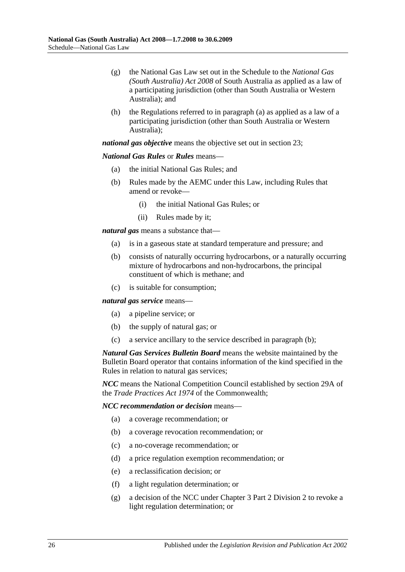- (g) the National Gas Law set out in the Schedule to the *[National Gas](http://www.legislation.sa.gov.au/index.aspx?action=legref&type=act&legtitle=National%20Gas%20(South%20Australia)%20Act%202008)  [\(South Australia\) Act](http://www.legislation.sa.gov.au/index.aspx?action=legref&type=act&legtitle=National%20Gas%20(South%20Australia)%20Act%202008) 2008* of South Australia as applied as a law of a participating jurisdiction (other than South Australia or Western Australia); and
- (h) the Regulations referred to in [paragraph](#page-24-0) (a) as applied as a law of a participating jurisdiction (other than South Australia or Western Australia);

*national gas objective* means the objective set out in section 23;

## *National Gas Rules* or *Rules* means—

- (a) the initial National Gas Rules; and
- (b) Rules made by the AEMC under this Law, including Rules that amend or revoke—
	- (i) the initial National Gas Rules; or
	- (ii) Rules made by it;

*natural gas* means a substance that—

- (a) is in a gaseous state at standard temperature and pressure; and
- (b) consists of naturally occurring hydrocarbons, or a naturally occurring mixture of hydrocarbons and non-hydrocarbons, the principal constituent of which is methane; and
- (c) is suitable for consumption;

<span id="page-25-0"></span>*natural gas service* means—

- (a) a pipeline service; or
- (b) the supply of natural gas; or
- (c) a service ancillary to the service described in [paragraph](#page-25-0) (b);

*Natural Gas Services Bulletin Board* means the website maintained by the Bulletin Board operator that contains information of the kind specified in the Rules in relation to natural gas services;

*NCC* means the National Competition Council established by section 29A of the *Trade Practices Act 1974* of the Commonwealth;

*NCC recommendation or decision* means—

- (a) a coverage recommendation; or
- (b) a coverage revocation recommendation; or
- (c) a no-coverage recommendation; or
- (d) a price regulation exemption recommendation; or
- <span id="page-25-1"></span>(e) a reclassification decision; or
- (f) a light regulation determination; or
- <span id="page-25-2"></span>(g) a decision of the NCC under Chapter 3 Part 2 Division 2 to revoke a light regulation determination; or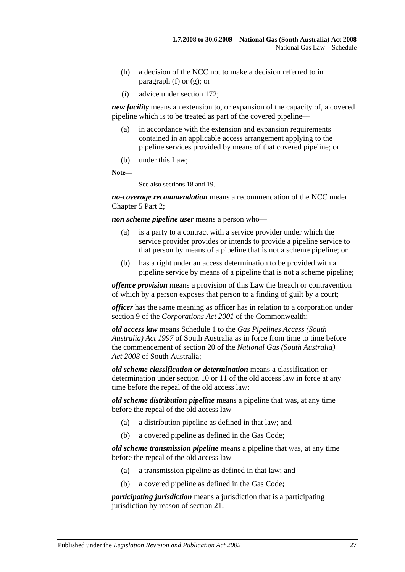- (h) a decision of the NCC not to make a decision referred to in [paragraph](#page-25-1) (f) or [\(g\);](#page-25-2) or
- (i) advice under section 172;

*new facility* means an extension to, or expansion of the capacity of, a covered pipeline which is to be treated as part of the covered pipeline—

- (a) in accordance with the extension and expansion requirements contained in an applicable access arrangement applying to the pipeline services provided by means of that covered pipeline; or
- (b) under this Law;

**Note—**

See also sections 18 and 19.

*no-coverage recommendation* means a recommendation of the NCC under Chapter 5 Part 2;

*non scheme pipeline user* means a person who—

- (a) is a party to a contract with a service provider under which the service provider provides or intends to provide a pipeline service to that person by means of a pipeline that is not a scheme pipeline; or
- (b) has a right under an access determination to be provided with a pipeline service by means of a pipeline that is not a scheme pipeline;

*offence provision* means a provision of this Law the breach or contravention of which by a person exposes that person to a finding of guilt by a court;

*officer* has the same meaning as officer has in relation to a corporation under section 9 of the *Corporations Act 2001* of the Commonwealth;

*old access law* means Schedule 1 to the *[Gas Pipelines Access \(South](http://www.legislation.sa.gov.au/index.aspx?action=legref&type=act&legtitle=Gas%20Pipelines%20Access%20(South%20Australia)%20Act%201997)  [Australia\) Act](http://www.legislation.sa.gov.au/index.aspx?action=legref&type=act&legtitle=Gas%20Pipelines%20Access%20(South%20Australia)%20Act%201997) 1997* of South Australia as in force from time to time before the commencement of section 20 of the *[National Gas \(South Australia\)](http://www.legislation.sa.gov.au/index.aspx?action=legref&type=act&legtitle=National%20Gas%20(South%20Australia)%20Act%202008)  Act [2008](http://www.legislation.sa.gov.au/index.aspx?action=legref&type=act&legtitle=National%20Gas%20(South%20Australia)%20Act%202008)* of South Australia;

*old scheme classification or determination* means a classification or determination under section 10 or 11 of the old access law in force at any time before the repeal of the old access law;

*old scheme distribution pipeline* means a pipeline that was, at any time before the repeal of the old access law—

- (a) a distribution pipeline as defined in that law; and
- (b) a covered pipeline as defined in the Gas Code;

*old scheme transmission pipeline* means a pipeline that was, at any time before the repeal of the old access law—

- (a) a transmission pipeline as defined in that law; and
- (b) a covered pipeline as defined in the Gas Code;

*participating jurisdiction* means a jurisdiction that is a participating jurisdiction by reason of section 21;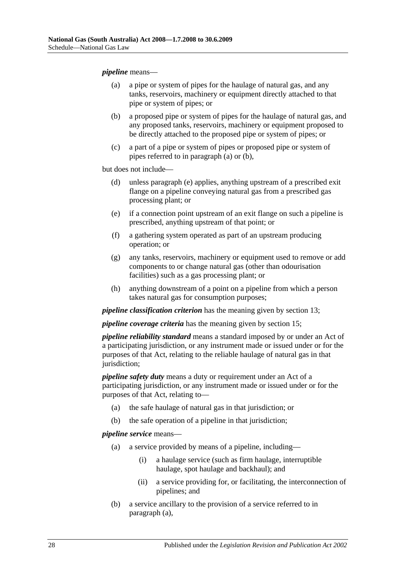## <span id="page-27-0"></span>*pipeline* means—

- (a) a pipe or system of pipes for the haulage of natural gas, and any tanks, reservoirs, machinery or equipment directly attached to that pipe or system of pipes; or
- <span id="page-27-1"></span>(b) a proposed pipe or system of pipes for the haulage of natural gas, and any proposed tanks, reservoirs, machinery or equipment proposed to be directly attached to the proposed pipe or system of pipes; or
- (c) a part of a pipe or system of pipes or proposed pipe or system of pipes referred to in [paragraph](#page-27-0) (a) or [\(b\),](#page-27-1)

but does not include—

- (d) unless [paragraph](#page-27-2) (e) applies, anything upstream of a prescribed exit flange on a pipeline conveying natural gas from a prescribed gas processing plant; or
- <span id="page-27-2"></span>(e) if a connection point upstream of an exit flange on such a pipeline is prescribed, anything upstream of that point; or
- (f) a gathering system operated as part of an upstream producing operation; or
- (g) any tanks, reservoirs, machinery or equipment used to remove or add components to or change natural gas (other than odourisation facilities) such as a gas processing plant; or
- (h) anything downstream of a point on a pipeline from which a person takes natural gas for consumption purposes;

*pipeline classification criterion* has the meaning given by section 13;

*pipeline coverage criteria* has the meaning given by section 15;

*pipeline reliability standard* means a standard imposed by or under an Act of a participating jurisdiction, or any instrument made or issued under or for the purposes of that Act, relating to the reliable haulage of natural gas in that jurisdiction;

*pipeline safety duty* means a duty or requirement under an Act of a participating jurisdiction, or any instrument made or issued under or for the purposes of that Act, relating to—

- (a) the safe haulage of natural gas in that jurisdiction; or
- (b) the safe operation of a pipeline in that jurisdiction;

## <span id="page-27-3"></span>*pipeline service* means—

- (a) a service provided by means of a pipeline, including—
	- (i) a haulage service (such as firm haulage, interruptible haulage, spot haulage and backhaul); and
	- (ii) a service providing for, or facilitating, the interconnection of pipelines; and
- (b) a service ancillary to the provision of a service referred to in [paragraph](#page-27-3) (a),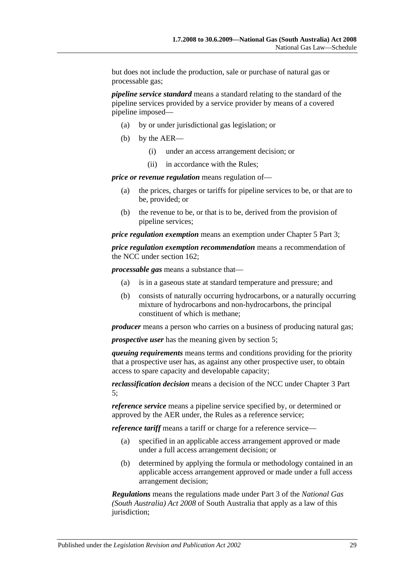but does not include the production, sale or purchase of natural gas or processable gas;

*pipeline service standard* means a standard relating to the standard of the pipeline services provided by a service provider by means of a covered pipeline imposed—

- (a) by or under jurisdictional gas legislation; or
- (b) by the AER—
	- (i) under an access arrangement decision; or
	- (ii) in accordance with the Rules;

*price or revenue regulation* means regulation of—

- (a) the prices, charges or tariffs for pipeline services to be, or that are to be, provided; or
- (b) the revenue to be, or that is to be, derived from the provision of pipeline services;

*price regulation exemption* means an exemption under Chapter 5 Part 3;

*price regulation exemption recommendation* means a recommendation of the NCC under section 162;

*processable gas* means a substance that—

- (a) is in a gaseous state at standard temperature and pressure; and
- (b) consists of naturally occurring hydrocarbons, or a naturally occurring mixture of hydrocarbons and non-hydrocarbons, the principal constituent of which is methane;

*producer* means a person who carries on a business of producing natural gas;

*prospective user* has the meaning given by section 5;

*queuing requirements* means terms and conditions providing for the priority that a prospective user has, as against any other prospective user, to obtain access to spare capacity and developable capacity;

*reclassification decision* means a decision of the NCC under Chapter 3 Part 5;

*reference service* means a pipeline service specified by, or determined or approved by the AER under, the Rules as a reference service;

*reference tariff* means a tariff or charge for a reference service—

- (a) specified in an applicable access arrangement approved or made under a full access arrangement decision; or
- (b) determined by applying the formula or methodology contained in an applicable access arrangement approved or made under a full access arrangement decision;

*Regulations* means the regulations made under Part 3 of the *[National Gas](http://www.legislation.sa.gov.au/index.aspx?action=legref&type=act&legtitle=National%20Gas%20(South%20Australia)%20Act%202008)  [\(South Australia\) Act](http://www.legislation.sa.gov.au/index.aspx?action=legref&type=act&legtitle=National%20Gas%20(South%20Australia)%20Act%202008) 2008* of South Australia that apply as a law of this jurisdiction;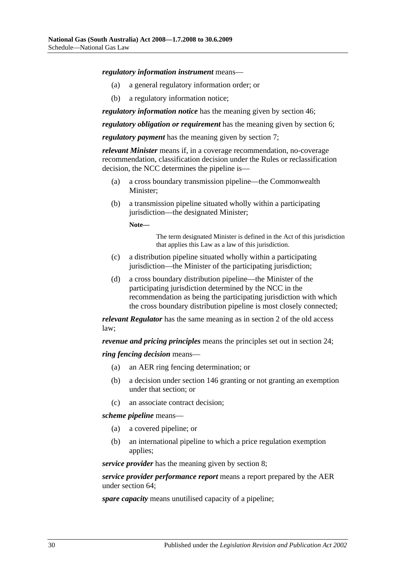## *regulatory information instrument* means—

- (a) a general regulatory information order; or
- (b) a regulatory information notice;

*regulatory information notice* has the meaning given by section 46;

*regulatory obligation or requirement* has the meaning given by section 6;

*regulatory payment* has the meaning given by section 7;

*relevant Minister* means if, in a coverage recommendation, no-coverage recommendation, classification decision under the Rules or reclassification decision, the NCC determines the pipeline is—

- (a) a cross boundary transmission pipeline—the Commonwealth Minister;
- (b) a transmission pipeline situated wholly within a participating jurisdiction—the designated Minister;

**Note—**

The term designated Minister is defined in the Act of this jurisdiction that applies this Law as a law of this jurisdiction.

- (c) a distribution pipeline situated wholly within a participating jurisdiction—the Minister of the participating jurisdiction;
- (d) a cross boundary distribution pipeline—the Minister of the participating jurisdiction determined by the NCC in the recommendation as being the participating jurisdiction with which the cross boundary distribution pipeline is most closely connected;

*relevant Regulator* has the same meaning as in section 2 of the old access law;

*revenue and pricing principles* means the principles set out in section 24;

## *ring fencing decision* means—

- (a) an AER ring fencing determination; or
- (b) a decision under section 146 granting or not granting an exemption under that section; or
- (c) an associate contract decision;

*scheme pipeline* means—

- (a) a covered pipeline; or
- (b) an international pipeline to which a price regulation exemption applies;

*service provider* has the meaning given by section 8;

*service provider performance report* means a report prepared by the AER under section 64;

*spare capacity* means unutilised capacity of a pipeline;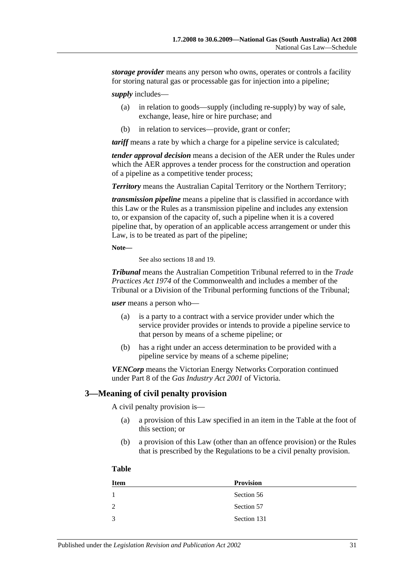*storage provider* means any person who owns, operates or controls a facility for storing natural gas or processable gas for injection into a pipeline;

*supply* includes—

- (a) in relation to goods—supply (including re-supply) by way of sale, exchange, lease, hire or hire purchase; and
- (b) in relation to services—provide, grant or confer;

*tariff* means a rate by which a charge for a pipeline service is calculated;

*tender approval decision* means a decision of the AER under the Rules under which the AER approves a tender process for the construction and operation of a pipeline as a competitive tender process;

*Territory* means the Australian Capital Territory or the Northern Territory;

*transmission pipeline* means a pipeline that is classified in accordance with this Law or the Rules as a transmission pipeline and includes any extension to, or expansion of the capacity of, such a pipeline when it is a covered pipeline that, by operation of an applicable access arrangement or under this Law, is to be treated as part of the pipeline;

**Note—**

See also sections 18 and 19.

*Tribunal* means the Australian Competition Tribunal referred to in the *Trade Practices Act 1974* of the Commonwealth and includes a member of the Tribunal or a Division of the Tribunal performing functions of the Tribunal;

*user* means a person who—

- (a) is a party to a contract with a service provider under which the service provider provides or intends to provide a pipeline service to that person by means of a scheme pipeline; or
- (b) has a right under an access determination to be provided with a pipeline service by means of a scheme pipeline;

*VENCorp* means the Victorian Energy Networks Corporation continued under Part 8 of the *Gas Industry Act 2001* of Victoria.

# **3—Meaning of civil penalty provision**

A civil penalty provision is—

- (a) a provision of this Law specified in an item in the Table at the foot of this section; or
- (b) a provision of this Law (other than an offence provision) or the Rules that is prescribed by the Regulations to be a civil penalty provision.

## **Table**

| <b>Item</b> | <b>Provision</b> |
|-------------|------------------|
| 1           | Section 56       |
| 2           | Section 57       |
| 3           | Section 131      |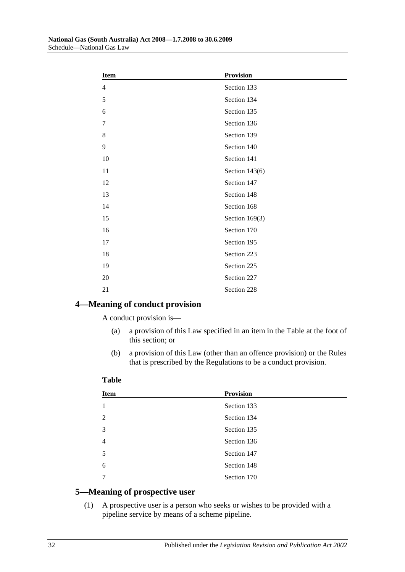| <b>Item</b>    | <b>Provision</b> |  |
|----------------|------------------|--|
| $\overline{4}$ | Section 133      |  |
| 5              | Section 134      |  |
| 6              | Section 135      |  |
| $\overline{7}$ | Section 136      |  |
| 8              | Section 139      |  |
| 9              | Section 140      |  |
| 10             | Section 141      |  |
| 11             | Section 143(6)   |  |
| 12             | Section 147      |  |
| 13             | Section 148      |  |
| 14             | Section 168      |  |
| 15             | Section $169(3)$ |  |
| 16             | Section 170      |  |
| 17             | Section 195      |  |
| 18             | Section 223      |  |
| 19             | Section 225      |  |
| $20\,$         | Section 227      |  |
| 21             | Section 228      |  |

# **4—Meaning of conduct provision**

A conduct provision is—

- (a) a provision of this Law specified in an item in the Table at the foot of this section; or
- (b) a provision of this Law (other than an offence provision) or the Rules that is prescribed by the Regulations to be a conduct provision.

# **Table**

| <b>Item</b>    | <b>Provision</b> |
|----------------|------------------|
|                | Section 133      |
| 2              | Section 134      |
| 3              | Section 135      |
| $\overline{4}$ | Section 136      |
| 5              | Section 147      |
| 6              | Section 148      |
|                | Section 170      |

# **5—Meaning of prospective user**

(1) A prospective user is a person who seeks or wishes to be provided with a pipeline service by means of a scheme pipeline.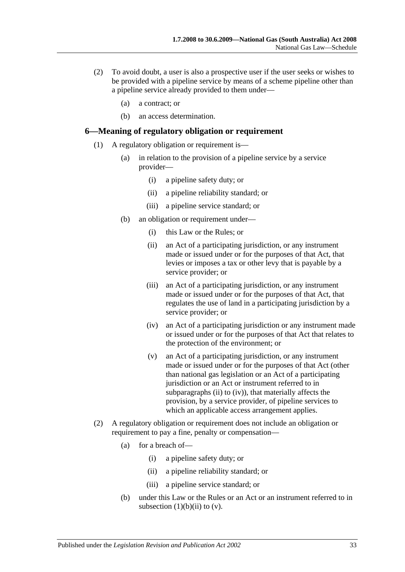- (2) To avoid doubt, a user is also a prospective user if the user seeks or wishes to be provided with a pipeline service by means of a scheme pipeline other than a pipeline service already provided to them under—
	- (a) a contract; or
	- (b) an access determination.

# **6—Meaning of regulatory obligation or requirement**

- <span id="page-32-0"></span>(1) A regulatory obligation or requirement is—
	- (a) in relation to the provision of a pipeline service by a service provider—
		- (i) a pipeline safety duty; or
		- (ii) a pipeline reliability standard; or
		- (iii) a pipeline service standard; or
	- (b) an obligation or requirement under—
		- (i) this Law or the Rules; or
		- (ii) an Act of a participating jurisdiction, or any instrument made or issued under or for the purposes of that Act, that levies or imposes a tax or other levy that is payable by a service provider; or
		- (iii) an Act of a participating jurisdiction, or any instrument made or issued under or for the purposes of that Act, that regulates the use of land in a participating jurisdiction by a service provider; or
		- (iv) an Act of a participating jurisdiction or any instrument made or issued under or for the purposes of that Act that relates to the protection of the environment; or
		- (v) an Act of a participating jurisdiction, or any instrument made or issued under or for the purposes of that Act (other than national gas legislation or an Act of a participating jurisdiction or an Act or instrument referred to in [subparagraphs](#page-32-0) (ii) to [\(iv\)\)](#page-32-1), that materially affects the provision, by a service provider, of pipeline services to which an applicable access arrangement applies.
- <span id="page-32-2"></span><span id="page-32-1"></span>(2) A regulatory obligation or requirement does not include an obligation or requirement to pay a fine, penalty or compensation—
	- (a) for a breach of—
		- (i) a pipeline safety duty; or
		- (ii) a pipeline reliability standard; or
		- (iii) a pipeline service standard; or
	- (b) under this Law or the Rules or an Act or an instrument referred to in [subsection](#page-32-0)  $(1)(b)(ii)$  to  $(v)$ .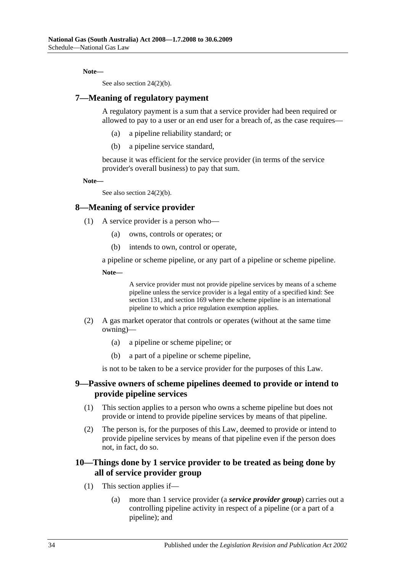## **Note—**

See also section [24\(2\)\(b\).](#page-38-0)

# **7—Meaning of regulatory payment**

A regulatory payment is a sum that a service provider had been required or allowed to pay to a user or an end user for a breach of, as the case requires—

- (a) a pipeline reliability standard; or
- (b) a pipeline service standard,

because it was efficient for the service provider (in terms of the service provider's overall business) to pay that sum.

**Note—**

See also section [24\(2\)\(b\).](#page-38-0)

# **8—Meaning of service provider**

- (1) A service provider is a person who—
	- (a) owns, controls or operates; or
	- (b) intends to own, control or operate,

a pipeline or scheme pipeline, or any part of a pipeline or scheme pipeline.

**Note—**

A service provider must not provide pipeline services by means of a scheme pipeline unless the service provider is a legal entity of a specified kind: See section 131, and section 169 where the scheme pipeline is an international pipeline to which a price regulation exemption applies.

- (2) A gas market operator that controls or operates (without at the same time owning)—
	- (a) a pipeline or scheme pipeline; or
	- (b) a part of a pipeline or scheme pipeline,

is not to be taken to be a service provider for the purposes of this Law.

# **9—Passive owners of scheme pipelines deemed to provide or intend to provide pipeline services**

- (1) This section applies to a person who owns a scheme pipeline but does not provide or intend to provide pipeline services by means of that pipeline.
- (2) The person is, for the purposes of this Law, deemed to provide or intend to provide pipeline services by means of that pipeline even if the person does not, in fact, do so.

# **10—Things done by 1 service provider to be treated as being done by all of service provider group**

- (1) This section applies if—
	- (a) more than 1 service provider (a *service provider group*) carries out a controlling pipeline activity in respect of a pipeline (or a part of a pipeline); and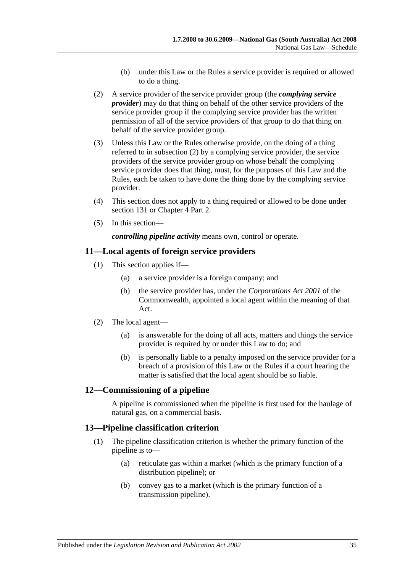- (b) under this Law or the Rules a service provider is required or allowed to do a thing.
- <span id="page-34-0"></span>(2) A service provider of the service provider group (the *complying service provider*) may do that thing on behalf of the other service providers of the service provider group if the complying service provider has the written permission of all of the service providers of that group to do that thing on behalf of the service provider group.
- (3) Unless this Law or the Rules otherwise provide, on the doing of a thing referred to in [subsection](#page-34-0) (2) by a complying service provider, the service providers of the service provider group on whose behalf the complying service provider does that thing, must, for the purposes of this Law and the Rules, each be taken to have done the thing done by the complying service provider.
- (4) This section does not apply to a thing required or allowed to be done under section 131 or Chapter 4 Part 2.
- (5) In this section—

*controlling pipeline activity* means own, control or operate.

# **11—Local agents of foreign service providers**

- (1) This section applies if—
	- (a) a service provider is a foreign company; and
	- (b) the service provider has, under the *Corporations Act 2001* of the Commonwealth, appointed a local agent within the meaning of that Act.
- (2) The local agent—
	- (a) is answerable for the doing of all acts, matters and things the service provider is required by or under this Law to do; and
	- (b) is personally liable to a penalty imposed on the service provider for a breach of a provision of this Law or the Rules if a court hearing the matter is satisfied that the local agent should be so liable.

# **12—Commissioning of a pipeline**

A pipeline is commissioned when the pipeline is first used for the haulage of natural gas, on a commercial basis.

# <span id="page-34-1"></span>**13—Pipeline classification criterion**

- (1) The pipeline classification criterion is whether the primary function of the pipeline is to—
	- (a) reticulate gas within a market (which is the primary function of a distribution pipeline); or
	- (b) convey gas to a market (which is the primary function of a transmission pipeline).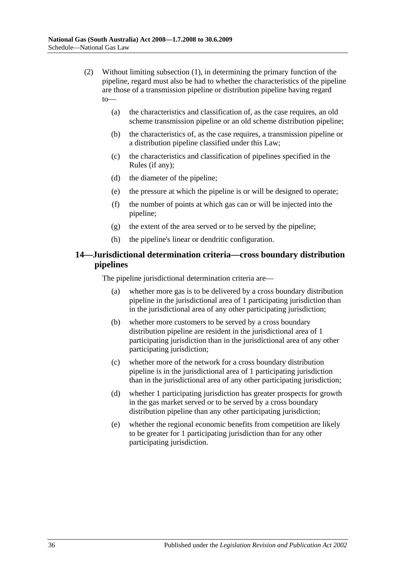- (2) Without limiting [subsection](#page-34-1) (1), in determining the primary function of the pipeline, regard must also be had to whether the characteristics of the pipeline are those of a transmission pipeline or distribution pipeline having regard to—
	- (a) the characteristics and classification of, as the case requires, an old scheme transmission pipeline or an old scheme distribution pipeline;
	- (b) the characteristics of, as the case requires, a transmission pipeline or a distribution pipeline classified under this Law;
	- (c) the characteristics and classification of pipelines specified in the Rules (if any);
	- (d) the diameter of the pipeline;
	- (e) the pressure at which the pipeline is or will be designed to operate;
	- (f) the number of points at which gas can or will be injected into the pipeline;
	- (g) the extent of the area served or to be served by the pipeline;
	- (h) the pipeline's linear or dendritic configuration.

# **14—Jurisdictional determination criteria—cross boundary distribution pipelines**

The pipeline jurisdictional determination criteria are—

- (a) whether more gas is to be delivered by a cross boundary distribution pipeline in the jurisdictional area of 1 participating jurisdiction than in the jurisdictional area of any other participating jurisdiction;
- (b) whether more customers to be served by a cross boundary distribution pipeline are resident in the jurisdictional area of 1 participating jurisdiction than in the jurisdictional area of any other participating jurisdiction;
- (c) whether more of the network for a cross boundary distribution pipeline is in the jurisdictional area of 1 participating jurisdiction than in the jurisdictional area of any other participating jurisdiction;
- (d) whether 1 participating jurisdiction has greater prospects for growth in the gas market served or to be served by a cross boundary distribution pipeline than any other participating jurisdiction;
- (e) whether the regional economic benefits from competition are likely to be greater for 1 participating jurisdiction than for any other participating jurisdiction.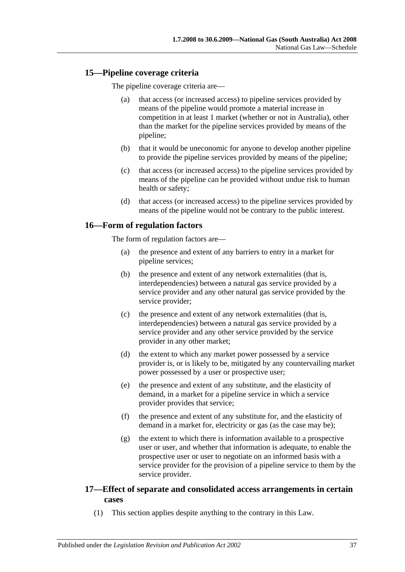# **15—Pipeline coverage criteria**

The pipeline coverage criteria are—

- (a) that access (or increased access) to pipeline services provided by means of the pipeline would promote a material increase in competition in at least 1 market (whether or not in Australia), other than the market for the pipeline services provided by means of the pipeline;
- (b) that it would be uneconomic for anyone to develop another pipeline to provide the pipeline services provided by means of the pipeline;
- (c) that access (or increased access) to the pipeline services provided by means of the pipeline can be provided without undue risk to human health or safety;
- (d) that access (or increased access) to the pipeline services provided by means of the pipeline would not be contrary to the public interest.

# **16—Form of regulation factors**

The form of regulation factors are—

- (a) the presence and extent of any barriers to entry in a market for pipeline services;
- (b) the presence and extent of any network externalities (that is, interdependencies) between a natural gas service provided by a service provider and any other natural gas service provided by the service provider;
- (c) the presence and extent of any network externalities (that is, interdependencies) between a natural gas service provided by a service provider and any other service provided by the service provider in any other market;
- (d) the extent to which any market power possessed by a service provider is, or is likely to be, mitigated by any countervailing market power possessed by a user or prospective user;
- (e) the presence and extent of any substitute, and the elasticity of demand, in a market for a pipeline service in which a service provider provides that service;
- (f) the presence and extent of any substitute for, and the elasticity of demand in a market for, electricity or gas (as the case may be);
- (g) the extent to which there is information available to a prospective user or user, and whether that information is adequate, to enable the prospective user or user to negotiate on an informed basis with a service provider for the provision of a pipeline service to them by the service provider.

# **17—Effect of separate and consolidated access arrangements in certain cases**

(1) This section applies despite anything to the contrary in this Law.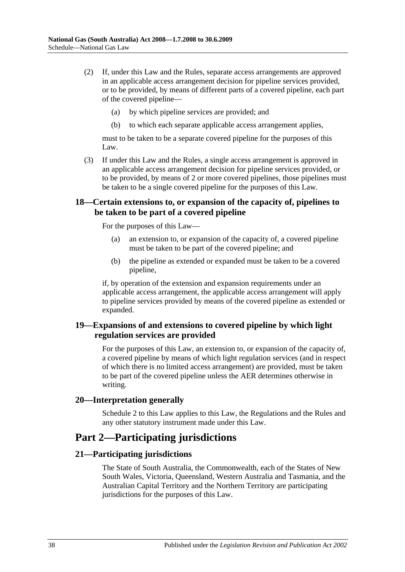- (2) If, under this Law and the Rules, separate access arrangements are approved in an applicable access arrangement decision for pipeline services provided, or to be provided, by means of different parts of a covered pipeline, each part of the covered pipeline—
	- (a) by which pipeline services are provided; and
	- (b) to which each separate applicable access arrangement applies,

must to be taken to be a separate covered pipeline for the purposes of this Law.

(3) If under this Law and the Rules, a single access arrangement is approved in an applicable access arrangement decision for pipeline services provided, or to be provided, by means of 2 or more covered pipelines, those pipelines must be taken to be a single covered pipeline for the purposes of this Law.

# **18—Certain extensions to, or expansion of the capacity of, pipelines to be taken to be part of a covered pipeline**

For the purposes of this Law—

- (a) an extension to, or expansion of the capacity of, a covered pipeline must be taken to be part of the covered pipeline; and
- (b) the pipeline as extended or expanded must be taken to be a covered pipeline,

if, by operation of the extension and expansion requirements under an applicable access arrangement, the applicable access arrangement will apply to pipeline services provided by means of the covered pipeline as extended or expanded.

# **19—Expansions of and extensions to covered pipeline by which light regulation services are provided**

For the purposes of this Law, an extension to, or expansion of the capacity of, a covered pipeline by means of which light regulation services (and in respect of which there is no limited access arrangement) are provided, must be taken to be part of the covered pipeline unless the AER determines otherwise in writing.

#### **20—Interpretation generally**

Schedule 2 to this Law applies to this Law, the Regulations and the Rules and any other statutory instrument made under this Law.

# **Part 2—Participating jurisdictions**

#### **21—Participating jurisdictions**

The State of South Australia, the Commonwealth, each of the States of New South Wales, Victoria, Queensland, Western Australia and Tasmania, and the Australian Capital Territory and the Northern Territory are participating jurisdictions for the purposes of this Law.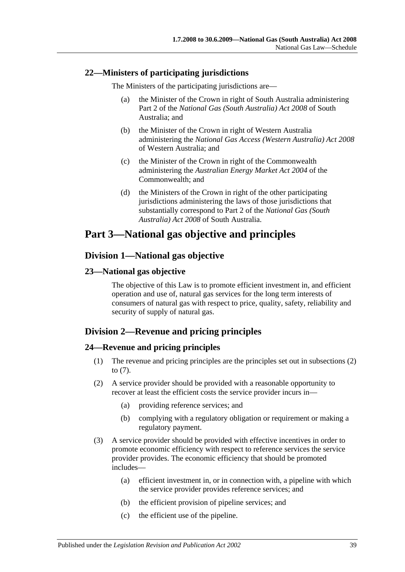# **22—Ministers of participating jurisdictions**

The Ministers of the participating jurisdictions are—

- (a) the Minister of the Crown in right of South Australia administering Part 2 of the *[National Gas \(South Australia\) Act](http://www.legislation.sa.gov.au/index.aspx?action=legref&type=act&legtitle=National%20Gas%20(South%20Australia)%20Act%202008) 2008* of South Australia; and
- (b) the Minister of the Crown in right of Western Australia administering the *National Gas Access (Western Australia) Act 2008* of Western Australia; and
- (c) the Minister of the Crown in right of the Commonwealth administering the *Australian Energy Market Act 2004* of the Commonwealth; and
- (d) the Ministers of the Crown in right of the other participating jurisdictions administering the laws of those jurisdictions that substantially correspond to Part 2 of the *[National Gas \(South](http://www.legislation.sa.gov.au/index.aspx?action=legref&type=act&legtitle=National%20Gas%20(South%20Australia)%20Act%202008)  [Australia\) Act](http://www.legislation.sa.gov.au/index.aspx?action=legref&type=act&legtitle=National%20Gas%20(South%20Australia)%20Act%202008) 2008* of South Australia.

# **Part 3—National gas objective and principles**

# **Division 1—National gas objective**

# **23—National gas objective**

The objective of this Law is to promote efficient investment in, and efficient operation and use of, natural gas services for the long term interests of consumers of natural gas with respect to price, quality, safety, reliability and security of supply of natural gas.

# **Division 2—Revenue and pricing principles**

# **24—Revenue and pricing principles**

- (1) The revenue and pricing principles are the principles set out in [subsections](#page-38-0) (2) to [\(7\).](#page-39-0)
- <span id="page-38-0"></span>(2) A service provider should be provided with a reasonable opportunity to recover at least the efficient costs the service provider incurs in—
	- (a) providing reference services; and
	- (b) complying with a regulatory obligation or requirement or making a regulatory payment.
- (3) A service provider should be provided with effective incentives in order to promote economic efficiency with respect to reference services the service provider provides. The economic efficiency that should be promoted includes—
	- (a) efficient investment in, or in connection with, a pipeline with which the service provider provides reference services; and
	- (b) the efficient provision of pipeline services; and
	- (c) the efficient use of the pipeline.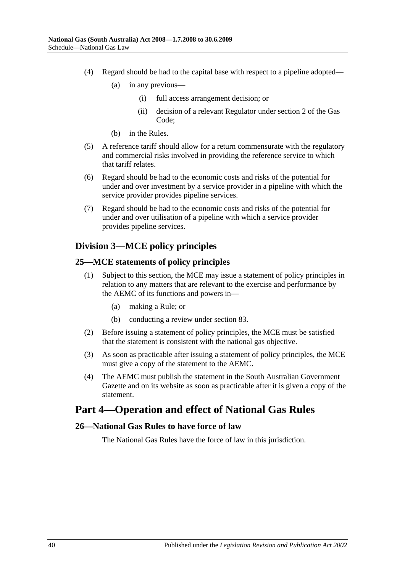- (4) Regard should be had to the capital base with respect to a pipeline adopted—
	- (a) in any previous—
		- (i) full access arrangement decision; or
		- (ii) decision of a relevant Regulator under section 2 of the Gas Code;
	- (b) in the Rules.
- (5) A reference tariff should allow for a return commensurate with the regulatory and commercial risks involved in providing the reference service to which that tariff relates.
- (6) Regard should be had to the economic costs and risks of the potential for under and over investment by a service provider in a pipeline with which the service provider provides pipeline services.
- <span id="page-39-0"></span>(7) Regard should be had to the economic costs and risks of the potential for under and over utilisation of a pipeline with which a service provider provides pipeline services.

# **Division 3—MCE policy principles**

### **25—MCE statements of policy principles**

- (1) Subject to this section, the MCE may issue a statement of policy principles in relation to any matters that are relevant to the exercise and performance by the AEMC of its functions and powers in—
	- (a) making a Rule; or
	- (b) conducting a review under section 83.
- (2) Before issuing a statement of policy principles, the MCE must be satisfied that the statement is consistent with the national gas objective.
- (3) As soon as practicable after issuing a statement of policy principles, the MCE must give a copy of the statement to the AEMC.
- (4) The AEMC must publish the statement in the South Australian Government Gazette and on its website as soon as practicable after it is given a copy of the statement.

# **Part 4—Operation and effect of National Gas Rules**

#### **26—National Gas Rules to have force of law**

The National Gas Rules have the force of law in this jurisdiction.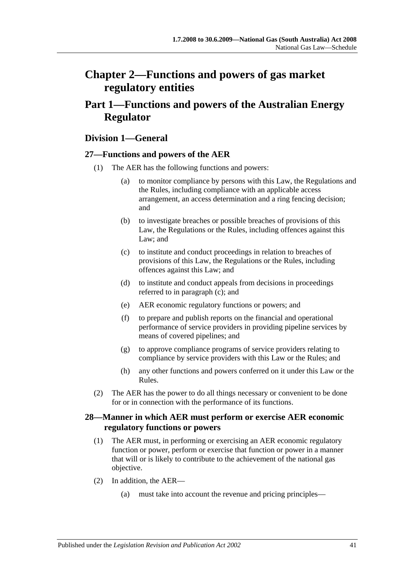# **Chapter 2—Functions and powers of gas market regulatory entities**

# **Part 1—Functions and powers of the Australian Energy Regulator**

# **Division 1—General**

# **27—Functions and powers of the AER**

- <span id="page-40-0"></span>(1) The AER has the following functions and powers:
	- (a) to monitor compliance by persons with this Law, the Regulations and the Rules, including compliance with an applicable access arrangement, an access determination and a ring fencing decision; and
	- (b) to investigate breaches or possible breaches of provisions of this Law, the Regulations or the Rules, including offences against this Law; and
	- (c) to institute and conduct proceedings in relation to breaches of provisions of this Law, the Regulations or the Rules, including offences against this Law; and
	- (d) to institute and conduct appeals from decisions in proceedings referred to in [paragraph](#page-40-0) (c); and
	- (e) AER economic regulatory functions or powers; and
	- (f) to prepare and publish reports on the financial and operational performance of service providers in providing pipeline services by means of covered pipelines; and
	- (g) to approve compliance programs of service providers relating to compliance by service providers with this Law or the Rules; and
	- (h) any other functions and powers conferred on it under this Law or the Rules.
- (2) The AER has the power to do all things necessary or convenient to be done for or in connection with the performance of its functions.

# **28—Manner in which AER must perform or exercise AER economic regulatory functions or powers**

- (1) The AER must, in performing or exercising an AER economic regulatory function or power, perform or exercise that function or power in a manner that will or is likely to contribute to the achievement of the national gas objective.
- (2) In addition, the AER—
	- (a) must take into account the revenue and pricing principles—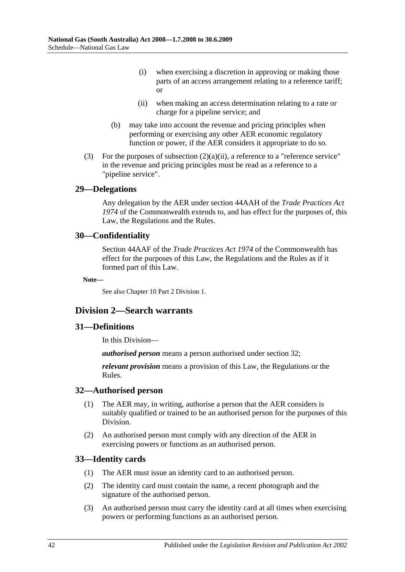- (i) when exercising a discretion in approving or making those parts of an access arrangement relating to a reference tariff; or
- (ii) when making an access determination relating to a rate or charge for a pipeline service; and
- (b) may take into account the revenue and pricing principles when performing or exercising any other AER economic regulatory function or power, if the AER considers it appropriate to do so.
- <span id="page-41-0"></span>(3) For the purposes of [subsection](#page-41-0)  $(2)(a)(ii)$ , a reference to a "reference service" in the revenue and pricing principles must be read as a reference to a "pipeline service".

### **29—Delegations**

Any delegation by the AER under section 44AAH of the *Trade Practices Act 1974* of the Commonwealth extends to, and has effect for the purposes of, this Law, the Regulations and the Rules.

### **30—Confidentiality**

Section 44AAF of the *Trade Practices Act 1974* of the Commonwealth has effect for the purposes of this Law, the Regulations and the Rules as if it formed part of this Law.

**Note—**

See also Chapter 10 Part 2 Division 1.

# **Division 2—Search warrants**

# **31—Definitions**

In this Division—

*authorised person* means a person authorised under section 32;

*relevant provision* means a provision of this Law, the Regulations or the Rules.

#### **32—Authorised person**

- (1) The AER may, in writing, authorise a person that the AER considers is suitably qualified or trained to be an authorised person for the purposes of this Division.
- (2) An authorised person must comply with any direction of the AER in exercising powers or functions as an authorised person.

# **33—Identity cards**

- (1) The AER must issue an identity card to an authorised person.
- (2) The identity card must contain the name, a recent photograph and the signature of the authorised person.
- (3) An authorised person must carry the identity card at all times when exercising powers or performing functions as an authorised person.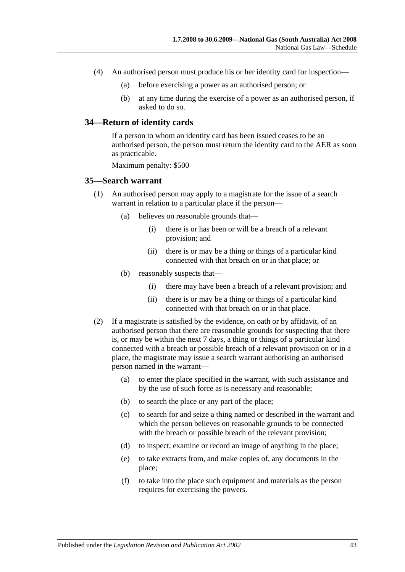- (4) An authorised person must produce his or her identity card for inspection—
	- (a) before exercising a power as an authorised person; or
	- (b) at any time during the exercise of a power as an authorised person, if asked to do so.

#### **34—Return of identity cards**

If a person to whom an identity card has been issued ceases to be an authorised person, the person must return the identity card to the AER as soon as practicable.

Maximum penalty: \$500

#### **35—Search warrant**

- (1) An authorised person may apply to a magistrate for the issue of a search warrant in relation to a particular place if the person—
	- (a) believes on reasonable grounds that—
		- (i) there is or has been or will be a breach of a relevant provision; and
		- (ii) there is or may be a thing or things of a particular kind connected with that breach on or in that place; or
	- (b) reasonably suspects that—
		- (i) there may have been a breach of a relevant provision; and
		- (ii) there is or may be a thing or things of a particular kind connected with that breach on or in that place.
- (2) If a magistrate is satisfied by the evidence, on oath or by affidavit, of an authorised person that there are reasonable grounds for suspecting that there is, or may be within the next 7 days, a thing or things of a particular kind connected with a breach or possible breach of a relevant provision on or in a place, the magistrate may issue a search warrant authorising an authorised person named in the warrant—
	- (a) to enter the place specified in the warrant, with such assistance and by the use of such force as is necessary and reasonable;
	- (b) to search the place or any part of the place;
	- (c) to search for and seize a thing named or described in the warrant and which the person believes on reasonable grounds to be connected with the breach or possible breach of the relevant provision;
	- (d) to inspect, examine or record an image of anything in the place;
	- (e) to take extracts from, and make copies of, any documents in the place;
	- (f) to take into the place such equipment and materials as the person requires for exercising the powers.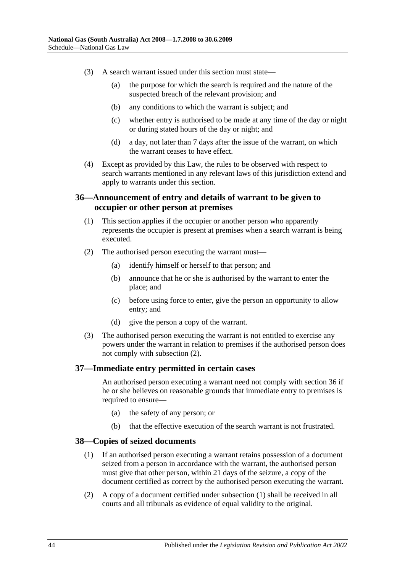- (3) A search warrant issued under this section must state—
	- (a) the purpose for which the search is required and the nature of the suspected breach of the relevant provision; and
	- (b) any conditions to which the warrant is subject; and
	- (c) whether entry is authorised to be made at any time of the day or night or during stated hours of the day or night; and
	- (d) a day, not later than 7 days after the issue of the warrant, on which the warrant ceases to have effect.
- (4) Except as provided by this Law, the rules to be observed with respect to search warrants mentioned in any relevant laws of this jurisdiction extend and apply to warrants under this section.

# **36—Announcement of entry and details of warrant to be given to occupier or other person at premises**

- (1) This section applies if the occupier or another person who apparently represents the occupier is present at premises when a search warrant is being executed.
- <span id="page-43-0"></span>(2) The authorised person executing the warrant must—
	- (a) identify himself or herself to that person; and
	- (b) announce that he or she is authorised by the warrant to enter the place; and
	- (c) before using force to enter, give the person an opportunity to allow entry; and
	- (d) give the person a copy of the warrant.
- (3) The authorised person executing the warrant is not entitled to exercise any powers under the warrant in relation to premises if the authorised person does not comply with [subsection](#page-43-0) (2).

# **37—Immediate entry permitted in certain cases**

An authorised person executing a warrant need not comply with section 36 if he or she believes on reasonable grounds that immediate entry to premises is required to ensure—

- (a) the safety of any person; or
- (b) that the effective execution of the search warrant is not frustrated.

#### <span id="page-43-1"></span>**38—Copies of seized documents**

- (1) If an authorised person executing a warrant retains possession of a document seized from a person in accordance with the warrant, the authorised person must give that other person, within 21 days of the seizure, a copy of the document certified as correct by the authorised person executing the warrant.
- (2) A copy of a document certified under [subsection](#page-43-1) (1) shall be received in all courts and all tribunals as evidence of equal validity to the original.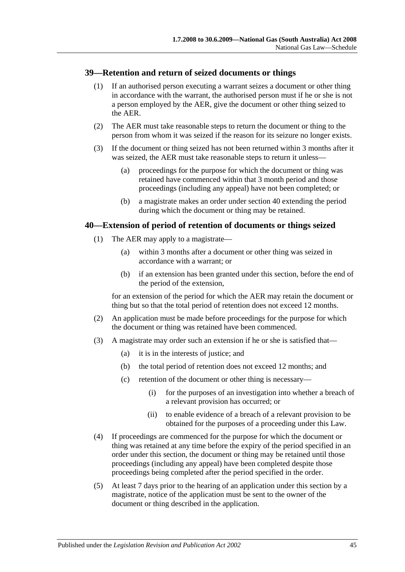### **39—Retention and return of seized documents or things**

- (1) If an authorised person executing a warrant seizes a document or other thing in accordance with the warrant, the authorised person must if he or she is not a person employed by the AER, give the document or other thing seized to the AER.
- (2) The AER must take reasonable steps to return the document or thing to the person from whom it was seized if the reason for its seizure no longer exists.
- (3) If the document or thing seized has not been returned within 3 months after it was seized, the AER must take reasonable steps to return it unless—
	- (a) proceedings for the purpose for which the document or thing was retained have commenced within that 3 month period and those proceedings (including any appeal) have not been completed; or
	- (b) a magistrate makes an order under section 40 extending the period during which the document or thing may be retained.

#### **40—Extension of period of retention of documents or things seized**

- (1) The AER may apply to a magistrate—
	- (a) within 3 months after a document or other thing was seized in accordance with a warrant; or
	- (b) if an extension has been granted under this section, before the end of the period of the extension,

for an extension of the period for which the AER may retain the document or thing but so that the total period of retention does not exceed 12 months.

- (2) An application must be made before proceedings for the purpose for which the document or thing was retained have been commenced.
- (3) A magistrate may order such an extension if he or she is satisfied that—
	- (a) it is in the interests of justice; and
	- (b) the total period of retention does not exceed 12 months; and
	- (c) retention of the document or other thing is necessary—
		- (i) for the purposes of an investigation into whether a breach of a relevant provision has occurred; or
		- (ii) to enable evidence of a breach of a relevant provision to be obtained for the purposes of a proceeding under this Law.
- (4) If proceedings are commenced for the purpose for which the document or thing was retained at any time before the expiry of the period specified in an order under this section, the document or thing may be retained until those proceedings (including any appeal) have been completed despite those proceedings being completed after the period specified in the order.
- (5) At least 7 days prior to the hearing of an application under this section by a magistrate, notice of the application must be sent to the owner of the document or thing described in the application.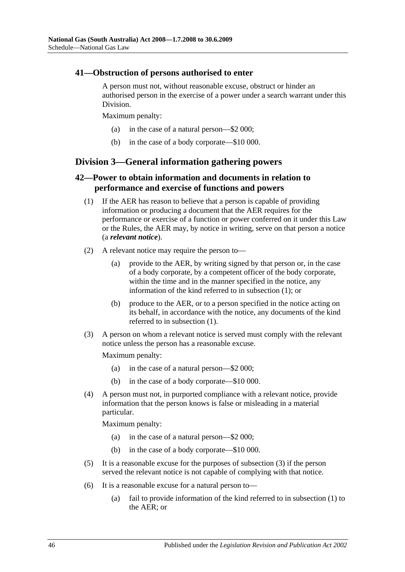### **41—Obstruction of persons authorised to enter**

A person must not, without reasonable excuse, obstruct or hinder an authorised person in the exercise of a power under a search warrant under this Division.

Maximum penalty:

- (a) in the case of a natural person—\$2 000;
- (b) in the case of a body corporate—\$10 000.

# **Division 3—General information gathering powers**

# <span id="page-45-0"></span>**42—Power to obtain information and documents in relation to performance and exercise of functions and powers**

- (1) If the AER has reason to believe that a person is capable of providing information or producing a document that the AER requires for the performance or exercise of a function or power conferred on it under this Law or the Rules, the AER may, by notice in writing, serve on that person a notice (a *relevant notice*).
- (2) A relevant notice may require the person to—
	- (a) provide to the AER, by writing signed by that person or, in the case of a body corporate, by a competent officer of the body corporate, within the time and in the manner specified in the notice, any information of the kind referred to in [subsection](#page-45-0) (1); or
	- (b) produce to the AER, or to a person specified in the notice acting on its behalf, in accordance with the notice, any documents of the kind referred to in [subsection](#page-45-0) (1).
- <span id="page-45-1"></span>(3) A person on whom a relevant notice is served must comply with the relevant notice unless the person has a reasonable excuse.

Maximum penalty:

- (a) in the case of a natural person—\$2 000;
- (b) in the case of a body corporate—\$10 000.
- (4) A person must not, in purported compliance with a relevant notice, provide information that the person knows is false or misleading in a material particular.

Maximum penalty:

- (a) in the case of a natural person—\$2 000;
- (b) in the case of a body corporate—\$10 000.
- (5) It is a reasonable excuse for the purposes of [subsection](#page-45-1) (3) if the person served the relevant notice is not capable of complying with that notice.
- (6) It is a reasonable excuse for a natural person to—
	- (a) fail to provide information of the kind referred to in [subsection](#page-45-0) (1) to the AER; or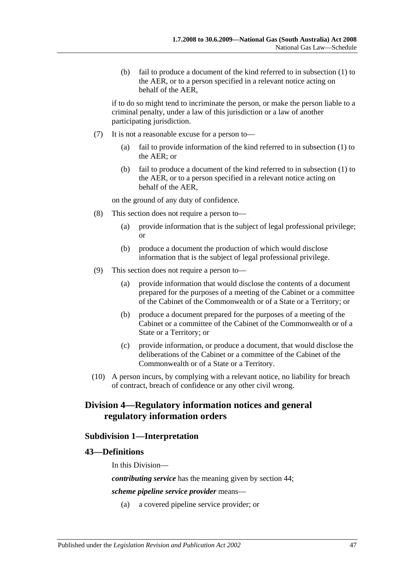(b) fail to produce a document of the kind referred to in [subsection](#page-45-0) (1) to the AER, or to a person specified in a relevant notice acting on behalf of the AER,

if to do so might tend to incriminate the person, or make the person liable to a criminal penalty, under a law of this jurisdiction or a law of another participating jurisdiction.

- (7) It is not a reasonable excuse for a person to—
	- (a) fail to provide information of the kind referred to in [subsection](#page-45-0) (1) to the AER; or
	- (b) fail to produce a document of the kind referred to in [subsection](#page-45-0) (1) to the AER, or to a person specified in a relevant notice acting on behalf of the AER,

on the ground of any duty of confidence.

- (8) This section does not require a person to—
	- (a) provide information that is the subject of legal professional privilege; or
	- (b) produce a document the production of which would disclose information that is the subject of legal professional privilege.
- (9) This section does not require a person to—
	- (a) provide information that would disclose the contents of a document prepared for the purposes of a meeting of the Cabinet or a committee of the Cabinet of the Commonwealth or of a State or a Territory; or
	- (b) produce a document prepared for the purposes of a meeting of the Cabinet or a committee of the Cabinet of the Commonwealth or of a State or a Territory; or
	- (c) provide information, or produce a document, that would disclose the deliberations of the Cabinet or a committee of the Cabinet of the Commonwealth or of a State or a Territory.
- (10) A person incurs, by complying with a relevant notice, no liability for breach of contract, breach of confidence or any other civil wrong.

# **Division 4—Regulatory information notices and general regulatory information orders**

# **Subdivision 1—Interpretation**

#### **43—Definitions**

In this Division—

*contributing service* has the meaning given by section 44;

*scheme pipeline service provider* means—

(a) a covered pipeline service provider; or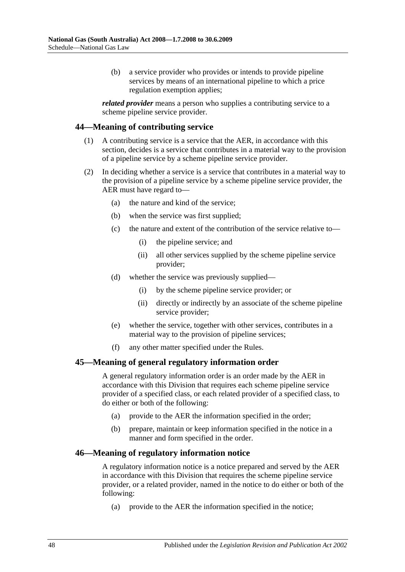(b) a service provider who provides or intends to provide pipeline services by means of an international pipeline to which a price regulation exemption applies;

*related provider* means a person who supplies a contributing service to a scheme pipeline service provider.

### **44—Meaning of contributing service**

- (1) A contributing service is a service that the AER, in accordance with this section, decides is a service that contributes in a material way to the provision of a pipeline service by a scheme pipeline service provider.
- (2) In deciding whether a service is a service that contributes in a material way to the provision of a pipeline service by a scheme pipeline service provider, the AER must have regard to—
	- (a) the nature and kind of the service;
	- (b) when the service was first supplied;
	- (c) the nature and extent of the contribution of the service relative to—
		- (i) the pipeline service; and
		- (ii) all other services supplied by the scheme pipeline service provider;
	- (d) whether the service was previously supplied—
		- (i) by the scheme pipeline service provider; or
		- (ii) directly or indirectly by an associate of the scheme pipeline service provider;
	- (e) whether the service, together with other services, contributes in a material way to the provision of pipeline services;
	- (f) any other matter specified under the Rules.

#### **45—Meaning of general regulatory information order**

A general regulatory information order is an order made by the AER in accordance with this Division that requires each scheme pipeline service provider of a specified class, or each related provider of a specified class, to do either or both of the following:

- (a) provide to the AER the information specified in the order;
- (b) prepare, maintain or keep information specified in the notice in a manner and form specified in the order.

#### **46—Meaning of regulatory information notice**

A regulatory information notice is a notice prepared and served by the AER in accordance with this Division that requires the scheme pipeline service provider, or a related provider, named in the notice to do either or both of the following:

(a) provide to the AER the information specified in the notice;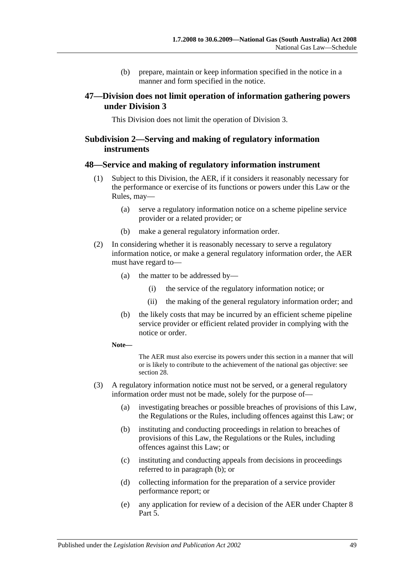(b) prepare, maintain or keep information specified in the notice in a manner and form specified in the notice.

# **47—Division does not limit operation of information gathering powers under Division 3**

This Division does not limit the operation of Division 3.

# **Subdivision 2—Serving and making of regulatory information instruments**

### **48—Service and making of regulatory information instrument**

- (1) Subject to this Division, the AER, if it considers it reasonably necessary for the performance or exercise of its functions or powers under this Law or the Rules, may—
	- (a) serve a regulatory information notice on a scheme pipeline service provider or a related provider; or
	- (b) make a general regulatory information order.
- <span id="page-48-2"></span><span id="page-48-1"></span>(2) In considering whether it is reasonably necessary to serve a regulatory information notice, or make a general regulatory information order, the AER must have regard to—
	- (a) the matter to be addressed by—
		- (i) the service of the regulatory information notice; or
		- (ii) the making of the general regulatory information order; and
	- (b) the likely costs that may be incurred by an efficient scheme pipeline service provider or efficient related provider in complying with the notice or order.
	- **Note—**

The AER must also exercise its powers under this section in a manner that will or is likely to contribute to the achievement of the national gas objective: see section 28.

- <span id="page-48-0"></span>(3) A regulatory information notice must not be served, or a general regulatory information order must not be made, solely for the purpose of—
	- (a) investigating breaches or possible breaches of provisions of this Law, the Regulations or the Rules, including offences against this Law; or
	- (b) instituting and conducting proceedings in relation to breaches of provisions of this Law, the Regulations or the Rules, including offences against this Law; or
	- (c) instituting and conducting appeals from decisions in proceedings referred to in [paragraph](#page-48-0) (b); or
	- (d) collecting information for the preparation of a service provider performance report; or
	- (e) any application for review of a decision of the AER under Chapter 8 Part 5.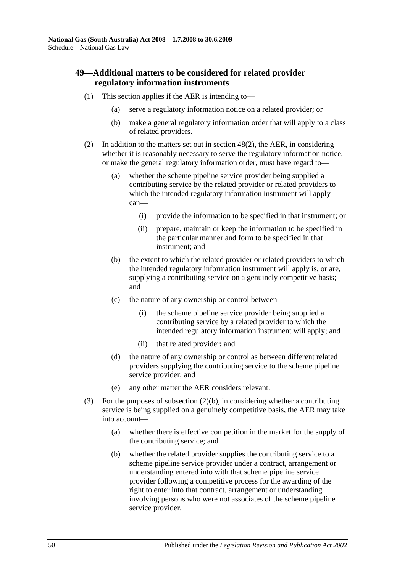# **49—Additional matters to be considered for related provider regulatory information instruments**

- (1) This section applies if the AER is intending to—
	- (a) serve a regulatory information notice on a related provider; or
	- (b) make a general regulatory information order that will apply to a class of related providers.
- <span id="page-49-0"></span>(2) In addition to the matters set out in [section](#page-48-1) 48(2), the AER, in considering whether it is reasonably necessary to serve the regulatory information notice, or make the general regulatory information order, must have regard to—
	- (a) whether the scheme pipeline service provider being supplied a contributing service by the related provider or related providers to which the intended regulatory information instrument will apply can—
		- (i) provide the information to be specified in that instrument; or
		- (ii) prepare, maintain or keep the information to be specified in the particular manner and form to be specified in that instrument; and
	- (b) the extent to which the related provider or related providers to which the intended regulatory information instrument will apply is, or are, supplying a contributing service on a genuinely competitive basis; and
	- (c) the nature of any ownership or control between—
		- (i) the scheme pipeline service provider being supplied a contributing service by a related provider to which the intended regulatory information instrument will apply; and
		- (ii) that related provider; and
	- (d) the nature of any ownership or control as between different related providers supplying the contributing service to the scheme pipeline service provider; and
	- (e) any other matter the AER considers relevant.
- (3) For the purposes of [subsection](#page-49-0) (2)(b), in considering whether a contributing service is being supplied on a genuinely competitive basis, the AER may take into account—
	- (a) whether there is effective competition in the market for the supply of the contributing service; and
	- (b) whether the related provider supplies the contributing service to a scheme pipeline service provider under a contract, arrangement or understanding entered into with that scheme pipeline service provider following a competitive process for the awarding of the right to enter into that contract, arrangement or understanding involving persons who were not associates of the scheme pipeline service provider.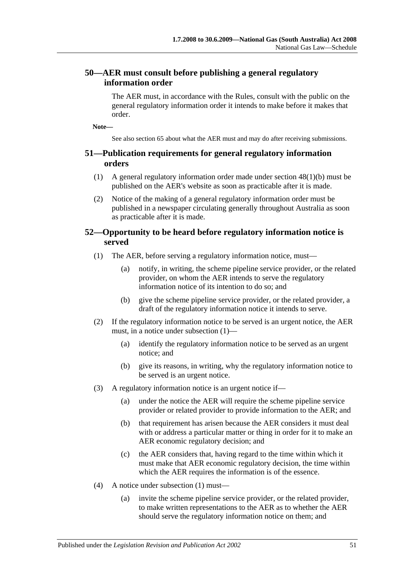# **50—AER must consult before publishing a general regulatory information order**

The AER must, in accordance with the Rules, consult with the public on the general regulatory information order it intends to make before it makes that order.

**Note—**

See also section 65 about what the AER must and may do after receiving submissions.

# <span id="page-50-2"></span>**51—Publication requirements for general regulatory information orders**

- (1) A general regulatory information order made under section [48\(1\)\(b\)](#page-48-2) must be published on the AER's website as soon as practicable after it is made.
- (2) Notice of the making of a general regulatory information order must be published in a newspaper circulating generally throughout Australia as soon as practicable after it is made.

# <span id="page-50-0"></span>**52—Opportunity to be heard before regulatory information notice is served**

- (1) The AER, before serving a regulatory information notice, must—
	- (a) notify, in writing, the scheme pipeline service provider, or the related provider, on whom the AER intends to serve the regulatory information notice of its intention to do so; and
	- (b) give the scheme pipeline service provider, or the related provider, a draft of the regulatory information notice it intends to serve.
- (2) If the regulatory information notice to be served is an urgent notice, the AER must, in a notice under [subsection](#page-50-0) (1)—
	- (a) identify the regulatory information notice to be served as an urgent notice; and
	- (b) give its reasons, in writing, why the regulatory information notice to be served is an urgent notice.
- (3) A regulatory information notice is an urgent notice if—
	- (a) under the notice the AER will require the scheme pipeline service provider or related provider to provide information to the AER; and
	- (b) that requirement has arisen because the AER considers it must deal with or address a particular matter or thing in order for it to make an AER economic regulatory decision; and
	- (c) the AER considers that, having regard to the time within which it must make that AER economic regulatory decision, the time within which the AER requires the information is of the essence.
- <span id="page-50-1"></span>(4) A notice under [subsection](#page-50-0) (1) must—
	- (a) invite the scheme pipeline service provider, or the related provider, to make written representations to the AER as to whether the AER should serve the regulatory information notice on them; and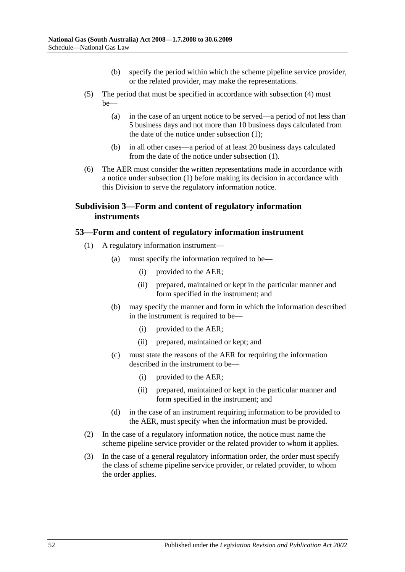- (b) specify the period within which the scheme pipeline service provider, or the related provider, may make the representations.
- (5) The period that must be specified in accordance with [subsection](#page-50-1) (4) must  $he$ —
	- (a) in the case of an urgent notice to be served—a period of not less than 5 business days and not more than 10 business days calculated from the date of the notice under [subsection](#page-50-0) (1);
	- (b) in all other cases—a period of at least 20 business days calculated from the date of the notice under [subsection](#page-50-0) (1).
- (6) The AER must consider the written representations made in accordance with a notice under [subsection](#page-50-0) (1) before making its decision in accordance with this Division to serve the regulatory information notice.

# **Subdivision 3—Form and content of regulatory information instruments**

# <span id="page-51-0"></span>**53—Form and content of regulatory information instrument**

- <span id="page-51-1"></span>(1) A regulatory information instrument—
	- (a) must specify the information required to be—
		- (i) provided to the AER;
		- (ii) prepared, maintained or kept in the particular manner and form specified in the instrument; and
	- (b) may specify the manner and form in which the information described in the instrument is required to be—
		- (i) provided to the AER;
		- (ii) prepared, maintained or kept; and
	- (c) must state the reasons of the AER for requiring the information described in the instrument to be—
		- (i) provided to the AER;
		- (ii) prepared, maintained or kept in the particular manner and form specified in the instrument; and
	- (d) in the case of an instrument requiring information to be provided to the AER, must specify when the information must be provided.
- (2) In the case of a regulatory information notice, the notice must name the scheme pipeline service provider or the related provider to whom it applies.
- (3) In the case of a general regulatory information order, the order must specify the class of scheme pipeline service provider, or related provider, to whom the order applies.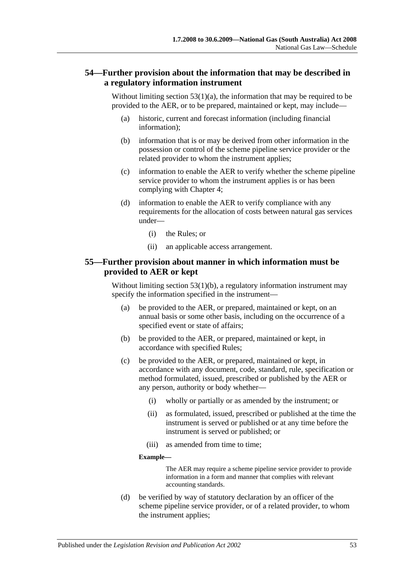# **54—Further provision about the information that may be described in a regulatory information instrument**

Without limiting section  $53(1)(a)$ , the information that may be required to be provided to the AER, or to be prepared, maintained or kept, may include—

- (a) historic, current and forecast information (including financial information);
- (b) information that is or may be derived from other information in the possession or control of the scheme pipeline service provider or the related provider to whom the instrument applies;
- (c) information to enable the AER to verify whether the scheme pipeline service provider to whom the instrument applies is or has been complying with Chapter 4;
- (d) information to enable the AER to verify compliance with any requirements for the allocation of costs between natural gas services under—
	- (i) the Rules; or
	- (ii) an applicable access arrangement.

# **55—Further provision about manner in which information must be provided to AER or kept**

Without limiting section [53\(1\)\(b\),](#page-51-1) a regulatory information instrument may specify the information specified in the instrument—

- (a) be provided to the AER, or prepared, maintained or kept, on an annual basis or some other basis, including on the occurrence of a specified event or state of affairs;
- (b) be provided to the AER, or prepared, maintained or kept, in accordance with specified Rules;
- (c) be provided to the AER, or prepared, maintained or kept, in accordance with any document, code, standard, rule, specification or method formulated, issued, prescribed or published by the AER or any person, authority or body whether—
	- (i) wholly or partially or as amended by the instrument; or
	- (ii) as formulated, issued, prescribed or published at the time the instrument is served or published or at any time before the instrument is served or published; or
	- (iii) as amended from time to time;

#### **Example—**

The AER may require a scheme pipeline service provider to provide information in a form and manner that complies with relevant accounting standards.

(d) be verified by way of statutory declaration by an officer of the scheme pipeline service provider, or of a related provider, to whom the instrument applies;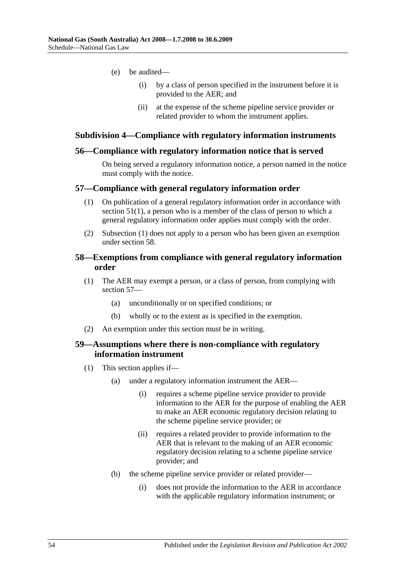- (e) be audited—
	- (i) by a class of person specified in the instrument before it is provided to the AER; and
	- (ii) at the expense of the scheme pipeline service provider or related provider to whom the instrument applies.

#### **Subdivision 4—Compliance with regulatory information instruments**

#### **56—Compliance with regulatory information notice that is served**

On being served a regulatory information notice, a person named in the notice must comply with the notice.

#### <span id="page-53-0"></span>**57—Compliance with general regulatory information order**

- (1) On publication of a general regulatory information order in accordance with [section](#page-50-2) 51(1), a person who is a member of the class of person to which a general regulatory information order applies must comply with the order.
- (2) [Subsection](#page-53-0) (1) does not apply to a person who has been given an exemption under section 58.

### **58—Exemptions from compliance with general regulatory information order**

- (1) The AER may exempt a person, or a class of person, from complying with section 57—
	- (a) unconditionally or on specified conditions; or
	- (b) wholly or to the extent as is specified in the exemption.
- (2) An exemption under this section must be in writing.

# **59—Assumptions where there is non-compliance with regulatory information instrument**

- (1) This section applies if—
	- (a) under a regulatory information instrument the AER—
		- (i) requires a scheme pipeline service provider to provide information to the AER for the purpose of enabling the AER to make an AER economic regulatory decision relating to the scheme pipeline service provider; or
		- (ii) requires a related provider to provide information to the AER that is relevant to the making of an AER economic regulatory decision relating to a scheme pipeline service provider; and
	- (b) the scheme pipeline service provider or related provider—
		- (i) does not provide the information to the AER in accordance with the applicable regulatory information instrument; or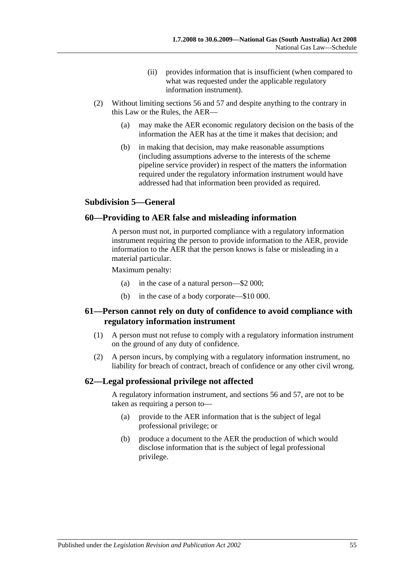- (ii) provides information that is insufficient (when compared to what was requested under the applicable regulatory information instrument).
- (2) Without limiting sections 56 and 57 and despite anything to the contrary in this Law or the Rules, the AER—
	- (a) may make the AER economic regulatory decision on the basis of the information the AER has at the time it makes that decision; and
	- (b) in making that decision, may make reasonable assumptions (including assumptions adverse to the interests of the scheme pipeline service provider) in respect of the matters the information required under the regulatory information instrument would have addressed had that information been provided as required.

# **Subdivision 5—General**

### **60—Providing to AER false and misleading information**

A person must not, in purported compliance with a regulatory information instrument requiring the person to provide information to the AER, provide information to the AER that the person knows is false or misleading in a material particular.

Maximum penalty:

- (a) in the case of a natural person—\$2 000;
- (b) in the case of a body corporate—\$10 000.

# **61—Person cannot rely on duty of confidence to avoid compliance with regulatory information instrument**

- (1) A person must not refuse to comply with a regulatory information instrument on the ground of any duty of confidence.
- (2) A person incurs, by complying with a regulatory information instrument, no liability for breach of contract, breach of confidence or any other civil wrong.

# **62—Legal professional privilege not affected**

A regulatory information instrument, and sections 56 and 57, are not to be taken as requiring a person to—

- (a) provide to the AER information that is the subject of legal professional privilege; or
- (b) produce a document to the AER the production of which would disclose information that is the subject of legal professional privilege.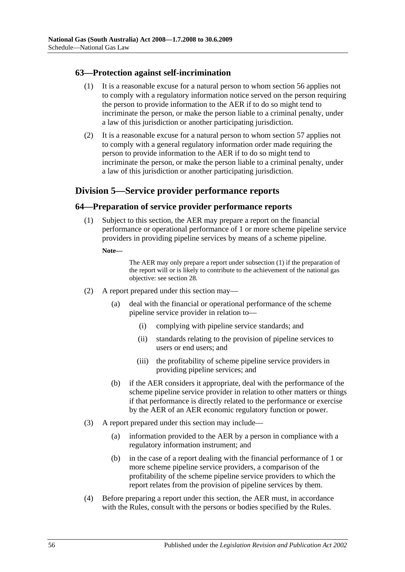# **63—Protection against self-incrimination**

- (1) It is a reasonable excuse for a natural person to whom section 56 applies not to comply with a regulatory information notice served on the person requiring the person to provide information to the AER if to do so might tend to incriminate the person, or make the person liable to a criminal penalty, under a law of this jurisdiction or another participating jurisdiction.
- (2) It is a reasonable excuse for a natural person to whom section 57 applies not to comply with a general regulatory information order made requiring the person to provide information to the AER if to do so might tend to incriminate the person, or make the person liable to a criminal penalty, under a law of this jurisdiction or another participating jurisdiction.

# **Division 5—Service provider performance reports**

# <span id="page-55-0"></span>**64—Preparation of service provider performance reports**

(1) Subject to this section, the AER may prepare a report on the financial performance or operational performance of 1 or more scheme pipeline service providers in providing pipeline services by means of a scheme pipeline.

**Note—**

The AER may only prepare a report unde[r subsection](#page-55-0) (1) if the preparation of the report will or is likely to contribute to the achievement of the national gas objective: see section 28.

- (2) A report prepared under this section may—
	- (a) deal with the financial or operational performance of the scheme pipeline service provider in relation to—
		- (i) complying with pipeline service standards; and
		- (ii) standards relating to the provision of pipeline services to users or end users; and
		- (iii) the profitability of scheme pipeline service providers in providing pipeline services; and
	- (b) if the AER considers it appropriate, deal with the performance of the scheme pipeline service provider in relation to other matters or things if that performance is directly related to the performance or exercise by the AER of an AER economic regulatory function or power.
- (3) A report prepared under this section may include—
	- (a) information provided to the AER by a person in compliance with a regulatory information instrument; and
	- (b) in the case of a report dealing with the financial performance of 1 or more scheme pipeline service providers, a comparison of the profitability of the scheme pipeline service providers to which the report relates from the provision of pipeline services by them.
- (4) Before preparing a report under this section, the AER must, in accordance with the Rules, consult with the persons or bodies specified by the Rules.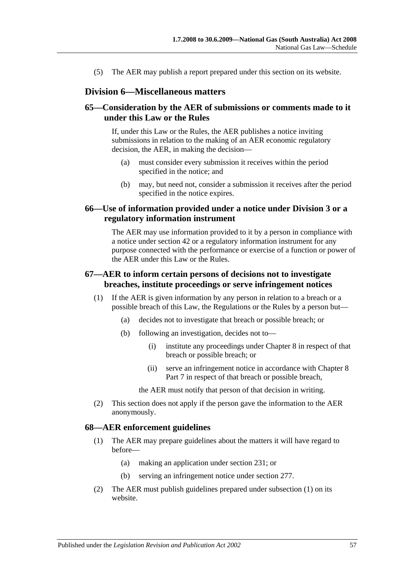(5) The AER may publish a report prepared under this section on its website.

### **Division 6—Miscellaneous matters**

# **65—Consideration by the AER of submissions or comments made to it under this Law or the Rules**

If, under this Law or the Rules, the AER publishes a notice inviting submissions in relation to the making of an AER economic regulatory decision, the AER, in making the decision—

- (a) must consider every submission it receives within the period specified in the notice; and
- (b) may, but need not, consider a submission it receives after the period specified in the notice expires.

### **66—Use of information provided under a notice under Division 3 or a regulatory information instrument**

The AER may use information provided to it by a person in compliance with a notice under section 42 or a regulatory information instrument for any purpose connected with the performance or exercise of a function or power of the AER under this Law or the Rules.

# **67—AER to inform certain persons of decisions not to investigate breaches, institute proceedings or serve infringement notices**

- (1) If the AER is given information by any person in relation to a breach or a possible breach of this Law, the Regulations or the Rules by a person but—
	- (a) decides not to investigate that breach or possible breach; or
	- (b) following an investigation, decides not to—
		- (i) institute any proceedings under Chapter 8 in respect of that breach or possible breach; or
		- (ii) serve an infringement notice in accordance with Chapter 8 Part 7 in respect of that breach or possible breach,

the AER must notify that person of that decision in writing.

(2) This section does not apply if the person gave the information to the AER anonymously.

#### <span id="page-56-0"></span>**68—AER enforcement guidelines**

- (1) The AER may prepare guidelines about the matters it will have regard to before—
	- (a) making an application under section 231; or
	- (b) serving an infringement notice under section 277.
- (2) The AER must publish guidelines prepared under [subsection](#page-56-0) (1) on its website.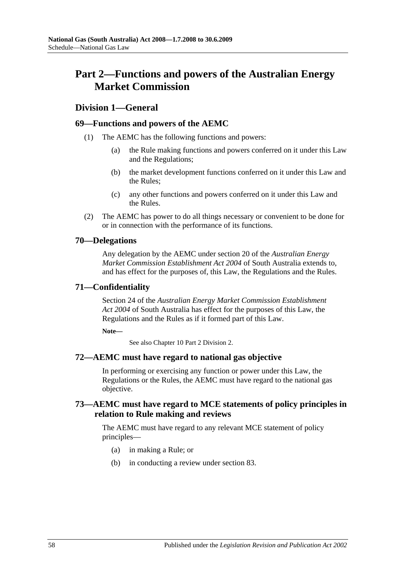# **Part 2—Functions and powers of the Australian Energy Market Commission**

# **Division 1—General**

# **69—Functions and powers of the AEMC**

- (1) The AEMC has the following functions and powers:
	- (a) the Rule making functions and powers conferred on it under this Law and the Regulations;
	- (b) the market development functions conferred on it under this Law and the Rules;
	- (c) any other functions and powers conferred on it under this Law and the Rules.
- (2) The AEMC has power to do all things necessary or convenient to be done for or in connection with the performance of its functions.

# **70—Delegations**

Any delegation by the AEMC under section 20 of the *[Australian Energy](http://www.legislation.sa.gov.au/index.aspx?action=legref&type=act&legtitle=Australian%20Energy%20Market%20Commission%20Establishment%20Act%202004)  [Market Commission Establishment Act](http://www.legislation.sa.gov.au/index.aspx?action=legref&type=act&legtitle=Australian%20Energy%20Market%20Commission%20Establishment%20Act%202004) 2004* of South Australia extends to, and has effect for the purposes of, this Law, the Regulations and the Rules.

# **71—Confidentiality**

Section 24 of the *[Australian Energy Market Commission Establishment](http://www.legislation.sa.gov.au/index.aspx?action=legref&type=act&legtitle=Australian%20Energy%20Market%20Commission%20Establishment%20Act%202004)  Act [2004](http://www.legislation.sa.gov.au/index.aspx?action=legref&type=act&legtitle=Australian%20Energy%20Market%20Commission%20Establishment%20Act%202004)* of South Australia has effect for the purposes of this Law, the Regulations and the Rules as if it formed part of this Law.

**Note—**

See also Chapter 10 Part 2 Division 2.

# **72—AEMC must have regard to national gas objective**

In performing or exercising any function or power under this Law, the Regulations or the Rules, the AEMC must have regard to the national gas objective.

# **73—AEMC must have regard to MCE statements of policy principles in relation to Rule making and reviews**

The AEMC must have regard to any relevant MCE statement of policy principles—

- (a) in making a Rule; or
- (b) in conducting a review under section 83.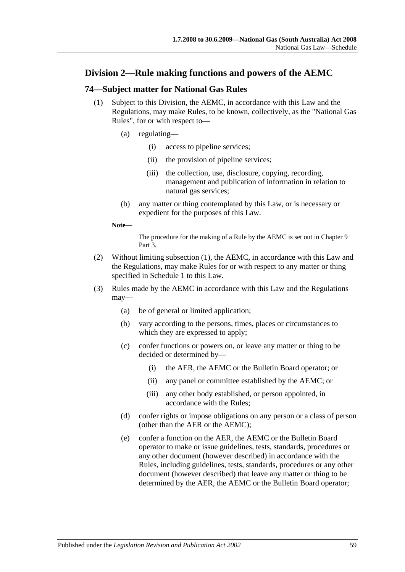# **Division 2—Rule making functions and powers of the AEMC**

# <span id="page-58-0"></span>**74—Subject matter for National Gas Rules**

- (1) Subject to this Division, the AEMC, in accordance with this Law and the Regulations, may make Rules, to be known, collectively, as the "National Gas Rules", for or with respect to—
	- (a) regulating—
		- (i) access to pipeline services;
		- (ii) the provision of pipeline services;
		- (iii) the collection, use, disclosure, copying, recording, management and publication of information in relation to natural gas services;
	- (b) any matter or thing contemplated by this Law, or is necessary or expedient for the purposes of this Law.

#### **Note—**

The procedure for the making of a Rule by the AEMC is set out in Chapter 9 Part 3.

- (2) Without limiting [subsection](#page-58-0) (1), the AEMC, in accordance with this Law and the Regulations, may make Rules for or with respect to any matter or thing specified in Schedule 1 to this Law.
- <span id="page-58-1"></span>(3) Rules made by the AEMC in accordance with this Law and the Regulations may—
	- (a) be of general or limited application;
	- (b) vary according to the persons, times, places or circumstances to which they are expressed to apply;
	- (c) confer functions or powers on, or leave any matter or thing to be decided or determined by—
		- (i) the AER, the AEMC or the Bulletin Board operator; or
		- (ii) any panel or committee established by the AEMC; or
		- (iii) any other body established, or person appointed, in accordance with the Rules;
	- (d) confer rights or impose obligations on any person or a class of person (other than the AER or the AEMC);
	- (e) confer a function on the AER, the AEMC or the Bulletin Board operator to make or issue guidelines, tests, standards, procedures or any other document (however described) in accordance with the Rules, including guidelines, tests, standards, procedures or any other document (however described) that leave any matter or thing to be determined by the AER, the AEMC or the Bulletin Board operator;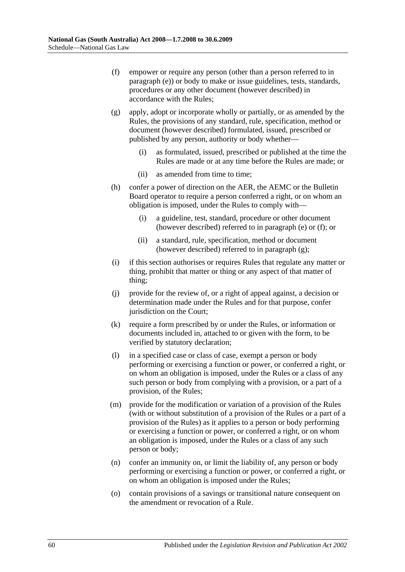- <span id="page-59-0"></span>(f) empower or require any person (other than a person referred to in [paragraph](#page-58-1) (e)) or body to make or issue guidelines, tests, standards, procedures or any other document (however described) in accordance with the Rules;
- <span id="page-59-1"></span>(g) apply, adopt or incorporate wholly or partially, or as amended by the Rules, the provisions of any standard, rule, specification, method or document (however described) formulated, issued, prescribed or published by any person, authority or body whether—
	- (i) as formulated, issued, prescribed or published at the time the Rules are made or at any time before the Rules are made; or
	- (ii) as amended from time to time;
- (h) confer a power of direction on the AER, the AEMC or the Bulletin Board operator to require a person conferred a right, or on whom an obligation is imposed, under the Rules to comply with—
	- (i) a guideline, test, standard, procedure or other document (however described) referred to in [paragraph](#page-58-1) (e) or [\(f\);](#page-59-0) or
	- (ii) a standard, rule, specification, method or document (however described) referred to in [paragraph](#page-59-1) (g);
- (i) if this section authorises or requires Rules that regulate any matter or thing, prohibit that matter or thing or any aspect of that matter of thing;
- (j) provide for the review of, or a right of appeal against, a decision or determination made under the Rules and for that purpose, confer jurisdiction on the Court;
- (k) require a form prescribed by or under the Rules, or information or documents included in, attached to or given with the form, to be verified by statutory declaration;
- (l) in a specified case or class of case, exempt a person or body performing or exercising a function or power, or conferred a right, or on whom an obligation is imposed, under the Rules or a class of any such person or body from complying with a provision, or a part of a provision, of the Rules;
- (m) provide for the modification or variation of a provision of the Rules (with or without substitution of a provision of the Rules or a part of a provision of the Rules) as it applies to a person or body performing or exercising a function or power, or conferred a right, or on whom an obligation is imposed, under the Rules or a class of any such person or body;
- (n) confer an immunity on, or limit the liability of, any person or body performing or exercising a function or power, or conferred a right, or on whom an obligation is imposed under the Rules;
- (o) contain provisions of a savings or transitional nature consequent on the amendment or revocation of a Rule.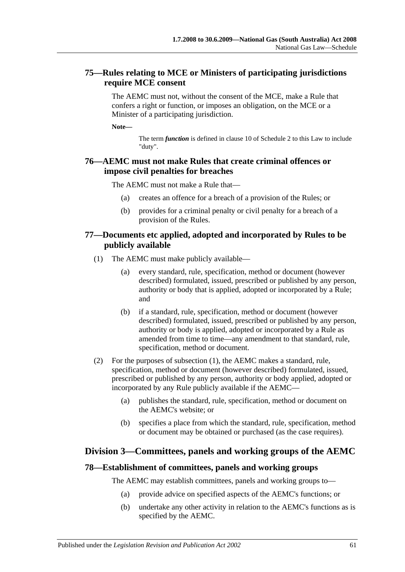# **75—Rules relating to MCE or Ministers of participating jurisdictions require MCE consent**

The AEMC must not, without the consent of the MCE, make a Rule that confers a right or function, or imposes an obligation, on the MCE or a Minister of a participating jurisdiction.

**Note—**

The term *function* is defined in clause 10 of Schedule 2 to this Law to include "duty".

# **76—AEMC must not make Rules that create criminal offences or impose civil penalties for breaches**

The AEMC must not make a Rule that—

- (a) creates an offence for a breach of a provision of the Rules; or
- (b) provides for a criminal penalty or civil penalty for a breach of a provision of the Rules.

# <span id="page-60-0"></span>**77—Documents etc applied, adopted and incorporated by Rules to be publicly available**

- (1) The AEMC must make publicly available—
	- (a) every standard, rule, specification, method or document (however described) formulated, issued, prescribed or published by any person, authority or body that is applied, adopted or incorporated by a Rule; and
	- (b) if a standard, rule, specification, method or document (however described) formulated, issued, prescribed or published by any person, authority or body is applied, adopted or incorporated by a Rule as amended from time to time—any amendment to that standard, rule, specification, method or document.
- (2) For the purposes of [subsection](#page-60-0) (1), the AEMC makes a standard, rule, specification, method or document (however described) formulated, issued, prescribed or published by any person, authority or body applied, adopted or incorporated by any Rule publicly available if the AEMC—
	- (a) publishes the standard, rule, specification, method or document on the AEMC's website; or
	- (b) specifies a place from which the standard, rule, specification, method or document may be obtained or purchased (as the case requires).

# **Division 3—Committees, panels and working groups of the AEMC**

#### **78—Establishment of committees, panels and working groups**

The AEMC may establish committees, panels and working groups to—

- (a) provide advice on specified aspects of the AEMC's functions; or
- (b) undertake any other activity in relation to the AEMC's functions as is specified by the AEMC.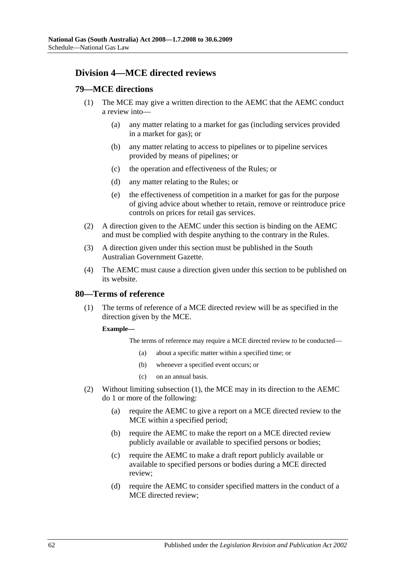# **Division 4—MCE directed reviews**

# **79—MCE directions**

- (1) The MCE may give a written direction to the AEMC that the AEMC conduct a review into—
	- (a) any matter relating to a market for gas (including services provided in a market for gas); or
	- (b) any matter relating to access to pipelines or to pipeline services provided by means of pipelines; or
	- (c) the operation and effectiveness of the Rules; or
	- (d) any matter relating to the Rules; or
	- (e) the effectiveness of competition in a market for gas for the purpose of giving advice about whether to retain, remove or reintroduce price controls on prices for retail gas services.
- (2) A direction given to the AEMC under this section is binding on the AEMC and must be complied with despite anything to the contrary in the Rules.
- (3) A direction given under this section must be published in the South Australian Government Gazette.
- (4) The AEMC must cause a direction given under this section to be published on its website.

# <span id="page-61-0"></span>**80—Terms of reference**

(1) The terms of reference of a MCE directed review will be as specified in the direction given by the MCE.

#### **Example—**

The terms of reference may require a MCE directed review to be conducted—

- (a) about a specific matter within a specified time; or
- (b) whenever a specified event occurs; or
- (c) on an annual basis.
- (2) Without limiting [subsection](#page-61-0) (1), the MCE may in its direction to the AEMC do 1 or more of the following:
	- (a) require the AEMC to give a report on a MCE directed review to the MCE within a specified period;
	- (b) require the AEMC to make the report on a MCE directed review publicly available or available to specified persons or bodies;
	- (c) require the AEMC to make a draft report publicly available or available to specified persons or bodies during a MCE directed review;
	- (d) require the AEMC to consider specified matters in the conduct of a MCE directed review;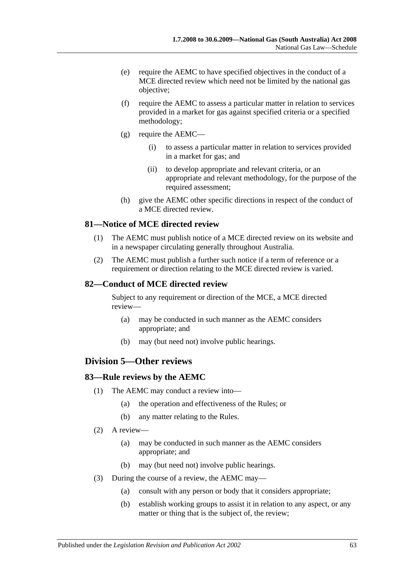- (e) require the AEMC to have specified objectives in the conduct of a MCE directed review which need not be limited by the national gas objective;
- (f) require the AEMC to assess a particular matter in relation to services provided in a market for gas against specified criteria or a specified methodology;
- (g) require the AEMC—
	- (i) to assess a particular matter in relation to services provided in a market for gas; and
	- (ii) to develop appropriate and relevant criteria, or an appropriate and relevant methodology, for the purpose of the required assessment;
- (h) give the AEMC other specific directions in respect of the conduct of a MCE directed review.

### **81—Notice of MCE directed review**

- (1) The AEMC must publish notice of a MCE directed review on its website and in a newspaper circulating generally throughout Australia.
- (2) The AEMC must publish a further such notice if a term of reference or a requirement or direction relating to the MCE directed review is varied.

#### **82—Conduct of MCE directed review**

Subject to any requirement or direction of the MCE, a MCE directed review—

- (a) may be conducted in such manner as the AEMC considers appropriate; and
- (b) may (but need not) involve public hearings.

# **Division 5—Other reviews**

#### **83—Rule reviews by the AEMC**

- (1) The AEMC may conduct a review into—
	- (a) the operation and effectiveness of the Rules; or
	- (b) any matter relating to the Rules.
- (2) A review—
	- (a) may be conducted in such manner as the AEMC considers appropriate; and
	- (b) may (but need not) involve public hearings.
- (3) During the course of a review, the AEMC may—
	- (a) consult with any person or body that it considers appropriate;
	- (b) establish working groups to assist it in relation to any aspect, or any matter or thing that is the subject of, the review;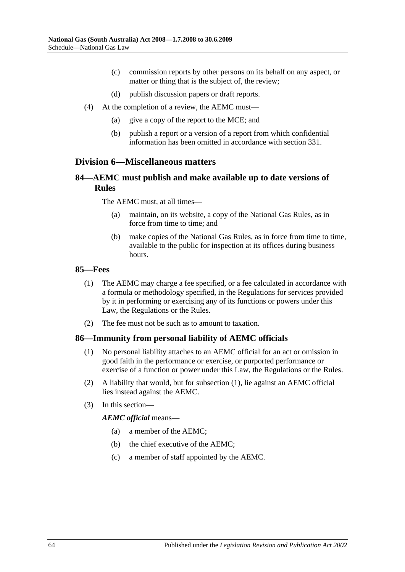- (c) commission reports by other persons on its behalf on any aspect, or matter or thing that is the subject of, the review;
- (d) publish discussion papers or draft reports.
- (4) At the completion of a review, the AEMC must—
	- (a) give a copy of the report to the MCE; and
	- (b) publish a report or a version of a report from which confidential information has been omitted in accordance with section 331.

# **Division 6—Miscellaneous matters**

# **84—AEMC must publish and make available up to date versions of Rules**

The AEMC must, at all times—

- (a) maintain, on its website, a copy of the National Gas Rules, as in force from time to time; and
- (b) make copies of the National Gas Rules, as in force from time to time, available to the public for inspection at its offices during business hours.

#### **85—Fees**

- (1) The AEMC may charge a fee specified, or a fee calculated in accordance with a formula or methodology specified, in the Regulations for services provided by it in performing or exercising any of its functions or powers under this Law, the Regulations or the Rules.
- (2) The fee must not be such as to amount to taxation.

#### <span id="page-63-0"></span>**86—Immunity from personal liability of AEMC officials**

- (1) No personal liability attaches to an AEMC official for an act or omission in good faith in the performance or exercise, or purported performance or exercise of a function or power under this Law, the Regulations or the Rules.
- (2) A liability that would, but for [subsection](#page-63-0) (1), lie against an AEMC official lies instead against the AEMC.
- (3) In this section—

#### *AEMC official* means—

- (a) a member of the AEMC;
- (b) the chief executive of the AEMC;
- (c) a member of staff appointed by the AEMC.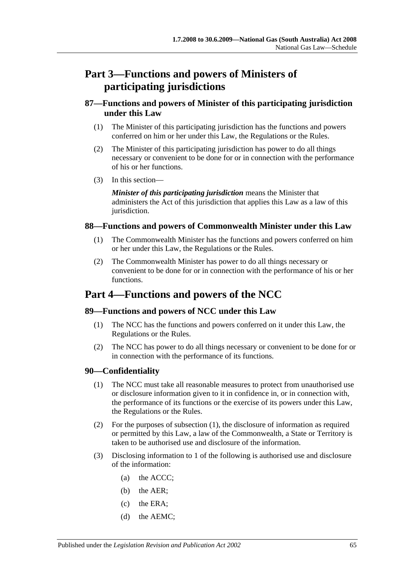# **Part 3—Functions and powers of Ministers of participating jurisdictions**

# **87—Functions and powers of Minister of this participating jurisdiction under this Law**

- (1) The Minister of this participating jurisdiction has the functions and powers conferred on him or her under this Law, the Regulations or the Rules.
- (2) The Minister of this participating jurisdiction has power to do all things necessary or convenient to be done for or in connection with the performance of his or her functions.
- (3) In this section—

*Minister of this participating jurisdiction* means the Minister that administers the Act of this jurisdiction that applies this Law as a law of this jurisdiction.

# **88—Functions and powers of Commonwealth Minister under this Law**

- (1) The Commonwealth Minister has the functions and powers conferred on him or her under this Law, the Regulations or the Rules.
- (2) The Commonwealth Minister has power to do all things necessary or convenient to be done for or in connection with the performance of his or her functions.

# **Part 4—Functions and powers of the NCC**

# **89—Functions and powers of NCC under this Law**

- (1) The NCC has the functions and powers conferred on it under this Law, the Regulations or the Rules.
- (2) The NCC has power to do all things necessary or convenient to be done for or in connection with the performance of its functions.

# <span id="page-64-0"></span>**90—Confidentiality**

- (1) The NCC must take all reasonable measures to protect from unauthorised use or disclosure information given to it in confidence in, or in connection with, the performance of its functions or the exercise of its powers under this Law, the Regulations or the Rules.
- (2) For the purposes of [subsection](#page-64-0) (1), the disclosure of information as required or permitted by this Law, a law of the Commonwealth, a State or Territory is taken to be authorised use and disclosure of the information.
- <span id="page-64-3"></span><span id="page-64-2"></span><span id="page-64-1"></span>(3) Disclosing information to 1 of the following is authorised use and disclosure of the information:
	- (a) the ACCC;
	- (b) the AER;
	- (c) the ERA;
	- (d) the AEMC;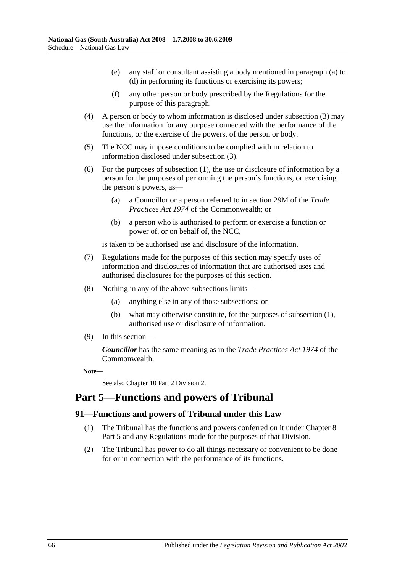- (e) any staff or consultant assisting a body mentioned in [paragraph](#page-64-1) (a) to [\(d\)](#page-64-2) in performing its functions or exercising its powers;
- (f) any other person or body prescribed by the Regulations for the purpose of this paragraph.
- (4) A person or body to whom information is disclosed under [subsection](#page-64-3) (3) may use the information for any purpose connected with the performance of the functions, or the exercise of the powers, of the person or body.
- (5) The NCC may impose conditions to be complied with in relation to information disclosed under [subsection](#page-64-3) (3).
- (6) For the purposes of [subsection](#page-64-0) (1), the use or disclosure of information by a person for the purposes of performing the person's functions, or exercising the person's powers, as—
	- (a) a Councillor or a person referred to in section 29M of the *Trade Practices Act 1974* of the Commonwealth; or
	- (b) a person who is authorised to perform or exercise a function or power of, or on behalf of, the NCC,

is taken to be authorised use and disclosure of the information.

- (7) Regulations made for the purposes of this section may specify uses of information and disclosures of information that are authorised uses and authorised disclosures for the purposes of this section.
- (8) Nothing in any of the above subsections limits—
	- (a) anything else in any of those subsections; or
	- (b) what may otherwise constitute, for the purposes of [subsection](#page-64-0) (1), authorised use or disclosure of information.
- (9) In this section—

*Councillor* has the same meaning as in the *Trade Practices Act 1974* of the Commonwealth.

**Note—**

See also Chapter 10 Part 2 Division 2.

# **Part 5—Functions and powers of Tribunal**

# **91—Functions and powers of Tribunal under this Law**

- (1) The Tribunal has the functions and powers conferred on it under Chapter 8 Part 5 and any Regulations made for the purposes of that Division.
- (2) The Tribunal has power to do all things necessary or convenient to be done for or in connection with the performance of its functions.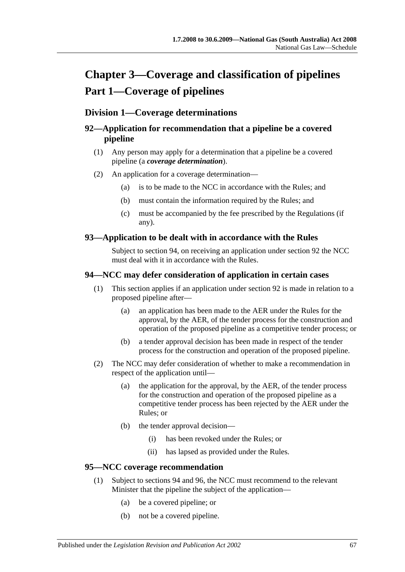# **Chapter 3—Coverage and classification of pipelines Part 1—Coverage of pipelines**

# **Division 1—Coverage determinations**

# **92—Application for recommendation that a pipeline be a covered pipeline**

- (1) Any person may apply for a determination that a pipeline be a covered pipeline (a *coverage determination*).
- (2) An application for a coverage determination—
	- (a) is to be made to the NCC in accordance with the Rules; and
	- (b) must contain the information required by the Rules; and
	- (c) must be accompanied by the fee prescribed by the Regulations (if any).

# **93—Application to be dealt with in accordance with the Rules**

Subject to section 94, on receiving an application under section 92 the NCC must deal with it in accordance with the Rules.

# **94—NCC may defer consideration of application in certain cases**

- (1) This section applies if an application under section 92 is made in relation to a proposed pipeline after—
	- (a) an application has been made to the AER under the Rules for the approval, by the AER, of the tender process for the construction and operation of the proposed pipeline as a competitive tender process; or
	- (b) a tender approval decision has been made in respect of the tender process for the construction and operation of the proposed pipeline.
- (2) The NCC may defer consideration of whether to make a recommendation in respect of the application until—
	- (a) the application for the approval, by the AER, of the tender process for the construction and operation of the proposed pipeline as a competitive tender process has been rejected by the AER under the Rules; or
	- (b) the tender approval decision—
		- (i) has been revoked under the Rules; or
		- (ii) has lapsed as provided under the Rules.

# **95—NCC coverage recommendation**

- (1) Subject to sections 94 and 96, the NCC must recommend to the relevant Minister that the pipeline the subject of the application—
	- (a) be a covered pipeline; or
	- (b) not be a covered pipeline.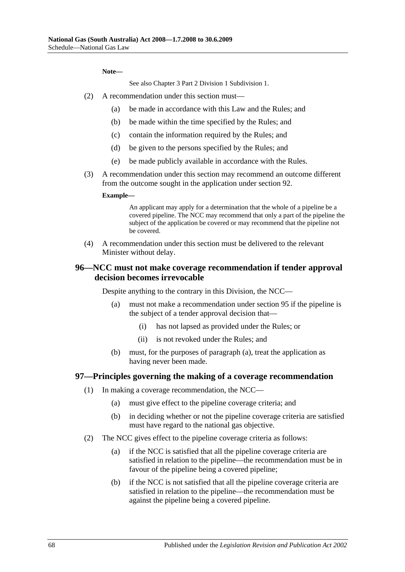#### **Note—**

See also Chapter 3 Part 2 Division 1 Subdivision 1.

- (2) A recommendation under this section must—
	- (a) be made in accordance with this Law and the Rules; and
	- (b) be made within the time specified by the Rules; and
	- (c) contain the information required by the Rules; and
	- (d) be given to the persons specified by the Rules; and
	- (e) be made publicly available in accordance with the Rules.
- (3) A recommendation under this section may recommend an outcome different from the outcome sought in the application under section 92.

#### **Example—**

An applicant may apply for a determination that the whole of a pipeline be a covered pipeline. The NCC may recommend that only a part of the pipeline the subject of the application be covered or may recommend that the pipeline not be covered.

(4) A recommendation under this section must be delivered to the relevant Minister without delay.

# <span id="page-67-0"></span>**96—NCC must not make coverage recommendation if tender approval decision becomes irrevocable**

Despite anything to the contrary in this Division, the NCC—

- (a) must not make a recommendation under section 95 if the pipeline is the subject of a tender approval decision that—
	- (i) has not lapsed as provided under the Rules; or
	- (ii) is not revoked under the Rules; and
- (b) must, for the purposes of [paragraph](#page-67-0) (a), treat the application as having never been made.

#### **97—Principles governing the making of a coverage recommendation**

- (1) In making a coverage recommendation, the NCC—
	- (a) must give effect to the pipeline coverage criteria; and
	- (b) in deciding whether or not the pipeline coverage criteria are satisfied must have regard to the national gas objective.
- (2) The NCC gives effect to the pipeline coverage criteria as follows:
	- (a) if the NCC is satisfied that all the pipeline coverage criteria are satisfied in relation to the pipeline—the recommendation must be in favour of the pipeline being a covered pipeline;
	- (b) if the NCC is not satisfied that all the pipeline coverage criteria are satisfied in relation to the pipeline—the recommendation must be against the pipeline being a covered pipeline.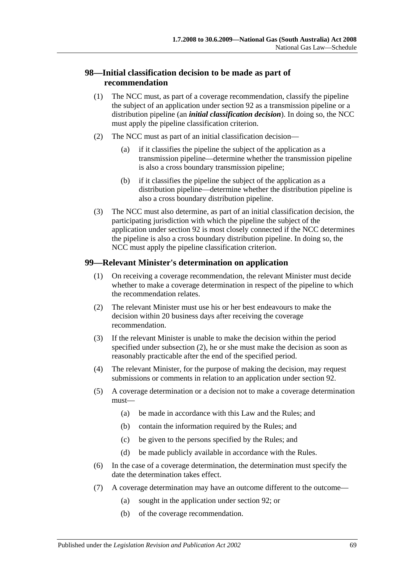# **98—Initial classification decision to be made as part of recommendation**

- (1) The NCC must, as part of a coverage recommendation, classify the pipeline the subject of an application under section 92 as a transmission pipeline or a distribution pipeline (an *initial classification decision*). In doing so, the NCC must apply the pipeline classification criterion.
- (2) The NCC must as part of an initial classification decision—
	- (a) if it classifies the pipeline the subject of the application as a transmission pipeline—determine whether the transmission pipeline is also a cross boundary transmission pipeline;
	- (b) if it classifies the pipeline the subject of the application as a distribution pipeline—determine whether the distribution pipeline is also a cross boundary distribution pipeline.
- (3) The NCC must also determine, as part of an initial classification decision, the participating jurisdiction with which the pipeline the subject of the application under section 92 is most closely connected if the NCC determines the pipeline is also a cross boundary distribution pipeline. In doing so, the NCC must apply the pipeline classification criterion.

# **99—Relevant Minister's determination on application**

- (1) On receiving a coverage recommendation, the relevant Minister must decide whether to make a coverage determination in respect of the pipeline to which the recommendation relates.
- <span id="page-68-0"></span>(2) The relevant Minister must use his or her best endeavours to make the decision within 20 business days after receiving the coverage recommendation.
- (3) If the relevant Minister is unable to make the decision within the period specified under [subsection](#page-68-0) (2), he or she must make the decision as soon as reasonably practicable after the end of the specified period.
- <span id="page-68-1"></span>(4) The relevant Minister, for the purpose of making the decision, may request submissions or comments in relation to an application under section 92.
- (5) A coverage determination or a decision not to make a coverage determination must—
	- (a) be made in accordance with this Law and the Rules; and
	- (b) contain the information required by the Rules; and
	- (c) be given to the persons specified by the Rules; and
	- (d) be made publicly available in accordance with the Rules.
- (6) In the case of a coverage determination, the determination must specify the date the determination takes effect.
- (7) A coverage determination may have an outcome different to the outcome—
	- (a) sought in the application under section 92; or
	- (b) of the coverage recommendation.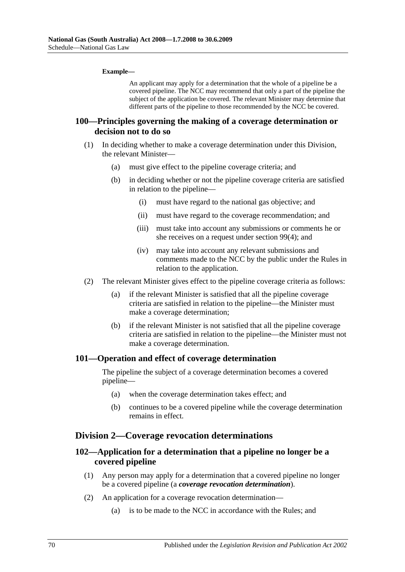#### **Example—**

An applicant may apply for a determination that the whole of a pipeline be a covered pipeline. The NCC may recommend that only a part of the pipeline the subject of the application be covered. The relevant Minister may determine that different parts of the pipeline to those recommended by the NCC be covered.

### **100—Principles governing the making of a coverage determination or decision not to do so**

- (1) In deciding whether to make a coverage determination under this Division, the relevant Minister—
	- (a) must give effect to the pipeline coverage criteria; and
	- (b) in deciding whether or not the pipeline coverage criteria are satisfied in relation to the pipeline—
		- (i) must have regard to the national gas objective; and
		- (ii) must have regard to the coverage recommendation; and
		- (iii) must take into account any submissions or comments he or she receives on a request under [section](#page-68-1) 99(4); and
		- (iv) may take into account any relevant submissions and comments made to the NCC by the public under the Rules in relation to the application.
- (2) The relevant Minister gives effect to the pipeline coverage criteria as follows:
	- (a) if the relevant Minister is satisfied that all the pipeline coverage criteria are satisfied in relation to the pipeline—the Minister must make a coverage determination;
	- (b) if the relevant Minister is not satisfied that all the pipeline coverage criteria are satisfied in relation to the pipeline—the Minister must not make a coverage determination.

#### **101—Operation and effect of coverage determination**

The pipeline the subject of a coverage determination becomes a covered pipeline—

- (a) when the coverage determination takes effect; and
- (b) continues to be a covered pipeline while the coverage determination remains in effect.

#### **Division 2—Coverage revocation determinations**

# **102—Application for a determination that a pipeline no longer be a covered pipeline**

- (1) Any person may apply for a determination that a covered pipeline no longer be a covered pipeline (a *coverage revocation determination*).
- (2) An application for a coverage revocation determination—
	- (a) is to be made to the NCC in accordance with the Rules; and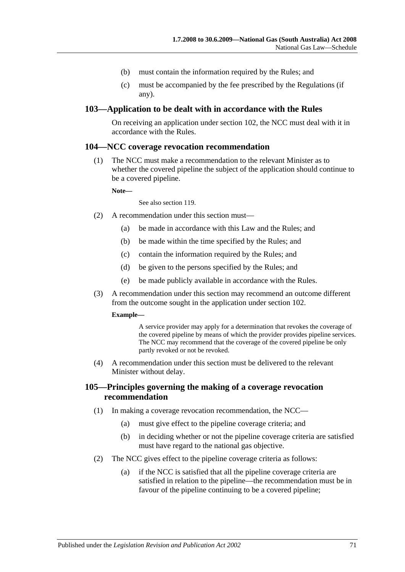- (b) must contain the information required by the Rules; and
- (c) must be accompanied by the fee prescribed by the Regulations (if any).

### **103—Application to be dealt with in accordance with the Rules**

On receiving an application under section 102, the NCC must deal with it in accordance with the Rules.

#### **104—NCC coverage revocation recommendation**

(1) The NCC must make a recommendation to the relevant Minister as to whether the covered pipeline the subject of the application should continue to be a covered pipeline.

**Note—**

See also section 119.

- (2) A recommendation under this section must—
	- (a) be made in accordance with this Law and the Rules; and
	- (b) be made within the time specified by the Rules; and
	- (c) contain the information required by the Rules; and
	- (d) be given to the persons specified by the Rules; and
	- (e) be made publicly available in accordance with the Rules.
- (3) A recommendation under this section may recommend an outcome different from the outcome sought in the application under section 102.

#### **Example—**

A service provider may apply for a determination that revokes the coverage of the covered pipeline by means of which the provider provides pipeline services. The NCC may recommend that the coverage of the covered pipeline be only partly revoked or not be revoked.

(4) A recommendation under this section must be delivered to the relevant Minister without delay.

### **105—Principles governing the making of a coverage revocation recommendation**

- (1) In making a coverage revocation recommendation, the NCC—
	- (a) must give effect to the pipeline coverage criteria; and
	- (b) in deciding whether or not the pipeline coverage criteria are satisfied must have regard to the national gas objective.
- (2) The NCC gives effect to the pipeline coverage criteria as follows:
	- (a) if the NCC is satisfied that all the pipeline coverage criteria are satisfied in relation to the pipeline—the recommendation must be in favour of the pipeline continuing to be a covered pipeline;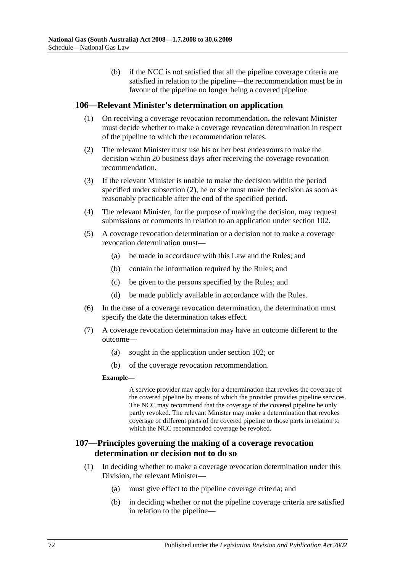(b) if the NCC is not satisfied that all the pipeline coverage criteria are satisfied in relation to the pipeline—the recommendation must be in favour of the pipeline no longer being a covered pipeline.

### **106—Relevant Minister's determination on application**

- (1) On receiving a coverage revocation recommendation, the relevant Minister must decide whether to make a coverage revocation determination in respect of the pipeline to which the recommendation relates.
- <span id="page-71-0"></span>(2) The relevant Minister must use his or her best endeavours to make the decision within 20 business days after receiving the coverage revocation recommendation.
- (3) If the relevant Minister is unable to make the decision within the period specified under [subsection](#page-71-0) (2), he or she must make the decision as soon as reasonably practicable after the end of the specified period.
- (4) The relevant Minister, for the purpose of making the decision, may request submissions or comments in relation to an application under section 102.
- (5) A coverage revocation determination or a decision not to make a coverage revocation determination must—
	- (a) be made in accordance with this Law and the Rules; and
	- (b) contain the information required by the Rules; and
	- (c) be given to the persons specified by the Rules; and
	- (d) be made publicly available in accordance with the Rules.
- (6) In the case of a coverage revocation determination, the determination must specify the date the determination takes effect.
- (7) A coverage revocation determination may have an outcome different to the outcome—
	- (a) sought in the application under section 102; or
	- (b) of the coverage revocation recommendation.

#### **Example—**

A service provider may apply for a determination that revokes the coverage of the covered pipeline by means of which the provider provides pipeline services. The NCC may recommend that the coverage of the covered pipeline be only partly revoked. The relevant Minister may make a determination that revokes coverage of different parts of the covered pipeline to those parts in relation to which the NCC recommended coverage be revoked.

# **107—Principles governing the making of a coverage revocation determination or decision not to do so**

- (1) In deciding whether to make a coverage revocation determination under this Division, the relevant Minister—
	- (a) must give effect to the pipeline coverage criteria; and
	- (b) in deciding whether or not the pipeline coverage criteria are satisfied in relation to the pipeline—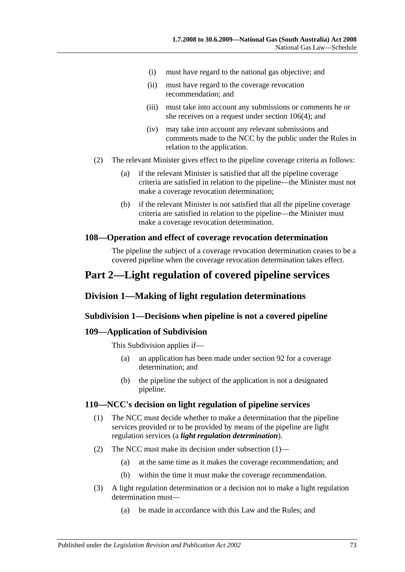- (i) must have regard to the national gas objective; and
- (ii) must have regard to the coverage revocation recommendation; and
- (iii) must take into account any submissions or comments he or she receives on a request under [section](#page-71-0) 106(4); and
- (iv) may take into account any relevant submissions and comments made to the NCC by the public under the Rules in relation to the application.
- (2) The relevant Minister gives effect to the pipeline coverage criteria as follows:
	- (a) if the relevant Minister is satisfied that all the pipeline coverage criteria are satisfied in relation to the pipeline—the Minister must not make a coverage revocation determination;
	- (b) if the relevant Minister is not satisfied that all the pipeline coverage criteria are satisfied in relation to the pipeline—the Minister must make a coverage revocation determination.

### **108—Operation and effect of coverage revocation determination**

The pipeline the subject of a coverage revocation determination ceases to be a covered pipeline when the coverage revocation determination takes effect.

# **Part 2—Light regulation of covered pipeline services**

# **Division 1—Making of light regulation determinations**

### **Subdivision 1—Decisions when pipeline is not a covered pipeline**

### **109—Application of Subdivision**

This Subdivision applies if—

- (a) an application has been made under section 92 for a coverage determination; and
- (b) the pipeline the subject of the application is not a designated pipeline.

#### <span id="page-72-0"></span>**110—NCC's decision on light regulation of pipeline services**

- (1) The NCC must decide whether to make a determination that the pipeline services provided or to be provided by means of the pipeline are light regulation services (a *light regulation determination*).
- (2) The NCC must make its decision under [subsection](#page-72-0) (1)—
	- (a) at the same time as it makes the coverage recommendation; and
	- (b) within the time it must make the coverage recommendation.
- (3) A light regulation determination or a decision not to make a light regulation determination must—
	- (a) be made in accordance with this Law and the Rules; and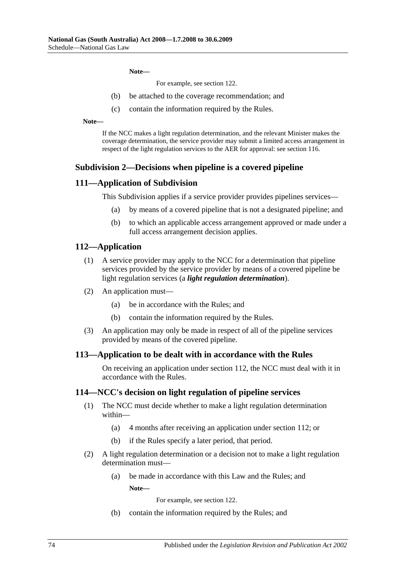**Note—**

For example, see section 122.

- (b) be attached to the coverage recommendation; and
- (c) contain the information required by the Rules.

**Note—**

If the NCC makes a light regulation determination, and the relevant Minister makes the coverage determination, the service provider may submit a limited access arrangement in respect of the light regulation services to the AER for approval: see section 116.

### **Subdivision 2—Decisions when pipeline is a covered pipeline**

### **111—Application of Subdivision**

This Subdivision applies if a service provider provides pipelines services—

- (a) by means of a covered pipeline that is not a designated pipeline; and
- (b) to which an applicable access arrangement approved or made under a full access arrangement decision applies.

### **112—Application**

- (1) A service provider may apply to the NCC for a determination that pipeline services provided by the service provider by means of a covered pipeline be light regulation services (a *light regulation determination*).
- (2) An application must—
	- (a) be in accordance with the Rules; and
	- (b) contain the information required by the Rules.
- (3) An application may only be made in respect of all of the pipeline services provided by means of the covered pipeline.

#### **113—Application to be dealt with in accordance with the Rules**

On receiving an application under section 112, the NCC must deal with it in accordance with the Rules.

#### **114—NCC's decision on light regulation of pipeline services**

- (1) The NCC must decide whether to make a light regulation determination within—
	- (a) 4 months after receiving an application under section 112; or
	- (b) if the Rules specify a later period, that period.
- (2) A light regulation determination or a decision not to make a light regulation determination must—
	- (a) be made in accordance with this Law and the Rules; and **Note—**

For example, see section 122.

(b) contain the information required by the Rules; and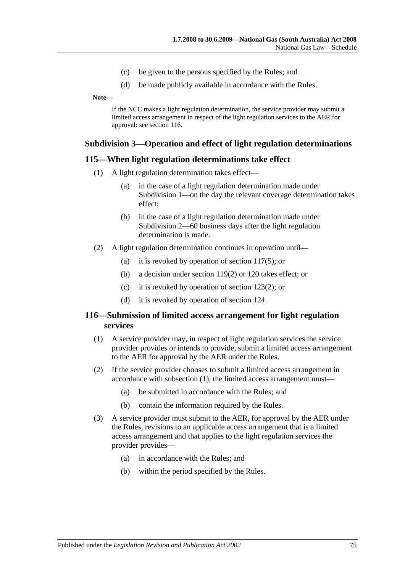- (c) be given to the persons specified by the Rules; and
- (d) be made publicly available in accordance with the Rules.

**Note—**

If the NCC makes a light regulation determination, the service provider may submit a limited access arrangement in respect of the light regulation services to the AER for approval: see section 116.

### **Subdivision 3—Operation and effect of light regulation determinations**

### **115—When light regulation determinations take effect**

- (1) A light regulation determination takes effect—
	- (a) in the case of a light regulation determination made under Subdivision 1—on the day the relevant coverage determination takes effect;
	- (b) in the case of a light regulation determination made under Subdivision 2—60 business days after the light regulation determination is made.
- (2) A light regulation determination continues in operation until—
	- (a) it is revoked by operation of [section](#page-75-0) 117(5); or
	- (b) a decision under [section](#page-76-0) 119(2) or 120 takes effect; or
	- (c) it is revoked by operation of [section](#page-78-0) 123(2); or
	- (d) it is revoked by operation of section 124.

### <span id="page-74-0"></span>**116—Submission of limited access arrangement for light regulation services**

- (1) A service provider may, in respect of light regulation services the service provider provides or intends to provide, submit a limited access arrangement to the AER for approval by the AER under the Rules.
- (2) If the service provider chooses to submit a limited access arrangement in accordance with [subsection](#page-74-0) (1), the limited access arrangement must—
	- (a) be submitted in accordance with the Rules; and
	- (b) contain the information required by the Rules.
- (3) A service provider must submit to the AER, for approval by the AER under the Rules, revisions to an applicable access arrangement that is a limited access arrangement and that applies to the light regulation services the provider provides—
	- (a) in accordance with the Rules; and
	- (b) within the period specified by the Rules.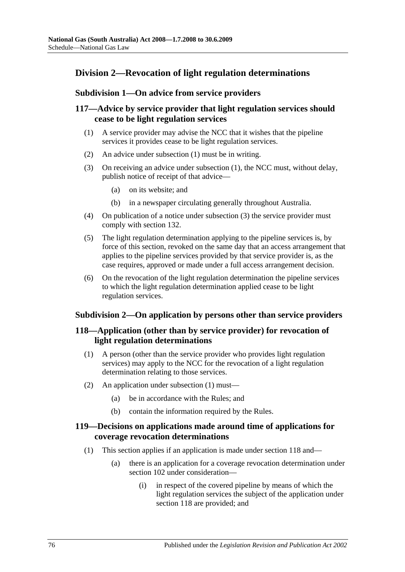# **Division 2—Revocation of light regulation determinations**

### **Subdivision 1—On advice from service providers**

# <span id="page-75-1"></span>**117—Advice by service provider that light regulation services should cease to be light regulation services**

- (1) A service provider may advise the NCC that it wishes that the pipeline services it provides cease to be light regulation services.
- (2) An advice under [subsection](#page-75-1) (1) must be in writing.
- <span id="page-75-2"></span>(3) On receiving an advice under [subsection](#page-75-1) (1), the NCC must, without delay, publish notice of receipt of that advice—
	- (a) on its website; and
	- (b) in a newspaper circulating generally throughout Australia.
- (4) On publication of a notice under [subsection](#page-75-2) (3) the service provider must comply with section 132.
- <span id="page-75-0"></span>(5) The light regulation determination applying to the pipeline services is, by force of this section, revoked on the same day that an access arrangement that applies to the pipeline services provided by that service provider is, as the case requires, approved or made under a full access arrangement decision.
- (6) On the revocation of the light regulation determination the pipeline services to which the light regulation determination applied cease to be light regulation services.

### **Subdivision 2—On application by persons other than service providers**

# <span id="page-75-3"></span>**118—Application (other than by service provider) for revocation of light regulation determinations**

- (1) A person (other than the service provider who provides light regulation services) may apply to the NCC for the revocation of a light regulation determination relating to those services.
- (2) An application under [subsection](#page-75-3) (1) must—
	- (a) be in accordance with the Rules; and
	- (b) contain the information required by the Rules.

### **119—Decisions on applications made around time of applications for coverage revocation determinations**

- (1) This section applies if an application is made under section 118 and—
	- (a) there is an application for a coverage revocation determination under section 102 under consideration—
		- (i) in respect of the covered pipeline by means of which the light regulation services the subject of the application under section 118 are provided; and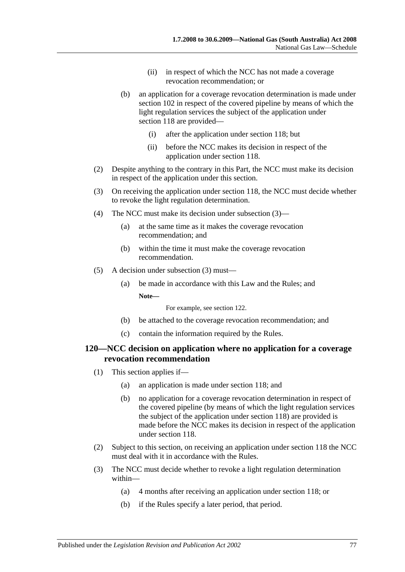- (ii) in respect of which the NCC has not made a coverage revocation recommendation; or
- (b) an application for a coverage revocation determination is made under section 102 in respect of the covered pipeline by means of which the light regulation services the subject of the application under section 118 are provided—
	- (i) after the application under section 118; but
	- (ii) before the NCC makes its decision in respect of the application under section 118.
- <span id="page-76-0"></span>(2) Despite anything to the contrary in this Part, the NCC must make its decision in respect of the application under this section.
- <span id="page-76-1"></span>(3) On receiving the application under section 118, the NCC must decide whether to revoke the light regulation determination.
- (4) The NCC must make its decision under [subsection](#page-76-1) (3)—
	- (a) at the same time as it makes the coverage revocation recommendation; and
	- (b) within the time it must make the coverage revocation recommendation.
- (5) A decision under [subsection](#page-76-1) (3) must—
	- (a) be made in accordance with this Law and the Rules; and **Note—**

For example, see section 122.

- (b) be attached to the coverage revocation recommendation; and
- (c) contain the information required by the Rules.

### **120—NCC decision on application where no application for a coverage revocation recommendation**

- (1) This section applies if—
	- (a) an application is made under section 118; and
	- (b) no application for a coverage revocation determination in respect of the covered pipeline (by means of which the light regulation services the subject of the application under section 118) are provided is made before the NCC makes its decision in respect of the application under section 118.
- (2) Subject to this section, on receiving an application under section 118 the NCC must deal with it in accordance with the Rules.
- (3) The NCC must decide whether to revoke a light regulation determination within—
	- (a) 4 months after receiving an application under section 118; or
	- (b) if the Rules specify a later period, that period.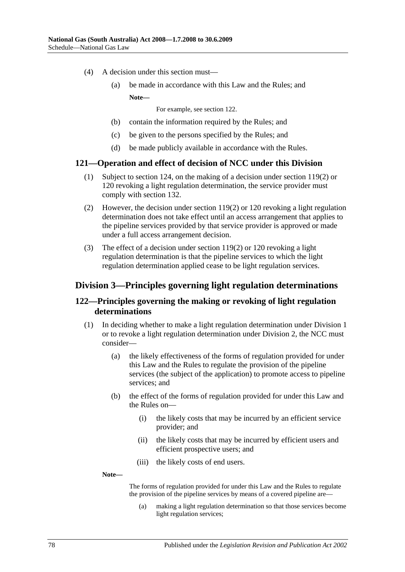- (4) A decision under this section must—
	- (a) be made in accordance with this Law and the Rules; and **Note—**

For example, see section 122.

- (b) contain the information required by the Rules; and
- (c) be given to the persons specified by the Rules; and
- (d) be made publicly available in accordance with the Rules.

### **121—Operation and effect of decision of NCC under this Division**

- (1) Subject to section 124, on the making of a decision under [section](#page-76-0) 119(2) or 120 revoking a light regulation determination, the service provider must comply with section 132.
- (2) However, the decision under [section](#page-76-0) 119(2) or 120 revoking a light regulation determination does not take effect until an access arrangement that applies to the pipeline services provided by that service provider is approved or made under a full access arrangement decision.
- (3) The effect of a decision under [section](#page-76-0) 119(2) or 120 revoking a light regulation determination is that the pipeline services to which the light regulation determination applied cease to be light regulation services.

# **Division 3—Principles governing light regulation determinations**

### **122—Principles governing the making or revoking of light regulation determinations**

- (1) In deciding whether to make a light regulation determination under Division 1 or to revoke a light regulation determination under Division 2, the NCC must consider—
	- (a) the likely effectiveness of the forms of regulation provided for under this Law and the Rules to regulate the provision of the pipeline services (the subject of the application) to promote access to pipeline services; and
	- (b) the effect of the forms of regulation provided for under this Law and the Rules on—
		- (i) the likely costs that may be incurred by an efficient service provider; and
		- (ii) the likely costs that may be incurred by efficient users and efficient prospective users; and
		- (iii) the likely costs of end users.

**Note—**

The forms of regulation provided for under this Law and the Rules to regulate the provision of the pipeline services by means of a covered pipeline are—

(a) making a light regulation determination so that those services become light regulation services;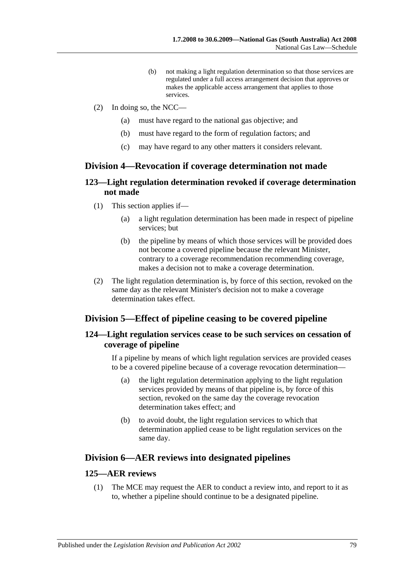- (b) not making a light regulation determination so that those services are regulated under a full access arrangement decision that approves or makes the applicable access arrangement that applies to those services.
- (2) In doing so, the NCC—
	- (a) must have regard to the national gas objective; and
	- (b) must have regard to the form of regulation factors; and
	- (c) may have regard to any other matters it considers relevant.

# **Division 4—Revocation if coverage determination not made**

# **123—Light regulation determination revoked if coverage determination not made**

- (1) This section applies if—
	- (a) a light regulation determination has been made in respect of pipeline services; but
	- (b) the pipeline by means of which those services will be provided does not become a covered pipeline because the relevant Minister, contrary to a coverage recommendation recommending coverage, makes a decision not to make a coverage determination.
- <span id="page-78-0"></span>(2) The light regulation determination is, by force of this section, revoked on the same day as the relevant Minister's decision not to make a coverage determination takes effect.

# **Division 5—Effect of pipeline ceasing to be covered pipeline**

# **124—Light regulation services cease to be such services on cessation of coverage of pipeline**

If a pipeline by means of which light regulation services are provided ceases to be a covered pipeline because of a coverage revocation determination—

- (a) the light regulation determination applying to the light regulation services provided by means of that pipeline is, by force of this section, revoked on the same day the coverage revocation determination takes effect; and
- (b) to avoid doubt, the light regulation services to which that determination applied cease to be light regulation services on the same day.

# **Division 6—AER reviews into designated pipelines**

### <span id="page-78-1"></span>**125—AER reviews**

(1) The MCE may request the AER to conduct a review into, and report to it as to, whether a pipeline should continue to be a designated pipeline.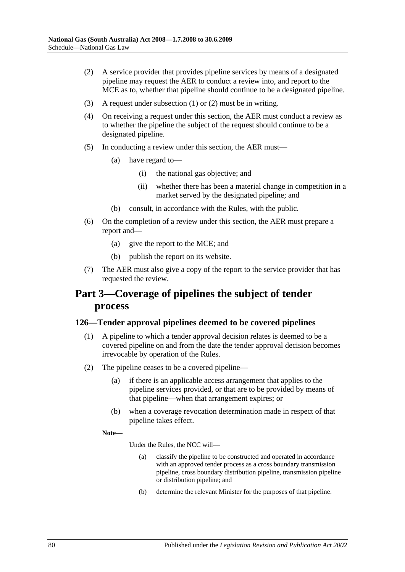- <span id="page-79-0"></span>(2) A service provider that provides pipeline services by means of a designated pipeline may request the AER to conduct a review into, and report to the MCE as to, whether that pipeline should continue to be a designated pipeline.
- (3) A request under [subsection](#page-78-1) (1) or [\(2\)](#page-79-0) must be in writing.
- (4) On receiving a request under this section, the AER must conduct a review as to whether the pipeline the subject of the request should continue to be a designated pipeline.
- (5) In conducting a review under this section, the AER must—
	- (a) have regard to—
		- (i) the national gas objective; and
		- (ii) whether there has been a material change in competition in a market served by the designated pipeline; and
	- (b) consult, in accordance with the Rules, with the public.
- (6) On the completion of a review under this section, the AER must prepare a report and—
	- (a) give the report to the MCE; and
	- (b) publish the report on its website.
- (7) The AER must also give a copy of the report to the service provider that has requested the review.

# **Part 3—Coverage of pipelines the subject of tender process**

### **126—Tender approval pipelines deemed to be covered pipelines**

- (1) A pipeline to which a tender approval decision relates is deemed to be a covered pipeline on and from the date the tender approval decision becomes irrevocable by operation of the Rules.
- (2) The pipeline ceases to be a covered pipeline—
	- (a) if there is an applicable access arrangement that applies to the pipeline services provided, or that are to be provided by means of that pipeline—when that arrangement expires; or
	- (b) when a coverage revocation determination made in respect of that pipeline takes effect.

**Note—**

Under the Rules, the NCC will—

- (a) classify the pipeline to be constructed and operated in accordance with an approved tender process as a cross boundary transmission pipeline, cross boundary distribution pipeline, transmission pipeline or distribution pipeline; and
- (b) determine the relevant Minister for the purposes of that pipeline.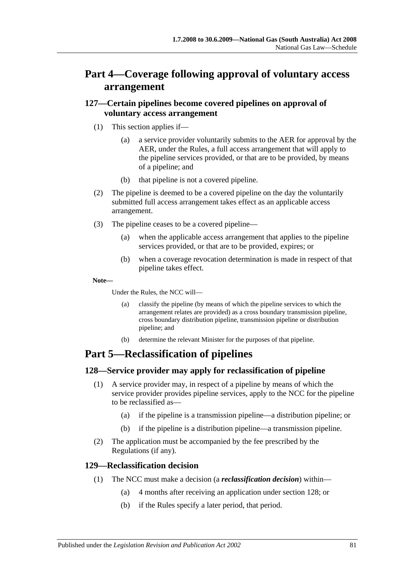# **Part 4—Coverage following approval of voluntary access arrangement**

# **127—Certain pipelines become covered pipelines on approval of voluntary access arrangement**

- (1) This section applies if—
	- (a) a service provider voluntarily submits to the AER for approval by the AER, under the Rules, a full access arrangement that will apply to the pipeline services provided, or that are to be provided, by means of a pipeline; and
	- (b) that pipeline is not a covered pipeline.
- (2) The pipeline is deemed to be a covered pipeline on the day the voluntarily submitted full access arrangement takes effect as an applicable access arrangement.
- (3) The pipeline ceases to be a covered pipeline—
	- (a) when the applicable access arrangement that applies to the pipeline services provided, or that are to be provided, expires; or
	- (b) when a coverage revocation determination is made in respect of that pipeline takes effect.

### **Note—**

Under the Rules, the NCC will—

- (a) classify the pipeline (by means of which the pipeline services to which the arrangement relates are provided) as a cross boundary transmission pipeline, cross boundary distribution pipeline, transmission pipeline or distribution pipeline; and
- (b) determine the relevant Minister for the purposes of that pipeline.

# **Part 5—Reclassification of pipelines**

# **128—Service provider may apply for reclassification of pipeline**

- (1) A service provider may, in respect of a pipeline by means of which the service provider provides pipeline services, apply to the NCC for the pipeline to be reclassified as—
	- (a) if the pipeline is a transmission pipeline—a distribution pipeline; or
	- (b) if the pipeline is a distribution pipeline—a transmission pipeline.
- (2) The application must be accompanied by the fee prescribed by the Regulations (if any).

### **129—Reclassification decision**

- (1) The NCC must make a decision (a *reclassification decision*) within—
	- (a) 4 months after receiving an application under section 128; or
	- (b) if the Rules specify a later period, that period.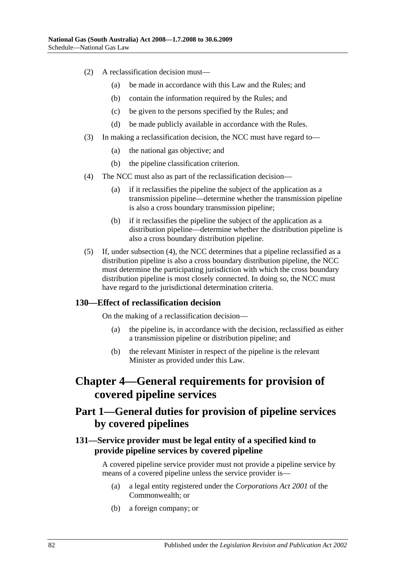- (2) A reclassification decision must—
	- (a) be made in accordance with this Law and the Rules; and
	- (b) contain the information required by the Rules; and
	- (c) be given to the persons specified by the Rules; and
	- (d) be made publicly available in accordance with the Rules.
- (3) In making a reclassification decision, the NCC must have regard to—
	- (a) the national gas objective; and
	- (b) the pipeline classification criterion.
- <span id="page-81-0"></span>(4) The NCC must also as part of the reclassification decision—
	- (a) if it reclassifies the pipeline the subject of the application as a transmission pipeline—determine whether the transmission pipeline is also a cross boundary transmission pipeline;
	- (b) if it reclassifies the pipeline the subject of the application as a distribution pipeline—determine whether the distribution pipeline is also a cross boundary distribution pipeline.
- (5) If, under [subsection](#page-81-0) (4), the NCC determines that a pipeline reclassified as a distribution pipeline is also a cross boundary distribution pipeline, the NCC must determine the participating jurisdiction with which the cross boundary distribution pipeline is most closely connected. In doing so, the NCC must have regard to the jurisdictional determination criteria.

### **130—Effect of reclassification decision**

On the making of a reclassification decision—

- (a) the pipeline is, in accordance with the decision, reclassified as either a transmission pipeline or distribution pipeline; and
- (b) the relevant Minister in respect of the pipeline is the relevant Minister as provided under this Law.

# **Chapter 4—General requirements for provision of covered pipeline services**

# **Part 1—General duties for provision of pipeline services by covered pipelines**

# <span id="page-81-1"></span>**131—Service provider must be legal entity of a specified kind to provide pipeline services by covered pipeline**

A covered pipeline service provider must not provide a pipeline service by means of a covered pipeline unless the service provider is—

- (a) a legal entity registered under the *Corporations Act 2001* of the Commonwealth; or
- (b) a foreign company; or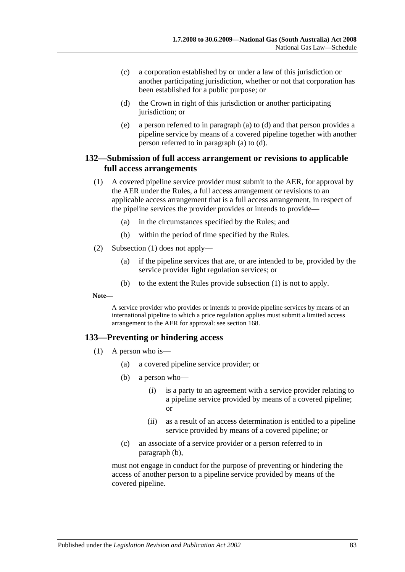- (c) a corporation established by or under a law of this jurisdiction or another participating jurisdiction, whether or not that corporation has been established for a public purpose; or
- <span id="page-82-0"></span>(d) the Crown in right of this jurisdiction or another participating jurisdiction; or
- (e) a person referred to in [paragraph](#page-81-1) (a) to [\(d\)](#page-82-0) and that person provides a pipeline service by means of a covered pipeline together with another person referred to in [paragraph](#page-81-1) (a) to [\(d\).](#page-82-0)

## <span id="page-82-1"></span>**132—Submission of full access arrangement or revisions to applicable full access arrangements**

- (1) A covered pipeline service provider must submit to the AER, for approval by the AER under the Rules, a full access arrangement or revisions to an applicable access arrangement that is a full access arrangement, in respect of the pipeline services the provider provides or intends to provide—
	- (a) in the circumstances specified by the Rules; and
	- (b) within the period of time specified by the Rules.
- (2) [Subsection](#page-82-1) (1) does not apply—
	- (a) if the pipeline services that are, or are intended to be, provided by the service provider light regulation services; or
	- (b) to the extent the Rules provide [subsection](#page-82-1) (1) is not to apply.

**Note—**

A service provider who provides or intends to provide pipeline services by means of an international pipeline to which a price regulation applies must submit a limited access arrangement to the AER for approval: see section 168.

### <span id="page-82-3"></span>**133—Preventing or hindering access**

- <span id="page-82-2"></span>(1) A person who is—
	- (a) a covered pipeline service provider; or
	- (b) a person who—
		- (i) is a party to an agreement with a service provider relating to a pipeline service provided by means of a covered pipeline; or
		- (ii) as a result of an access determination is entitled to a pipeline service provided by means of a covered pipeline; or
	- (c) an associate of a service provider or a person referred to in [paragraph](#page-82-2) (b),

must not engage in conduct for the purpose of preventing or hindering the access of another person to a pipeline service provided by means of the covered pipeline.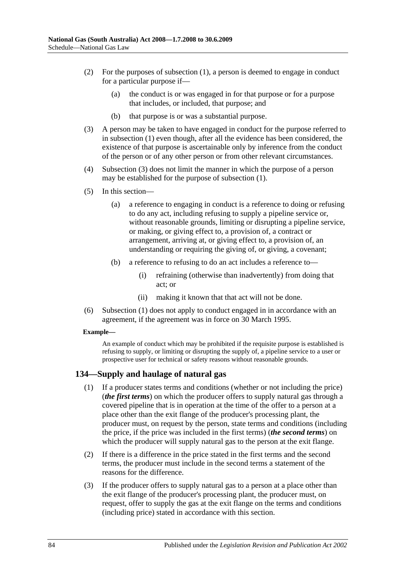- (2) For the purposes of [subsection](#page-82-3) (1), a person is deemed to engage in conduct for a particular purpose if—
	- (a) the conduct is or was engaged in for that purpose or for a purpose that includes, or included, that purpose; and
	- (b) that purpose is or was a substantial purpose.
- <span id="page-83-0"></span>(3) A person may be taken to have engaged in conduct for the purpose referred to in [subsection](#page-82-3) (1) even though, after all the evidence has been considered, the existence of that purpose is ascertainable only by inference from the conduct of the person or of any other person or from other relevant circumstances.
- (4) [Subsection](#page-83-0) (3) does not limit the manner in which the purpose of a person may be established for the purpose of [subsection](#page-82-3) (1).
- (5) In this section—
	- (a) a reference to engaging in conduct is a reference to doing or refusing to do any act, including refusing to supply a pipeline service or, without reasonable grounds, limiting or disrupting a pipeline service, or making, or giving effect to, a provision of, a contract or arrangement, arriving at, or giving effect to, a provision of, an understanding or requiring the giving of, or giving, a covenant;
	- (b) a reference to refusing to do an act includes a reference to—
		- (i) refraining (otherwise than inadvertently) from doing that act; or
		- (ii) making it known that that act will not be done.
- (6) [Subsection](#page-82-3) (1) does not apply to conduct engaged in in accordance with an agreement, if the agreement was in force on 30 March 1995.

#### **Example—**

An example of conduct which may be prohibited if the requisite purpose is established is refusing to supply, or limiting or disrupting the supply of, a pipeline service to a user or prospective user for technical or safety reasons without reasonable grounds.

### **134—Supply and haulage of natural gas**

- (1) If a producer states terms and conditions (whether or not including the price) (*the first terms*) on which the producer offers to supply natural gas through a covered pipeline that is in operation at the time of the offer to a person at a place other than the exit flange of the producer's processing plant, the producer must, on request by the person, state terms and conditions (including the price, if the price was included in the first terms) (*the second terms*) on which the producer will supply natural gas to the person at the exit flange.
- (2) If there is a difference in the price stated in the first terms and the second terms, the producer must include in the second terms a statement of the reasons for the difference.
- (3) If the producer offers to supply natural gas to a person at a place other than the exit flange of the producer's processing plant, the producer must, on request, offer to supply the gas at the exit flange on the terms and conditions (including price) stated in accordance with this section.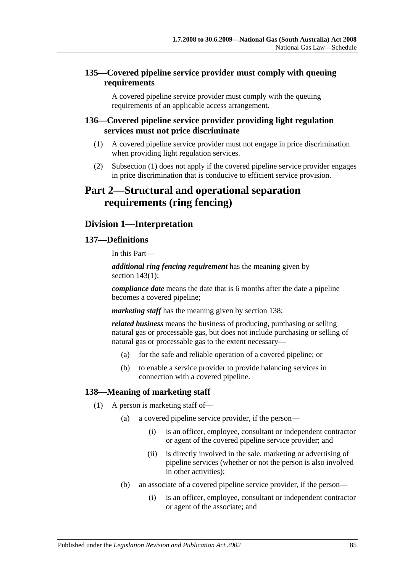# **135—Covered pipeline service provider must comply with queuing requirements**

A covered pipeline service provider must comply with the queuing requirements of an applicable access arrangement.

## <span id="page-84-0"></span>**136—Covered pipeline service provider providing light regulation services must not price discriminate**

- (1) A covered pipeline service provider must not engage in price discrimination when providing light regulation services.
- (2) [Subsection](#page-84-0) (1) does not apply if the covered pipeline service provider engages in price discrimination that is conducive to efficient service provision.

# **Part 2—Structural and operational separation requirements (ring fencing)**

# **Division 1—Interpretation**

# **137—Definitions**

In this Part—

*additional ring fencing requirement* has the meaning given by section [143\(1\);](#page-86-0)

*compliance date* means the date that is 6 months after the date a pipeline becomes a covered pipeline;

*marketing staff* has the meaning given by section 138;

*related business* means the business of producing, purchasing or selling natural gas or processable gas, but does not include purchasing or selling of natural gas or processable gas to the extent necessary—

- (a) for the safe and reliable operation of a covered pipeline; or
- (b) to enable a service provider to provide balancing services in connection with a covered pipeline.

# **138—Meaning of marketing staff**

- (1) A person is marketing staff of—
	- (a) a covered pipeline service provider, if the person—
		- (i) is an officer, employee, consultant or independent contractor or agent of the covered pipeline service provider; and
		- (ii) is directly involved in the sale, marketing or advertising of pipeline services (whether or not the person is also involved in other activities);
	- (b) an associate of a covered pipeline service provider, if the person—
		- (i) is an officer, employee, consultant or independent contractor or agent of the associate; and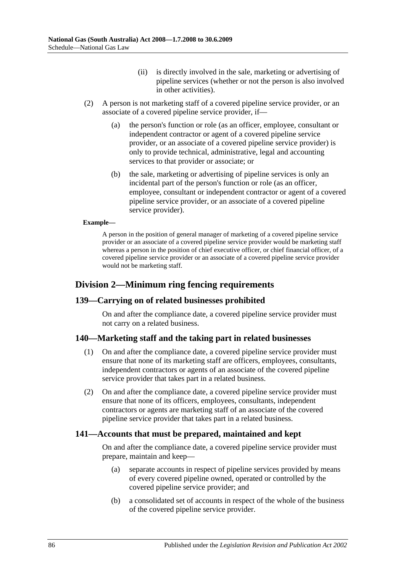- (ii) is directly involved in the sale, marketing or advertising of pipeline services (whether or not the person is also involved in other activities).
- (2) A person is not marketing staff of a covered pipeline service provider, or an associate of a covered pipeline service provider, if—
	- (a) the person's function or role (as an officer, employee, consultant or independent contractor or agent of a covered pipeline service provider, or an associate of a covered pipeline service provider) is only to provide technical, administrative, legal and accounting services to that provider or associate; or
	- (b) the sale, marketing or advertising of pipeline services is only an incidental part of the person's function or role (as an officer, employee, consultant or independent contractor or agent of a covered pipeline service provider, or an associate of a covered pipeline service provider).

#### **Example—**

A person in the position of general manager of marketing of a covered pipeline service provider or an associate of a covered pipeline service provider would be marketing staff whereas a person in the position of chief executive officer, or chief financial officer, of a covered pipeline service provider or an associate of a covered pipeline service provider would not be marketing staff.

# **Division 2—Minimum ring fencing requirements**

### **139—Carrying on of related businesses prohibited**

On and after the compliance date, a covered pipeline service provider must not carry on a related business.

### **140—Marketing staff and the taking part in related businesses**

- (1) On and after the compliance date, a covered pipeline service provider must ensure that none of its marketing staff are officers, employees, consultants, independent contractors or agents of an associate of the covered pipeline service provider that takes part in a related business.
- (2) On and after the compliance date, a covered pipeline service provider must ensure that none of its officers, employees, consultants, independent contractors or agents are marketing staff of an associate of the covered pipeline service provider that takes part in a related business.

### **141—Accounts that must be prepared, maintained and kept**

On and after the compliance date, a covered pipeline service provider must prepare, maintain and keep—

- (a) separate accounts in respect of pipeline services provided by means of every covered pipeline owned, operated or controlled by the covered pipeline service provider; and
- (b) a consolidated set of accounts in respect of the whole of the business of the covered pipeline service provider.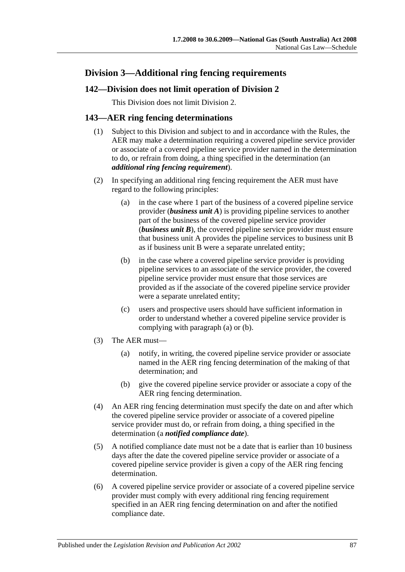# **Division 3—Additional ring fencing requirements**

# **142—Division does not limit operation of Division 2**

This Division does not limit Division 2.

# <span id="page-86-0"></span>**143—AER ring fencing determinations**

- (1) Subject to this Division and subject to and in accordance with the Rules, the AER may make a determination requiring a covered pipeline service provider or associate of a covered pipeline service provider named in the determination to do, or refrain from doing, a thing specified in the determination (an *additional ring fencing requirement*).
- <span id="page-86-2"></span><span id="page-86-1"></span>(2) In specifying an additional ring fencing requirement the AER must have regard to the following principles:
	- (a) in the case where 1 part of the business of a covered pipeline service provider (*business unit A*) is providing pipeline services to another part of the business of the covered pipeline service provider (*business unit B*), the covered pipeline service provider must ensure that business unit A provides the pipeline services to business unit B as if business unit B were a separate unrelated entity;
	- (b) in the case where a covered pipeline service provider is providing pipeline services to an associate of the service provider, the covered pipeline service provider must ensure that those services are provided as if the associate of the covered pipeline service provider were a separate unrelated entity;
	- (c) users and prospective users should have sufficient information in order to understand whether a covered pipeline service provider is complying with [paragraph](#page-86-1) (a) or [\(b\).](#page-86-2)
- (3) The AER must—
	- (a) notify, in writing, the covered pipeline service provider or associate named in the AER ring fencing determination of the making of that determination; and
	- (b) give the covered pipeline service provider or associate a copy of the AER ring fencing determination.
- (4) An AER ring fencing determination must specify the date on and after which the covered pipeline service provider or associate of a covered pipeline service provider must do, or refrain from doing, a thing specified in the determination (a *notified compliance date*).
- (5) A notified compliance date must not be a date that is earlier than 10 business days after the date the covered pipeline service provider or associate of a covered pipeline service provider is given a copy of the AER ring fencing determination.
- (6) A covered pipeline service provider or associate of a covered pipeline service provider must comply with every additional ring fencing requirement specified in an AER ring fencing determination on and after the notified compliance date.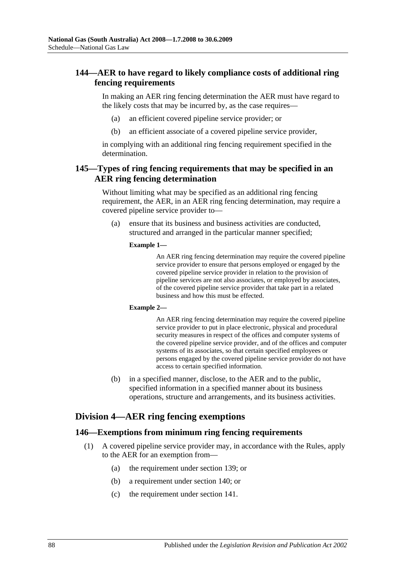# **144—AER to have regard to likely compliance costs of additional ring fencing requirements**

In making an AER ring fencing determination the AER must have regard to the likely costs that may be incurred by, as the case requires—

- (a) an efficient covered pipeline service provider; or
- (b) an efficient associate of a covered pipeline service provider,

in complying with an additional ring fencing requirement specified in the determination.

## **145—Types of ring fencing requirements that may be specified in an AER ring fencing determination**

Without limiting what may be specified as an additional ring fencing requirement, the AER, in an AER ring fencing determination, may require a covered pipeline service provider to—

(a) ensure that its business and business activities are conducted, structured and arranged in the particular manner specified;

#### **Example 1—**

An AER ring fencing determination may require the covered pipeline service provider to ensure that persons employed or engaged by the covered pipeline service provider in relation to the provision of pipeline services are not also associates, or employed by associates, of the covered pipeline service provider that take part in a related business and how this must be effected.

#### **Example 2—**

An AER ring fencing determination may require the covered pipeline service provider to put in place electronic, physical and procedural security measures in respect of the offices and computer systems of the covered pipeline service provider, and of the offices and computer systems of its associates, so that certain specified employees or persons engaged by the covered pipeline service provider do not have access to certain specified information.

(b) in a specified manner, disclose, to the AER and to the public, specified information in a specified manner about its business operations, structure and arrangements, and its business activities.

# **Division 4—AER ring fencing exemptions**

### <span id="page-87-0"></span>**146—Exemptions from minimum ring fencing requirements**

- (1) A covered pipeline service provider may, in accordance with the Rules, apply to the AER for an exemption from—
	- (a) the requirement under section 139; or
	- (b) a requirement under section 140; or
	- (c) the requirement under section 141.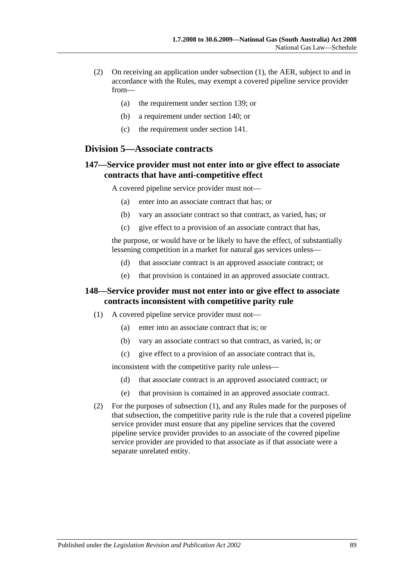- (2) On receiving an application under [subsection](#page-87-0) (1), the AER, subject to and in accordance with the Rules, may exempt a covered pipeline service provider from—
	- (a) the requirement under section 139; or
	- (b) a requirement under section 140; or
	- (c) the requirement under section 141.

### **Division 5—Associate contracts**

## **147—Service provider must not enter into or give effect to associate contracts that have anti-competitive effect**

A covered pipeline service provider must not—

- (a) enter into an associate contract that has; or
- (b) vary an associate contract so that contract, as varied, has; or
- (c) give effect to a provision of an associate contract that has,

the purpose, or would have or be likely to have the effect, of substantially lessening competition in a market for natural gas services unless—

- (d) that associate contract is an approved associate contract; or
- (e) that provision is contained in an approved associate contract.

### <span id="page-88-0"></span>**148—Service provider must not enter into or give effect to associate contracts inconsistent with competitive parity rule**

- (1) A covered pipeline service provider must not—
	- (a) enter into an associate contract that is; or
	- (b) vary an associate contract so that contract, as varied, is; or
	- (c) give effect to a provision of an associate contract that is,

inconsistent with the competitive parity rule unless—

- (d) that associate contract is an approved associated contract; or
- (e) that provision is contained in an approved associate contract.
- (2) For the purposes of [subsection](#page-88-0) (1), and any Rules made for the purposes of that subsection, the competitive parity rule is the rule that a covered pipeline service provider must ensure that any pipeline services that the covered pipeline service provider provides to an associate of the covered pipeline service provider are provided to that associate as if that associate were a separate unrelated entity.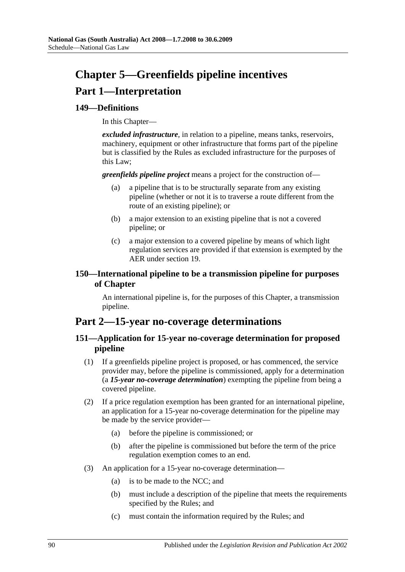# **Chapter 5—Greenfields pipeline incentives Part 1—Interpretation**

# **149—Definitions**

In this Chapter—

*excluded infrastructure*, in relation to a pipeline, means tanks, reservoirs, machinery, equipment or other infrastructure that forms part of the pipeline but is classified by the Rules as excluded infrastructure for the purposes of this Law;

*greenfields pipeline project* means a project for the construction of—

- (a) a pipeline that is to be structurally separate from any existing pipeline (whether or not it is to traverse a route different from the route of an existing pipeline); or
- (b) a major extension to an existing pipeline that is not a covered pipeline; or
- (c) a major extension to a covered pipeline by means of which light regulation services are provided if that extension is exempted by the AER under section 19.

# **150—International pipeline to be a transmission pipeline for purposes of Chapter**

An international pipeline is, for the purposes of this Chapter, a transmission pipeline.

# **Part 2—15-year no-coverage determinations**

# **151—Application for 15-year no-coverage determination for proposed pipeline**

- (1) If a greenfields pipeline project is proposed, or has commenced, the service provider may, before the pipeline is commissioned, apply for a determination (a *15-year no-coverage determination*) exempting the pipeline from being a covered pipeline.
- (2) If a price regulation exemption has been granted for an international pipeline, an application for a 15-year no-coverage determination for the pipeline may be made by the service provider—
	- (a) before the pipeline is commissioned; or
	- (b) after the pipeline is commissioned but before the term of the price regulation exemption comes to an end.
- (3) An application for a 15-year no-coverage determination—
	- (a) is to be made to the NCC; and
	- (b) must include a description of the pipeline that meets the requirements specified by the Rules; and
	- (c) must contain the information required by the Rules; and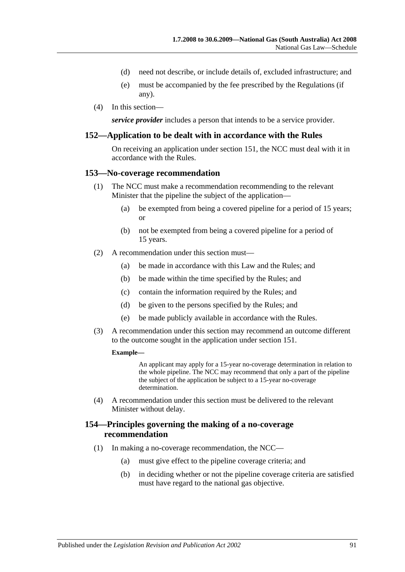- (d) need not describe, or include details of, excluded infrastructure; and
- (e) must be accompanied by the fee prescribed by the Regulations (if any).
- (4) In this section—

*service provider* includes a person that intends to be a service provider.

### **152—Application to be dealt with in accordance with the Rules**

On receiving an application under section 151, the NCC must deal with it in accordance with the Rules.

#### **153—No-coverage recommendation**

- (1) The NCC must make a recommendation recommending to the relevant Minister that the pipeline the subject of the application—
	- (a) be exempted from being a covered pipeline for a period of 15 years; or
	- (b) not be exempted from being a covered pipeline for a period of 15 years.
- (2) A recommendation under this section must—
	- (a) be made in accordance with this Law and the Rules; and
	- (b) be made within the time specified by the Rules; and
	- (c) contain the information required by the Rules; and
	- (d) be given to the persons specified by the Rules; and
	- (e) be made publicly available in accordance with the Rules.
- (3) A recommendation under this section may recommend an outcome different to the outcome sought in the application under section 151.

#### **Example—**

An applicant may apply for a 15-year no-coverage determination in relation to the whole pipeline. The NCC may recommend that only a part of the pipeline the subject of the application be subject to a 15-year no-coverage determination.

(4) A recommendation under this section must be delivered to the relevant Minister without delay.

### **154—Principles governing the making of a no-coverage recommendation**

- (1) In making a no-coverage recommendation, the NCC—
	- (a) must give effect to the pipeline coverage criteria; and
	- (b) in deciding whether or not the pipeline coverage criteria are satisfied must have regard to the national gas objective.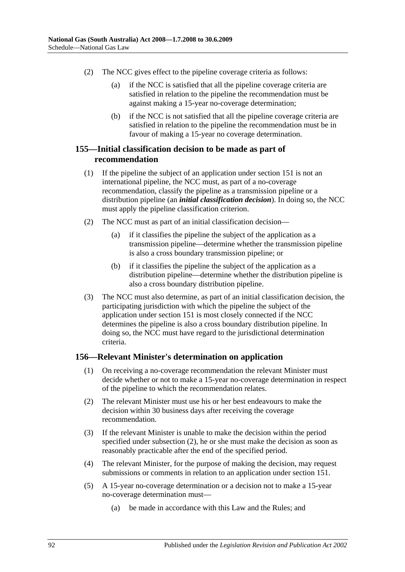- (2) The NCC gives effect to the pipeline coverage criteria as follows:
	- (a) if the NCC is satisfied that all the pipeline coverage criteria are satisfied in relation to the pipeline the recommendation must be against making a 15-year no-coverage determination;
	- (b) if the NCC is not satisfied that all the pipeline coverage criteria are satisfied in relation to the pipeline the recommendation must be in favour of making a 15-year no coverage determination.

# **155—Initial classification decision to be made as part of recommendation**

- (1) If the pipeline the subject of an application under section 151 is not an international pipeline, the NCC must, as part of a no-coverage recommendation, classify the pipeline as a transmission pipeline or a distribution pipeline (an *initial classification decision*). In doing so, the NCC must apply the pipeline classification criterion.
- (2) The NCC must as part of an initial classification decision—
	- (a) if it classifies the pipeline the subject of the application as a transmission pipeline—determine whether the transmission pipeline is also a cross boundary transmission pipeline; or
	- (b) if it classifies the pipeline the subject of the application as a distribution pipeline—determine whether the distribution pipeline is also a cross boundary distribution pipeline.
- (3) The NCC must also determine, as part of an initial classification decision, the participating jurisdiction with which the pipeline the subject of the application under section 151 is most closely connected if the NCC determines the pipeline is also a cross boundary distribution pipeline. In doing so, the NCC must have regard to the jurisdictional determination criteria.

### **156—Relevant Minister's determination on application**

- (1) On receiving a no-coverage recommendation the relevant Minister must decide whether or not to make a 15-year no-coverage determination in respect of the pipeline to which the recommendation relates.
- <span id="page-91-0"></span>(2) The relevant Minister must use his or her best endeavours to make the decision within 30 business days after receiving the coverage recommendation.
- (3) If the relevant Minister is unable to make the decision within the period specified under [subsection](#page-91-0) (2), he or she must make the decision as soon as reasonably practicable after the end of the specified period.
- <span id="page-91-1"></span>(4) The relevant Minister, for the purpose of making the decision, may request submissions or comments in relation to an application under section 151.
- (5) A 15-year no-coverage determination or a decision not to make a 15-year no-coverage determination must—
	- (a) be made in accordance with this Law and the Rules; and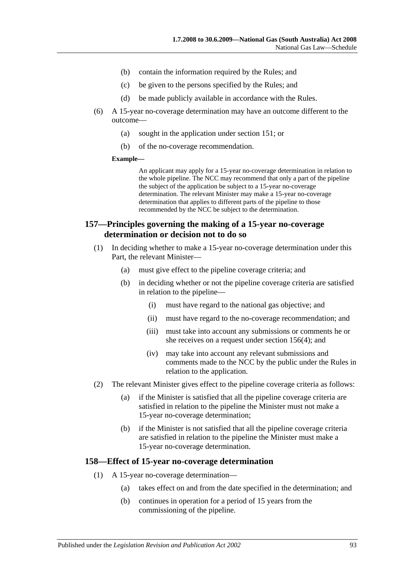- (b) contain the information required by the Rules; and
- (c) be given to the persons specified by the Rules; and
- (d) be made publicly available in accordance with the Rules.
- (6) A 15-year no-coverage determination may have an outcome different to the outcome—
	- (a) sought in the application under section 151; or
	- (b) of the no-coverage recommendation.

#### **Example—**

An applicant may apply for a 15-year no-coverage determination in relation to the whole pipeline. The NCC may recommend that only a part of the pipeline the subject of the application be subject to a 15-year no-coverage determination. The relevant Minister may make a 15-year no-coverage determination that applies to different parts of the pipeline to those recommended by the NCC be subject to the determination.

## **157—Principles governing the making of a 15-year no-coverage determination or decision not to do so**

- (1) In deciding whether to make a 15-year no-coverage determination under this Part, the relevant Minister—
	- (a) must give effect to the pipeline coverage criteria; and
	- (b) in deciding whether or not the pipeline coverage criteria are satisfied in relation to the pipeline—
		- (i) must have regard to the national gas objective; and
		- (ii) must have regard to the no-coverage recommendation; and
		- (iii) must take into account any submissions or comments he or she receives on a request under [section](#page-91-1) 156(4); and
		- (iv) may take into account any relevant submissions and comments made to the NCC by the public under the Rules in relation to the application.
- (2) The relevant Minister gives effect to the pipeline coverage criteria as follows:
	- (a) if the Minister is satisfied that all the pipeline coverage criteria are satisfied in relation to the pipeline the Minister must not make a 15-year no-coverage determination;
	- (b) if the Minister is not satisfied that all the pipeline coverage criteria are satisfied in relation to the pipeline the Minister must make a 15-year no-coverage determination.

#### **158—Effect of 15-year no-coverage determination**

- (1) A 15-year no-coverage determination—
	- (a) takes effect on and from the date specified in the determination; and
	- (b) continues in operation for a period of 15 years from the commissioning of the pipeline.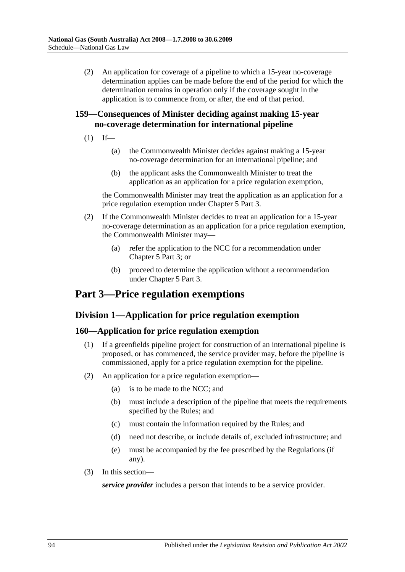(2) An application for coverage of a pipeline to which a 15-year no-coverage determination applies can be made before the end of the period for which the determination remains in operation only if the coverage sought in the application is to commence from, or after, the end of that period.

# **159—Consequences of Minister deciding against making 15-year no-coverage determination for international pipeline**

- $(1)$  If—
	- (a) the Commonwealth Minister decides against making a 15-year no-coverage determination for an international pipeline; and
	- (b) the applicant asks the Commonwealth Minister to treat the application as an application for a price regulation exemption,

the Commonwealth Minister may treat the application as an application for a price regulation exemption under Chapter 5 Part 3.

- (2) If the Commonwealth Minister decides to treat an application for a 15-year no-coverage determination as an application for a price regulation exemption, the Commonwealth Minister may—
	- (a) refer the application to the NCC for a recommendation under Chapter 5 Part 3; or
	- (b) proceed to determine the application without a recommendation under Chapter 5 Part 3.

# **Part 3—Price regulation exemptions**

# **Division 1—Application for price regulation exemption**

### **160—Application for price regulation exemption**

- (1) If a greenfields pipeline project for construction of an international pipeline is proposed, or has commenced, the service provider may, before the pipeline is commissioned, apply for a price regulation exemption for the pipeline.
- (2) An application for a price regulation exemption—
	- (a) is to be made to the NCC; and
	- (b) must include a description of the pipeline that meets the requirements specified by the Rules; and
	- (c) must contain the information required by the Rules; and
	- (d) need not describe, or include details of, excluded infrastructure; and
	- (e) must be accompanied by the fee prescribed by the Regulations (if any).
- (3) In this section—

*service provider* includes a person that intends to be a service provider.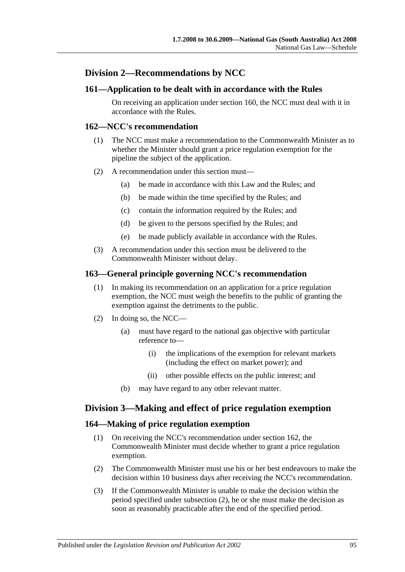# **Division 2—Recommendations by NCC**

### **161—Application to be dealt with in accordance with the Rules**

On receiving an application under section 160, the NCC must deal with it in accordance with the Rules.

### **162—NCC's recommendation**

- (1) The NCC must make a recommendation to the Commonwealth Minister as to whether the Minister should grant a price regulation exemption for the pipeline the subject of the application.
- (2) A recommendation under this section must—
	- (a) be made in accordance with this Law and the Rules; and
	- (b) be made within the time specified by the Rules; and
	- (c) contain the information required by the Rules; and
	- (d) be given to the persons specified by the Rules; and
	- (e) be made publicly available in accordance with the Rules.
- (3) A recommendation under this section must be delivered to the Commonwealth Minister without delay.

### **163—General principle governing NCC's recommendation**

- (1) In making its recommendation on an application for a price regulation exemption, the NCC must weigh the benefits to the public of granting the exemption against the detriments to the public.
- (2) In doing so, the NCC—
	- (a) must have regard to the national gas objective with particular reference to—
		- (i) the implications of the exemption for relevant markets (including the effect on market power); and
		- (ii) other possible effects on the public interest; and
	- (b) may have regard to any other relevant matter.

### **Division 3—Making and effect of price regulation exemption**

### **164—Making of price regulation exemption**

- (1) On receiving the NCC's recommendation under section 162, the Commonwealth Minister must decide whether to grant a price regulation exemption.
- <span id="page-94-0"></span>(2) The Commonwealth Minister must use his or her best endeavours to make the decision within 10 business days after receiving the NCC's recommendation.
- (3) If the Commonwealth Minister is unable to make the decision within the period specified under [subsection](#page-94-0) (2), he or she must make the decision as soon as reasonably practicable after the end of the specified period.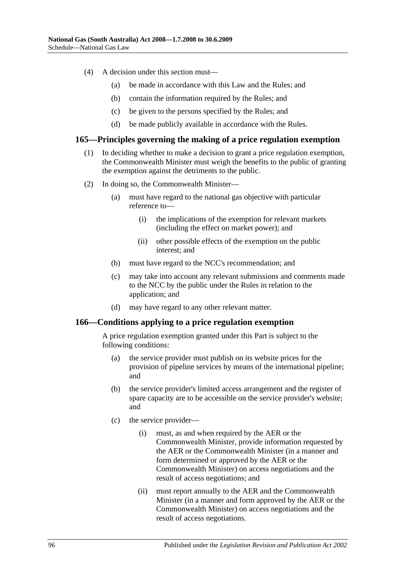- (4) A decision under this section must—
	- (a) be made in accordance with this Law and the Rules; and
	- (b) contain the information required by the Rules; and
	- (c) be given to the persons specified by the Rules; and
	- (d) be made publicly available in accordance with the Rules.

### **165—Principles governing the making of a price regulation exemption**

- (1) In deciding whether to make a decision to grant a price regulation exemption, the Commonwealth Minister must weigh the benefits to the public of granting the exemption against the detriments to the public.
- (2) In doing so, the Commonwealth Minister—
	- (a) must have regard to the national gas objective with particular reference to—
		- (i) the implications of the exemption for relevant markets (including the effect on market power); and
		- (ii) other possible effects of the exemption on the public interest; and
	- (b) must have regard to the NCC's recommendation; and
	- (c) may take into account any relevant submissions and comments made to the NCC by the public under the Rules in relation to the application; and
	- (d) may have regard to any other relevant matter.

### **166—Conditions applying to a price regulation exemption**

A price regulation exemption granted under this Part is subject to the following conditions:

- (a) the service provider must publish on its website prices for the provision of pipeline services by means of the international pipeline; and
- (b) the service provider's limited access arrangement and the register of spare capacity are to be accessible on the service provider's website; and
- (c) the service provider—
	- (i) must, as and when required by the AER or the Commonwealth Minister, provide information requested by the AER or the Commonwealth Minister (in a manner and form determined or approved by the AER or the Commonwealth Minister) on access negotiations and the result of access negotiations; and
	- (ii) must report annually to the AER and the Commonwealth Minister (in a manner and form approved by the AER or the Commonwealth Minister) on access negotiations and the result of access negotiations.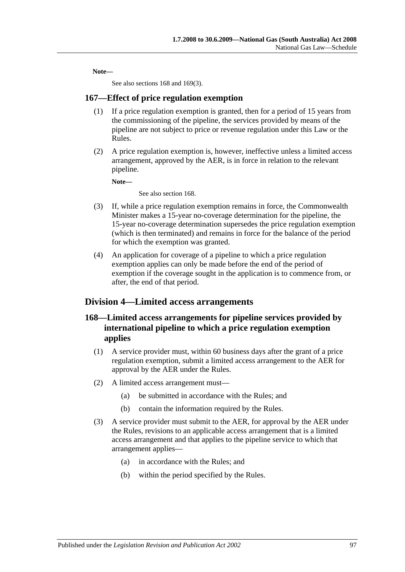**Note—**

See also sections 168 and [169\(3\).](#page-97-0)

### **167—Effect of price regulation exemption**

- (1) If a price regulation exemption is granted, then for a period of 15 years from the commissioning of the pipeline, the services provided by means of the pipeline are not subject to price or revenue regulation under this Law or the Rules.
- (2) A price regulation exemption is, however, ineffective unless a limited access arrangement, approved by the AER, is in force in relation to the relevant pipeline.

**Note—**

See also section 168.

- (3) If, while a price regulation exemption remains in force, the Commonwealth Minister makes a 15-year no-coverage determination for the pipeline, the 15-year no-coverage determination supersedes the price regulation exemption (which is then terminated) and remains in force for the balance of the period for which the exemption was granted.
- (4) An application for coverage of a pipeline to which a price regulation exemption applies can only be made before the end of the period of exemption if the coverage sought in the application is to commence from, or after, the end of that period.

### **Division 4—Limited access arrangements**

# **168—Limited access arrangements for pipeline services provided by international pipeline to which a price regulation exemption applies**

- (1) A service provider must, within 60 business days after the grant of a price regulation exemption, submit a limited access arrangement to the AER for approval by the AER under the Rules.
- (2) A limited access arrangement must—
	- (a) be submitted in accordance with the Rules; and
	- (b) contain the information required by the Rules.
- (3) A service provider must submit to the AER, for approval by the AER under the Rules, revisions to an applicable access arrangement that is a limited access arrangement and that applies to the pipeline service to which that arrangement applies—
	- (a) in accordance with the Rules; and
	- (b) within the period specified by the Rules.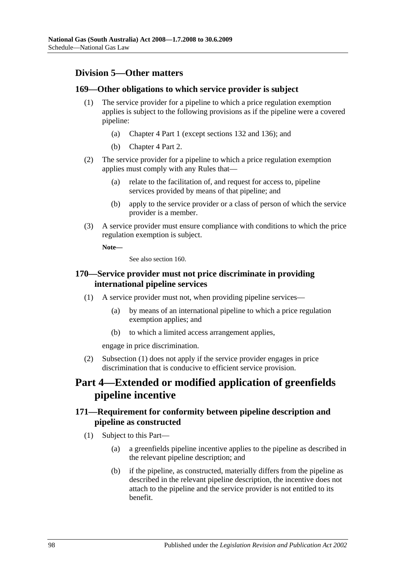# **Division 5—Other matters**

## **169—Other obligations to which service provider is subject**

- (1) The service provider for a pipeline to which a price regulation exemption applies is subject to the following provisions as if the pipeline were a covered pipeline:
	- (a) Chapter 4 Part 1 (except sections 132 and 136); and
	- (b) Chapter 4 Part 2.
- (2) The service provider for a pipeline to which a price regulation exemption applies must comply with any Rules that—
	- (a) relate to the facilitation of, and request for access to, pipeline services provided by means of that pipeline; and
	- (b) apply to the service provider or a class of person of which the service provider is a member.
- <span id="page-97-0"></span>(3) A service provider must ensure compliance with conditions to which the price regulation exemption is subject.

**Note—**

See also section 160.

## <span id="page-97-1"></span>**170—Service provider must not price discriminate in providing international pipeline services**

- (1) A service provider must not, when providing pipeline services—
	- (a) by means of an international pipeline to which a price regulation exemption applies; and
	- (b) to which a limited access arrangement applies,

engage in price discrimination.

(2) [Subsection](#page-97-1) (1) does not apply if the service provider engages in price discrimination that is conducive to efficient service provision.

# **Part 4—Extended or modified application of greenfields pipeline incentive**

# **171—Requirement for conformity between pipeline description and pipeline as constructed**

- (1) Subject to this Part—
	- (a) a greenfields pipeline incentive applies to the pipeline as described in the relevant pipeline description; and
	- (b) if the pipeline, as constructed, materially differs from the pipeline as described in the relevant pipeline description, the incentive does not attach to the pipeline and the service provider is not entitled to its benefit.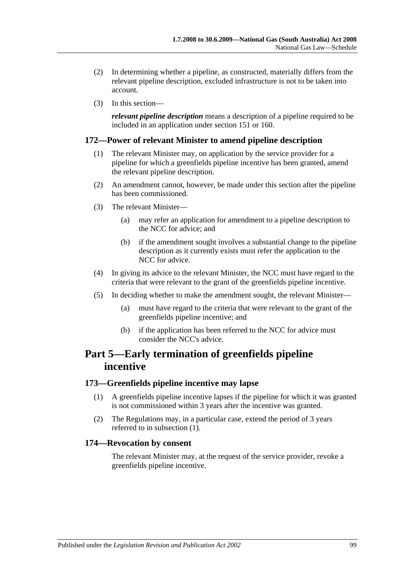- (2) In determining whether a pipeline, as constructed, materially differs from the relevant pipeline description, excluded infrastructure is not to be taken into account.
- (3) In this section—

*relevant pipeline description* means a description of a pipeline required to be included in an application under section 151 or 160.

### **172—Power of relevant Minister to amend pipeline description**

- (1) The relevant Minister may, on application by the service provider for a pipeline for which a greenfields pipeline incentive has been granted, amend the relevant pipeline description.
- (2) An amendment cannot, however, be made under this section after the pipeline has been commissioned.
- (3) The relevant Minister—
	- (a) may refer an application for amendment to a pipeline description to the NCC for advice; and
	- (b) if the amendment sought involves a substantial change to the pipeline description as it currently exists must refer the application to the NCC for advice.
- (4) In giving its advice to the relevant Minister, the NCC must have regard to the criteria that were relevant to the grant of the greenfields pipeline incentive.
- (5) In deciding whether to make the amendment sought, the relevant Minister—
	- (a) must have regard to the criteria that were relevant to the grant of the greenfields pipeline incentive; and
	- (b) if the application has been referred to the NCC for advice must consider the NCC's advice.

# **Part 5—Early termination of greenfields pipeline incentive**

### <span id="page-98-0"></span>**173—Greenfields pipeline incentive may lapse**

- (1) A greenfields pipeline incentive lapses if the pipeline for which it was granted is not commissioned within 3 years after the incentive was granted.
- (2) The Regulations may, in a particular case, extend the period of 3 years referred to in [subsection](#page-98-0) (1).

### **174—Revocation by consent**

The relevant Minister may, at the request of the service provider, revoke a greenfields pipeline incentive.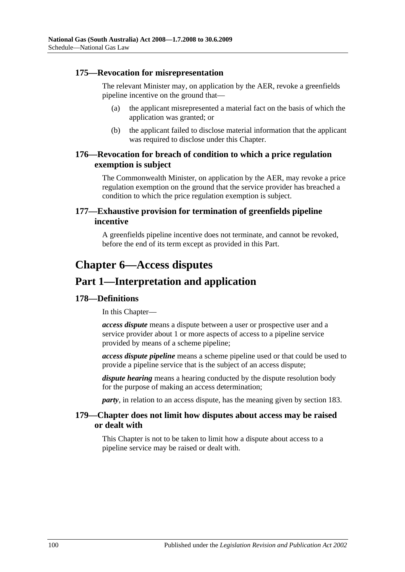### **175—Revocation for misrepresentation**

The relevant Minister may, on application by the AER, revoke a greenfields pipeline incentive on the ground that—

- (a) the applicant misrepresented a material fact on the basis of which the application was granted; or
- (b) the applicant failed to disclose material information that the applicant was required to disclose under this Chapter.

# **176—Revocation for breach of condition to which a price regulation exemption is subject**

The Commonwealth Minister, on application by the AER, may revoke a price regulation exemption on the ground that the service provider has breached a condition to which the price regulation exemption is subject.

# **177—Exhaustive provision for termination of greenfields pipeline incentive**

A greenfields pipeline incentive does not terminate, and cannot be revoked, before the end of its term except as provided in this Part.

# **Chapter 6—Access disputes**

# **Part 1—Interpretation and application**

# **178—Definitions**

In this Chapter—

*access dispute* means a dispute between a user or prospective user and a service provider about 1 or more aspects of access to a pipeline service provided by means of a scheme pipeline;

*access dispute pipeline* means a scheme pipeline used or that could be used to provide a pipeline service that is the subject of an access dispute;

*dispute hearing* means a hearing conducted by the dispute resolution body for the purpose of making an access determination;

*party*, in relation to an access dispute, has the meaning given by section 183.

### **179—Chapter does not limit how disputes about access may be raised or dealt with**

This Chapter is not to be taken to limit how a dispute about access to a pipeline service may be raised or dealt with.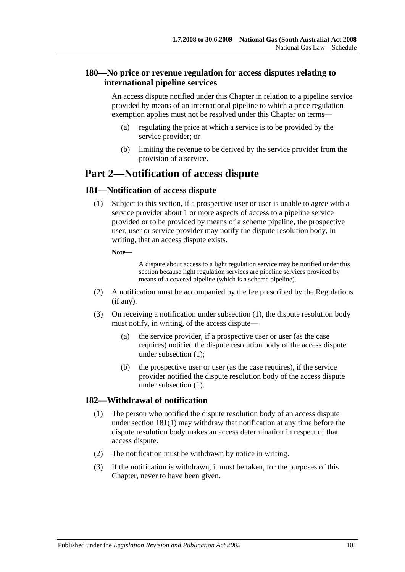# **180—No price or revenue regulation for access disputes relating to international pipeline services**

An access dispute notified under this Chapter in relation to a pipeline service provided by means of an international pipeline to which a price regulation exemption applies must not be resolved under this Chapter on terms—

- (a) regulating the price at which a service is to be provided by the service provider; or
- (b) limiting the revenue to be derived by the service provider from the provision of a service.

# **Part 2—Notification of access dispute**

# <span id="page-100-0"></span>**181—Notification of access dispute**

(1) Subject to this section, if a prospective user or user is unable to agree with a service provider about 1 or more aspects of access to a pipeline service provided or to be provided by means of a scheme pipeline, the prospective user, user or service provider may notify the dispute resolution body, in writing, that an access dispute exists.

### **Note—**

A dispute about access to a light regulation service may be notified under this section because light regulation services are pipeline services provided by means of a covered pipeline (which is a scheme pipeline).

- (2) A notification must be accompanied by the fee prescribed by the Regulations (if any).
- <span id="page-100-1"></span>(3) On receiving a notification under [subsection](#page-100-0) (1), the dispute resolution body must notify, in writing, of the access dispute—
	- (a) the service provider, if a prospective user or user (as the case requires) notified the dispute resolution body of the access dispute under [subsection](#page-100-0) (1);
	- (b) the prospective user or user (as the case requires), if the service provider notified the dispute resolution body of the access dispute under [subsection](#page-100-0) (1).

# **182—Withdrawal of notification**

- (1) The person who notified the dispute resolution body of an access dispute under [section](#page-100-0) 181(1) may withdraw that notification at any time before the dispute resolution body makes an access determination in respect of that access dispute.
- (2) The notification must be withdrawn by notice in writing.
- (3) If the notification is withdrawn, it must be taken, for the purposes of this Chapter, never to have been given.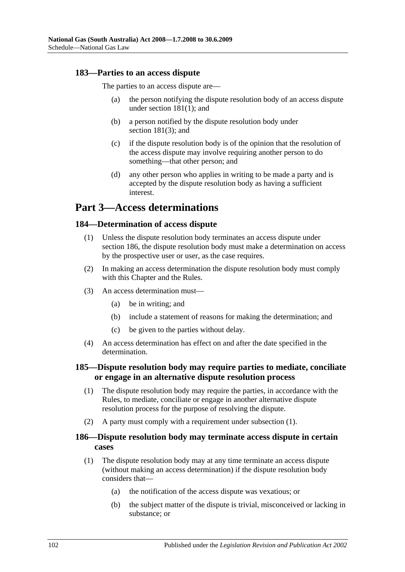### **183—Parties to an access dispute**

The parties to an access dispute are—

- (a) the person notifying the dispute resolution body of an access dispute under [section](#page-100-0) 181(1); and
- (b) a person notified by the dispute resolution body under [section](#page-100-1) 181(3); and
- (c) if the dispute resolution body is of the opinion that the resolution of the access dispute may involve requiring another person to do something—that other person; and
- (d) any other person who applies in writing to be made a party and is accepted by the dispute resolution body as having a sufficient interest.

# **Part 3—Access determinations**

### **184—Determination of access dispute**

- (1) Unless the dispute resolution body terminates an access dispute under section 186, the dispute resolution body must make a determination on access by the prospective user or user, as the case requires.
- (2) In making an access determination the dispute resolution body must comply with this Chapter and the Rules.
- (3) An access determination must—
	- (a) be in writing; and
	- (b) include a statement of reasons for making the determination; and
	- (c) be given to the parties without delay.
- (4) An access determination has effect on and after the date specified in the determination.

### <span id="page-101-0"></span>**185—Dispute resolution body may require parties to mediate, conciliate or engage in an alternative dispute resolution process**

- (1) The dispute resolution body may require the parties, in accordance with the Rules, to mediate, conciliate or engage in another alternative dispute resolution process for the purpose of resolving the dispute.
- (2) A party must comply with a requirement under [subsection](#page-101-0) (1).

### **186—Dispute resolution body may terminate access dispute in certain cases**

- (1) The dispute resolution body may at any time terminate an access dispute (without making an access determination) if the dispute resolution body considers that—
	- (a) the notification of the access dispute was vexatious; or
	- (b) the subject matter of the dispute is trivial, misconceived or lacking in substance; or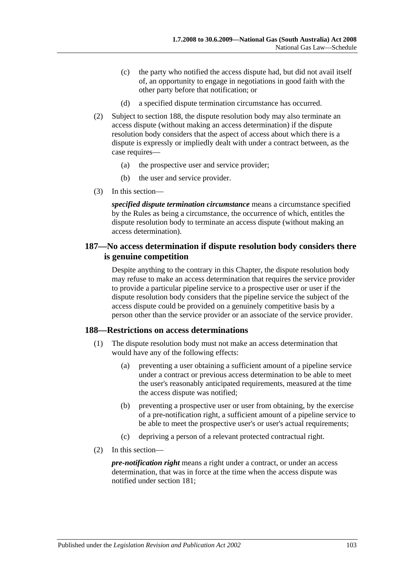- (c) the party who notified the access dispute had, but did not avail itself of, an opportunity to engage in negotiations in good faith with the other party before that notification; or
- (d) a specified dispute termination circumstance has occurred.
- (2) Subject to section 188, the dispute resolution body may also terminate an access dispute (without making an access determination) if the dispute resolution body considers that the aspect of access about which there is a dispute is expressly or impliedly dealt with under a contract between, as the case requires—
	- (a) the prospective user and service provider;
	- (b) the user and service provider.
- (3) In this section—

*specified dispute termination circumstance* means a circumstance specified by the Rules as being a circumstance, the occurrence of which, entitles the dispute resolution body to terminate an access dispute (without making an access determination).

## **187—No access determination if dispute resolution body considers there is genuine competition**

Despite anything to the contrary in this Chapter, the dispute resolution body may refuse to make an access determination that requires the service provider to provide a particular pipeline service to a prospective user or user if the dispute resolution body considers that the pipeline service the subject of the access dispute could be provided on a genuinely competitive basis by a person other than the service provider or an associate of the service provider.

### **188—Restrictions on access determinations**

- (1) The dispute resolution body must not make an access determination that would have any of the following effects:
	- (a) preventing a user obtaining a sufficient amount of a pipeline service under a contract or previous access determination to be able to meet the user's reasonably anticipated requirements, measured at the time the access dispute was notified;
	- (b) preventing a prospective user or user from obtaining, by the exercise of a pre-notification right, a sufficient amount of a pipeline service to be able to meet the prospective user's or user's actual requirements;
	- (c) depriving a person of a relevant protected contractual right.
- (2) In this section—

*pre-notification right* means a right under a contract, or under an access determination, that was in force at the time when the access dispute was notified under section 181;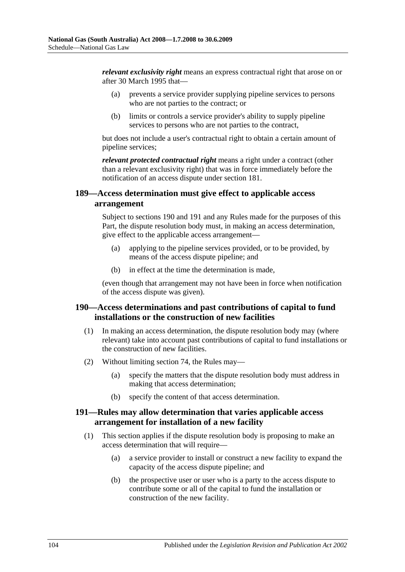*relevant exclusivity right* means an express contractual right that arose on or after 30 March 1995 that—

- (a) prevents a service provider supplying pipeline services to persons who are not parties to the contract; or
- (b) limits or controls a service provider's ability to supply pipeline services to persons who are not parties to the contract,

but does not include a user's contractual right to obtain a certain amount of pipeline services;

*relevant protected contractual right* means a right under a contract (other than a relevant exclusivity right) that was in force immediately before the notification of an access dispute under section 181.

### **189—Access determination must give effect to applicable access arrangement**

Subject to sections 190 and 191 and any Rules made for the purposes of this Part, the dispute resolution body must, in making an access determination, give effect to the applicable access arrangement—

- (a) applying to the pipeline services provided, or to be provided, by means of the access dispute pipeline; and
- (b) in effect at the time the determination is made,

(even though that arrangement may not have been in force when notification of the access dispute was given).

# **190—Access determinations and past contributions of capital to fund installations or the construction of new facilities**

- (1) In making an access determination, the dispute resolution body may (where relevant) take into account past contributions of capital to fund installations or the construction of new facilities.
- (2) Without limiting section 74, the Rules may—
	- (a) specify the matters that the dispute resolution body must address in making that access determination;
	- (b) specify the content of that access determination.

### **191—Rules may allow determination that varies applicable access arrangement for installation of a new facility**

- (1) This section applies if the dispute resolution body is proposing to make an access determination that will require—
	- (a) a service provider to install or construct a new facility to expand the capacity of the access dispute pipeline; and
	- (b) the prospective user or user who is a party to the access dispute to contribute some or all of the capital to fund the installation or construction of the new facility.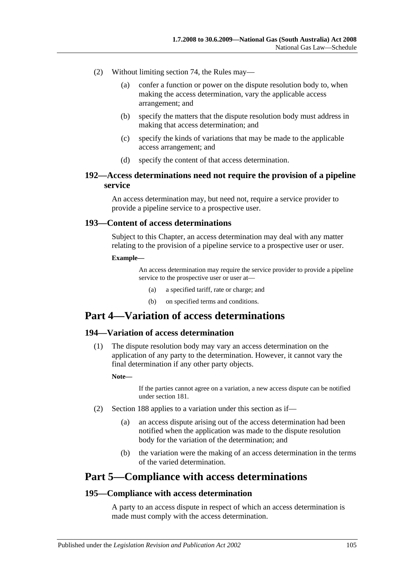- (2) Without limiting section 74, the Rules may—
	- (a) confer a function or power on the dispute resolution body to, when making the access determination, vary the applicable access arrangement; and
	- (b) specify the matters that the dispute resolution body must address in making that access determination; and
	- (c) specify the kinds of variations that may be made to the applicable access arrangement; and
	- (d) specify the content of that access determination.

### **192—Access determinations need not require the provision of a pipeline service**

An access determination may, but need not, require a service provider to provide a pipeline service to a prospective user.

### **193—Content of access determinations**

Subject to this Chapter, an access determination may deal with any matter relating to the provision of a pipeline service to a prospective user or user.

#### **Example—**

An access determination may require the service provider to provide a pipeline service to the prospective user or user at—

- (a) a specified tariff, rate or charge; and
- (b) on specified terms and conditions.

# **Part 4—Variation of access determinations**

### **194—Variation of access determination**

(1) The dispute resolution body may vary an access determination on the application of any party to the determination. However, it cannot vary the final determination if any other party objects.

#### **Note—**

If the parties cannot agree on a variation, a new access dispute can be notified under section 181.

- (2) Section 188 applies to a variation under this section as if—
	- (a) an access dispute arising out of the access determination had been notified when the application was made to the dispute resolution body for the variation of the determination; and
	- (b) the variation were the making of an access determination in the terms of the varied determination.

# **Part 5—Compliance with access determinations**

### **195—Compliance with access determination**

A party to an access dispute in respect of which an access determination is made must comply with the access determination.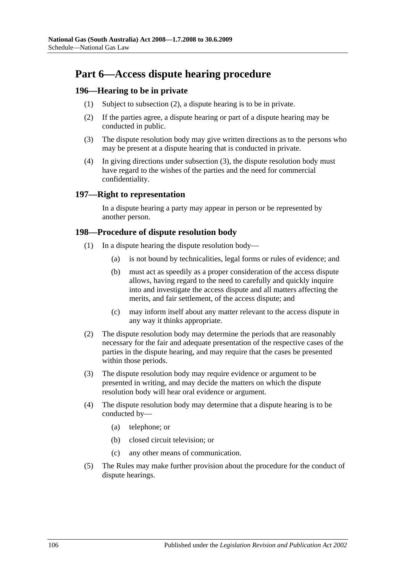# **Part 6—Access dispute hearing procedure**

# <span id="page-105-0"></span>**196—Hearing to be in private**

- (1) Subject to [subsection](#page-105-0) (2), a dispute hearing is to be in private.
- (2) If the parties agree, a dispute hearing or part of a dispute hearing may be conducted in public.
- <span id="page-105-1"></span>(3) The dispute resolution body may give written directions as to the persons who may be present at a dispute hearing that is conducted in private.
- (4) In giving directions under [subsection](#page-105-1) (3), the dispute resolution body must have regard to the wishes of the parties and the need for commercial confidentiality.

### **197—Right to representation**

In a dispute hearing a party may appear in person or be represented by another person.

### **198—Procedure of dispute resolution body**

- (1) In a dispute hearing the dispute resolution body—
	- (a) is not bound by technicalities, legal forms or rules of evidence; and
	- (b) must act as speedily as a proper consideration of the access dispute allows, having regard to the need to carefully and quickly inquire into and investigate the access dispute and all matters affecting the merits, and fair settlement, of the access dispute; and
	- (c) may inform itself about any matter relevant to the access dispute in any way it thinks appropriate.
- (2) The dispute resolution body may determine the periods that are reasonably necessary for the fair and adequate presentation of the respective cases of the parties in the dispute hearing, and may require that the cases be presented within those periods.
- (3) The dispute resolution body may require evidence or argument to be presented in writing, and may decide the matters on which the dispute resolution body will hear oral evidence or argument.
- (4) The dispute resolution body may determine that a dispute hearing is to be conducted by—
	- (a) telephone; or
	- (b) closed circuit television; or
	- (c) any other means of communication.
- (5) The Rules may make further provision about the procedure for the conduct of dispute hearings.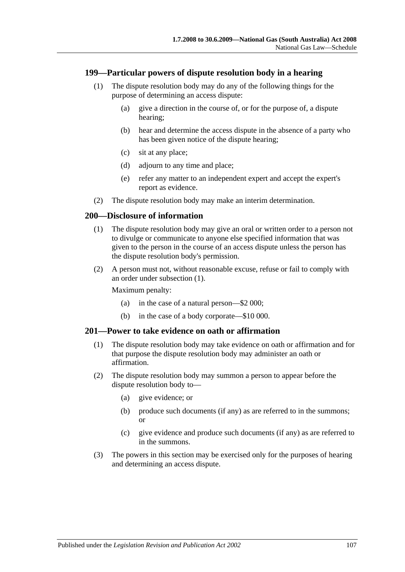### **199—Particular powers of dispute resolution body in a hearing**

- (1) The dispute resolution body may do any of the following things for the purpose of determining an access dispute:
	- (a) give a direction in the course of, or for the purpose of, a dispute hearing;
	- (b) hear and determine the access dispute in the absence of a party who has been given notice of the dispute hearing;
	- (c) sit at any place;
	- (d) adjourn to any time and place;
	- (e) refer any matter to an independent expert and accept the expert's report as evidence.
- (2) The dispute resolution body may make an interim determination.

### <span id="page-106-0"></span>**200—Disclosure of information**

- (1) The dispute resolution body may give an oral or written order to a person not to divulge or communicate to anyone else specified information that was given to the person in the course of an access dispute unless the person has the dispute resolution body's permission.
- (2) A person must not, without reasonable excuse, refuse or fail to comply with an order under [subsection](#page-106-0) (1).

Maximum penalty:

- (a) in the case of a natural person—\$2 000;
- (b) in the case of a body corporate—\$10 000.

### **201—Power to take evidence on oath or affirmation**

- (1) The dispute resolution body may take evidence on oath or affirmation and for that purpose the dispute resolution body may administer an oath or affirmation.
- (2) The dispute resolution body may summon a person to appear before the dispute resolution body to—
	- (a) give evidence; or
	- (b) produce such documents (if any) as are referred to in the summons; or
	- (c) give evidence and produce such documents (if any) as are referred to in the summons.
- (3) The powers in this section may be exercised only for the purposes of hearing and determining an access dispute.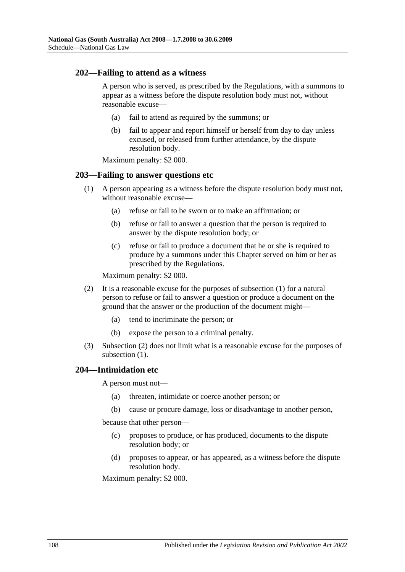### **202—Failing to attend as a witness**

A person who is served, as prescribed by the Regulations, with a summons to appear as a witness before the dispute resolution body must not, without reasonable excuse—

- (a) fail to attend as required by the summons; or
- (b) fail to appear and report himself or herself from day to day unless excused, or released from further attendance, by the dispute resolution body.

Maximum penalty: \$2 000.

### <span id="page-107-0"></span>**203—Failing to answer questions etc**

- (1) A person appearing as a witness before the dispute resolution body must not, without reasonable excuse—
	- (a) refuse or fail to be sworn or to make an affirmation; or
	- (b) refuse or fail to answer a question that the person is required to answer by the dispute resolution body; or
	- (c) refuse or fail to produce a document that he or she is required to produce by a summons under this Chapter served on him or her as prescribed by the Regulations.

Maximum penalty: \$2 000.

- <span id="page-107-1"></span>(2) It is a reasonable excuse for the purposes of [subsection](#page-107-0) (1) for a natural person to refuse or fail to answer a question or produce a document on the ground that the answer or the production of the document might—
	- (a) tend to incriminate the person; or
	- (b) expose the person to a criminal penalty.
- (3) [Subsection](#page-107-1) (2) does not limit what is a reasonable excuse for the purposes of [subsection](#page-107-0)  $(1)$ .

### **204—Intimidation etc**

A person must not—

- (a) threaten, intimidate or coerce another person; or
- (b) cause or procure damage, loss or disadvantage to another person,

because that other person—

- (c) proposes to produce, or has produced, documents to the dispute resolution body; or
- (d) proposes to appear, or has appeared, as a witness before the dispute resolution body.

Maximum penalty: \$2 000.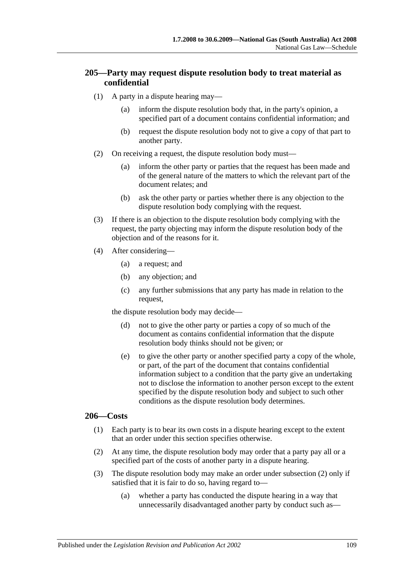## **205—Party may request dispute resolution body to treat material as confidential**

- (1) A party in a dispute hearing may—
	- (a) inform the dispute resolution body that, in the party's opinion, a specified part of a document contains confidential information; and
	- (b) request the dispute resolution body not to give a copy of that part to another party.
- (2) On receiving a request, the dispute resolution body must—
	- (a) inform the other party or parties that the request has been made and of the general nature of the matters to which the relevant part of the document relates; and
	- (b) ask the other party or parties whether there is any objection to the dispute resolution body complying with the request.
- (3) If there is an objection to the dispute resolution body complying with the request, the party objecting may inform the dispute resolution body of the objection and of the reasons for it.
- (4) After considering—
	- (a) a request; and
	- (b) any objection; and
	- (c) any further submissions that any party has made in relation to the request,

the dispute resolution body may decide—

- (d) not to give the other party or parties a copy of so much of the document as contains confidential information that the dispute resolution body thinks should not be given; or
- (e) to give the other party or another specified party a copy of the whole, or part, of the part of the document that contains confidential information subject to a condition that the party give an undertaking not to disclose the information to another person except to the extent specified by the dispute resolution body and subject to such other conditions as the dispute resolution body determines.

#### **206—Costs**

- (1) Each party is to bear its own costs in a dispute hearing except to the extent that an order under this section specifies otherwise.
- <span id="page-108-0"></span>(2) At any time, the dispute resolution body may order that a party pay all or a specified part of the costs of another party in a dispute hearing.
- <span id="page-108-1"></span>(3) The dispute resolution body may make an order under [subsection](#page-108-0) (2) only if satisfied that it is fair to do so, having regard to—
	- (a) whether a party has conducted the dispute hearing in a way that unnecessarily disadvantaged another party by conduct such as—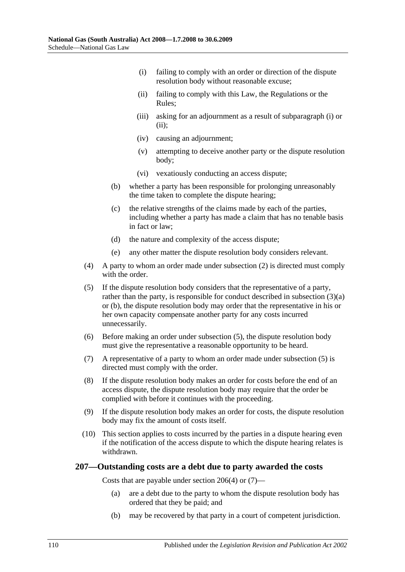- <span id="page-109-0"></span>(i) failing to comply with an order or direction of the dispute resolution body without reasonable excuse;
- <span id="page-109-1"></span>(ii) failing to comply with this Law, the Regulations or the Rules;
- (iii) asking for an adjournment as a result of [subparagraph](#page-109-0) (i) or [\(ii\);](#page-109-1)
- (iv) causing an adjournment;
- (v) attempting to deceive another party or the dispute resolution body;
- (vi) vexatiously conducting an access dispute;
- <span id="page-109-2"></span>(b) whether a party has been responsible for prolonging unreasonably the time taken to complete the dispute hearing;
- (c) the relative strengths of the claims made by each of the parties, including whether a party has made a claim that has no tenable basis in fact or law;
- (d) the nature and complexity of the access dispute;
- (e) any other matter the dispute resolution body considers relevant.
- <span id="page-109-4"></span>(4) A party to whom an order made under [subsection](#page-108-0) (2) is directed must comply with the order.
- <span id="page-109-3"></span>(5) If the dispute resolution body considers that the representative of a party, rather than the party, is responsible for conduct described in [subsection](#page-108-1) (3)(a) or [\(b\),](#page-109-2) the dispute resolution body may order that the representative in his or her own capacity compensate another party for any costs incurred unnecessarily.
- (6) Before making an order under [subsection](#page-109-3) (5), the dispute resolution body must give the representative a reasonable opportunity to be heard.
- <span id="page-109-5"></span>(7) A representative of a party to whom an order made under [subsection](#page-109-3) (5) is directed must comply with the order.
- (8) If the dispute resolution body makes an order for costs before the end of an access dispute, the dispute resolution body may require that the order be complied with before it continues with the proceeding.
- (9) If the dispute resolution body makes an order for costs, the dispute resolution body may fix the amount of costs itself.
- (10) This section applies to costs incurred by the parties in a dispute hearing even if the notification of the access dispute to which the dispute hearing relates is withdrawn.

#### **207—Outstanding costs are a debt due to party awarded the costs**

Costs that are payable under [section](#page-109-4) 206(4) or [\(7\)—](#page-109-5)

- (a) are a debt due to the party to whom the dispute resolution body has ordered that they be paid; and
- (b) may be recovered by that party in a court of competent jurisdiction.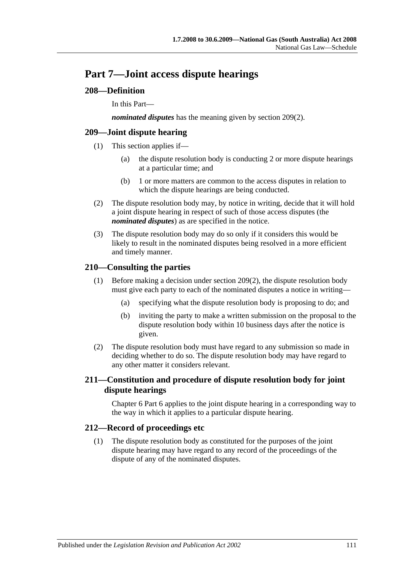## **Part 7—Joint access dispute hearings**

## **208—Definition**

In this Part—

*nominated disputes* has the meaning given by [section](#page-110-0) 209(2).

## **209—Joint dispute hearing**

- (1) This section applies if—
	- (a) the dispute resolution body is conducting 2 or more dispute hearings at a particular time; and
	- (b) 1 or more matters are common to the access disputes in relation to which the dispute hearings are being conducted.
- <span id="page-110-0"></span>(2) The dispute resolution body may, by notice in writing, decide that it will hold a joint dispute hearing in respect of such of those access disputes (the *nominated disputes*) as are specified in the notice.
- (3) The dispute resolution body may do so only if it considers this would be likely to result in the nominated disputes being resolved in a more efficient and timely manner.

## **210—Consulting the parties**

- (1) Before making a decision under [section](#page-110-0) 209(2), the dispute resolution body must give each party to each of the nominated disputes a notice in writing—
	- (a) specifying what the dispute resolution body is proposing to do; and
	- (b) inviting the party to make a written submission on the proposal to the dispute resolution body within 10 business days after the notice is given.
- (2) The dispute resolution body must have regard to any submission so made in deciding whether to do so. The dispute resolution body may have regard to any other matter it considers relevant.

## **211—Constitution and procedure of dispute resolution body for joint dispute hearings**

Chapter 6 Part 6 applies to the joint dispute hearing in a corresponding way to the way in which it applies to a particular dispute hearing.

## **212—Record of proceedings etc**

(1) The dispute resolution body as constituted for the purposes of the joint dispute hearing may have regard to any record of the proceedings of the dispute of any of the nominated disputes.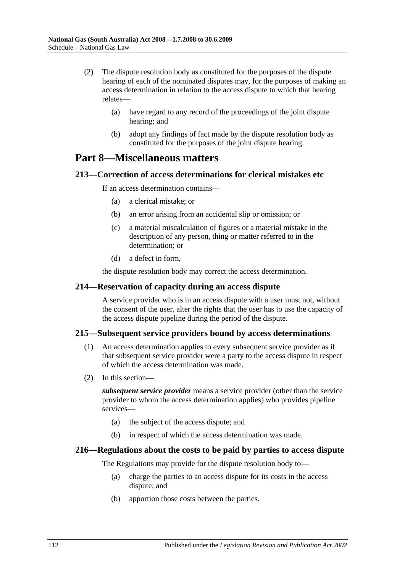- (2) The dispute resolution body as constituted for the purposes of the dispute hearing of each of the nominated disputes may, for the purposes of making an access determination in relation to the access dispute to which that hearing relates—
	- (a) have regard to any record of the proceedings of the joint dispute hearing; and
	- (b) adopt any findings of fact made by the dispute resolution body as constituted for the purposes of the joint dispute hearing.

## **Part 8—Miscellaneous matters**

### **213—Correction of access determinations for clerical mistakes etc**

If an access determination contains—

- (a) a clerical mistake; or
- (b) an error arising from an accidental slip or omission; or
- (c) a material miscalculation of figures or a material mistake in the description of any person, thing or matter referred to in the determination; or
- (d) a defect in form,

the dispute resolution body may correct the access determination.

#### **214—Reservation of capacity during an access dispute**

A service provider who is in an access dispute with a user must not, without the consent of the user, alter the rights that the user has to use the capacity of the access dispute pipeline during the period of the dispute.

#### **215—Subsequent service providers bound by access determinations**

- (1) An access determination applies to every subsequent service provider as if that subsequent service provider were a party to the access dispute in respect of which the access determination was made.
- (2) In this section—

*subsequent service provider* means a service provider (other than the service provider to whom the access determination applies) who provides pipeline services—

- (a) the subject of the access dispute; and
- (b) in respect of which the access determination was made.

### **216—Regulations about the costs to be paid by parties to access dispute**

The Regulations may provide for the dispute resolution body to—

- (a) charge the parties to an access dispute for its costs in the access dispute; and
- (b) apportion those costs between the parties.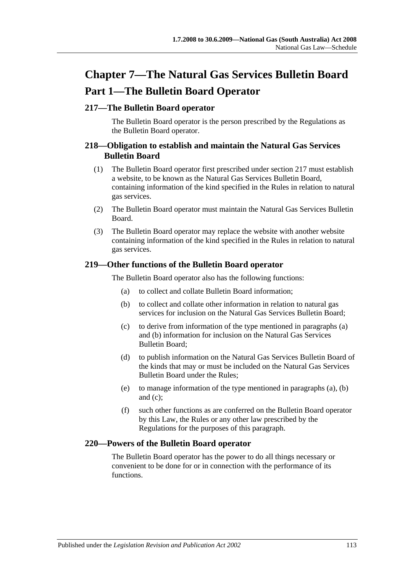# **Chapter 7—The Natural Gas Services Bulletin Board Part 1—The Bulletin Board Operator**

## **217—The Bulletin Board operator**

The Bulletin Board operator is the person prescribed by the Regulations as the Bulletin Board operator.

### **218—Obligation to establish and maintain the Natural Gas Services Bulletin Board**

- (1) The Bulletin Board operator first prescribed under section 217 must establish a website, to be known as the Natural Gas Services Bulletin Board, containing information of the kind specified in the Rules in relation to natural gas services.
- (2) The Bulletin Board operator must maintain the Natural Gas Services Bulletin Board.
- (3) The Bulletin Board operator may replace the website with another website containing information of the kind specified in the Rules in relation to natural gas services.

### <span id="page-112-2"></span><span id="page-112-1"></span><span id="page-112-0"></span>**219—Other functions of the Bulletin Board operator**

The Bulletin Board operator also has the following functions:

- (a) to collect and collate Bulletin Board information;
- (b) to collect and collate other information in relation to natural gas services for inclusion on the Natural Gas Services Bulletin Board;
- (c) to derive from information of the type mentioned in [paragraphs](#page-112-0) (a) and [\(b\)](#page-112-1) information for inclusion on the Natural Gas Services Bulletin Board;
- (d) to publish information on the Natural Gas Services Bulletin Board of the kinds that may or must be included on the Natural Gas Services Bulletin Board under the Rules;
- (e) to manage information of the type mentioned in [paragraphs](#page-112-0) (a), [\(b\)](#page-112-1) and [\(c\);](#page-112-2)
- (f) such other functions as are conferred on the Bulletin Board operator by this Law, the Rules or any other law prescribed by the Regulations for the purposes of this paragraph.

## **220—Powers of the Bulletin Board operator**

The Bulletin Board operator has the power to do all things necessary or convenient to be done for or in connection with the performance of its functions.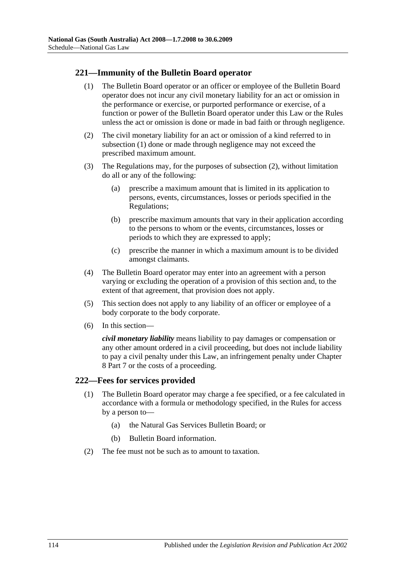## <span id="page-113-0"></span>**221—Immunity of the Bulletin Board operator**

- (1) The Bulletin Board operator or an officer or employee of the Bulletin Board operator does not incur any civil monetary liability for an act or omission in the performance or exercise, or purported performance or exercise, of a function or power of the Bulletin Board operator under this Law or the Rules unless the act or omission is done or made in bad faith or through negligence.
- <span id="page-113-1"></span>(2) The civil monetary liability for an act or omission of a kind referred to in [subsection](#page-113-0) (1) done or made through negligence may not exceed the prescribed maximum amount.
- (3) The Regulations may, for the purposes of [subsection](#page-113-1) (2), without limitation do all or any of the following:
	- (a) prescribe a maximum amount that is limited in its application to persons, events, circumstances, losses or periods specified in the Regulations;
	- (b) prescribe maximum amounts that vary in their application according to the persons to whom or the events, circumstances, losses or periods to which they are expressed to apply;
	- (c) prescribe the manner in which a maximum amount is to be divided amongst claimants.
- (4) The Bulletin Board operator may enter into an agreement with a person varying or excluding the operation of a provision of this section and, to the extent of that agreement, that provision does not apply.
- (5) This section does not apply to any liability of an officer or employee of a body corporate to the body corporate.
- (6) In this section—

*civil monetary liability* means liability to pay damages or compensation or any other amount ordered in a civil proceeding, but does not include liability to pay a civil penalty under this Law, an infringement penalty under Chapter 8 Part 7 or the costs of a proceeding.

### **222—Fees for services provided**

- (1) The Bulletin Board operator may charge a fee specified, or a fee calculated in accordance with a formula or methodology specified, in the Rules for access by a person to—
	- (a) the Natural Gas Services Bulletin Board; or
	- (b) Bulletin Board information.
- (2) The fee must not be such as to amount to taxation.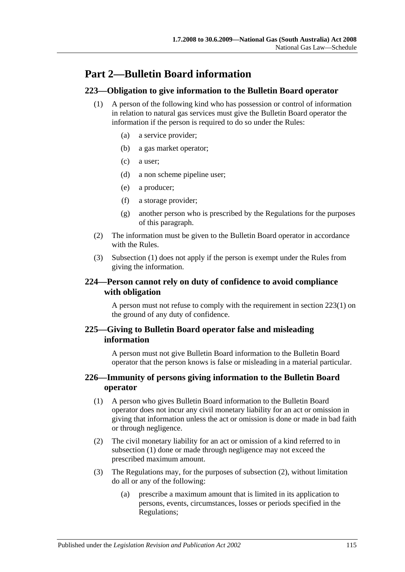## **Part 2—Bulletin Board information**

## <span id="page-114-0"></span>**223—Obligation to give information to the Bulletin Board operator**

- (1) A person of the following kind who has possession or control of information in relation to natural gas services must give the Bulletin Board operator the information if the person is required to do so under the Rules:
	- (a) a service provider;
	- (b) a gas market operator;
	- (c) a user;
	- (d) a non scheme pipeline user;
	- (e) a producer;
	- (f) a storage provider;
	- (g) another person who is prescribed by the Regulations for the purposes of this paragraph.
- (2) The information must be given to the Bulletin Board operator in accordance with the Rules.
- (3) [Subsection](#page-114-0) (1) does not apply if the person is exempt under the Rules from giving the information.

### **224—Person cannot rely on duty of confidence to avoid compliance with obligation**

A person must not refuse to comply with the requirement in [section](#page-114-0) 223(1) on the ground of any duty of confidence.

## **225—Giving to Bulletin Board operator false and misleading information**

A person must not give Bulletin Board information to the Bulletin Board operator that the person knows is false or misleading in a material particular.

### <span id="page-114-1"></span>**226—Immunity of persons giving information to the Bulletin Board operator**

- (1) A person who gives Bulletin Board information to the Bulletin Board operator does not incur any civil monetary liability for an act or omission in giving that information unless the act or omission is done or made in bad faith or through negligence.
- <span id="page-114-2"></span>(2) The civil monetary liability for an act or omission of a kind referred to in [subsection](#page-114-1) (1) done or made through negligence may not exceed the prescribed maximum amount.
- (3) The Regulations may, for the purposes of [subsection](#page-114-2) (2), without limitation do all or any of the following:
	- (a) prescribe a maximum amount that is limited in its application to persons, events, circumstances, losses or periods specified in the Regulations;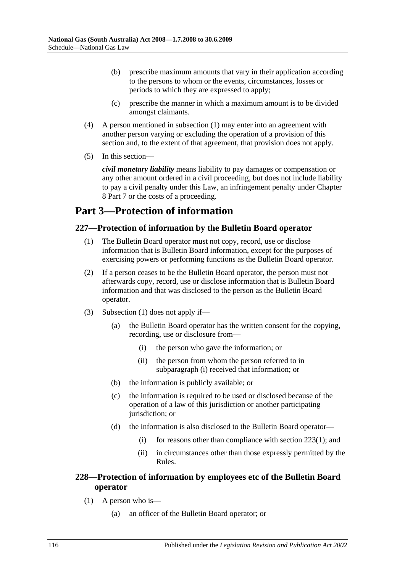- (b) prescribe maximum amounts that vary in their application according to the persons to whom or the events, circumstances, losses or periods to which they are expressed to apply;
- (c) prescribe the manner in which a maximum amount is to be divided amongst claimants.
- (4) A person mentioned in [subsection](#page-114-1) (1) may enter into an agreement with another person varying or excluding the operation of a provision of this section and, to the extent of that agreement, that provision does not apply.
- (5) In this section—

*civil monetary liability* means liability to pay damages or compensation or any other amount ordered in a civil proceeding, but does not include liability to pay a civil penalty under this Law, an infringement penalty under Chapter 8 Part 7 or the costs of a proceeding.

## **Part 3—Protection of information**

## <span id="page-115-0"></span>**227—Protection of information by the Bulletin Board operator**

- (1) The Bulletin Board operator must not copy, record, use or disclose information that is Bulletin Board information, except for the purposes of exercising powers or performing functions as the Bulletin Board operator.
- (2) If a person ceases to be the Bulletin Board operator, the person must not afterwards copy, record, use or disclose information that is Bulletin Board information and that was disclosed to the person as the Bulletin Board operator.
- <span id="page-115-1"></span>(3) [Subsection](#page-115-0) (1) does not apply if—
	- (a) the Bulletin Board operator has the written consent for the copying, recording, use or disclosure from—
		- (i) the person who gave the information; or
		- (ii) the person from whom the person referred to in [subparagraph](#page-115-1) (i) received that information; or
	- (b) the information is publicly available; or
	- (c) the information is required to be used or disclosed because of the operation of a law of this jurisdiction or another participating jurisdiction; or
	- (d) the information is also disclosed to the Bulletin Board operator
		- (i) for reasons other than compliance with [section](#page-114-0)  $223(1)$ ; and
		- (ii) in circumstances other than those expressly permitted by the Rules.

## <span id="page-115-2"></span>**228—Protection of information by employees etc of the Bulletin Board operator**

- (1) A person who is—
	- (a) an officer of the Bulletin Board operator; or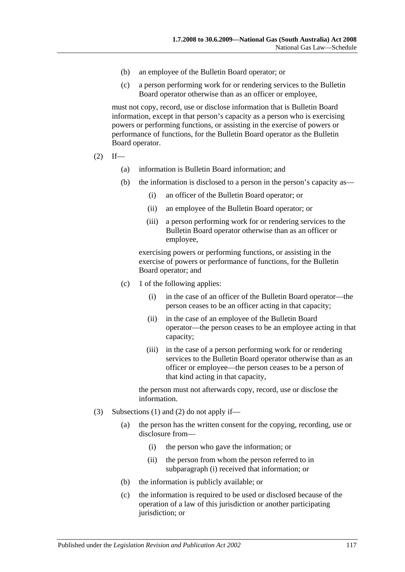- (b) an employee of the Bulletin Board operator; or
- (c) a person performing work for or rendering services to the Bulletin Board operator otherwise than as an officer or employee,

must not copy, record, use or disclose information that is Bulletin Board information, except in that person's capacity as a person who is exercising powers or performing functions, or assisting in the exercise of powers or performance of functions, for the Bulletin Board operator as the Bulletin Board operator.

- <span id="page-116-0"></span> $(2)$  If—
	- (a) information is Bulletin Board information; and
	- (b) the information is disclosed to a person in the person's capacity as—
		- (i) an officer of the Bulletin Board operator; or
		- (ii) an employee of the Bulletin Board operator; or
		- (iii) a person performing work for or rendering services to the Bulletin Board operator otherwise than as an officer or employee,

exercising powers or performing functions, or assisting in the exercise of powers or performance of functions, for the Bulletin Board operator; and

- (c) 1 of the following applies:
	- (i) in the case of an officer of the Bulletin Board operator—the person ceases to be an officer acting in that capacity;
	- (ii) in the case of an employee of the Bulletin Board operator—the person ceases to be an employee acting in that capacity;
	- (iii) in the case of a person performing work for or rendering services to the Bulletin Board operator otherwise than as an officer or employee—the person ceases to be a person of that kind acting in that capacity,

the person must not afterwards copy, record, use or disclose the information.

- <span id="page-116-1"></span>(3) [Subsections](#page-115-2) (1) and [\(2\)](#page-116-0) do not apply if—
	- (a) the person has the written consent for the copying, recording, use or disclosure from—
		- (i) the person who gave the information; or
		- (ii) the person from whom the person referred to in [subparagraph](#page-116-1) (i) received that information; or
	- (b) the information is publicly available; or
	- (c) the information is required to be used or disclosed because of the operation of a law of this jurisdiction or another participating jurisdiction; or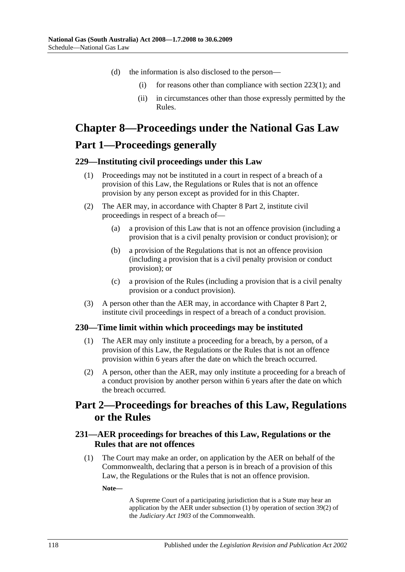- (d) the information is also disclosed to the person
	- (i) for reasons other than compliance with [section](#page-114-0)  $223(1)$ ; and
	- (ii) in circumstances other than those expressly permitted by the Rules.

# **Chapter 8—Proceedings under the National Gas Law Part 1—Proceedings generally**

#### **229—Instituting civil proceedings under this Law**

- (1) Proceedings may not be instituted in a court in respect of a breach of a provision of this Law, the Regulations or Rules that is not an offence provision by any person except as provided for in this Chapter.
- (2) The AER may, in accordance with Chapter 8 Part 2, institute civil proceedings in respect of a breach of—
	- (a) a provision of this Law that is not an offence provision (including a provision that is a civil penalty provision or conduct provision); or
	- (b) a provision of the Regulations that is not an offence provision (including a provision that is a civil penalty provision or conduct provision); or
	- (c) a provision of the Rules (including a provision that is a civil penalty provision or a conduct provision).
- (3) A person other than the AER may, in accordance with Chapter 8 Part 2, institute civil proceedings in respect of a breach of a conduct provision.

#### **230—Time limit within which proceedings may be instituted**

- (1) The AER may only institute a proceeding for a breach, by a person, of a provision of this Law, the Regulations or the Rules that is not an offence provision within 6 years after the date on which the breach occurred.
- (2) A person, other than the AER, may only institute a proceeding for a breach of a conduct provision by another person within 6 years after the date on which the breach occurred.

## **Part 2—Proceedings for breaches of this Law, Regulations or the Rules**

### <span id="page-117-0"></span>**231—AER proceedings for breaches of this Law, Regulations or the Rules that are not offences**

(1) The Court may make an order, on application by the AER on behalf of the Commonwealth, declaring that a person is in breach of a provision of this Law, the Regulations or the Rules that is not an offence provision.

**Note—**

A Supreme Court of a participating jurisdiction that is a State may hear an application by the AER under [subsection](#page-117-0) (1) by operation of section 39(2) of the *Judiciary Act 1903* of the Commonwealth.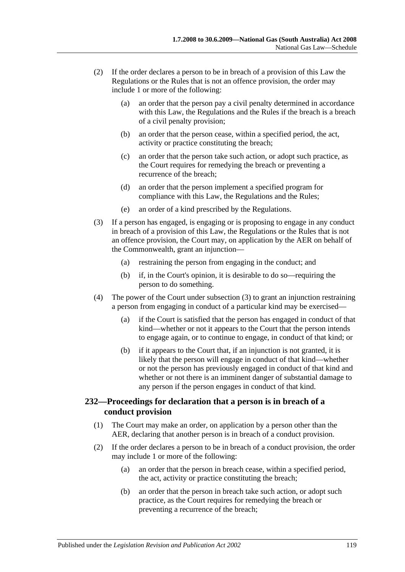- (2) If the order declares a person to be in breach of a provision of this Law the Regulations or the Rules that is not an offence provision, the order may include 1 or more of the following:
	- (a) an order that the person pay a civil penalty determined in accordance with this Law, the Regulations and the Rules if the breach is a breach of a civil penalty provision;
	- (b) an order that the person cease, within a specified period, the act, activity or practice constituting the breach;
	- (c) an order that the person take such action, or adopt such practice, as the Court requires for remedying the breach or preventing a recurrence of the breach;
	- (d) an order that the person implement a specified program for compliance with this Law, the Regulations and the Rules;
	- (e) an order of a kind prescribed by the Regulations.
- <span id="page-118-0"></span>(3) If a person has engaged, is engaging or is proposing to engage in any conduct in breach of a provision of this Law, the Regulations or the Rules that is not an offence provision, the Court may, on application by the AER on behalf of the Commonwealth, grant an injunction—
	- (a) restraining the person from engaging in the conduct; and
	- (b) if, in the Court's opinion, it is desirable to do so—requiring the person to do something.
- (4) The power of the Court under [subsection](#page-118-0) (3) to grant an injunction restraining a person from engaging in conduct of a particular kind may be exercised—
	- (a) if the Court is satisfied that the person has engaged in conduct of that kind—whether or not it appears to the Court that the person intends to engage again, or to continue to engage, in conduct of that kind; or
	- (b) if it appears to the Court that, if an injunction is not granted, it is likely that the person will engage in conduct of that kind—whether or not the person has previously engaged in conduct of that kind and whether or not there is an imminent danger of substantial damage to any person if the person engages in conduct of that kind.

## **232—Proceedings for declaration that a person is in breach of a conduct provision**

- (1) The Court may make an order, on application by a person other than the AER, declaring that another person is in breach of a conduct provision.
- (2) If the order declares a person to be in breach of a conduct provision, the order may include 1 or more of the following:
	- (a) an order that the person in breach cease, within a specified period, the act, activity or practice constituting the breach;
	- (b) an order that the person in breach take such action, or adopt such practice, as the Court requires for remedying the breach or preventing a recurrence of the breach;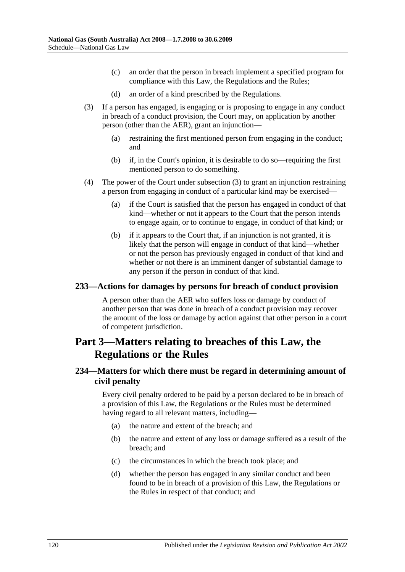- (c) an order that the person in breach implement a specified program for compliance with this Law, the Regulations and the Rules;
- (d) an order of a kind prescribed by the Regulations.
- <span id="page-119-0"></span>(3) If a person has engaged, is engaging or is proposing to engage in any conduct in breach of a conduct provision, the Court may, on application by another person (other than the AER), grant an injunction—
	- (a) restraining the first mentioned person from engaging in the conduct; and
	- (b) if, in the Court's opinion, it is desirable to do so—requiring the first mentioned person to do something.
- (4) The power of the Court under [subsection](#page-119-0) (3) to grant an injunction restraining a person from engaging in conduct of a particular kind may be exercised—
	- (a) if the Court is satisfied that the person has engaged in conduct of that kind—whether or not it appears to the Court that the person intends to engage again, or to continue to engage, in conduct of that kind; or
	- (b) if it appears to the Court that, if an injunction is not granted, it is likely that the person will engage in conduct of that kind—whether or not the person has previously engaged in conduct of that kind and whether or not there is an imminent danger of substantial damage to any person if the person in conduct of that kind.

#### **233—Actions for damages by persons for breach of conduct provision**

A person other than the AER who suffers loss or damage by conduct of another person that was done in breach of a conduct provision may recover the amount of the loss or damage by action against that other person in a court of competent jurisdiction.

## **Part 3—Matters relating to breaches of this Law, the Regulations or the Rules**

## **234—Matters for which there must be regard in determining amount of civil penalty**

Every civil penalty ordered to be paid by a person declared to be in breach of a provision of this Law, the Regulations or the Rules must be determined having regard to all relevant matters, including—

- (a) the nature and extent of the breach; and
- (b) the nature and extent of any loss or damage suffered as a result of the breach; and
- (c) the circumstances in which the breach took place; and
- (d) whether the person has engaged in any similar conduct and been found to be in breach of a provision of this Law, the Regulations or the Rules in respect of that conduct; and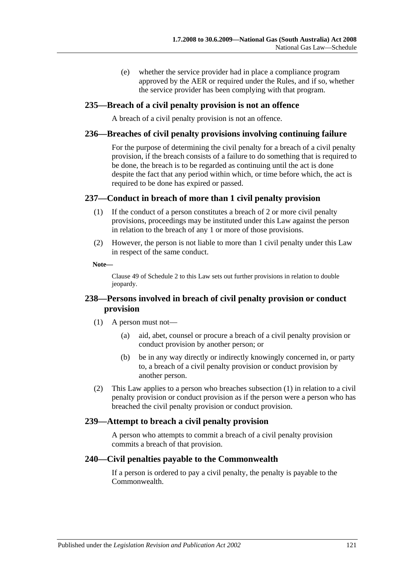(e) whether the service provider had in place a compliance program approved by the AER or required under the Rules, and if so, whether the service provider has been complying with that program.

#### **235—Breach of a civil penalty provision is not an offence**

A breach of a civil penalty provision is not an offence.

#### **236—Breaches of civil penalty provisions involving continuing failure**

For the purpose of determining the civil penalty for a breach of a civil penalty provision, if the breach consists of a failure to do something that is required to be done, the breach is to be regarded as continuing until the act is done despite the fact that any period within which, or time before which, the act is required to be done has expired or passed.

#### **237—Conduct in breach of more than 1 civil penalty provision**

- (1) If the conduct of a person constitutes a breach of 2 or more civil penalty provisions, proceedings may be instituted under this Law against the person in relation to the breach of any 1 or more of those provisions.
- (2) However, the person is not liable to more than 1 civil penalty under this Law in respect of the same conduct.

#### **Note—**

Clause 49 of Schedule 2 to this Law sets out further provisions in relation to double jeopardy.

## <span id="page-120-0"></span>**238—Persons involved in breach of civil penalty provision or conduct provision**

- (1) A person must not—
	- (a) aid, abet, counsel or procure a breach of a civil penalty provision or conduct provision by another person; or
	- (b) be in any way directly or indirectly knowingly concerned in, or party to, a breach of a civil penalty provision or conduct provision by another person.
- (2) This Law applies to a person who breaches [subsection](#page-120-0) (1) in relation to a civil penalty provision or conduct provision as if the person were a person who has breached the civil penalty provision or conduct provision.

### **239—Attempt to breach a civil penalty provision**

A person who attempts to commit a breach of a civil penalty provision commits a breach of that provision.

#### **240—Civil penalties payable to the Commonwealth**

If a person is ordered to pay a civil penalty, the penalty is payable to the Commonwealth.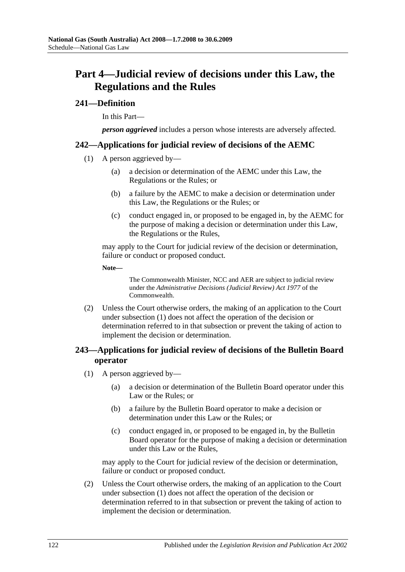## **Part 4—Judicial review of decisions under this Law, the Regulations and the Rules**

### **241—Definition**

In this Part—

*person aggrieved* includes a person whose interests are adversely affected.

#### <span id="page-121-0"></span>**242—Applications for judicial review of decisions of the AEMC**

- (1) A person aggrieved by—
	- (a) a decision or determination of the AEMC under this Law, the Regulations or the Rules; or
	- (b) a failure by the AEMC to make a decision or determination under this Law, the Regulations or the Rules; or
	- (c) conduct engaged in, or proposed to be engaged in, by the AEMC for the purpose of making a decision or determination under this Law, the Regulations or the Rules,

may apply to the Court for judicial review of the decision or determination, failure or conduct or proposed conduct.

**Note—**

The Commonwealth Minister, NCC and AER are subject to judicial review under the *Administrative Decisions (Judicial Review) Act 1977* of the Commonwealth.

(2) Unless the Court otherwise orders, the making of an application to the Court under [subsection](#page-121-0) (1) does not affect the operation of the decision or determination referred to in that subsection or prevent the taking of action to implement the decision or determination.

## <span id="page-121-1"></span>**243—Applications for judicial review of decisions of the Bulletin Board operator**

- (1) A person aggrieved by—
	- (a) a decision or determination of the Bulletin Board operator under this Law or the Rules; or
	- (b) a failure by the Bulletin Board operator to make a decision or determination under this Law or the Rules; or
	- (c) conduct engaged in, or proposed to be engaged in, by the Bulletin Board operator for the purpose of making a decision or determination under this Law or the Rules,

may apply to the Court for judicial review of the decision or determination, failure or conduct or proposed conduct.

(2) Unless the Court otherwise orders, the making of an application to the Court under [subsection](#page-121-1) (1) does not affect the operation of the decision or determination referred to in that subsection or prevent the taking of action to implement the decision or determination.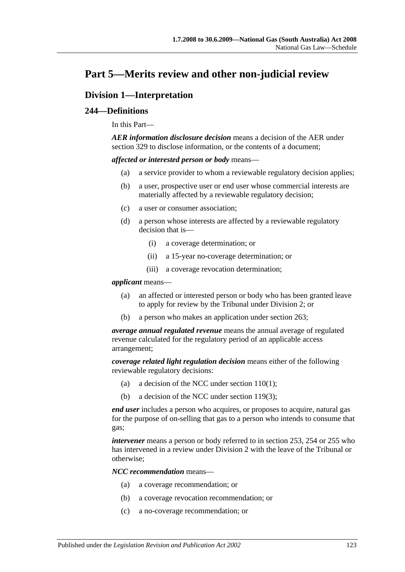## **Part 5—Merits review and other non-judicial review**

## **Division 1—Interpretation**

### **244—Definitions**

In this Part—

*AER information disclosure decision* means a decision of the AER under section 329 to disclose information, or the contents of a document:

<span id="page-122-0"></span>*affected or interested person or body* means—

- (a) a service provider to whom a reviewable regulatory decision applies;
- (b) a user, prospective user or end user whose commercial interests are materially affected by a reviewable regulatory decision;
- <span id="page-122-1"></span>(c) a user or consumer association;
- <span id="page-122-2"></span>(d) a person whose interests are affected by a reviewable regulatory decision that is—
	- (i) a coverage determination; or
	- (ii) a 15-year no-coverage determination; or
	- (iii) a coverage revocation determination;

#### *applicant* means—

- (a) an affected or interested person or body who has been granted leave to apply for review by the Tribunal under Division 2; or
- (b) a person who makes an application under section 263;

*average annual regulated revenue* means the annual average of regulated revenue calculated for the regulatory period of an applicable access arrangement;

*coverage related light regulation decision* means either of the following reviewable regulatory decisions:

- (a) a decision of the NCC under [section](#page-72-0)  $110(1)$ ;
- (b) a decision of the NCC under [section](#page-76-0) 119(3);

*end user* includes a person who acquires, or proposes to acquire, natural gas for the purpose of on-selling that gas to a person who intends to consume that gas;

*intervener* means a person or body referred to in section 253, 254 or 255 who has intervened in a review under Division 2 with the leave of the Tribunal or otherwise;

*NCC recommendation* means—

- (a) a coverage recommendation; or
- (b) a coverage revocation recommendation; or
- (c) a no-coverage recommendation; or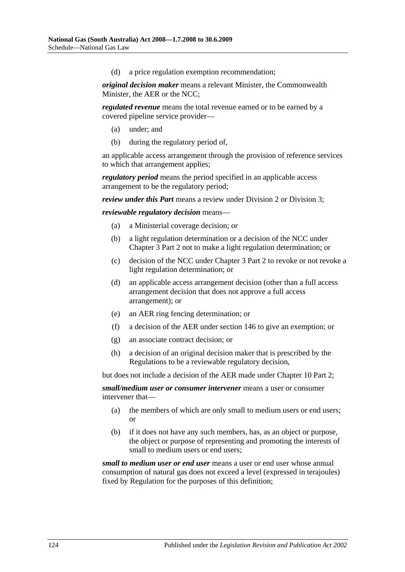(d) a price regulation exemption recommendation;

*original decision maker* means a relevant Minister, the Commonwealth Minister, the AER or the NCC;

*regulated revenue* means the total revenue earned or to be earned by a covered pipeline service provider—

- (a) under; and
- (b) during the regulatory period of,

an applicable access arrangement through the provision of reference services to which that arrangement applies;

*regulatory period* means the period specified in an applicable access arrangement to be the regulatory period;

*review under this Part* means a review under Division 2 or Division 3;

*reviewable regulatory decision* means—

- (a) a Ministerial coverage decision; or
- (b) a light regulation determination or a decision of the NCC under Chapter 3 Part 2 not to make a light regulation determination; or
- (c) decision of the NCC under Chapter 3 Part 2 to revoke or not revoke a light regulation determination; or
- (d) an applicable access arrangement decision (other than a full access arrangement decision that does not approve a full access arrangement); or
- (e) an AER ring fencing determination; or
- (f) a decision of the AER under section 146 to give an exemption; or
- (g) an associate contract decision; or
- (h) a decision of an original decision maker that is prescribed by the Regulations to be a reviewable regulatory decision,

but does not include a decision of the AER made under Chapter 10 Part 2;

*small/medium user or consumer intervener* means a user or consumer intervener that—

- (a) the members of which are only small to medium users or end users; or
- (b) if it does not have any such members, has, as an object or purpose, the object or purpose of representing and promoting the interests of small to medium users or end users;

*small to medium user or end user* means a user or end user whose annual consumption of natural gas does not exceed a level (expressed in terajoules) fixed by Regulation for the purposes of this definition;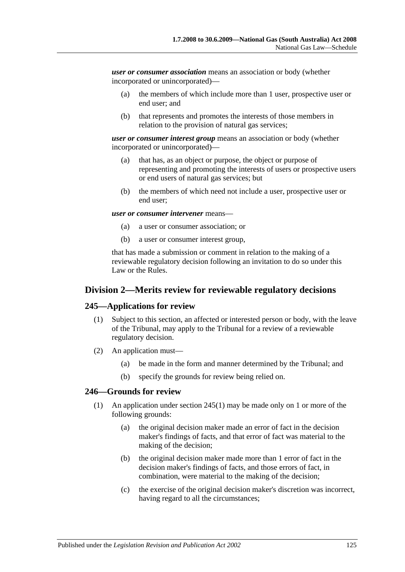*user or consumer association* means an association or body (whether incorporated or unincorporated)—

- (a) the members of which include more than 1 user, prospective user or end user; and
- (b) that represents and promotes the interests of those members in relation to the provision of natural gas services;

*user or consumer interest group* means an association or body (whether incorporated or unincorporated)—

- (a) that has, as an object or purpose, the object or purpose of representing and promoting the interests of users or prospective users or end users of natural gas services; but
- (b) the members of which need not include a user, prospective user or end user;

#### *user or consumer intervener* means—

- (a) a user or consumer association; or
- (b) a user or consumer interest group,

that has made a submission or comment in relation to the making of a reviewable regulatory decision following an invitation to do so under this Law or the Rules.

### **Division 2—Merits review for reviewable regulatory decisions**

#### <span id="page-124-0"></span>**245—Applications for review**

- (1) Subject to this section, an affected or interested person or body, with the leave of the Tribunal, may apply to the Tribunal for a review of a reviewable regulatory decision.
- (2) An application must—
	- (a) be made in the form and manner determined by the Tribunal; and
	- (b) specify the grounds for review being relied on.

#### <span id="page-124-1"></span>**246—Grounds for review**

- (1) An application under [section](#page-124-0) 245(1) may be made only on 1 or more of the following grounds:
	- (a) the original decision maker made an error of fact in the decision maker's findings of facts, and that error of fact was material to the making of the decision;
	- (b) the original decision maker made more than 1 error of fact in the decision maker's findings of facts, and those errors of fact, in combination, were material to the making of the decision;
	- (c) the exercise of the original decision maker's discretion was incorrect, having regard to all the circumstances;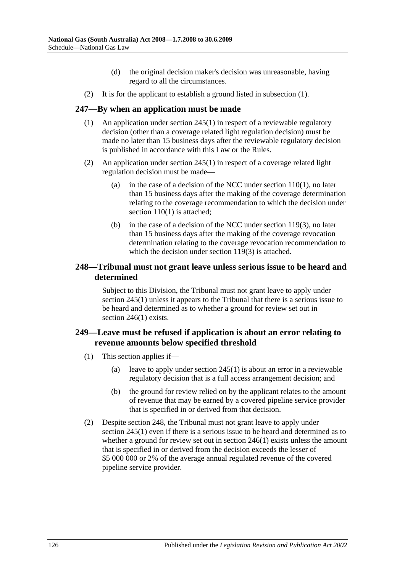- (d) the original decision maker's decision was unreasonable, having regard to all the circumstances.
- (2) It is for the applicant to establish a ground listed in [subsection](#page-124-1) (1).

### **247—By when an application must be made**

- (1) An application under [section](#page-124-0) 245(1) in respect of a reviewable regulatory decision (other than a coverage related light regulation decision) must be made no later than 15 business days after the reviewable regulatory decision is published in accordance with this Law or the Rules.
- (2) An application under [section](#page-124-0) 245(1) in respect of a coverage related light regulation decision must be made
	- (a) in the case of a decision of the NCC under [section](#page-72-0)  $110(1)$ , no later than 15 business days after the making of the coverage determination relating to the coverage recommendation to which the decision under [section](#page-72-0) 110(1) is attached;
	- (b) in the case of a decision of the NCC under [section](#page-76-0) 119(3), no later than 15 business days after the making of the coverage revocation determination relating to the coverage revocation recommendation to which the decision under [section](#page-76-0) 119(3) is attached.

### **248—Tribunal must not grant leave unless serious issue to be heard and determined**

Subject to this Division, the Tribunal must not grant leave to apply under [section](#page-124-0) 245(1) unless it appears to the Tribunal that there is a serious issue to be heard and determined as to whether a ground for review set out in [section](#page-124-1) 246(1) exists.

## **249—Leave must be refused if application is about an error relating to revenue amounts below specified threshold**

- (1) This section applies if—
	- (a) leave to apply under [section](#page-124-0) 245(1) is about an error in a reviewable regulatory decision that is a full access arrangement decision; and
	- (b) the ground for review relied on by the applicant relates to the amount of revenue that may be earned by a covered pipeline service provider that is specified in or derived from that decision.
- (2) Despite section 248, the Tribunal must not grant leave to apply under [section](#page-124-0) 245(1) even if there is a serious issue to be heard and determined as to whether a ground for review set out in [section](#page-124-1) 246(1) exists unless the amount that is specified in or derived from the decision exceeds the lesser of \$5 000 000 or 2% of the average annual regulated revenue of the covered pipeline service provider.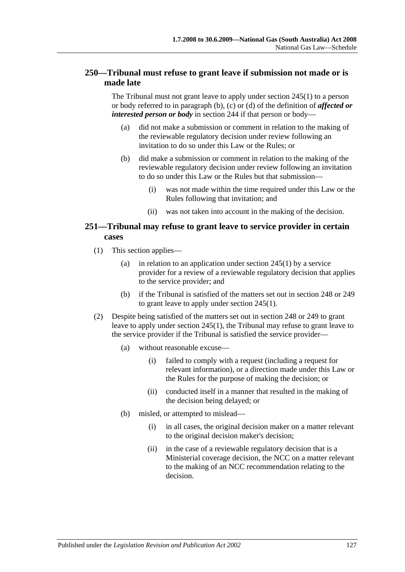## **250—Tribunal must refuse to grant leave if submission not made or is made late**

The Tribunal must not grant leave to apply under [section](#page-124-0) 245(1) to a person or body referred to in [paragraph](#page-122-0) (b), [\(c\)](#page-122-1) or [\(d\)](#page-122-2) of the definition of *affected or interested person or body* in section 244 if that person or body—

- (a) did not make a submission or comment in relation to the making of the reviewable regulatory decision under review following an invitation to do so under this Law or the Rules; or
- (b) did make a submission or comment in relation to the making of the reviewable regulatory decision under review following an invitation to do so under this Law or the Rules but that submission—
	- (i) was not made within the time required under this Law or the Rules following that invitation; and
	- (ii) was not taken into account in the making of the decision.

## **251—Tribunal may refuse to grant leave to service provider in certain cases**

- (1) This section applies—
	- (a) in relation to an application under [section](#page-124-0) 245(1) by a service provider for a review of a reviewable regulatory decision that applies to the service provider; and
	- (b) if the Tribunal is satisfied of the matters set out in section 248 or 249 to grant leave to apply under [section](#page-124-0) 245(1).
- (2) Despite being satisfied of the matters set out in section 248 or 249 to grant leave to apply under [section](#page-124-0) 245(1), the Tribunal may refuse to grant leave to the service provider if the Tribunal is satisfied the service provider—
	- (a) without reasonable excuse—
		- (i) failed to comply with a request (including a request for relevant information), or a direction made under this Law or the Rules for the purpose of making the decision; or
		- (ii) conducted itself in a manner that resulted in the making of the decision being delayed; or
	- (b) misled, or attempted to mislead—
		- (i) in all cases, the original decision maker on a matter relevant to the original decision maker's decision;
		- (ii) in the case of a reviewable regulatory decision that is a Ministerial coverage decision, the NCC on a matter relevant to the making of an NCC recommendation relating to the decision.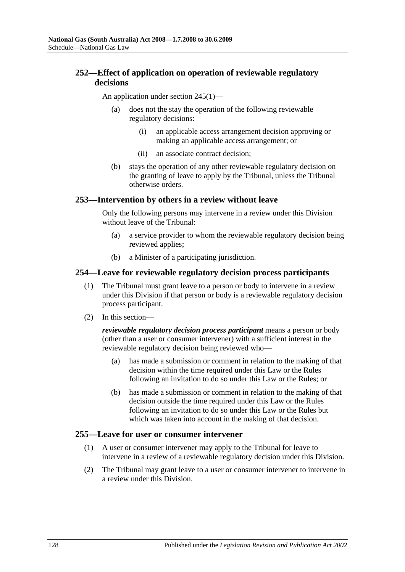## **252—Effect of application on operation of reviewable regulatory decisions**

An application under [section](#page-124-0) 245(1)—

- (a) does not the stay the operation of the following reviewable regulatory decisions:
	- (i) an applicable access arrangement decision approving or making an applicable access arrangement; or
	- (ii) an associate contract decision;
- (b) stays the operation of any other reviewable regulatory decision on the granting of leave to apply by the Tribunal, unless the Tribunal otherwise orders.

#### **253—Intervention by others in a review without leave**

Only the following persons may intervene in a review under this Division without leave of the Tribunal:

- (a) a service provider to whom the reviewable regulatory decision being reviewed applies;
- (b) a Minister of a participating jurisdiction.

#### **254—Leave for reviewable regulatory decision process participants**

- (1) The Tribunal must grant leave to a person or body to intervene in a review under this Division if that person or body is a reviewable regulatory decision process participant.
- (2) In this section—

*reviewable regulatory decision process participant* means a person or body (other than a user or consumer intervener) with a sufficient interest in the reviewable regulatory decision being reviewed who—

- (a) has made a submission or comment in relation to the making of that decision within the time required under this Law or the Rules following an invitation to do so under this Law or the Rules; or
- (b) has made a submission or comment in relation to the making of that decision outside the time required under this Law or the Rules following an invitation to do so under this Law or the Rules but which was taken into account in the making of that decision.

#### **255—Leave for user or consumer intervener**

- (1) A user or consumer intervener may apply to the Tribunal for leave to intervene in a review of a reviewable regulatory decision under this Division.
- <span id="page-127-0"></span>(2) The Tribunal may grant leave to a user or consumer intervener to intervene in a review under this Division.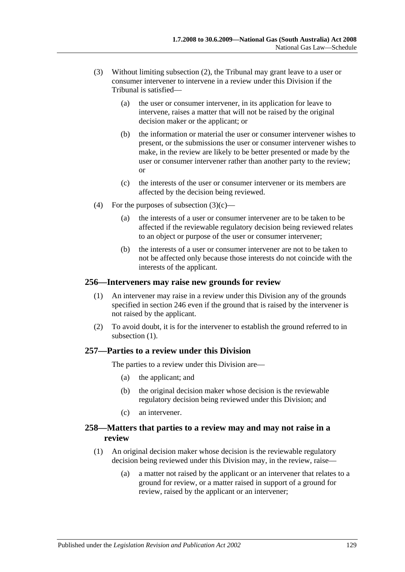- (3) Without limiting [subsection](#page-127-0) (2), the Tribunal may grant leave to a user or consumer intervener to intervene in a review under this Division if the Tribunal is satisfied—
	- (a) the user or consumer intervener, in its application for leave to intervene, raises a matter that will not be raised by the original decision maker or the applicant; or
	- (b) the information or material the user or consumer intervener wishes to present, or the submissions the user or consumer intervener wishes to make, in the review are likely to be better presented or made by the user or consumer intervener rather than another party to the review; or
	- (c) the interests of the user or consumer intervener or its members are affected by the decision being reviewed.
- <span id="page-128-0"></span>(4) For the purposes of [subsection](#page-128-0)  $(3)(c)$ —
	- (a) the interests of a user or consumer intervener are to be taken to be affected if the reviewable regulatory decision being reviewed relates to an object or purpose of the user or consumer intervener;
	- (b) the interests of a user or consumer intervener are not to be taken to not be affected only because those interests do not coincide with the interests of the applicant.

#### <span id="page-128-1"></span>**256—Interveners may raise new grounds for review**

- (1) An intervener may raise in a review under this Division any of the grounds specified in section 246 even if the ground that is raised by the intervener is not raised by the applicant.
- (2) To avoid doubt, it is for the intervener to establish the ground referred to in [subsection](#page-128-1)  $(1)$ .

### **257—Parties to a review under this Division**

The parties to a review under this Division are—

- (a) the applicant; and
- (b) the original decision maker whose decision is the reviewable regulatory decision being reviewed under this Division; and
- (c) an intervener.

### **258—Matters that parties to a review may and may not raise in a review**

- (1) An original decision maker whose decision is the reviewable regulatory decision being reviewed under this Division may, in the review, raise—
	- (a) a matter not raised by the applicant or an intervener that relates to a ground for review, or a matter raised in support of a ground for review, raised by the applicant or an intervener;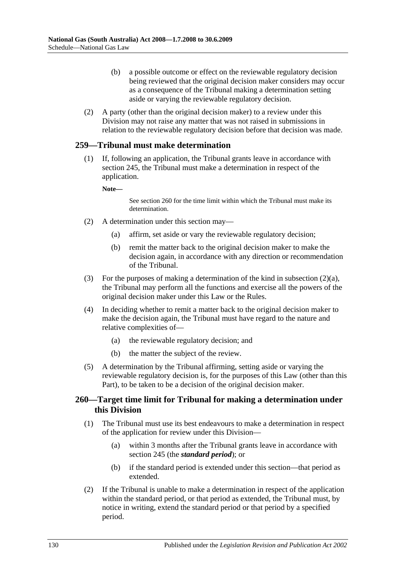- (b) a possible outcome or effect on the reviewable regulatory decision being reviewed that the original decision maker considers may occur as a consequence of the Tribunal making a determination setting aside or varying the reviewable regulatory decision.
- (2) A party (other than the original decision maker) to a review under this Division may not raise any matter that was not raised in submissions in relation to the reviewable regulatory decision before that decision was made.

#### **259—Tribunal must make determination**

(1) If, following an application, the Tribunal grants leave in accordance with section 245, the Tribunal must make a determination in respect of the application.

**Note—**

See section 260 for the time limit within which the Tribunal must make its determination.

- <span id="page-129-0"></span>(2) A determination under this section may—
	- (a) affirm, set aside or vary the reviewable regulatory decision;
	- (b) remit the matter back to the original decision maker to make the decision again, in accordance with any direction or recommendation of the Tribunal.
- (3) For the purposes of making a determination of the kind in [subsection](#page-129-0) (2)(a), the Tribunal may perform all the functions and exercise all the powers of the original decision maker under this Law or the Rules.
- (4) In deciding whether to remit a matter back to the original decision maker to make the decision again, the Tribunal must have regard to the nature and relative complexities of—
	- (a) the reviewable regulatory decision; and
	- (b) the matter the subject of the review.
- (5) A determination by the Tribunal affirming, setting aside or varying the reviewable regulatory decision is, for the purposes of this Law (other than this Part), to be taken to be a decision of the original decision maker.

### **260—Target time limit for Tribunal for making a determination under this Division**

- (1) The Tribunal must use its best endeavours to make a determination in respect of the application for review under this Division—
	- (a) within 3 months after the Tribunal grants leave in accordance with section 245 (the *standard period*); or
	- (b) if the standard period is extended under this section—that period as extended.
- (2) If the Tribunal is unable to make a determination in respect of the application within the standard period, or that period as extended, the Tribunal must, by notice in writing, extend the standard period or that period by a specified period.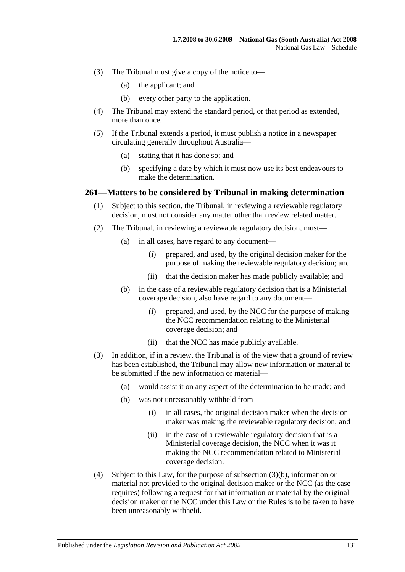- (3) The Tribunal must give a copy of the notice to—
	- (a) the applicant; and
	- (b) every other party to the application.
- (4) The Tribunal may extend the standard period, or that period as extended, more than once.
- (5) If the Tribunal extends a period, it must publish a notice in a newspaper circulating generally throughout Australia—
	- (a) stating that it has done so; and
	- (b) specifying a date by which it must now use its best endeavours to make the determination.

#### **261—Matters to be considered by Tribunal in making determination**

- (1) Subject to this section, the Tribunal, in reviewing a reviewable regulatory decision, must not consider any matter other than review related matter.
- (2) The Tribunal, in reviewing a reviewable regulatory decision, must—
	- (a) in all cases, have regard to any document—
		- (i) prepared, and used, by the original decision maker for the purpose of making the reviewable regulatory decision; and
		- (ii) that the decision maker has made publicly available; and
	- (b) in the case of a reviewable regulatory decision that is a Ministerial coverage decision, also have regard to any document—
		- (i) prepared, and used, by the NCC for the purpose of making the NCC recommendation relating to the Ministerial coverage decision; and
		- (ii) that the NCC has made publicly available.
- <span id="page-130-0"></span>(3) In addition, if in a review, the Tribunal is of the view that a ground of review has been established, the Tribunal may allow new information or material to be submitted if the new information or material—
	- (a) would assist it on any aspect of the determination to be made; and
	- (b) was not unreasonably withheld from—
		- (i) in all cases, the original decision maker when the decision maker was making the reviewable regulatory decision; and
		- (ii) in the case of a reviewable regulatory decision that is a Ministerial coverage decision, the NCC when it was it making the NCC recommendation related to Ministerial coverage decision.
- <span id="page-130-1"></span>(4) Subject to this Law, for the purpose of [subsection](#page-130-0) (3)(b), information or material not provided to the original decision maker or the NCC (as the case requires) following a request for that information or material by the original decision maker or the NCC under this Law or the Rules is to be taken to have been unreasonably withheld.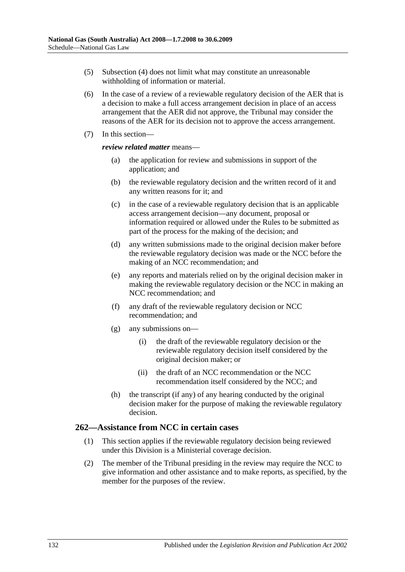- (5) [Subsection](#page-130-1) (4) does not limit what may constitute an unreasonable withholding of information or material.
- (6) In the case of a review of a reviewable regulatory decision of the AER that is a decision to make a full access arrangement decision in place of an access arrangement that the AER did not approve, the Tribunal may consider the reasons of the AER for its decision not to approve the access arrangement.
- (7) In this section—

#### *review related matter* means—

- (a) the application for review and submissions in support of the application; and
- (b) the reviewable regulatory decision and the written record of it and any written reasons for it; and
- (c) in the case of a reviewable regulatory decision that is an applicable access arrangement decision—any document, proposal or information required or allowed under the Rules to be submitted as part of the process for the making of the decision; and
- (d) any written submissions made to the original decision maker before the reviewable regulatory decision was made or the NCC before the making of an NCC recommendation; and
- (e) any reports and materials relied on by the original decision maker in making the reviewable regulatory decision or the NCC in making an NCC recommendation; and
- (f) any draft of the reviewable regulatory decision or NCC recommendation; and
- (g) any submissions on—
	- (i) the draft of the reviewable regulatory decision or the reviewable regulatory decision itself considered by the original decision maker; or
	- (ii) the draft of an NCC recommendation or the NCC recommendation itself considered by the NCC; and
- (h) the transcript (if any) of any hearing conducted by the original decision maker for the purpose of making the reviewable regulatory decision.

### **262—Assistance from NCC in certain cases**

- (1) This section applies if the reviewable regulatory decision being reviewed under this Division is a Ministerial coverage decision.
- (2) The member of the Tribunal presiding in the review may require the NCC to give information and other assistance and to make reports, as specified, by the member for the purposes of the review.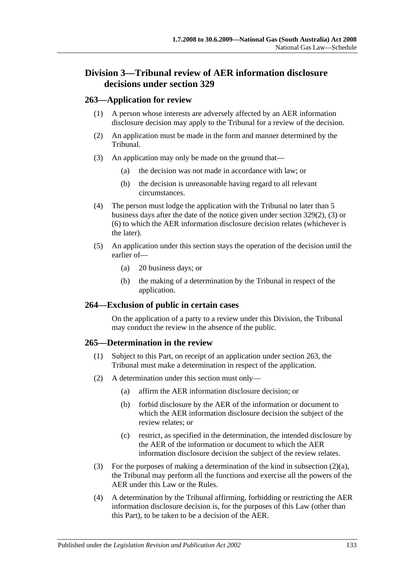## **Division 3—Tribunal review of AER information disclosure decisions under section 329**

#### **263—Application for review**

- (1) A person whose interests are adversely affected by an AER information disclosure decision may apply to the Tribunal for a review of the decision.
- (2) An application must be made in the form and manner determined by the Tribunal.
- (3) An application may only be made on the ground that—
	- (a) the decision was not made in accordance with law; or
	- (b) the decision is unreasonable having regard to all relevant circumstances.
- (4) The person must lodge the application with the Tribunal no later than 5 business days after the date of the notice given under [section](#page-155-0) 329(2), [\(3\)](#page-156-0) or [\(6\)](#page-156-1) to which the AER information disclosure decision relates (whichever is the later).
- (5) An application under this section stays the operation of the decision until the earlier of—
	- (a) 20 business days; or
	- (b) the making of a determination by the Tribunal in respect of the application.

### **264—Exclusion of public in certain cases**

On the application of a party to a review under this Division, the Tribunal may conduct the review in the absence of the public.

#### **265—Determination in the review**

- (1) Subject to this Part, on receipt of an application under section 263, the Tribunal must make a determination in respect of the application.
- <span id="page-132-0"></span>(2) A determination under this section must only—
	- (a) affirm the AER information disclosure decision; or
	- (b) forbid disclosure by the AER of the information or document to which the AER information disclosure decision the subject of the review relates; or
	- (c) restrict, as specified in the determination, the intended disclosure by the AER of the information or document to which the AER information disclosure decision the subject of the review relates.
- (3) For the purposes of making a determination of the kind in [subsection](#page-132-0)  $(2)(a)$ , the Tribunal may perform all the functions and exercise all the powers of the AER under this Law or the Rules.
- (4) A determination by the Tribunal affirming, forbidding or restricting the AER information disclosure decision is, for the purposes of this Law (other than this Part), to be taken to be a decision of the AER.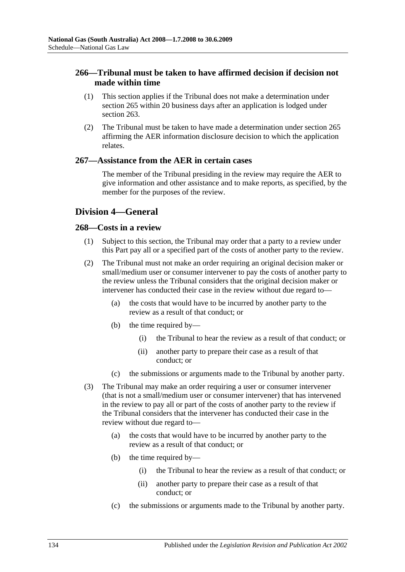## **266—Tribunal must be taken to have affirmed decision if decision not made within time**

- (1) This section applies if the Tribunal does not make a determination under section 265 within 20 business days after an application is lodged under section 263.
- (2) The Tribunal must be taken to have made a determination under section 265 affirming the AER information disclosure decision to which the application relates.

### **267—Assistance from the AER in certain cases**

The member of the Tribunal presiding in the review may require the AER to give information and other assistance and to make reports, as specified, by the member for the purposes of the review.

## **Division 4—General**

#### **268—Costs in a review**

- (1) Subject to this section, the Tribunal may order that a party to a review under this Part pay all or a specified part of the costs of another party to the review.
- (2) The Tribunal must not make an order requiring an original decision maker or small/medium user or consumer intervener to pay the costs of another party to the review unless the Tribunal considers that the original decision maker or intervener has conducted their case in the review without due regard to—
	- (a) the costs that would have to be incurred by another party to the review as a result of that conduct; or
	- (b) the time required by—
		- (i) the Tribunal to hear the review as a result of that conduct; or
		- (ii) another party to prepare their case as a result of that conduct; or
	- (c) the submissions or arguments made to the Tribunal by another party.
- (3) The Tribunal may make an order requiring a user or consumer intervener (that is not a small/medium user or consumer intervener) that has intervened in the review to pay all or part of the costs of another party to the review if the Tribunal considers that the intervener has conducted their case in the review without due regard to—
	- (a) the costs that would have to be incurred by another party to the review as a result of that conduct; or
	- (b) the time required by—
		- (i) the Tribunal to hear the review as a result of that conduct; or
		- (ii) another party to prepare their case as a result of that conduct; or
	- (c) the submissions or arguments made to the Tribunal by another party.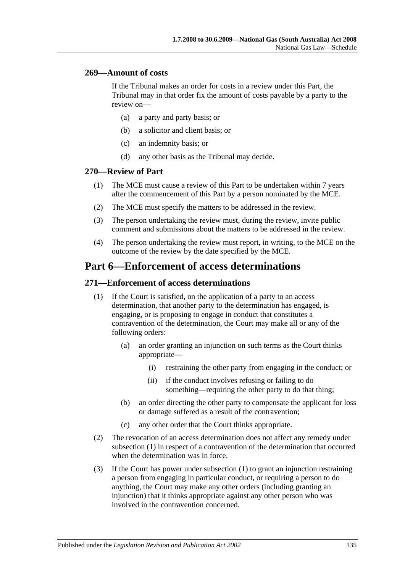#### **269—Amount of costs**

If the Tribunal makes an order for costs in a review under this Part, the Tribunal may in that order fix the amount of costs payable by a party to the review on—

- (a) a party and party basis; or
- (b) a solicitor and client basis; or
- (c) an indemnity basis; or
- (d) any other basis as the Tribunal may decide.

#### **270—Review of Part**

- (1) The MCE must cause a review of this Part to be undertaken within 7 years after the commencement of this Part by a person nominated by the MCE.
- (2) The MCE must specify the matters to be addressed in the review.
- (3) The person undertaking the review must, during the review, invite public comment and submissions about the matters to be addressed in the review.
- (4) The person undertaking the review must report, in writing, to the MCE on the outcome of the review by the date specified by the MCE.

## **Part 6—Enforcement of access determinations**

#### <span id="page-134-0"></span>**271—Enforcement of access determinations**

- (1) If the Court is satisfied, on the application of a party to an access determination, that another party to the determination has engaged, is engaging, or is proposing to engage in conduct that constitutes a contravention of the determination, the Court may make all or any of the following orders:
	- (a) an order granting an injunction on such terms as the Court thinks appropriate—
		- (i) restraining the other party from engaging in the conduct; or
		- (ii) if the conduct involves refusing or failing to do something—requiring the other party to do that thing;
	- (b) an order directing the other party to compensate the applicant for loss or damage suffered as a result of the contravention;
	- (c) any other order that the Court thinks appropriate.
- (2) The revocation of an access determination does not affect any remedy under [subsection](#page-134-0) (1) in respect of a contravention of the determination that occurred when the determination was in force.
- (3) If the Court has power under [subsection](#page-134-0) (1) to grant an injunction restraining a person from engaging in particular conduct, or requiring a person to do anything, the Court may make any other orders (including granting an injunction) that it thinks appropriate against any other person who was involved in the contravention concerned.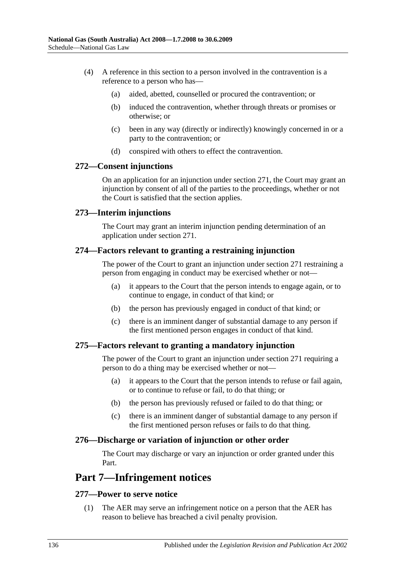- (4) A reference in this section to a person involved in the contravention is a reference to a person who has—
	- (a) aided, abetted, counselled or procured the contravention; or
	- (b) induced the contravention, whether through threats or promises or otherwise; or
	- (c) been in any way (directly or indirectly) knowingly concerned in or a party to the contravention; or
	- (d) conspired with others to effect the contravention.

#### **272—Consent injunctions**

On an application for an injunction under section 271, the Court may grant an injunction by consent of all of the parties to the proceedings, whether or not the Court is satisfied that the section applies.

#### **273—Interim injunctions**

The Court may grant an interim injunction pending determination of an application under section 271.

### **274—Factors relevant to granting a restraining injunction**

The power of the Court to grant an injunction under section 271 restraining a person from engaging in conduct may be exercised whether or not—

- (a) it appears to the Court that the person intends to engage again, or to continue to engage, in conduct of that kind; or
- (b) the person has previously engaged in conduct of that kind; or
- (c) there is an imminent danger of substantial damage to any person if the first mentioned person engages in conduct of that kind.

### **275—Factors relevant to granting a mandatory injunction**

The power of the Court to grant an injunction under section 271 requiring a person to do a thing may be exercised whether or not—

- (a) it appears to the Court that the person intends to refuse or fail again, or to continue to refuse or fail, to do that thing; or
- (b) the person has previously refused or failed to do that thing; or
- (c) there is an imminent danger of substantial damage to any person if the first mentioned person refuses or fails to do that thing.

#### **276—Discharge or variation of injunction or other order**

The Court may discharge or vary an injunction or order granted under this Part.

## **Part 7—Infringement notices**

### **277—Power to serve notice**

(1) The AER may serve an infringement notice on a person that the AER has reason to believe has breached a civil penalty provision.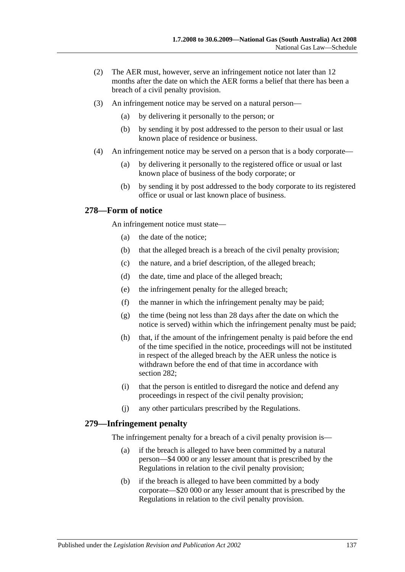- (2) The AER must, however, serve an infringement notice not later than 12 months after the date on which the AER forms a belief that there has been a breach of a civil penalty provision.
- (3) An infringement notice may be served on a natural person—
	- (a) by delivering it personally to the person; or
	- (b) by sending it by post addressed to the person to their usual or last known place of residence or business.
- (4) An infringement notice may be served on a person that is a body corporate—
	- (a) by delivering it personally to the registered office or usual or last known place of business of the body corporate; or
	- (b) by sending it by post addressed to the body corporate to its registered office or usual or last known place of business.

### **278—Form of notice**

An infringement notice must state—

- (a) the date of the notice;
- (b) that the alleged breach is a breach of the civil penalty provision;
- (c) the nature, and a brief description, of the alleged breach;
- (d) the date, time and place of the alleged breach;
- (e) the infringement penalty for the alleged breach;
- (f) the manner in which the infringement penalty may be paid;
- (g) the time (being not less than 28 days after the date on which the notice is served) within which the infringement penalty must be paid;
- (h) that, if the amount of the infringement penalty is paid before the end of the time specified in the notice, proceedings will not be instituted in respect of the alleged breach by the AER unless the notice is withdrawn before the end of that time in accordance with section 282;
- (i) that the person is entitled to disregard the notice and defend any proceedings in respect of the civil penalty provision;
- (j) any other particulars prescribed by the Regulations.

### **279—Infringement penalty**

The infringement penalty for a breach of a civil penalty provision is—

- (a) if the breach is alleged to have been committed by a natural person—\$4 000 or any lesser amount that is prescribed by the Regulations in relation to the civil penalty provision;
- (b) if the breach is alleged to have been committed by a body corporate—\$20 000 or any lesser amount that is prescribed by the Regulations in relation to the civil penalty provision.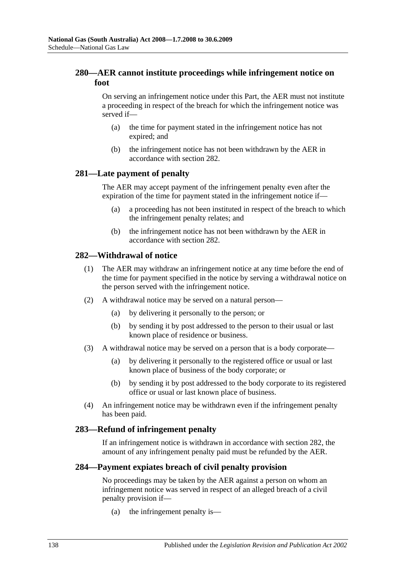## **280—AER cannot institute proceedings while infringement notice on foot**

On serving an infringement notice under this Part, the AER must not institute a proceeding in respect of the breach for which the infringement notice was served if—

- (a) the time for payment stated in the infringement notice has not expired; and
- (b) the infringement notice has not been withdrawn by the AER in accordance with section 282.

### **281—Late payment of penalty**

The AER may accept payment of the infringement penalty even after the expiration of the time for payment stated in the infringement notice if—

- (a) a proceeding has not been instituted in respect of the breach to which the infringement penalty relates; and
- (b) the infringement notice has not been withdrawn by the AER in accordance with section 282.

### **282—Withdrawal of notice**

- (1) The AER may withdraw an infringement notice at any time before the end of the time for payment specified in the notice by serving a withdrawal notice on the person served with the infringement notice.
- (2) A withdrawal notice may be served on a natural person—
	- (a) by delivering it personally to the person; or
	- (b) by sending it by post addressed to the person to their usual or last known place of residence or business.
- (3) A withdrawal notice may be served on a person that is a body corporate—
	- (a) by delivering it personally to the registered office or usual or last known place of business of the body corporate; or
	- (b) by sending it by post addressed to the body corporate to its registered office or usual or last known place of business.
- (4) An infringement notice may be withdrawn even if the infringement penalty has been paid.

#### **283—Refund of infringement penalty**

If an infringement notice is withdrawn in accordance with section 282, the amount of any infringement penalty paid must be refunded by the AER.

#### **284—Payment expiates breach of civil penalty provision**

No proceedings may be taken by the AER against a person on whom an infringement notice was served in respect of an alleged breach of a civil penalty provision if—

(a) the infringement penalty is—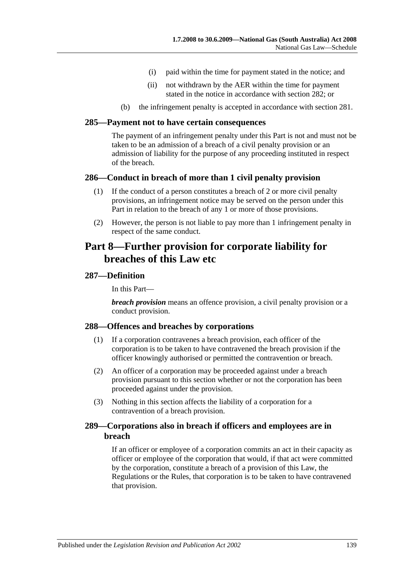- (i) paid within the time for payment stated in the notice; and
- (ii) not withdrawn by the AER within the time for payment stated in the notice in accordance with section 282; or
- (b) the infringement penalty is accepted in accordance with section 281.

#### **285—Payment not to have certain consequences**

The payment of an infringement penalty under this Part is not and must not be taken to be an admission of a breach of a civil penalty provision or an admission of liability for the purpose of any proceeding instituted in respect of the breach.

#### **286—Conduct in breach of more than 1 civil penalty provision**

- (1) If the conduct of a person constitutes a breach of 2 or more civil penalty provisions, an infringement notice may be served on the person under this Part in relation to the breach of any 1 or more of those provisions.
- (2) However, the person is not liable to pay more than 1 infringement penalty in respect of the same conduct.

## **Part 8—Further provision for corporate liability for breaches of this Law etc**

#### **287—Definition**

In this Part—

*breach provision* means an offence provision, a civil penalty provision or a conduct provision.

#### **288—Offences and breaches by corporations**

- (1) If a corporation contravenes a breach provision, each officer of the corporation is to be taken to have contravened the breach provision if the officer knowingly authorised or permitted the contravention or breach.
- (2) An officer of a corporation may be proceeded against under a breach provision pursuant to this section whether or not the corporation has been proceeded against under the provision.
- (3) Nothing in this section affects the liability of a corporation for a contravention of a breach provision.

#### **289—Corporations also in breach if officers and employees are in breach**

If an officer or employee of a corporation commits an act in their capacity as officer or employee of the corporation that would, if that act were committed by the corporation, constitute a breach of a provision of this Law, the Regulations or the Rules, that corporation is to be taken to have contravened that provision.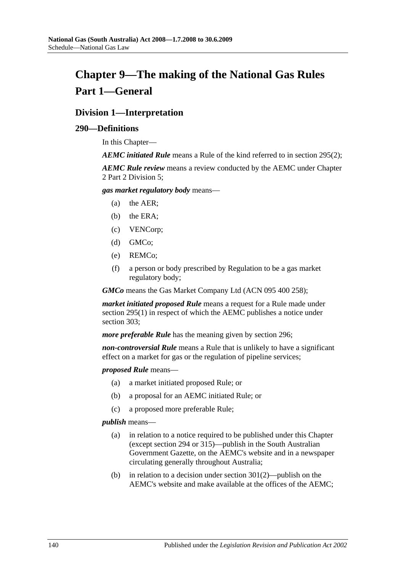# **Chapter 9—The making of the National Gas Rules Part 1—General**

## **Division 1—Interpretation**

#### **290—Definitions**

In this Chapter—

*AEMC initiated Rule* means a Rule of the kind referred to in [section](#page-142-0) 295(2);

*AEMC Rule review* means a review conducted by the AEMC under Chapter 2 Part 2 Division 5;

*gas market regulatory body* means—

- (a) the AER;
- (b) the ERA;
- (c) VENCorp;
- (d) GMCo;
- (e) REMCo;
- (f) a person or body prescribed by Regulation to be a gas market regulatory body;

*GMCo* means the Gas Market Company Ltd (ACN 095 400 258);

*market initiated proposed Rule* means a request for a Rule made under [section](#page-142-1) 295(1) in respect of which the AEMC publishes a notice under section 303;

*more preferable Rule* has the meaning given by section 296;

*non-controversial Rule* means a Rule that is unlikely to have a significant effect on a market for gas or the regulation of pipeline services;

*proposed Rule* means—

- (a) a market initiated proposed Rule; or
- (b) a proposal for an AEMC initiated Rule; or
- (c) a proposed more preferable Rule;

*publish* means—

- (a) in relation to a notice required to be published under this Chapter (except section 294 or 315)—publish in the South Australian Government Gazette, on the AEMC's website and in a newspaper circulating generally throughout Australia;
- (b) in relation to a decision under [section](#page-143-0) 301(2)—publish on the AEMC's website and make available at the offices of the AEMC;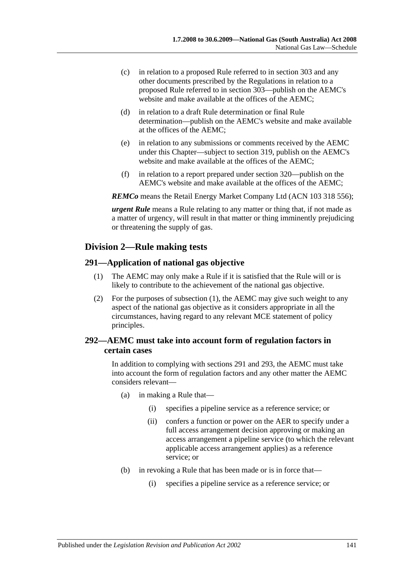- (c) in relation to a proposed Rule referred to in section 303 and any other documents prescribed by the Regulations in relation to a proposed Rule referred to in section 303—publish on the AEMC's website and make available at the offices of the AEMC;
- (d) in relation to a draft Rule determination or final Rule determination—publish on the AEMC's website and make available at the offices of the AEMC;
- (e) in relation to any submissions or comments received by the AEMC under this Chapter—subject to section 319, publish on the AEMC's website and make available at the offices of the AEMC;
- (f) in relation to a report prepared under section 320—publish on the AEMC's website and make available at the offices of the AEMC;

*REMCo* means the Retail Energy Market Company Ltd (ACN 103 318 556);

*urgent Rule* means a Rule relating to any matter or thing that, if not made as a matter of urgency, will result in that matter or thing imminently prejudicing or threatening the supply of gas.

## **Division 2—Rule making tests**

#### <span id="page-140-0"></span>**291—Application of national gas objective**

- (1) The AEMC may only make a Rule if it is satisfied that the Rule will or is likely to contribute to the achievement of the national gas objective.
- (2) For the purposes of [subsection](#page-140-0) (1), the AEMC may give such weight to any aspect of the national gas objective as it considers appropriate in all the circumstances, having regard to any relevant MCE statement of policy principles.

## **292—AEMC must take into account form of regulation factors in certain cases**

In addition to complying with sections 291 and 293, the AEMC must take into account the form of regulation factors and any other matter the AEMC considers relevant—

- (a) in making a Rule that—
	- (i) specifies a pipeline service as a reference service; or
	- (ii) confers a function or power on the AER to specify under a full access arrangement decision approving or making an access arrangement a pipeline service (to which the relevant applicable access arrangement applies) as a reference service; or
- (b) in revoking a Rule that has been made or is in force that—
	- (i) specifies a pipeline service as a reference service; or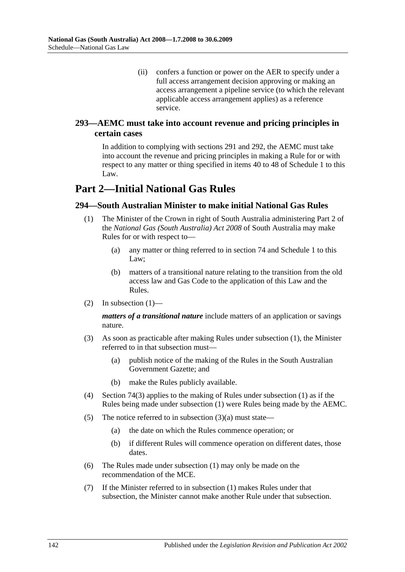(ii) confers a function or power on the AER to specify under a full access arrangement decision approving or making an access arrangement a pipeline service (to which the relevant applicable access arrangement applies) as a reference service.

## **293—AEMC must take into account revenue and pricing principles in certain cases**

In addition to complying with sections 291 and 292, the AEMC must take into account the revenue and pricing principles in making a Rule for or with respect to any matter or thing specified in items 40 to 48 of Schedule 1 to this Law.

## **Part 2—Initial National Gas Rules**

## <span id="page-141-0"></span>**294—South Australian Minister to make initial National Gas Rules**

- (1) The Minister of the Crown in right of South Australia administering Part 2 of the *[National Gas \(South Australia\) Act](http://www.legislation.sa.gov.au/index.aspx?action=legref&type=act&legtitle=National%20Gas%20(South%20Australia)%20Act%202008) 2008* of South Australia may make Rules for or with respect to—
	- (a) any matter or thing referred to in section 74 and Schedule 1 to this Law;
	- (b) matters of a transitional nature relating to the transition from the old access law and Gas Code to the application of this Law and the Rules.
- (2) In [subsection](#page-141-0)  $(1)$ —

*matters of a transitional nature* include matters of an application or savings nature.

- <span id="page-141-1"></span>(3) As soon as practicable after making Rules under [subsection](#page-141-0) (1), the Minister referred to in that subsection must—
	- (a) publish notice of the making of the Rules in the South Australian Government Gazette; and
	- (b) make the Rules publicly available.
- (4) [Section](#page-58-0) 74(3) applies to the making of Rules under [subsection](#page-141-0) (1) as if the Rules being made under [subsection](#page-141-0) (1) were Rules being made by the AEMC.
- (5) The notice referred to in [subsection](#page-141-1) (3)(a) must state—
	- (a) the date on which the Rules commence operation; or
	- (b) if different Rules will commence operation on different dates, those dates.
- (6) The Rules made under [subsection](#page-141-0) (1) may only be made on the recommendation of the MCE.
- (7) If the Minister referred to in [subsection](#page-141-0) (1) makes Rules under that subsection, the Minister cannot make another Rule under that subsection.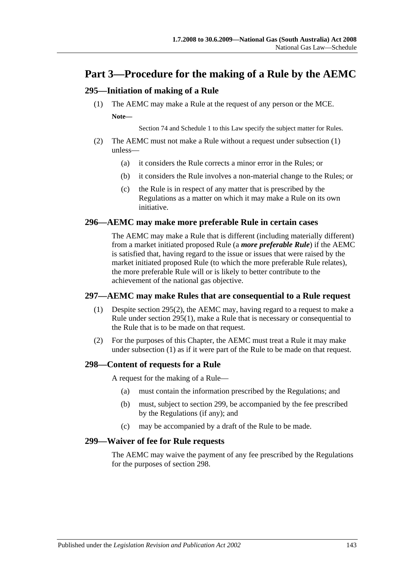## **Part 3—Procedure for the making of a Rule by the AEMC**

## <span id="page-142-1"></span>**295—Initiation of making of a Rule**

(1) The AEMC may make a Rule at the request of any person or the MCE. **Note—**

Section 74 and Schedule 1 to this Law specify the subject matter for Rules.

- <span id="page-142-0"></span>(2) The AEMC must not make a Rule without a request under [subsection](#page-142-1) (1) unless—
	- (a) it considers the Rule corrects a minor error in the Rules; or
	- (b) it considers the Rule involves a non-material change to the Rules; or
	- (c) the Rule is in respect of any matter that is prescribed by the Regulations as a matter on which it may make a Rule on its own initiative.

#### **296—AEMC may make more preferable Rule in certain cases**

The AEMC may make a Rule that is different (including materially different) from a market initiated proposed Rule (a *more preferable Rule*) if the AEMC is satisfied that, having regard to the issue or issues that were raised by the market initiated proposed Rule (to which the more preferable Rule relates), the more preferable Rule will or is likely to better contribute to the achievement of the national gas objective.

### <span id="page-142-2"></span>**297—AEMC may make Rules that are consequential to a Rule request**

- (1) Despite [section](#page-142-0) 295(2), the AEMC may, having regard to a request to make a Rule under [section](#page-142-1) 295(1), make a Rule that is necessary or consequential to the Rule that is to be made on that request.
- (2) For the purposes of this Chapter, the AEMC must treat a Rule it may make under [subsection](#page-142-2) (1) as if it were part of the Rule to be made on that request.

### **298—Content of requests for a Rule**

A request for the making of a Rule—

- (a) must contain the information prescribed by the Regulations; and
- (b) must, subject to section 299, be accompanied by the fee prescribed by the Regulations (if any); and
- (c) may be accompanied by a draft of the Rule to be made.

#### **299—Waiver of fee for Rule requests**

The AEMC may waive the payment of any fee prescribed by the Regulations for the purposes of section 298.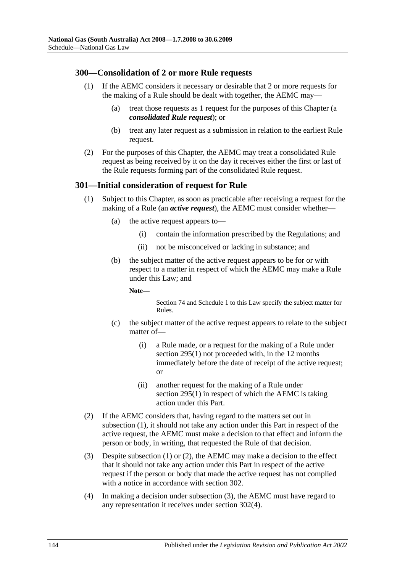### **300—Consolidation of 2 or more Rule requests**

- (1) If the AEMC considers it necessary or desirable that 2 or more requests for the making of a Rule should be dealt with together, the AEMC may—
	- (a) treat those requests as 1 request for the purposes of this Chapter (a *consolidated Rule request*); or
	- (b) treat any later request as a submission in relation to the earliest Rule request.
- (2) For the purposes of this Chapter, the AEMC may treat a consolidated Rule request as being received by it on the day it receives either the first or last of the Rule requests forming part of the consolidated Rule request.

### <span id="page-143-1"></span>**301—Initial consideration of request for Rule**

- (1) Subject to this Chapter, as soon as practicable after receiving a request for the making of a Rule (an *active request*), the AEMC must consider whether—
	- (a) the active request appears to—
		- (i) contain the information prescribed by the Regulations; and
		- (ii) not be misconceived or lacking in substance; and
	- (b) the subject matter of the active request appears to be for or with respect to a matter in respect of which the AEMC may make a Rule under this Law; and

**Note—**

Section 74 and Schedule 1 to this Law specify the subject matter for Rules.

- (c) the subject matter of the active request appears to relate to the subject matter of—
	- (i) a Rule made, or a request for the making of a Rule under [section](#page-142-1) 295(1) not proceeded with, in the 12 months immediately before the date of receipt of the active request; or
	- (ii) another request for the making of a Rule under [section](#page-142-1) 295(1) in respect of which the AEMC is taking action under this Part.
- <span id="page-143-0"></span>(2) If the AEMC considers that, having regard to the matters set out in [subsection](#page-143-1) (1), it should not take any action under this Part in respect of the active request, the AEMC must make a decision to that effect and inform the person or body, in writing, that requested the Rule of that decision.
- <span id="page-143-2"></span>(3) Despite [subsection](#page-143-1) (1) or [\(2\),](#page-143-0) the AEMC may make a decision to the effect that it should not take any action under this Part in respect of the active request if the person or body that made the active request has not complied with a notice in accordance with section 302.
- (4) In making a decision under [subsection](#page-143-2) (3), the AEMC must have regard to any representation it receives under [section](#page-144-0) 302(4).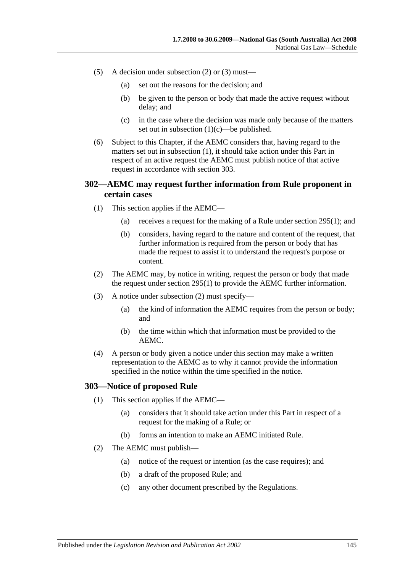- (5) A decision under [subsection](#page-143-0) (2) or [\(3\)](#page-143-1) must—
	- (a) set out the reasons for the decision; and
	- (b) be given to the person or body that made the active request without delay; and
	- (c) in the case where the decision was made only because of the matters set out in [subsection](#page-143-2) (1)(c)—be published.
- (6) Subject to this Chapter, if the AEMC considers that, having regard to the matters set out in [subsection](#page-143-3) (1), it should take action under this Part in respect of an active request the AEMC must publish notice of that active request in accordance with section 303.

## **302—AEMC may request further information from Rule proponent in certain cases**

- (1) This section applies if the AEMC—
	- (a) receives a request for the making of a Rule under [section](#page-142-0) 295(1); and
	- (b) considers, having regard to the nature and content of the request, that further information is required from the person or body that has made the request to assist it to understand the request's purpose or content.
- <span id="page-144-0"></span>(2) The AEMC may, by notice in writing, request the person or body that made the request under [section](#page-142-0) 295(1) to provide the AEMC further information.
- (3) A notice under [subsection](#page-144-0) (2) must specify—
	- (a) the kind of information the AEMC requires from the person or body; and
	- (b) the time within which that information must be provided to the AEMC.
- (4) A person or body given a notice under this section may make a written representation to the AEMC as to why it cannot provide the information specified in the notice within the time specified in the notice.

## **303—Notice of proposed Rule**

- (1) This section applies if the AEMC—
	- (a) considers that it should take action under this Part in respect of a request for the making of a Rule; or
	- (b) forms an intention to make an AEMC initiated Rule.
- <span id="page-144-1"></span>(2) The AEMC must publish—
	- (a) notice of the request or intention (as the case requires); and
	- (b) a draft of the proposed Rule; and
	- (c) any other document prescribed by the Regulations.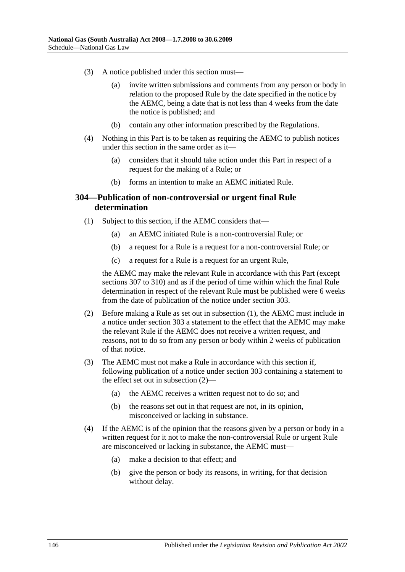- <span id="page-145-2"></span>(3) A notice published under this section must—
	- (a) invite written submissions and comments from any person or body in relation to the proposed Rule by the date specified in the notice by the AEMC, being a date that is not less than 4 weeks from the date the notice is published; and
	- (b) contain any other information prescribed by the Regulations.
- (4) Nothing in this Part is to be taken as requiring the AEMC to publish notices under this section in the same order as it—
	- (a) considers that it should take action under this Part in respect of a request for the making of a Rule; or
	- (b) forms an intention to make an AEMC initiated Rule.

### <span id="page-145-0"></span>**304—Publication of non-controversial or urgent final Rule determination**

- (1) Subject to this section, if the AEMC considers that—
	- (a) an AEMC initiated Rule is a non-controversial Rule; or
	- (b) a request for a Rule is a request for a non-controversial Rule; or
	- (c) a request for a Rule is a request for an urgent Rule,

the AEMC may make the relevant Rule in accordance with this Part (except sections 307 to 310) and as if the period of time within which the final Rule determination in respect of the relevant Rule must be published were 6 weeks from the date of publication of the notice under section 303.

- <span id="page-145-1"></span>(2) Before making a Rule as set out in [subsection](#page-145-0) (1), the AEMC must include in a notice under section 303 a statement to the effect that the AEMC may make the relevant Rule if the AEMC does not receive a written request, and reasons, not to do so from any person or body within 2 weeks of publication of that notice.
- (3) The AEMC must not make a Rule in accordance with this section if, following publication of a notice under section 303 containing a statement to the effect set out in [subsection](#page-145-1) (2)—
	- (a) the AEMC receives a written request not to do so; and
	- (b) the reasons set out in that request are not, in its opinion, misconceived or lacking in substance.
- (4) If the AEMC is of the opinion that the reasons given by a person or body in a written request for it not to make the non-controversial Rule or urgent Rule are misconceived or lacking in substance, the AEMC must—
	- (a) make a decision to that effect; and
	- (b) give the person or body its reasons, in writing, for that decision without delay.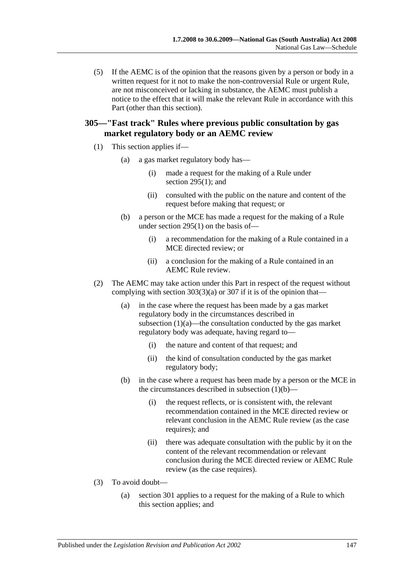(5) If the AEMC is of the opinion that the reasons given by a person or body in a written request for it not to make the non-controversial Rule or urgent Rule, are not misconceived or lacking in substance, the AEMC must publish a notice to the effect that it will make the relevant Rule in accordance with this Part (other than this section).

# **305—"Fast track" Rules where previous public consultation by gas market regulatory body or an AEMC review**

- <span id="page-146-1"></span><span id="page-146-0"></span>(1) This section applies if—
	- (a) a gas market regulatory body has—
		- (i) made a request for the making of a Rule under section [295\(1\);](#page-142-0) and
		- (ii) consulted with the public on the nature and content of the request before making that request; or
	- (b) a person or the MCE has made a request for the making of a Rule under [section](#page-142-0) 295(1) on the basis of—
		- (i) a recommendation for the making of a Rule contained in a MCE directed review; or
		- (ii) a conclusion for the making of a Rule contained in an AEMC Rule review.
- (2) The AEMC may take action under this Part in respect of the request without complying with section  $303(3)(a)$  or  $307$  if it is of the opinion that—
	- (a) in the case where the request has been made by a gas market regulatory body in the circumstances described in [subsection](#page-146-0)  $(1)(a)$ —the consultation conducted by the gas market regulatory body was adequate, having regard to—
		- (i) the nature and content of that request; and
		- (ii) the kind of consultation conducted by the gas market regulatory body;
	- (b) in the case where a request has been made by a person or the MCE in the circumstances described in [subsection](#page-146-1)  $(1)(b)$ —
		- (i) the request reflects, or is consistent with, the relevant recommendation contained in the MCE directed review or relevant conclusion in the AEMC Rule review (as the case requires); and
		- (ii) there was adequate consultation with the public by it on the content of the relevant recommendation or relevant conclusion during the MCE directed review or AEMC Rule review (as the case requires).
- (3) To avoid doubt—
	- (a) section 301 applies to a request for the making of a Rule to which this section applies; and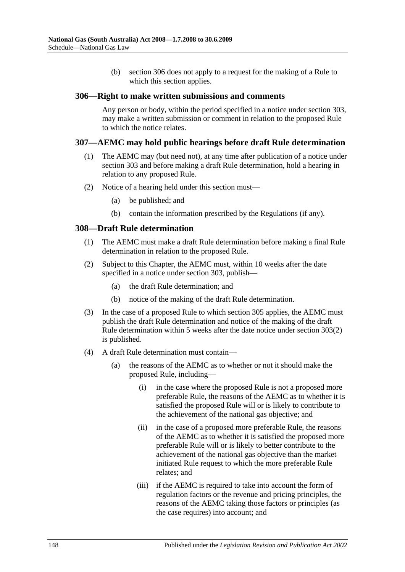(b) section 306 does not apply to a request for the making of a Rule to which this section applies.

### **306—Right to make written submissions and comments**

Any person or body, within the period specified in a notice under section 303, may make a written submission or comment in relation to the proposed Rule to which the notice relates.

### **307—AEMC may hold public hearings before draft Rule determination**

- (1) The AEMC may (but need not), at any time after publication of a notice under section 303 and before making a draft Rule determination, hold a hearing in relation to any proposed Rule.
- (2) Notice of a hearing held under this section must—
	- (a) be published; and
	- (b) contain the information prescribed by the Regulations (if any).

### <span id="page-147-1"></span>**308—Draft Rule determination**

- (1) The AEMC must make a draft Rule determination before making a final Rule determination in relation to the proposed Rule.
- <span id="page-147-0"></span>(2) Subject to this Chapter, the AEMC must, within 10 weeks after the date specified in a notice under section 303, publish—
	- (a) the draft Rule determination; and
	- (b) notice of the making of the draft Rule determination.
- (3) In the case of a proposed Rule to which section 305 applies, the AEMC must publish the draft Rule determination and notice of the making of the draft Rule determination within 5 weeks after the date notice under [section](#page-144-1) 303(2) is published.
- (4) A draft Rule determination must contain—
	- (a) the reasons of the AEMC as to whether or not it should make the proposed Rule, including—
		- (i) in the case where the proposed Rule is not a proposed more preferable Rule, the reasons of the AEMC as to whether it is satisfied the proposed Rule will or is likely to contribute to the achievement of the national gas objective; and
		- (ii) in the case of a proposed more preferable Rule, the reasons of the AEMC as to whether it is satisfied the proposed more preferable Rule will or is likely to better contribute to the achievement of the national gas objective than the market initiated Rule request to which the more preferable Rule relates; and
		- (iii) if the AEMC is required to take into account the form of regulation factors or the revenue and pricing principles, the reasons of the AEMC taking those factors or principles (as the case requires) into account; and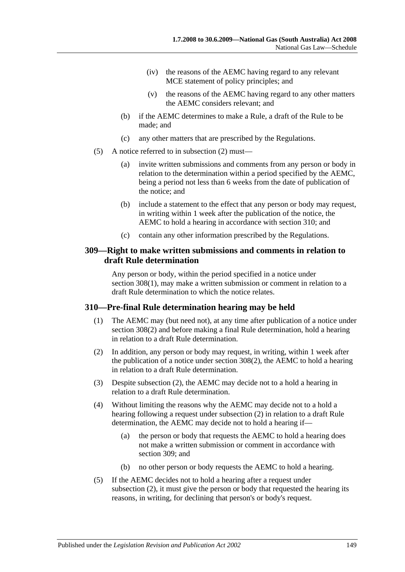- (iv) the reasons of the AEMC having regard to any relevant MCE statement of policy principles; and
- (v) the reasons of the AEMC having regard to any other matters the AEMC considers relevant; and
- (b) if the AEMC determines to make a Rule, a draft of the Rule to be made; and
- (c) any other matters that are prescribed by the Regulations.
- (5) A notice referred to in [subsection](#page-147-0) (2) must—
	- (a) invite written submissions and comments from any person or body in relation to the determination within a period specified by the AEMC, being a period not less than 6 weeks from the date of publication of the notice; and
	- (b) include a statement to the effect that any person or body may request, in writing within 1 week after the publication of the notice, the AEMC to hold a hearing in accordance with section 310; and
	- (c) contain any other information prescribed by the Regulations.

### **309—Right to make written submissions and comments in relation to draft Rule determination**

Any person or body, within the period specified in a notice under section [308\(1\),](#page-147-1) may make a written submission or comment in relation to a draft Rule determination to which the notice relates.

## **310—Pre-final Rule determination hearing may be held**

- (1) The AEMC may (but need not), at any time after publication of a notice under [section](#page-147-0) 308(2) and before making a final Rule determination, hold a hearing in relation to a draft Rule determination.
- <span id="page-148-0"></span>(2) In addition, any person or body may request, in writing, within 1 week after the publication of a notice under [section](#page-147-0) 308(2), the AEMC to hold a hearing in relation to a draft Rule determination.
- (3) Despite [subsection](#page-148-0) (2), the AEMC may decide not to a hold a hearing in relation to a draft Rule determination.
- (4) Without limiting the reasons why the AEMC may decide not to a hold a hearing following a request under [subsection](#page-148-0) (2) in relation to a draft Rule determination, the AEMC may decide not to hold a hearing if—
	- (a) the person or body that requests the AEMC to hold a hearing does not make a written submission or comment in accordance with section 309; and
	- (b) no other person or body requests the AEMC to hold a hearing.
- (5) If the AEMC decides not to hold a hearing after a request under [subsection](#page-148-0) (2), it must give the person or body that requested the hearing its reasons, in writing, for declining that person's or body's request.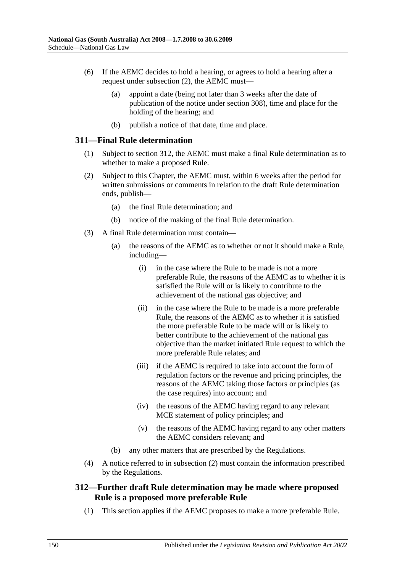- (6) If the AEMC decides to hold a hearing, or agrees to hold a hearing after a request under [subsection](#page-148-0) (2), the AEMC must—
	- (a) appoint a date (being not later than 3 weeks after the date of publication of the notice under section 308), time and place for the holding of the hearing; and
	- (b) publish a notice of that date, time and place.

### **311—Final Rule determination**

- (1) Subject to section 312, the AEMC must make a final Rule determination as to whether to make a proposed Rule.
- <span id="page-149-0"></span>(2) Subject to this Chapter, the AEMC must, within 6 weeks after the period for written submissions or comments in relation to the draft Rule determination ends, publish—
	- (a) the final Rule determination; and
	- (b) notice of the making of the final Rule determination.
- (3) A final Rule determination must contain—
	- (a) the reasons of the AEMC as to whether or not it should make a Rule, including—
		- (i) in the case where the Rule to be made is not a more preferable Rule, the reasons of the AEMC as to whether it is satisfied the Rule will or is likely to contribute to the achievement of the national gas objective; and
		- (ii) in the case where the Rule to be made is a more preferable Rule, the reasons of the AEMC as to whether it is satisfied the more preferable Rule to be made will or is likely to better contribute to the achievement of the national gas objective than the market initiated Rule request to which the more preferable Rule relates; and
		- (iii) if the AEMC is required to take into account the form of regulation factors or the revenue and pricing principles, the reasons of the AEMC taking those factors or principles (as the case requires) into account; and
		- (iv) the reasons of the AEMC having regard to any relevant MCE statement of policy principles; and
		- (v) the reasons of the AEMC having regard to any other matters the AEMC considers relevant; and
	- (b) any other matters that are prescribed by the Regulations.
- (4) A notice referred to in [subsection](#page-149-0) (2) must contain the information prescribed by the Regulations.

## **312—Further draft Rule determination may be made where proposed Rule is a proposed more preferable Rule**

(1) This section applies if the AEMC proposes to make a more preferable Rule.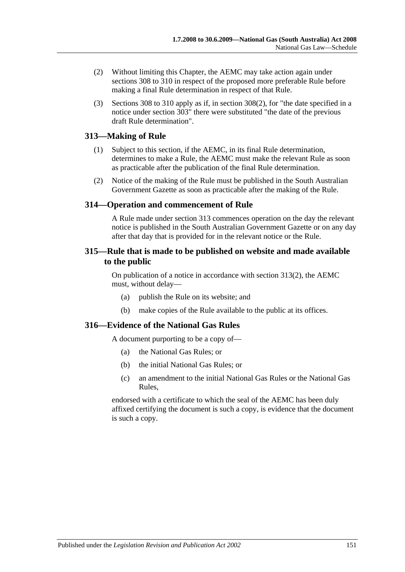- (2) Without limiting this Chapter, the AEMC may take action again under sections 308 to 310 in respect of the proposed more preferable Rule before making a final Rule determination in respect of that Rule.
- (3) Sections 308 to 310 apply as if, in [section](#page-147-0) 308(2), for "the date specified in a notice under section 303" there were substituted "the date of the previous draft Rule determination".

# **313—Making of Rule**

- (1) Subject to this section, if the AEMC, in its final Rule determination, determines to make a Rule, the AEMC must make the relevant Rule as soon as practicable after the publication of the final Rule determination.
- <span id="page-150-0"></span>(2) Notice of the making of the Rule must be published in the South Australian Government Gazette as soon as practicable after the making of the Rule.

# **314—Operation and commencement of Rule**

A Rule made under section 313 commences operation on the day the relevant notice is published in the South Australian Government Gazette or on any day after that day that is provided for in the relevant notice or the Rule.

## **315—Rule that is made to be published on website and made available to the public**

On publication of a notice in accordance with [section](#page-150-0) 313(2), the AEMC must, without delay—

- (a) publish the Rule on its website; and
- (b) make copies of the Rule available to the public at its offices.

# **316—Evidence of the National Gas Rules**

A document purporting to be a copy of—

- (a) the National Gas Rules; or
- (b) the initial National Gas Rules; or
- (c) an amendment to the initial National Gas Rules or the National Gas Rules,

endorsed with a certificate to which the seal of the AEMC has been duly affixed certifying the document is such a copy, is evidence that the document is such a copy.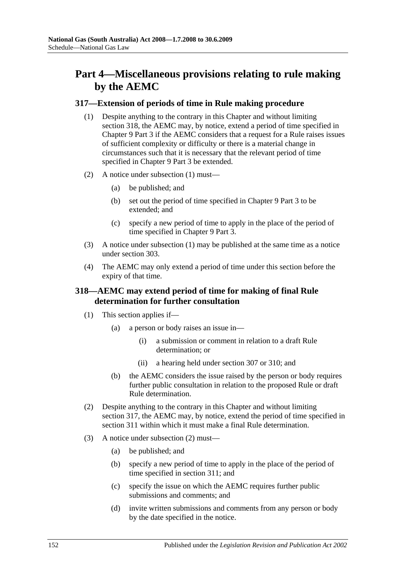# **Part 4—Miscellaneous provisions relating to rule making by the AEMC**

## <span id="page-151-0"></span>**317—Extension of periods of time in Rule making procedure**

- (1) Despite anything to the contrary in this Chapter and without limiting section 318, the AEMC may, by notice, extend a period of time specified in Chapter 9 Part 3 if the AEMC considers that a request for a Rule raises issues of sufficient complexity or difficulty or there is a material change in circumstances such that it is necessary that the relevant period of time specified in Chapter 9 Part 3 be extended.
- (2) A notice under [subsection](#page-151-0) (1) must—
	- (a) be published; and
	- (b) set out the period of time specified in Chapter 9 Part 3 to be extended; and
	- (c) specify a new period of time to apply in the place of the period of time specified in Chapter 9 Part 3.
- (3) A notice under [subsection](#page-151-0) (1) may be published at the same time as a notice under section 303.
- (4) The AEMC may only extend a period of time under this section before the expiry of that time.

# **318—AEMC may extend period of time for making of final Rule determination for further consultation**

- (1) This section applies if—
	- (a) a person or body raises an issue in—
		- (i) a submission or comment in relation to a draft Rule determination; or
		- (ii) a hearing held under section 307 or 310; and
	- (b) the AEMC considers the issue raised by the person or body requires further public consultation in relation to the proposed Rule or draft Rule determination.
- <span id="page-151-1"></span>(2) Despite anything to the contrary in this Chapter and without limiting section 317, the AEMC may, by notice, extend the period of time specified in section 311 within which it must make a final Rule determination.
- (3) A notice under [subsection](#page-151-1) (2) must—
	- (a) be published; and
	- (b) specify a new period of time to apply in the place of the period of time specified in section 311; and
	- (c) specify the issue on which the AEMC requires further public submissions and comments; and
	- (d) invite written submissions and comments from any person or body by the date specified in the notice.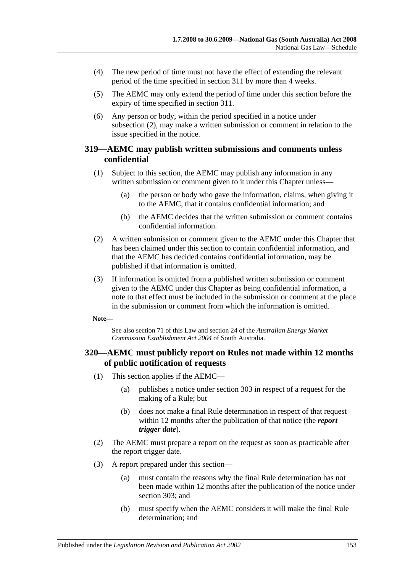- (4) The new period of time must not have the effect of extending the relevant period of the time specified in section 311 by more than 4 weeks.
- (5) The AEMC may only extend the period of time under this section before the expiry of time specified in section 311.
- (6) Any person or body, within the period specified in a notice under [subsection](#page-151-1) (2), may make a written submission or comment in relation to the issue specified in the notice.

## **319—AEMC may publish written submissions and comments unless confidential**

- (1) Subject to this section, the AEMC may publish any information in any written submission or comment given to it under this Chapter unless—
	- (a) the person or body who gave the information, claims, when giving it to the AEMC, that it contains confidential information; and
	- (b) the AEMC decides that the written submission or comment contains confidential information.
- (2) A written submission or comment given to the AEMC under this Chapter that has been claimed under this section to contain confidential information, and that the AEMC has decided contains confidential information, may be published if that information is omitted.
- (3) If information is omitted from a published written submission or comment given to the AEMC under this Chapter as being confidential information, a note to that effect must be included in the submission or comment at the place in the submission or comment from which the information is omitted.

**Note—**

See also section 71 of this Law and section 24 of the *[Australian Energy Market](http://www.legislation.sa.gov.au/index.aspx?action=legref&type=act&legtitle=Australian%20Energy%20Market%20Commission%20Establishment%20Act%202004)  [Commission Establishment Act](http://www.legislation.sa.gov.au/index.aspx?action=legref&type=act&legtitle=Australian%20Energy%20Market%20Commission%20Establishment%20Act%202004) 2004* of South Australia.

## **320—AEMC must publicly report on Rules not made within 12 months of public notification of requests**

- (1) This section applies if the AEMC—
	- (a) publishes a notice under section 303 in respect of a request for the making of a Rule; but
	- (b) does not make a final Rule determination in respect of that request within 12 months after the publication of that notice (the *report trigger date*).
- (2) The AEMC must prepare a report on the request as soon as practicable after the report trigger date.
- (3) A report prepared under this section—
	- (a) must contain the reasons why the final Rule determination has not been made within 12 months after the publication of the notice under section 303; and
	- (b) must specify when the AEMC considers it will make the final Rule determination; and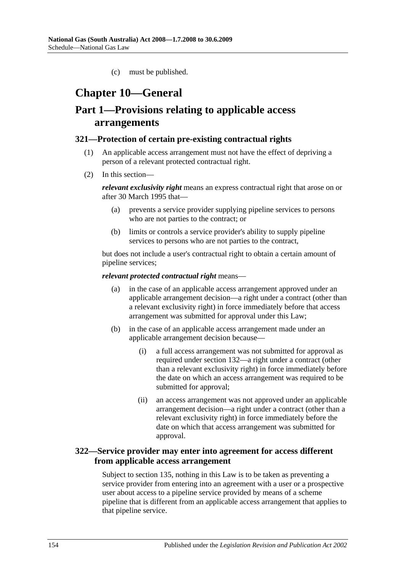(c) must be published.

# **Chapter 10—General**

# **Part 1—Provisions relating to applicable access arrangements**

### **321—Protection of certain pre-existing contractual rights**

- (1) An applicable access arrangement must not have the effect of depriving a person of a relevant protected contractual right.
- (2) In this section—

*relevant exclusivity right* means an express contractual right that arose on or after 30 March 1995 that—

- (a) prevents a service provider supplying pipeline services to persons who are not parties to the contract; or
- (b) limits or controls a service provider's ability to supply pipeline services to persons who are not parties to the contract,

but does not include a user's contractual right to obtain a certain amount of pipeline services;

### *relevant protected contractual right* means—

- (a) in the case of an applicable access arrangement approved under an applicable arrangement decision—a right under a contract (other than a relevant exclusivity right) in force immediately before that access arrangement was submitted for approval under this Law;
- (b) in the case of an applicable access arrangement made under an applicable arrangement decision because—
	- (i) a full access arrangement was not submitted for approval as required under section 132—a right under a contract (other than a relevant exclusivity right) in force immediately before the date on which an access arrangement was required to be submitted for approval;
	- (ii) an access arrangement was not approved under an applicable arrangement decision—a right under a contract (other than a relevant exclusivity right) in force immediately before the date on which that access arrangement was submitted for approval.

# **322—Service provider may enter into agreement for access different from applicable access arrangement**

Subject to section 135, nothing in this Law is to be taken as preventing a service provider from entering into an agreement with a user or a prospective user about access to a pipeline service provided by means of a scheme pipeline that is different from an applicable access arrangement that applies to that pipeline service.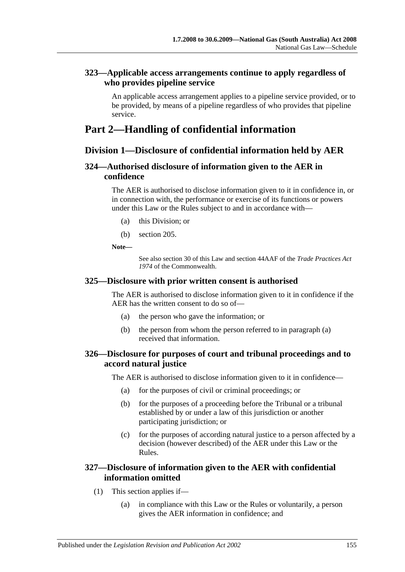# **323—Applicable access arrangements continue to apply regardless of who provides pipeline service**

An applicable access arrangement applies to a pipeline service provided, or to be provided, by means of a pipeline regardless of who provides that pipeline service.

# **Part 2—Handling of confidential information**

# **Division 1—Disclosure of confidential information held by AER**

# **324—Authorised disclosure of information given to the AER in confidence**

The AER is authorised to disclose information given to it in confidence in, or in connection with, the performance or exercise of its functions or powers under this Law or the Rules subject to and in accordance with—

- (a) this Division; or
- (b) section 205.

**Note—**

See also section 30 of this Law and section 44AAF of the *Trade Practices Act 1974* of the Commonwealth.

## <span id="page-154-0"></span>**325—Disclosure with prior written consent is authorised**

The AER is authorised to disclose information given to it in confidence if the AER has the written consent to do so of—

- (a) the person who gave the information; or
- (b) the person from whom the person referred to in [paragraph](#page-154-0) (a) received that information.

# **326—Disclosure for purposes of court and tribunal proceedings and to accord natural justice**

The AER is authorised to disclose information given to it in confidence—

- (a) for the purposes of civil or criminal proceedings; or
- (b) for the purposes of a proceeding before the Tribunal or a tribunal established by or under a law of this jurisdiction or another participating jurisdiction; or
- (c) for the purposes of according natural justice to a person affected by a decision (however described) of the AER under this Law or the Rules.

# **327—Disclosure of information given to the AER with confidential information omitted**

- (1) This section applies if—
	- (a) in compliance with this Law or the Rules or voluntarily, a person gives the AER information in confidence; and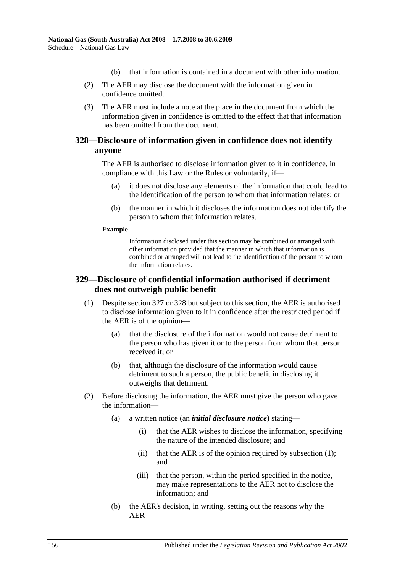- (b) that information is contained in a document with other information.
- (2) The AER may disclose the document with the information given in confidence omitted.
- (3) The AER must include a note at the place in the document from which the information given in confidence is omitted to the effect that that information has been omitted from the document.

# **328—Disclosure of information given in confidence does not identify anyone**

The AER is authorised to disclose information given to it in confidence, in compliance with this Law or the Rules or voluntarily, if—

- (a) it does not disclose any elements of the information that could lead to the identification of the person to whom that information relates; or
- (b) the manner in which it discloses the information does not identify the person to whom that information relates.

#### **Example—**

Information disclosed under this section may be combined or arranged with other information provided that the manner in which that information is combined or arranged will not lead to the identification of the person to whom the information relates.

# <span id="page-155-0"></span>**329—Disclosure of confidential information authorised if detriment does not outweigh public benefit**

- (1) Despite section 327 or 328 but subject to this section, the AER is authorised to disclose information given to it in confidence after the restricted period if the AER is of the opinion—
	- (a) that the disclosure of the information would not cause detriment to the person who has given it or to the person from whom that person received it; or
	- (b) that, although the disclosure of the information would cause detriment to such a person, the public benefit in disclosing it outweighs that detriment.
- <span id="page-155-1"></span>(2) Before disclosing the information, the AER must give the person who gave the information—
	- (a) a written notice (an *initial disclosure notice*) stating—
		- (i) that the AER wishes to disclose the information, specifying the nature of the intended disclosure; and
		- (ii) that the AER is of the opinion required by [subsection](#page-155-0) (1); and
		- (iii) that the person, within the period specified in the notice, may make representations to the AER not to disclose the information; and
	- (b) the AER's decision, in writing, setting out the reasons why the AER—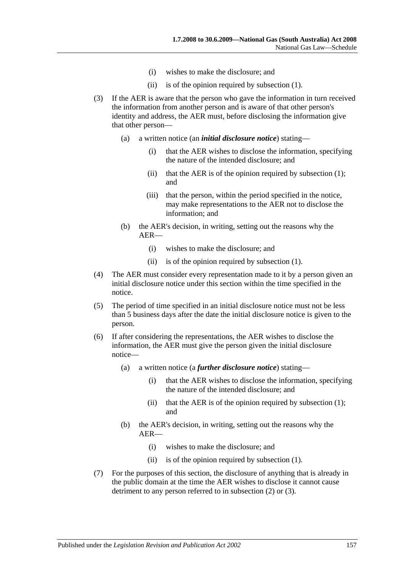- (i) wishes to make the disclosure; and
- (ii) is of the opinion required by [subsection](#page-155-0) (1).
- <span id="page-156-0"></span>(3) If the AER is aware that the person who gave the information in turn received the information from another person and is aware of that other person's identity and address, the AER must, before disclosing the information give that other person—
	- (a) a written notice (an *initial disclosure notice*) stating—
		- (i) that the AER wishes to disclose the information, specifying the nature of the intended disclosure; and
		- (ii) that the AER is of the opinion required by [subsection](#page-155-0)  $(1)$ ; and
		- (iii) that the person, within the period specified in the notice, may make representations to the AER not to disclose the information; and
	- (b) the AER's decision, in writing, setting out the reasons why the AER—
		- (i) wishes to make the disclosure; and
		- (ii) is of the opinion required by [subsection](#page-155-0) (1).
- (4) The AER must consider every representation made to it by a person given an initial disclosure notice under this section within the time specified in the notice.
- (5) The period of time specified in an initial disclosure notice must not be less than 5 business days after the date the initial disclosure notice is given to the person.
- (6) If after considering the representations, the AER wishes to disclose the information, the AER must give the person given the initial disclosure notice—
	- (a) a written notice (a *further disclosure notice*) stating—
		- (i) that the AER wishes to disclose the information, specifying the nature of the intended disclosure; and
		- (ii) that the AER is of the opinion required by [subsection](#page-155-0)  $(1)$ ; and
	- (b) the AER's decision, in writing, setting out the reasons why the AER—
		- (i) wishes to make the disclosure; and
		- (ii) is of the opinion required by [subsection](#page-155-0) (1).
- (7) For the purposes of this section, the disclosure of anything that is already in the public domain at the time the AER wishes to disclose it cannot cause detriment to any person referred to in [subsection](#page-155-1) (2) or [\(3\).](#page-156-0)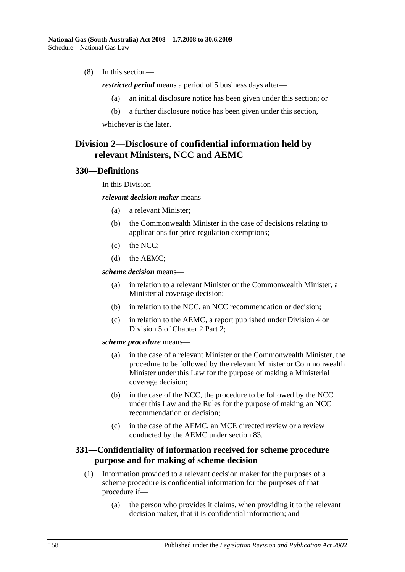(8) In this section—

*restricted period* means a period of 5 business days after—

- (a) an initial disclosure notice has been given under this section; or
- (b) a further disclosure notice has been given under this section,

whichever is the later.

# **Division 2—Disclosure of confidential information held by relevant Ministers, NCC and AEMC**

### **330—Definitions**

In this Division—

*relevant decision maker* means—

- (a) a relevant Minister;
- (b) the Commonwealth Minister in the case of decisions relating to applications for price regulation exemptions;
- (c) the NCC;
- (d) the AEMC;

*scheme decision* means—

- (a) in relation to a relevant Minister or the Commonwealth Minister, a Ministerial coverage decision;
- (b) in relation to the NCC, an NCC recommendation or decision;
- (c) in relation to the AEMC, a report published under Division 4 or Division 5 of Chapter 2 Part 2;

*scheme procedure* means—

- (a) in the case of a relevant Minister or the Commonwealth Minister, the procedure to be followed by the relevant Minister or Commonwealth Minister under this Law for the purpose of making a Ministerial coverage decision;
- (b) in the case of the NCC, the procedure to be followed by the NCC under this Law and the Rules for the purpose of making an NCC recommendation or decision;
- (c) in the case of the AEMC, an MCE directed review or a review conducted by the AEMC under section 83.

# **331—Confidentiality of information received for scheme procedure purpose and for making of scheme decision**

- (1) Information provided to a relevant decision maker for the purposes of a scheme procedure is confidential information for the purposes of that procedure if—
	- (a) the person who provides it claims, when providing it to the relevant decision maker, that it is confidential information; and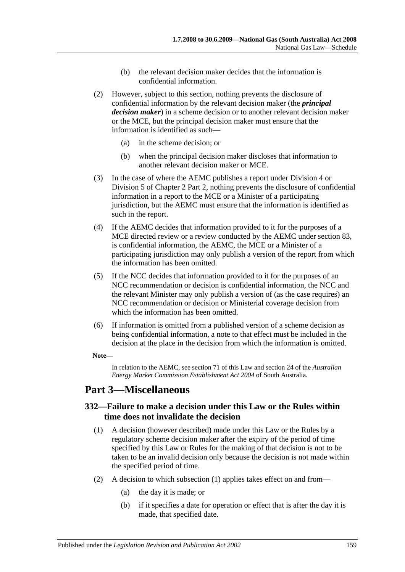- (b) the relevant decision maker decides that the information is confidential information.
- (2) However, subject to this section, nothing prevents the disclosure of confidential information by the relevant decision maker (the *principal decision maker*) in a scheme decision or to another relevant decision maker or the MCE, but the principal decision maker must ensure that the information is identified as such—
	- (a) in the scheme decision; or
	- (b) when the principal decision maker discloses that information to another relevant decision maker or MCE.
- (3) In the case of where the AEMC publishes a report under Division 4 or Division 5 of Chapter 2 Part 2, nothing prevents the disclosure of confidential information in a report to the MCE or a Minister of a participating jurisdiction, but the AEMC must ensure that the information is identified as such in the report.
- (4) If the AEMC decides that information provided to it for the purposes of a MCE directed review or a review conducted by the AEMC under section 83, is confidential information, the AEMC, the MCE or a Minister of a participating jurisdiction may only publish a version of the report from which the information has been omitted.
- (5) If the NCC decides that information provided to it for the purposes of an NCC recommendation or decision is confidential information, the NCC and the relevant Minister may only publish a version of (as the case requires) an NCC recommendation or decision or Ministerial coverage decision from which the information has been omitted.
- (6) If information is omitted from a published version of a scheme decision as being confidential information, a note to that effect must be included in the decision at the place in the decision from which the information is omitted.

### **Note—**

In relation to the AEMC, see section 71 of this Law and section 24 of the *[Australian](http://www.legislation.sa.gov.au/index.aspx?action=legref&type=act&legtitle=Australian%20Energy%20Market%20Commission%20Establishment%20Act%202004)  [Energy Market Commission Establishment Act](http://www.legislation.sa.gov.au/index.aspx?action=legref&type=act&legtitle=Australian%20Energy%20Market%20Commission%20Establishment%20Act%202004) 2004* of South Australia.

# **Part 3—Miscellaneous**

## <span id="page-158-0"></span>**332—Failure to make a decision under this Law or the Rules within time does not invalidate the decision**

- (1) A decision (however described) made under this Law or the Rules by a regulatory scheme decision maker after the expiry of the period of time specified by this Law or Rules for the making of that decision is not to be taken to be an invalid decision only because the decision is not made within the specified period of time.
- (2) A decision to which [subsection](#page-158-0) (1) applies takes effect on and from—
	- (a) the day it is made; or
	- (b) if it specifies a date for operation or effect that is after the day it is made, that specified date.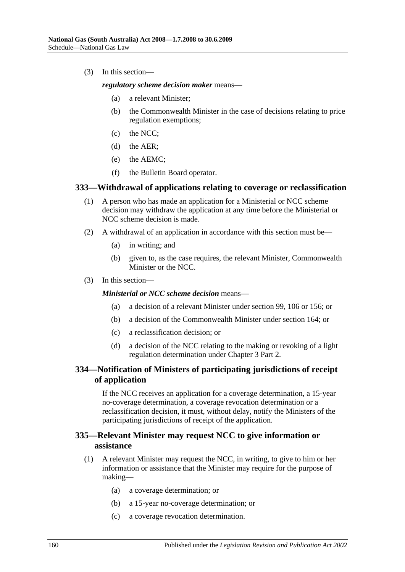(3) In this section—

*regulatory scheme decision maker* means—

- (a) a relevant Minister;
- (b) the Commonwealth Minister in the case of decisions relating to price regulation exemptions;
- (c) the NCC;
- (d) the AER;
- (e) the AEMC;
- (f) the Bulletin Board operator.

### **333—Withdrawal of applications relating to coverage or reclassification**

- (1) A person who has made an application for a Ministerial or NCC scheme decision may withdraw the application at any time before the Ministerial or NCC scheme decision is made.
- (2) A withdrawal of an application in accordance with this section must be—
	- (a) in writing; and
	- (b) given to, as the case requires, the relevant Minister, Commonwealth Minister or the NCC.
- (3) In this section—

### *Ministerial or NCC scheme decision* means—

- (a) a decision of a relevant Minister under section 99, 106 or 156; or
- (b) a decision of the Commonwealth Minister under section 164; or
- (c) a reclassification decision; or
- (d) a decision of the NCC relating to the making or revoking of a light regulation determination under Chapter 3 Part 2.

# **334—Notification of Ministers of participating jurisdictions of receipt of application**

If the NCC receives an application for a coverage determination, a 15-year no-coverage determination, a coverage revocation determination or a reclassification decision, it must, without delay, notify the Ministers of the participating jurisdictions of receipt of the application.

## **335—Relevant Minister may request NCC to give information or assistance**

- (1) A relevant Minister may request the NCC, in writing, to give to him or her information or assistance that the Minister may require for the purpose of making—
	- (a) a coverage determination; or
	- (b) a 15-year no-coverage determination; or
	- (c) a coverage revocation determination.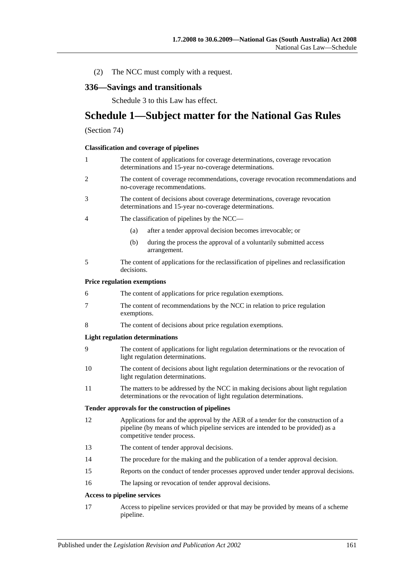(2) The NCC must comply with a request.

# **336—Savings and transitionals**

Schedule 3 to this Law has effect.

# **Schedule 1—Subject matter for the National Gas Rules**

### (Section 74)

#### **Classification and coverage of pipelines**

| 1              | The content of applications for coverage determinations, coverage revocation<br>determinations and 15-year no-coverage determinations.                                                               |
|----------------|------------------------------------------------------------------------------------------------------------------------------------------------------------------------------------------------------|
| $\overline{c}$ | The content of coverage recommendations, coverage revocation recommendations and<br>no-coverage recommendations.                                                                                     |
| 3              | The content of decisions about coverage determinations, coverage revocation<br>determinations and 15-year no-coverage determinations.                                                                |
| 4              | The classification of pipelines by the NCC—                                                                                                                                                          |
|                | after a tender approval decision becomes irrevocable; or<br>(a)                                                                                                                                      |
|                | (b)<br>during the process the approval of a voluntarily submitted access<br>arrangement.                                                                                                             |
| 5              | The content of applications for the reclassification of pipelines and reclassification<br>decisions.                                                                                                 |
|                | <b>Price regulation exemptions</b>                                                                                                                                                                   |
| 6              | The content of applications for price regulation exemptions.                                                                                                                                         |
| 7              | The content of recommendations by the NCC in relation to price regulation<br>exemptions.                                                                                                             |
| 8              | The content of decisions about price regulation exemptions.                                                                                                                                          |
|                | <b>Light regulation determinations</b>                                                                                                                                                               |
| 9              | The content of applications for light regulation determinations or the revocation of<br>light regulation determinations.                                                                             |
| 10             | The content of decisions about light regulation determinations or the revocation of<br>light regulation determinations.                                                                              |
| 11             | The matters to be addressed by the NCC in making decisions about light regulation<br>determinations or the revocation of light regulation determinations.                                            |
|                | Tender approvals for the construction of pipelines                                                                                                                                                   |
| 12             | Applications for and the approval by the AER of a tender for the construction of a<br>pipeline (by means of which pipeline services are intended to be provided) as a<br>competitive tender process. |
| 13             | The content of tender approval decisions.                                                                                                                                                            |
| 14             | The procedure for the making and the publication of a tender approval decision.                                                                                                                      |
| 15             | Reports on the conduct of tender processes approved under tender approval decisions.                                                                                                                 |
| 16             | The lapsing or revocation of tender approval decisions.                                                                                                                                              |
|                | <b>Access to pipeline services</b>                                                                                                                                                                   |
| 17             | Access to pipeline services provided or that may be provided by means of a scheme                                                                                                                    |

pipeline.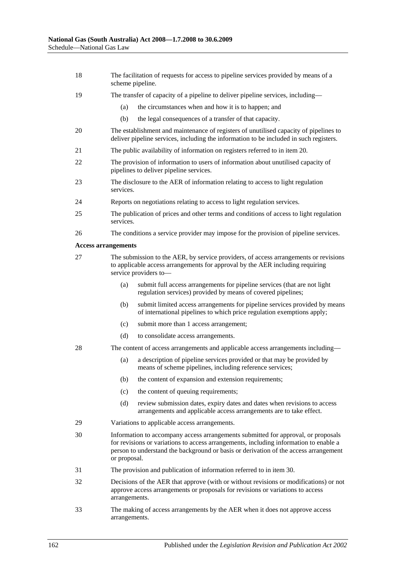- 18 The facilitation of requests for access to pipeline services provided by means of a scheme pipeline.
- 19 The transfer of capacity of a pipeline to deliver pipeline services, including—
	- (a) the circumstances when and how it is to happen; and
	- (b) the legal consequences of a transfer of that capacity.
- 20 The establishment and maintenance of registers of unutilised capacity of pipelines to deliver pipeline services, including the information to be included in such registers.
- 21 The public availability of information on registers referred to in item 20.
- 22 The provision of information to users of information about unutilised capacity of pipelines to deliver pipeline services.
- 23 The disclosure to the AER of information relating to access to light regulation services.
- 24 Reports on negotiations relating to access to light regulation services.
- 25 The publication of prices and other terms and conditions of access to light regulation services.
- 26 The conditions a service provider may impose for the provision of pipeline services.

#### **Access arrangements**

- 27 The submission to the AER, by service providers, of access arrangements or revisions to applicable access arrangements for approval by the AER including requiring service providers to—
	- (a) submit full access arrangements for pipeline services (that are not light regulation services) provided by means of covered pipelines;
	- (b) submit limited access arrangements for pipeline services provided by means of international pipelines to which price regulation exemptions apply;
	- (c) submit more than 1 access arrangement;
	- (d) to consolidate access arrangements.
- 28 The content of access arrangements and applicable access arrangements including—
	- (a) a description of pipeline services provided or that may be provided by means of scheme pipelines, including reference services;
	- (b) the content of expansion and extension requirements;
	- (c) the content of queuing requirements;
	- (d) review submission dates, expiry dates and dates when revisions to access arrangements and applicable access arrangements are to take effect.
- 29 Variations to applicable access arrangements.
- 30 Information to accompany access arrangements submitted for approval, or proposals for revisions or variations to access arrangements, including information to enable a person to understand the background or basis or derivation of the access arrangement or proposal.
- 31 The provision and publication of information referred to in item 30.
- 32 Decisions of the AER that approve (with or without revisions or modifications) or not approve access arrangements or proposals for revisions or variations to access arrangements.
- 33 The making of access arrangements by the AER when it does not approve access arrangements.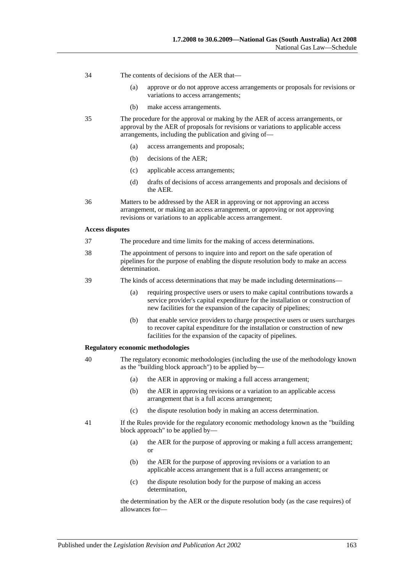- 34 The contents of decisions of the AER that—
	- (a) approve or do not approve access arrangements or proposals for revisions or variations to access arrangements;
	- (b) make access arrangements.
- 35 The procedure for the approval or making by the AER of access arrangements, or approval by the AER of proposals for revisions or variations to applicable access arrangements, including the publication and giving of—
	- (a) access arrangements and proposals;
	- (b) decisions of the AER;
	- (c) applicable access arrangements;
	- (d) drafts of decisions of access arrangements and proposals and decisions of the AER.
- 36 Matters to be addressed by the AER in approving or not approving an access arrangement, or making an access arrangement, or approving or not approving revisions or variations to an applicable access arrangement.

#### **Access disputes**

- 37 The procedure and time limits for the making of access determinations.
- 38 The appointment of persons to inquire into and report on the safe operation of pipelines for the purpose of enabling the dispute resolution body to make an access determination.
- 39 The kinds of access determinations that may be made including determinations—
	- (a) requiring prospective users or users to make capital contributions towards a service provider's capital expenditure for the installation or construction of new facilities for the expansion of the capacity of pipelines;
	- (b) that enable service providers to charge prospective users or users surcharges to recover capital expenditure for the installation or construction of new facilities for the expansion of the capacity of pipelines.

#### **Regulatory economic methodologies**

- 40 The regulatory economic methodologies (including the use of the methodology known as the "building block approach") to be applied by—
	- (a) the AER in approving or making a full access arrangement;
	- (b) the AER in approving revisions or a variation to an applicable access arrangement that is a full access arrangement;
	- (c) the dispute resolution body in making an access determination.
- 41 If the Rules provide for the regulatory economic methodology known as the "building block approach" to be applied by—
	- (a) the AER for the purpose of approving or making a full access arrangement; or
	- (b) the AER for the purpose of approving revisions or a variation to an applicable access arrangement that is a full access arrangement; or
	- (c) the dispute resolution body for the purpose of making an access determination,

the determination by the AER or the dispute resolution body (as the case requires) of allowances for—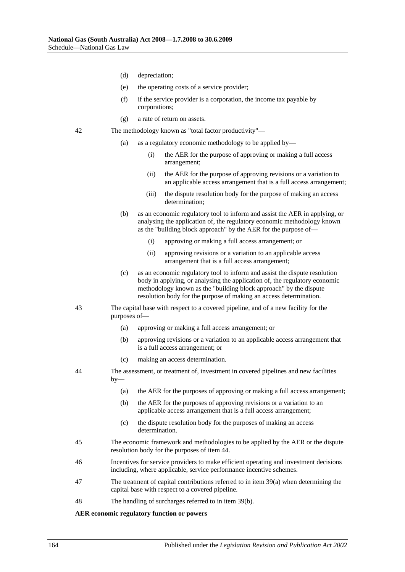- (d) depreciation;
- (e) the operating costs of a service provider;
- (f) if the service provider is a corporation, the income tax payable by corporations;
- (g) a rate of return on assets.
- 42 The methodology known as "total factor productivity"—
	- (a) as a regulatory economic methodology to be applied by—
		- (i) the AER for the purpose of approving or making a full access arrangement;
		- (ii) the AER for the purpose of approving revisions or a variation to an applicable access arrangement that is a full access arrangement;
		- (iii) the dispute resolution body for the purpose of making an access determination;
	- (b) as an economic regulatory tool to inform and assist the AER in applying, or analysing the application of, the regulatory economic methodology known as the "building block approach" by the AER for the purpose of—
		- (i) approving or making a full access arrangement; or
		- (ii) approving revisions or a variation to an applicable access arrangement that is a full access arrangement;
	- (c) as an economic regulatory tool to inform and assist the dispute resolution body in applying, or analysing the application of, the regulatory economic methodology known as the "building block approach" by the dispute resolution body for the purpose of making an access determination.
- 43 The capital base with respect to a covered pipeline, and of a new facility for the purposes of—
	- (a) approving or making a full access arrangement; or
	- (b) approving revisions or a variation to an applicable access arrangement that is a full access arrangement; or
	- (c) making an access determination.
- 44 The assessment, or treatment of, investment in covered pipelines and new facilities  $by-$ 
	- (a) the AER for the purposes of approving or making a full access arrangement;
	- (b) the AER for the purposes of approving revisions or a variation to an applicable access arrangement that is a full access arrangement;
	- (c) the dispute resolution body for the purposes of making an access determination.
- 45 The economic framework and methodologies to be applied by the AER or the dispute resolution body for the purposes of item 44.
- 46 Incentives for service providers to make efficient operating and investment decisions including, where applicable, service performance incentive schemes.
- 47 The treatment of capital contributions referred to in item 39(a) when determining the capital base with respect to a covered pipeline.
- 48 The handling of surcharges referred to in item 39(b).

#### **AER economic regulatory function or powers**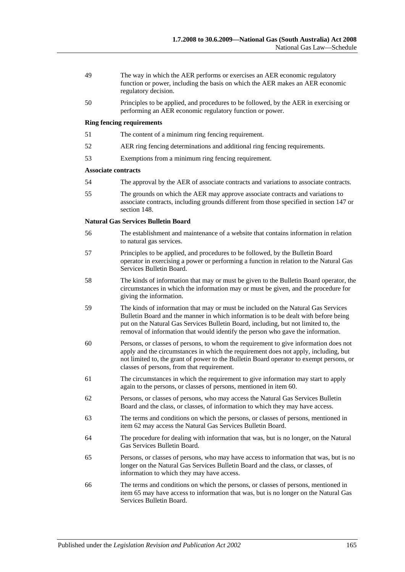- 49 The way in which the AER performs or exercises an AER economic regulatory function or power, including the basis on which the AER makes an AER economic regulatory decision.
- 50 Principles to be applied, and procedures to be followed, by the AER in exercising or performing an AER economic regulatory function or power.

#### **Ring fencing requirements**

- 51 The content of a minimum ring fencing requirement.
- 52 AER ring fencing determinations and additional ring fencing requirements.
- 53 Exemptions from a minimum ring fencing requirement.

#### **Associate contracts**

- 54 The approval by the AER of associate contracts and variations to associate contracts.
- 55 The grounds on which the AER may approve associate contracts and variations to associate contracts, including grounds different from those specified in section 147 or section 148.

#### **Natural Gas Services Bulletin Board**

- 56 The establishment and maintenance of a website that contains information in relation to natural gas services.
- 57 Principles to be applied, and procedures to be followed, by the Bulletin Board operator in exercising a power or performing a function in relation to the Natural Gas Services Bulletin Board.
- 58 The kinds of information that may or must be given to the Bulletin Board operator, the circumstances in which the information may or must be given, and the procedure for giving the information.
- 59 The kinds of information that may or must be included on the Natural Gas Services Bulletin Board and the manner in which information is to be dealt with before being put on the Natural Gas Services Bulletin Board, including, but not limited to, the removal of information that would identify the person who gave the information.
- 60 Persons, or classes of persons, to whom the requirement to give information does not apply and the circumstances in which the requirement does not apply, including, but not limited to, the grant of power to the Bulletin Board operator to exempt persons, or classes of persons, from that requirement.
- 61 The circumstances in which the requirement to give information may start to apply again to the persons, or classes of persons, mentioned in item 60.
- 62 Persons, or classes of persons, who may access the Natural Gas Services Bulletin Board and the class, or classes, of information to which they may have access.
- 63 The terms and conditions on which the persons, or classes of persons, mentioned in item 62 may access the Natural Gas Services Bulletin Board.
- 64 The procedure for dealing with information that was, but is no longer, on the Natural Gas Services Bulletin Board.
- 65 Persons, or classes of persons, who may have access to information that was, but is no longer on the Natural Gas Services Bulletin Board and the class, or classes, of information to which they may have access.
- 66 The terms and conditions on which the persons, or classes of persons, mentioned in item 65 may have access to information that was, but is no longer on the Natural Gas Services Bulletin Board.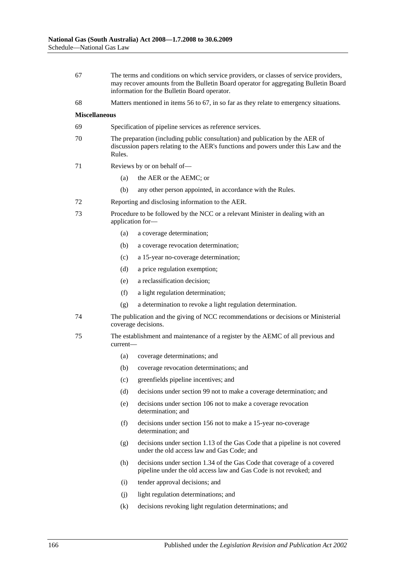- 67 The terms and conditions on which service providers, or classes of service providers, may recover amounts from the Bulletin Board operator for aggregating Bulletin Board information for the Bulletin Board operator.
- 68 Matters mentioned in items 56 to 67, in so far as they relate to emergency situations.

#### **Miscellaneous**

- 69 Specification of pipeline services as reference services.
- 70 The preparation (including public consultation) and publication by the AER of discussion papers relating to the AER's functions and powers under this Law and the Rules.
- 71 Reviews by or on behalf of—
	- (a) the AER or the AEMC; or
	- (b) any other person appointed, in accordance with the Rules.
- 72 Reporting and disclosing information to the AER.
- 73 Procedure to be followed by the NCC or a relevant Minister in dealing with an application for—
	- (a) a coverage determination;
	- (b) a coverage revocation determination;
	- (c) a 15-year no-coverage determination;
	- (d) a price regulation exemption;
	- (e) a reclassification decision;
	- (f) a light regulation determination;
	- (g) a determination to revoke a light regulation determination.
- 74 The publication and the giving of NCC recommendations or decisions or Ministerial coverage decisions.
- 75 The establishment and maintenance of a register by the AEMC of all previous and current—
	- (a) coverage determinations; and
	- (b) coverage revocation determinations; and
	- (c) greenfields pipeline incentives; and
	- (d) decisions under section 99 not to make a coverage determination; and
	- (e) decisions under section 106 not to make a coverage revocation determination; and
	- (f) decisions under section 156 not to make a 15-year no-coverage determination; and
	- (g) decisions under section 1.13 of the Gas Code that a pipeline is not covered under the old access law and Gas Code; and
	- (h) decisions under section 1.34 of the Gas Code that coverage of a covered pipeline under the old access law and Gas Code is not revoked; and
	- (i) tender approval decisions; and
	- (j) light regulation determinations; and
	- (k) decisions revoking light regulation determinations; and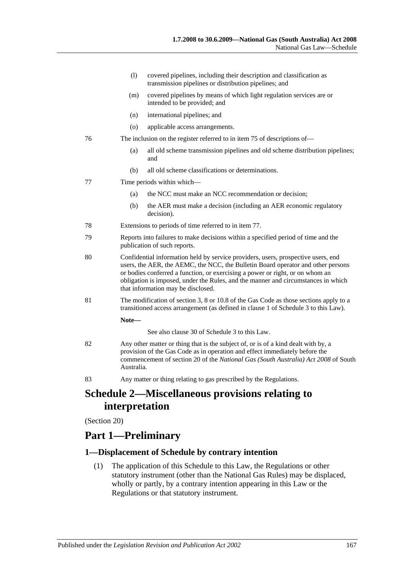- (l) covered pipelines, including their description and classification as transmission pipelines or distribution pipelines; and
- (m) covered pipelines by means of which light regulation services are or intended to be provided; and
- (n) international pipelines; and
- (o) applicable access arrangements.
- 76 The inclusion on the register referred to in item 75 of descriptions of—
	- (a) all old scheme transmission pipelines and old scheme distribution pipelines; and
	- (b) all old scheme classifications or determinations.
- 77 Time periods within which—
	- (a) the NCC must make an NCC recommendation or decision;
	- (b) the AER must make a decision (including an AER economic regulatory decision).
- 78 Extensions to periods of time referred to in item 77.
- 79 Reports into failures to make decisions within a specified period of time and the publication of such reports.
- 80 Confidential information held by service providers, users, prospective users, end users, the AER, the AEMC, the NCC, the Bulletin Board operator and other persons or bodies conferred a function, or exercising a power or right, or on whom an obligation is imposed, under the Rules, and the manner and circumstances in which that information may be disclosed.
- 81 The modification of section 3, 8 or 10.8 of the Gas Code as those sections apply to a transitioned access arrangement (as defined in clause 1 of Schedule 3 to this Law).

**Note—**

See also clause 30 of Schedule 3 to this Law.

- 82 Any other matter or thing that is the subject of, or is of a kind dealt with by, a provision of the Gas Code as in operation and effect immediately before the commencement of section 20 of the *[National Gas \(South Australia\) Act](http://www.legislation.sa.gov.au/index.aspx?action=legref&type=act&legtitle=National%20Gas%20(South%20Australia)%20Act%202008) 2008* of South Australia.
- 83 Any matter or thing relating to gas prescribed by the Regulations.

# **Schedule 2—Miscellaneous provisions relating to interpretation**

(Section 20)

# **Part 1—Preliminary**

## **1—Displacement of Schedule by contrary intention**

(1) The application of this Schedule to this Law, the Regulations or other statutory instrument (other than the National Gas Rules) may be displaced, wholly or partly, by a contrary intention appearing in this Law or the Regulations or that statutory instrument.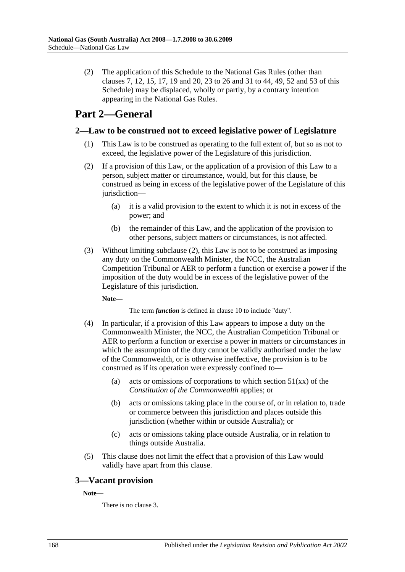(2) The application of this Schedule to the National Gas Rules (other than clauses 7, 12, 15, 17, 19 and 20, 23 to 26 and 31 to 44, 49, 52 and 53 of this Schedule) may be displaced, wholly or partly, by a contrary intention appearing in the National Gas Rules.

# **Part 2—General**

## **2—Law to be construed not to exceed legislative power of Legislature**

- (1) This Law is to be construed as operating to the full extent of, but so as not to exceed, the legislative power of the Legislature of this jurisdiction.
- <span id="page-167-0"></span>(2) If a provision of this Law, or the application of a provision of this Law to a person, subject matter or circumstance, would, but for this clause, be construed as being in excess of the legislative power of the Legislature of this jurisdiction—
	- (a) it is a valid provision to the extent to which it is not in excess of the power; and
	- (b) the remainder of this Law, and the application of the provision to other persons, subject matters or circumstances, is not affected.
- (3) Without limiting [subclause](#page-167-0) (2), this Law is not to be construed as imposing any duty on the Commonwealth Minister, the NCC, the Australian Competition Tribunal or AER to perform a function or exercise a power if the imposition of the duty would be in excess of the legislative power of the Legislature of this jurisdiction.

**Note—**

The term *function* is defined in clause 10 to include "duty".

- (4) In particular, if a provision of this Law appears to impose a duty on the Commonwealth Minister, the NCC, the Australian Competition Tribunal or AER to perform a function or exercise a power in matters or circumstances in which the assumption of the duty cannot be validly authorised under the law of the Commonwealth, or is otherwise ineffective, the provision is to be construed as if its operation were expressly confined to—
	- (a) acts or omissions of corporations to which section  $51(xx)$  of the *Constitution of the Commonwealth* applies; or
	- (b) acts or omissions taking place in the course of, or in relation to, trade or commerce between this jurisdiction and places outside this jurisdiction (whether within or outside Australia); or
	- (c) acts or omissions taking place outside Australia, or in relation to things outside Australia.
- (5) This clause does not limit the effect that a provision of this Law would validly have apart from this clause.

# **3—Vacant provision**

**Note—**

There is no clause 3.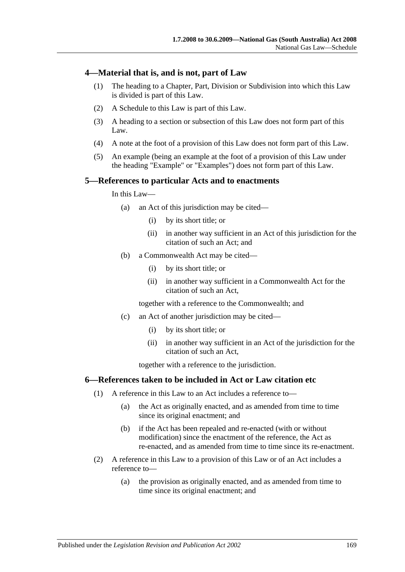## **4—Material that is, and is not, part of Law**

- (1) The heading to a Chapter, Part, Division or Subdivision into which this Law is divided is part of this Law.
- (2) A Schedule to this Law is part of this Law.
- (3) A heading to a section or subsection of this Law does not form part of this Law.
- (4) A note at the foot of a provision of this Law does not form part of this Law.
- (5) An example (being an example at the foot of a provision of this Law under the heading "Example" or "Examples") does not form part of this Law.

### **5—References to particular Acts and to enactments**

In this Law—

- (a) an Act of this jurisdiction may be cited—
	- (i) by its short title; or
	- (ii) in another way sufficient in an Act of this jurisdiction for the citation of such an Act; and
- (b) a Commonwealth Act may be cited—
	- (i) by its short title; or
	- (ii) in another way sufficient in a Commonwealth Act for the citation of such an Act,

together with a reference to the Commonwealth; and

- (c) an Act of another jurisdiction may be cited—
	- (i) by its short title; or
	- (ii) in another way sufficient in an Act of the jurisdiction for the citation of such an Act,

together with a reference to the jurisdiction.

### <span id="page-168-0"></span>**6—References taken to be included in Act or Law citation etc**

- (1) A reference in this Law to an Act includes a reference to—
	- (a) the Act as originally enacted, and as amended from time to time since its original enactment; and
	- (b) if the Act has been repealed and re-enacted (with or without modification) since the enactment of the reference, the Act as re-enacted, and as amended from time to time since its re-enactment.
- <span id="page-168-1"></span>(2) A reference in this Law to a provision of this Law or of an Act includes a reference to—
	- (a) the provision as originally enacted, and as amended from time to time since its original enactment; and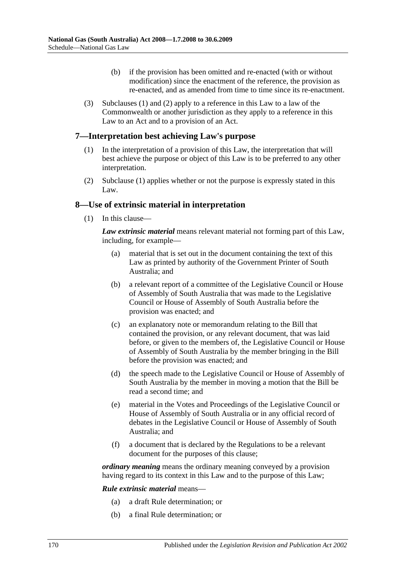- (b) if the provision has been omitted and re-enacted (with or without modification) since the enactment of the reference, the provision as re-enacted, and as amended from time to time since its re-enactment.
- (3) [Subclauses](#page-168-0) (1) and [\(2\)](#page-168-1) apply to a reference in this Law to a law of the Commonwealth or another jurisdiction as they apply to a reference in this Law to an Act and to a provision of an Act.

## <span id="page-169-0"></span>**7—Interpretation best achieving Law's purpose**

- (1) In the interpretation of a provision of this Law, the interpretation that will best achieve the purpose or object of this Law is to be preferred to any other interpretation.
- (2) [Subclause](#page-169-0) (1) applies whether or not the purpose is expressly stated in this Law.

## **8—Use of extrinsic material in interpretation**

(1) In this clause—

*Law extrinsic material* means relevant material not forming part of this Law, including, for example—

- (a) material that is set out in the document containing the text of this Law as printed by authority of the Government Printer of South Australia; and
- (b) a relevant report of a committee of the Legislative Council or House of Assembly of South Australia that was made to the Legislative Council or House of Assembly of South Australia before the provision was enacted; and
- (c) an explanatory note or memorandum relating to the Bill that contained the provision, or any relevant document, that was laid before, or given to the members of, the Legislative Council or House of Assembly of South Australia by the member bringing in the Bill before the provision was enacted; and
- (d) the speech made to the Legislative Council or House of Assembly of South Australia by the member in moving a motion that the Bill be read a second time; and
- (e) material in the Votes and Proceedings of the Legislative Council or House of Assembly of South Australia or in any official record of debates in the Legislative Council or House of Assembly of South Australia; and
- (f) a document that is declared by the Regulations to be a relevant document for the purposes of this clause;

*ordinary meaning* means the ordinary meaning conveyed by a provision having regard to its context in this Law and to the purpose of this Law;

*Rule extrinsic material* means—

- (a) a draft Rule determination; or
- (b) a final Rule determination; or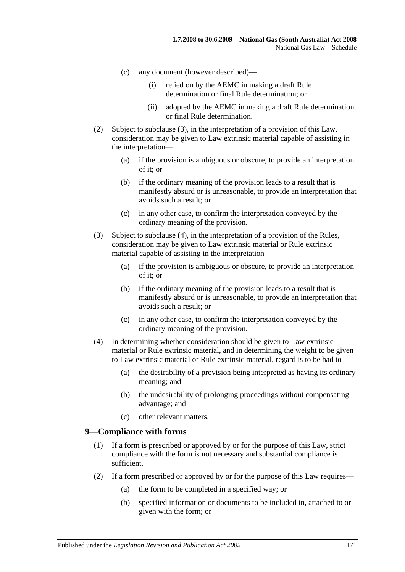- (c) any document (however described)—
	- (i) relied on by the AEMC in making a draft Rule determination or final Rule determination; or
	- (ii) adopted by the AEMC in making a draft Rule determination or final Rule determination.
- (2) Subject to [subclause](#page-170-0) (3), in the interpretation of a provision of this Law, consideration may be given to Law extrinsic material capable of assisting in the interpretation—
	- (a) if the provision is ambiguous or obscure, to provide an interpretation of it; or
	- (b) if the ordinary meaning of the provision leads to a result that is manifestly absurd or is unreasonable, to provide an interpretation that avoids such a result; or
	- (c) in any other case, to confirm the interpretation conveyed by the ordinary meaning of the provision.
- <span id="page-170-0"></span>(3) Subject to [subclause](#page-170-1) (4), in the interpretation of a provision of the Rules, consideration may be given to Law extrinsic material or Rule extrinsic material capable of assisting in the interpretation—
	- (a) if the provision is ambiguous or obscure, to provide an interpretation of it; or
	- (b) if the ordinary meaning of the provision leads to a result that is manifestly absurd or is unreasonable, to provide an interpretation that avoids such a result; or
	- (c) in any other case, to confirm the interpretation conveyed by the ordinary meaning of the provision.
- <span id="page-170-1"></span>(4) In determining whether consideration should be given to Law extrinsic material or Rule extrinsic material, and in determining the weight to be given to Law extrinsic material or Rule extrinsic material, regard is to be had to—
	- (a) the desirability of a provision being interpreted as having its ordinary meaning; and
	- (b) the undesirability of prolonging proceedings without compensating advantage; and
	- (c) other relevant matters.

### **9—Compliance with forms**

- (1) If a form is prescribed or approved by or for the purpose of this Law, strict compliance with the form is not necessary and substantial compliance is sufficient.
- (2) If a form prescribed or approved by or for the purpose of this Law requires—
	- (a) the form to be completed in a specified way; or
	- (b) specified information or documents to be included in, attached to or given with the form; or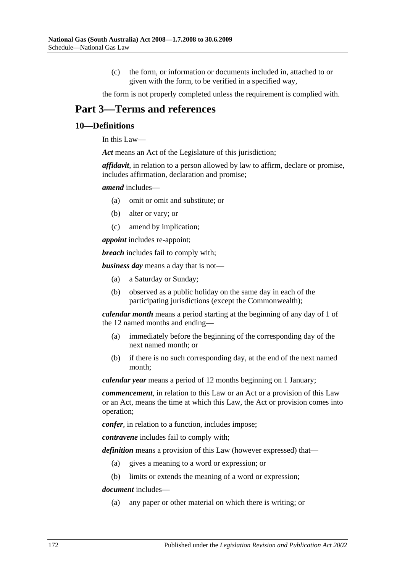(c) the form, or information or documents included in, attached to or given with the form, to be verified in a specified way,

the form is not properly completed unless the requirement is complied with.

# **Part 3—Terms and references**

### **10—Definitions**

In this Law—

*Act* means an Act of the Legislature of this jurisdiction;

*affidavit*, in relation to a person allowed by law to affirm, declare or promise, includes affirmation, declaration and promise;

#### *amend* includes—

- (a) omit or omit and substitute; or
- (b) alter or vary; or
- (c) amend by implication;

*appoint* includes re-appoint;

*breach* includes fail to comply with;

*business day* means a day that is not—

- (a) a Saturday or Sunday;
- (b) observed as a public holiday on the same day in each of the participating jurisdictions (except the Commonwealth);

*calendar month* means a period starting at the beginning of any day of 1 of the 12 named months and ending—

- (a) immediately before the beginning of the corresponding day of the next named month; or
- (b) if there is no such corresponding day, at the end of the next named month;

*calendar year* means a period of 12 months beginning on 1 January;

*commencement*, in relation to this Law or an Act or a provision of this Law or an Act, means the time at which this Law, the Act or provision comes into operation;

*confer*, in relation to a function, includes impose;

*contravene* includes fail to comply with;

*definition* means a provision of this Law (however expressed) that—

- (a) gives a meaning to a word or expression; or
- (b) limits or extends the meaning of a word or expression;

*document* includes—

(a) any paper or other material on which there is writing; or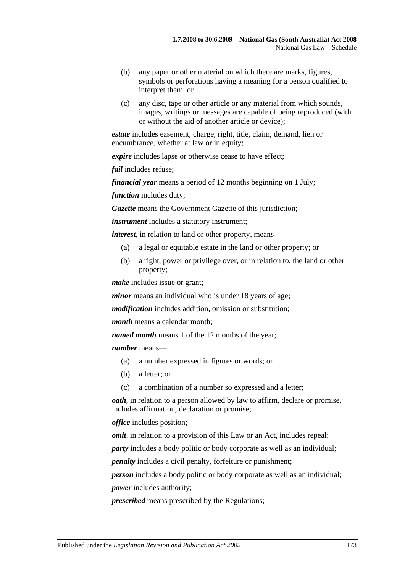- (b) any paper or other material on which there are marks, figures, symbols or perforations having a meaning for a person qualified to interpret them; or
- (c) any disc, tape or other article or any material from which sounds, images, writings or messages are capable of being reproduced (with or without the aid of another article or device);

*estate* includes easement, charge, right, title, claim, demand, lien or encumbrance, whether at law or in equity;

*expire* includes lapse or otherwise cease to have effect;

*fail* includes refuse;

*financial year* means a period of 12 months beginning on 1 July;

*function* includes duty;

*Gazette* means the Government Gazette of this jurisdiction;

*instrument* includes a statutory instrument;

*interest*, in relation to land or other property, means—

- (a) a legal or equitable estate in the land or other property; or
- (b) a right, power or privilege over, or in relation to, the land or other property;

*make* includes issue or grant;

*minor* means an individual who is under 18 years of age;

*modification* includes addition, omission or substitution;

*month* means a calendar month;

*named month* means 1 of the 12 months of the year;

*number* means—

- (a) a number expressed in figures or words; or
- (b) a letter; or
- (c) a combination of a number so expressed and a letter;

*oath*, in relation to a person allowed by law to affirm, declare or promise, includes affirmation, declaration or promise;

*office* includes position;

*omit*, in relation to a provision of this Law or an Act, includes repeal;

*party* includes a body politic or body corporate as well as an individual;

*penalty* includes a civil penalty, forfeiture or punishment;

*person* includes a body politic or body corporate as well as an individual; *power* includes authority;

*prescribed* means prescribed by the Regulations;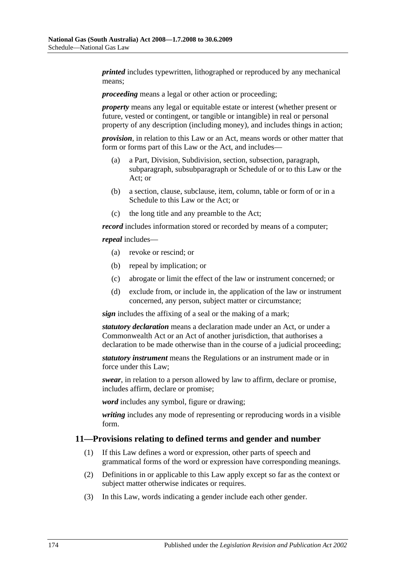*printed* includes typewritten, lithographed or reproduced by any mechanical means;

*proceeding* means a legal or other action or proceeding;

*property* means any legal or equitable estate or interest (whether present or future, vested or contingent, or tangible or intangible) in real or personal property of any description (including money), and includes things in action;

*provision*, in relation to this Law or an Act, means words or other matter that form or forms part of this Law or the Act, and includes—

- (a) a Part, Division, Subdivision, section, subsection, paragraph, subparagraph, subsubparagraph or Schedule of or to this Law or the Act; or
- (b) a section, clause, subclause, item, column, table or form of or in a Schedule to this Law or the Act; or
- (c) the long title and any preamble to the Act;

*record* includes information stored or recorded by means of a computer;

*repeal* includes—

- (a) revoke or rescind; or
- (b) repeal by implication; or
- (c) abrogate or limit the effect of the law or instrument concerned; or
- (d) exclude from, or include in, the application of the law or instrument concerned, any person, subject matter or circumstance;

*sign* includes the affixing of a seal or the making of a mark;

*statutory declaration* means a declaration made under an Act, or under a Commonwealth Act or an Act of another jurisdiction, that authorises a declaration to be made otherwise than in the course of a judicial proceeding;

*statutory instrument* means the Regulations or an instrument made or in force under this Law;

*swear*, in relation to a person allowed by law to affirm, declare or promise, includes affirm, declare or promise;

*word* includes any symbol, figure or drawing;

*writing* includes any mode of representing or reproducing words in a visible form.

### **11—Provisions relating to defined terms and gender and number**

- (1) If this Law defines a word or expression, other parts of speech and grammatical forms of the word or expression have corresponding meanings.
- (2) Definitions in or applicable to this Law apply except so far as the context or subject matter otherwise indicates or requires.
- (3) In this Law, words indicating a gender include each other gender.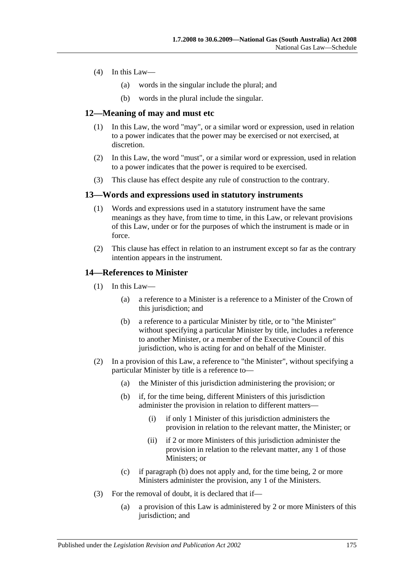- (4) In this Law—
	- (a) words in the singular include the plural; and
	- (b) words in the plural include the singular.

### **12—Meaning of may and must etc**

- (1) In this Law, the word "may", or a similar word or expression, used in relation to a power indicates that the power may be exercised or not exercised, at discretion.
- (2) In this Law, the word "must", or a similar word or expression, used in relation to a power indicates that the power is required to be exercised.
- (3) This clause has effect despite any rule of construction to the contrary.

### **13—Words and expressions used in statutory instruments**

- (1) Words and expressions used in a statutory instrument have the same meanings as they have, from time to time, in this Law, or relevant provisions of this Law, under or for the purposes of which the instrument is made or in force.
- (2) This clause has effect in relation to an instrument except so far as the contrary intention appears in the instrument.

### **14—References to Minister**

- (1) In this Law—
	- (a) a reference to a Minister is a reference to a Minister of the Crown of this jurisdiction; and
	- (b) a reference to a particular Minister by title, or to "the Minister" without specifying a particular Minister by title, includes a reference to another Minister, or a member of the Executive Council of this jurisdiction, who is acting for and on behalf of the Minister.
- <span id="page-174-0"></span>(2) In a provision of this Law, a reference to "the Minister", without specifying a particular Minister by title is a reference to—
	- (a) the Minister of this jurisdiction administering the provision; or
	- (b) if, for the time being, different Ministers of this jurisdiction administer the provision in relation to different matters—
		- (i) if only 1 Minister of this jurisdiction administers the provision in relation to the relevant matter, the Minister; or
		- (ii) if 2 or more Ministers of this jurisdiction administer the provision in relation to the relevant matter, any 1 of those Ministers: or
	- (c) if [paragraph](#page-174-0) (b) does not apply and, for the time being, 2 or more Ministers administer the provision, any 1 of the Ministers.
- (3) For the removal of doubt, it is declared that if—
	- (a) a provision of this Law is administered by 2 or more Ministers of this jurisdiction; and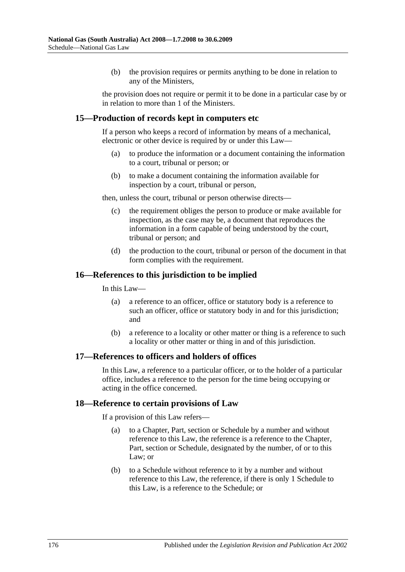(b) the provision requires or permits anything to be done in relation to any of the Ministers,

the provision does not require or permit it to be done in a particular case by or in relation to more than 1 of the Ministers.

### **15—Production of records kept in computers etc**

If a person who keeps a record of information by means of a mechanical, electronic or other device is required by or under this Law—

- (a) to produce the information or a document containing the information to a court, tribunal or person; or
- (b) to make a document containing the information available for inspection by a court, tribunal or person,

then, unless the court, tribunal or person otherwise directs—

- (c) the requirement obliges the person to produce or make available for inspection, as the case may be, a document that reproduces the information in a form capable of being understood by the court, tribunal or person; and
- (d) the production to the court, tribunal or person of the document in that form complies with the requirement.

### **16—References to this jurisdiction to be implied**

In this Law—

- (a) a reference to an officer, office or statutory body is a reference to such an officer, office or statutory body in and for this jurisdiction; and
- (b) a reference to a locality or other matter or thing is a reference to such a locality or other matter or thing in and of this jurisdiction.

### **17—References to officers and holders of offices**

In this Law, a reference to a particular officer, or to the holder of a particular office, includes a reference to the person for the time being occupying or acting in the office concerned.

### **18—Reference to certain provisions of Law**

If a provision of this Law refers—

- (a) to a Chapter, Part, section or Schedule by a number and without reference to this Law, the reference is a reference to the Chapter, Part, section or Schedule, designated by the number, of or to this Law; or
- (b) to a Schedule without reference to it by a number and without reference to this Law, the reference, if there is only 1 Schedule to this Law, is a reference to the Schedule; or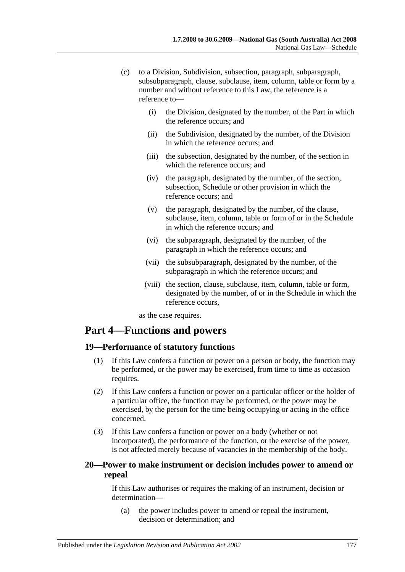- (c) to a Division, Subdivision, subsection, paragraph, subparagraph, subsubparagraph, clause, subclause, item, column, table or form by a number and without reference to this Law, the reference is a reference to—
	- (i) the Division, designated by the number, of the Part in which the reference occurs; and
	- (ii) the Subdivision, designated by the number, of the Division in which the reference occurs; and
	- (iii) the subsection, designated by the number, of the section in which the reference occurs; and
	- (iv) the paragraph, designated by the number, of the section, subsection, Schedule or other provision in which the reference occurs; and
	- (v) the paragraph, designated by the number, of the clause, subclause, item, column, table or form of or in the Schedule in which the reference occurs; and
	- (vi) the subparagraph, designated by the number, of the paragraph in which the reference occurs; and
	- (vii) the subsubparagraph, designated by the number, of the subparagraph in which the reference occurs; and
	- (viii) the section, clause, subclause, item, column, table or form, designated by the number, of or in the Schedule in which the reference occurs,

as the case requires.

# **Part 4—Functions and powers**

## **19—Performance of statutory functions**

- (1) If this Law confers a function or power on a person or body, the function may be performed, or the power may be exercised, from time to time as occasion requires.
- (2) If this Law confers a function or power on a particular officer or the holder of a particular office, the function may be performed, or the power may be exercised, by the person for the time being occupying or acting in the office concerned.
- (3) If this Law confers a function or power on a body (whether or not incorporated), the performance of the function, or the exercise of the power, is not affected merely because of vacancies in the membership of the body.

# **20—Power to make instrument or decision includes power to amend or repeal**

If this Law authorises or requires the making of an instrument, decision or determination—

(a) the power includes power to amend or repeal the instrument, decision or determination; and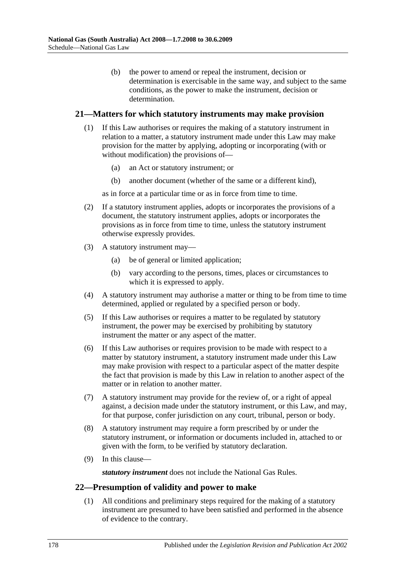(b) the power to amend or repeal the instrument, decision or determination is exercisable in the same way, and subject to the same conditions, as the power to make the instrument, decision or determination.

## **21—Matters for which statutory instruments may make provision**

- (1) If this Law authorises or requires the making of a statutory instrument in relation to a matter, a statutory instrument made under this Law may make provision for the matter by applying, adopting or incorporating (with or without modification) the provisions of—
	- (a) an Act or statutory instrument; or
	- (b) another document (whether of the same or a different kind),

as in force at a particular time or as in force from time to time.

- (2) If a statutory instrument applies, adopts or incorporates the provisions of a document, the statutory instrument applies, adopts or incorporates the provisions as in force from time to time, unless the statutory instrument otherwise expressly provides.
- (3) A statutory instrument may—
	- (a) be of general or limited application;
	- (b) vary according to the persons, times, places or circumstances to which it is expressed to apply.
- (4) A statutory instrument may authorise a matter or thing to be from time to time determined, applied or regulated by a specified person or body.
- (5) If this Law authorises or requires a matter to be regulated by statutory instrument, the power may be exercised by prohibiting by statutory instrument the matter or any aspect of the matter.
- (6) If this Law authorises or requires provision to be made with respect to a matter by statutory instrument, a statutory instrument made under this Law may make provision with respect to a particular aspect of the matter despite the fact that provision is made by this Law in relation to another aspect of the matter or in relation to another matter.
- (7) A statutory instrument may provide for the review of, or a right of appeal against, a decision made under the statutory instrument, or this Law, and may, for that purpose, confer jurisdiction on any court, tribunal, person or body.
- (8) A statutory instrument may require a form prescribed by or under the statutory instrument, or information or documents included in, attached to or given with the form, to be verified by statutory declaration.
- (9) In this clause—

*statutory instrument* does not include the National Gas Rules.

### **22—Presumption of validity and power to make**

(1) All conditions and preliminary steps required for the making of a statutory instrument are presumed to have been satisfied and performed in the absence of evidence to the contrary.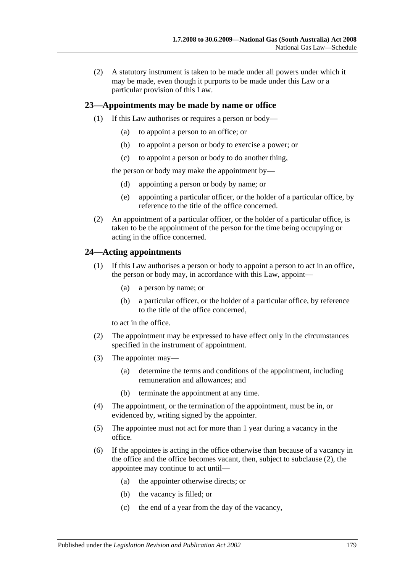(2) A statutory instrument is taken to be made under all powers under which it may be made, even though it purports to be made under this Law or a particular provision of this Law.

## **23—Appointments may be made by name or office**

- (1) If this Law authorises or requires a person or body—
	- (a) to appoint a person to an office; or
	- (b) to appoint a person or body to exercise a power; or
	- (c) to appoint a person or body to do another thing,

the person or body may make the appointment by—

- (d) appointing a person or body by name; or
- (e) appointing a particular officer, or the holder of a particular office, by reference to the title of the office concerned.
- (2) An appointment of a particular officer, or the holder of a particular office, is taken to be the appointment of the person for the time being occupying or acting in the office concerned.

# **24—Acting appointments**

- (1) If this Law authorises a person or body to appoint a person to act in an office, the person or body may, in accordance with this Law, appoint—
	- (a) a person by name; or
	- (b) a particular officer, or the holder of a particular office, by reference to the title of the office concerned,

to act in the office.

- <span id="page-178-0"></span>(2) The appointment may be expressed to have effect only in the circumstances specified in the instrument of appointment.
- (3) The appointer may—
	- (a) determine the terms and conditions of the appointment, including remuneration and allowances; and
	- (b) terminate the appointment at any time.
- (4) The appointment, or the termination of the appointment, must be in, or evidenced by, writing signed by the appointer.
- (5) The appointee must not act for more than 1 year during a vacancy in the office.
- (6) If the appointee is acting in the office otherwise than because of a vacancy in the office and the office becomes vacant, then, subject to [subclause](#page-178-0) (2), the appointee may continue to act until—
	- (a) the appointer otherwise directs; or
	- (b) the vacancy is filled; or
	- (c) the end of a year from the day of the vacancy,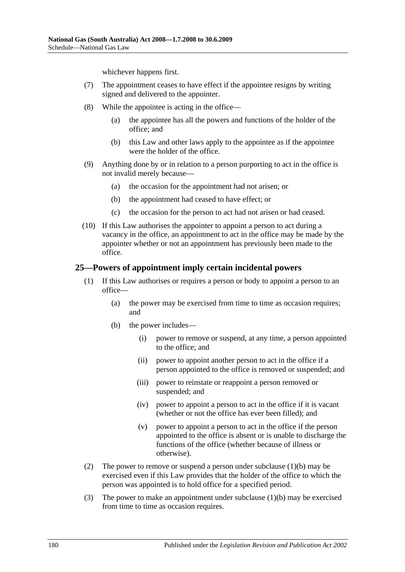whichever happens first.

- (7) The appointment ceases to have effect if the appointee resigns by writing signed and delivered to the appointer.
- (8) While the appointee is acting in the office—
	- (a) the appointee has all the powers and functions of the holder of the office; and
	- (b) this Law and other laws apply to the appointee as if the appointee were the holder of the office.
- (9) Anything done by or in relation to a person purporting to act in the office is not invalid merely because—
	- (a) the occasion for the appointment had not arisen; or
	- (b) the appointment had ceased to have effect; or
	- (c) the occasion for the person to act had not arisen or had ceased.
- (10) If this Law authorises the appointer to appoint a person to act during a vacancy in the office, an appointment to act in the office may be made by the appointer whether or not an appointment has previously been made to the office.

### **25—Powers of appointment imply certain incidental powers**

- <span id="page-179-0"></span>(1) If this Law authorises or requires a person or body to appoint a person to an office—
	- (a) the power may be exercised from time to time as occasion requires; and
	- (b) the power includes—
		- (i) power to remove or suspend, at any time, a person appointed to the office; and
		- (ii) power to appoint another person to act in the office if a person appointed to the office is removed or suspended; and
		- (iii) power to reinstate or reappoint a person removed or suspended; and
		- (iv) power to appoint a person to act in the office if it is vacant (whether or not the office has ever been filled); and
		- (v) power to appoint a person to act in the office if the person appointed to the office is absent or is unable to discharge the functions of the office (whether because of illness or otherwise).
- (2) The power to remove or suspend a person under [subclause](#page-179-0)  $(1)(b)$  may be exercised even if this Law provides that the holder of the office to which the person was appointed is to hold office for a specified period.
- (3) The power to make an appointment under [subclause](#page-179-0) (1)(b) may be exercised from time to time as occasion requires.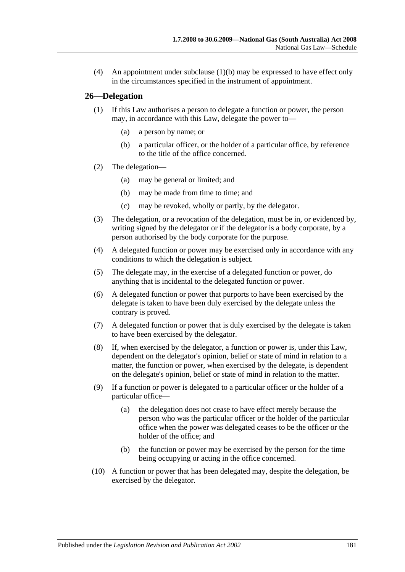(4) An appointment under [subclause](#page-179-0) (1)(b) may be expressed to have effect only in the circumstances specified in the instrument of appointment.

#### **26—Delegation**

- (1) If this Law authorises a person to delegate a function or power, the person may, in accordance with this Law, delegate the power to—
	- (a) a person by name; or
	- (b) a particular officer, or the holder of a particular office, by reference to the title of the office concerned.
- (2) The delegation—
	- (a) may be general or limited; and
	- (b) may be made from time to time; and
	- (c) may be revoked, wholly or partly, by the delegator.
- (3) The delegation, or a revocation of the delegation, must be in, or evidenced by, writing signed by the delegator or if the delegator is a body corporate, by a person authorised by the body corporate for the purpose.
- (4) A delegated function or power may be exercised only in accordance with any conditions to which the delegation is subject.
- (5) The delegate may, in the exercise of a delegated function or power, do anything that is incidental to the delegated function or power.
- (6) A delegated function or power that purports to have been exercised by the delegate is taken to have been duly exercised by the delegate unless the contrary is proved.
- (7) A delegated function or power that is duly exercised by the delegate is taken to have been exercised by the delegator.
- (8) If, when exercised by the delegator, a function or power is, under this Law, dependent on the delegator's opinion, belief or state of mind in relation to a matter, the function or power, when exercised by the delegate, is dependent on the delegate's opinion, belief or state of mind in relation to the matter.
- (9) If a function or power is delegated to a particular officer or the holder of a particular office—
	- (a) the delegation does not cease to have effect merely because the person who was the particular officer or the holder of the particular office when the power was delegated ceases to be the officer or the holder of the office; and
	- (b) the function or power may be exercised by the person for the time being occupying or acting in the office concerned.
- (10) A function or power that has been delegated may, despite the delegation, be exercised by the delegator.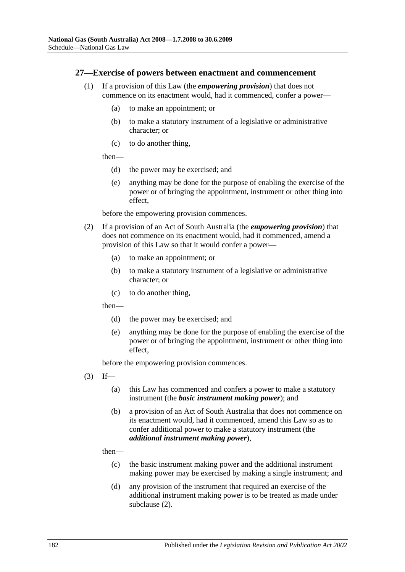#### <span id="page-181-1"></span>**27—Exercise of powers between enactment and commencement**

- (1) If a provision of this Law (the *empowering provision*) that does not commence on its enactment would, had it commenced, confer a power—
	- (a) to make an appointment; or
	- (b) to make a statutory instrument of a legislative or administrative character; or
	- (c) to do another thing,

then—

- (d) the power may be exercised; and
- (e) anything may be done for the purpose of enabling the exercise of the power or of bringing the appointment, instrument or other thing into effect,

before the empowering provision commences.

- <span id="page-181-0"></span>(2) If a provision of an Act of South Australia (the *empowering provision*) that does not commence on its enactment would, had it commenced, amend a provision of this Law so that it would confer a power—
	- (a) to make an appointment; or
	- (b) to make a statutory instrument of a legislative or administrative character; or
	- (c) to do another thing,

then—

- (d) the power may be exercised; and
- (e) anything may be done for the purpose of enabling the exercise of the power or of bringing the appointment, instrument or other thing into effect,

before the empowering provision commences.

- $(3)$  If—
	- (a) this Law has commenced and confers a power to make a statutory instrument (the *basic instrument making power*); and
	- (b) a provision of an Act of South Australia that does not commence on its enactment would, had it commenced, amend this Law so as to confer additional power to make a statutory instrument (the *additional instrument making power*),

then—

- (c) the basic instrument making power and the additional instrument making power may be exercised by making a single instrument; and
- (d) any provision of the instrument that required an exercise of the additional instrument making power is to be treated as made under [subclause](#page-181-0) (2).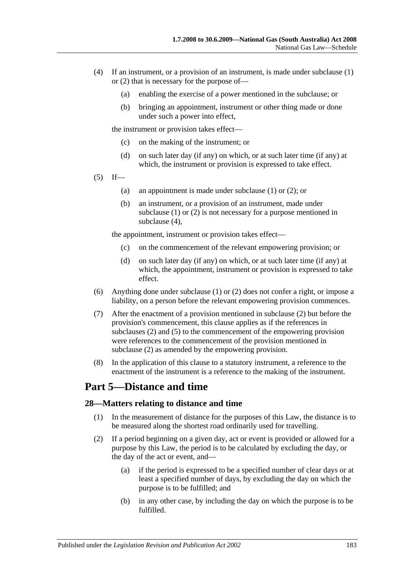- <span id="page-182-0"></span>(4) If an instrument, or a provision of an instrument, is made under [subclause](#page-181-1) (1) or [\(2\)](#page-181-0) that is necessary for the purpose of—
	- (a) enabling the exercise of a power mentioned in the subclause; or
	- (b) bringing an appointment, instrument or other thing made or done under such a power into effect,

the instrument or provision takes effect—

- (c) on the making of the instrument; or
- (d) on such later day (if any) on which, or at such later time (if any) at which, the instrument or provision is expressed to take effect.
- <span id="page-182-1"></span> $(5)$  If—
	- (a) an appointment is made under [subclause](#page-181-1) (1) or [\(2\);](#page-181-0) or
	- (b) an instrument, or a provision of an instrument, made under [subclause](#page-181-1) (1) or [\(2\)](#page-181-0) is not necessary for a purpose mentioned in [subclause](#page-182-0) (4),

the appointment, instrument or provision takes effect—

- (c) on the commencement of the relevant empowering provision; or
- (d) on such later day (if any) on which, or at such later time (if any) at which, the appointment, instrument or provision is expressed to take effect.
- (6) Anything done under [subclause](#page-181-1) (1) or [\(2\)](#page-181-0) does not confer a right, or impose a liability, on a person before the relevant empowering provision commences.
- (7) After the enactment of a provision mentioned in [subclause](#page-181-0) (2) but before the provision's commencement, this clause applies as if the references in [subclauses](#page-181-0) (2) and [\(5\)](#page-182-1) to the commencement of the empowering provision were references to the commencement of the provision mentioned in [subclause](#page-181-0) (2) as amended by the empowering provision.
- (8) In the application of this clause to a statutory instrument, a reference to the enactment of the instrument is a reference to the making of the instrument.

# **Part 5—Distance and time**

#### **28—Matters relating to distance and time**

- (1) In the measurement of distance for the purposes of this Law, the distance is to be measured along the shortest road ordinarily used for travelling.
- (2) If a period beginning on a given day, act or event is provided or allowed for a purpose by this Law, the period is to be calculated by excluding the day, or the day of the act or event, and—
	- (a) if the period is expressed to be a specified number of clear days or at least a specified number of days, by excluding the day on which the purpose is to be fulfilled; and
	- (b) in any other case, by including the day on which the purpose is to be fulfilled.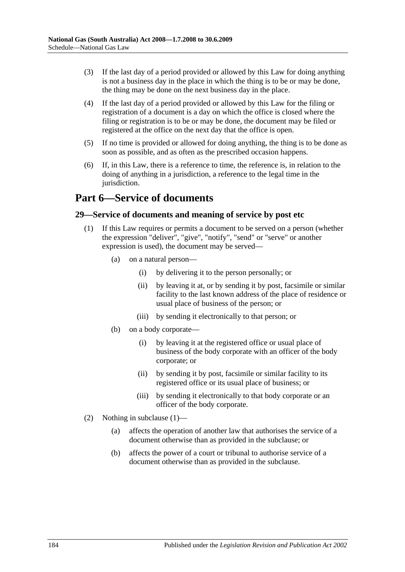- (3) If the last day of a period provided or allowed by this Law for doing anything is not a business day in the place in which the thing is to be or may be done, the thing may be done on the next business day in the place.
- (4) If the last day of a period provided or allowed by this Law for the filing or registration of a document is a day on which the office is closed where the filing or registration is to be or may be done, the document may be filed or registered at the office on the next day that the office is open.
- (5) If no time is provided or allowed for doing anything, the thing is to be done as soon as possible, and as often as the prescribed occasion happens.
- (6) If, in this Law, there is a reference to time, the reference is, in relation to the doing of anything in a jurisdiction, a reference to the legal time in the jurisdiction.

# **Part 6—Service of documents**

#### <span id="page-183-0"></span>**29—Service of documents and meaning of service by post etc**

- (1) If this Law requires or permits a document to be served on a person (whether the expression "deliver", "give", "notify", "send" or "serve" or another expression is used), the document may be served—
	- (a) on a natural person—
		- (i) by delivering it to the person personally; or
		- (ii) by leaving it at, or by sending it by post, facsimile or similar facility to the last known address of the place of residence or usual place of business of the person; or
		- (iii) by sending it electronically to that person; or
	- (b) on a body corporate—
		- (i) by leaving it at the registered office or usual place of business of the body corporate with an officer of the body corporate; or
		- (ii) by sending it by post, facsimile or similar facility to its registered office or its usual place of business; or
		- (iii) by sending it electronically to that body corporate or an officer of the body corporate.
- (2) Nothing in [subclause](#page-183-0) (1)—
	- (a) affects the operation of another law that authorises the service of a document otherwise than as provided in the subclause; or
	- (b) affects the power of a court or tribunal to authorise service of a document otherwise than as provided in the subclause.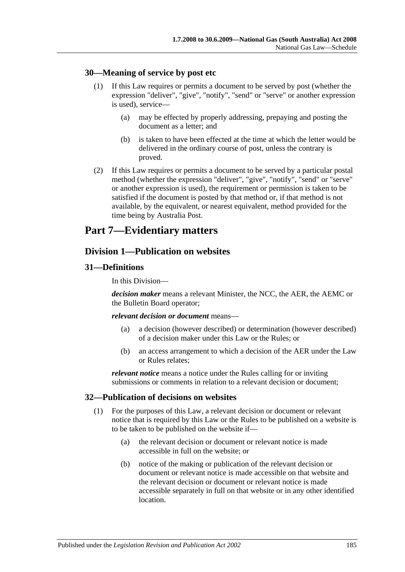#### **30—Meaning of service by post etc**

- (1) If this Law requires or permits a document to be served by post (whether the expression "deliver", "give", "notify", "send" or "serve" or another expression is used), service—
	- (a) may be effected by properly addressing, prepaying and posting the document as a letter; and
	- (b) is taken to have been effected at the time at which the letter would be delivered in the ordinary course of post, unless the contrary is proved.
- (2) If this Law requires or permits a document to be served by a particular postal method (whether the expression "deliver", "give", "notify", "send" or "serve" or another expression is used), the requirement or permission is taken to be satisfied if the document is posted by that method or, if that method is not available, by the equivalent, or nearest equivalent, method provided for the time being by Australia Post.

# **Part 7—Evidentiary matters**

## **Division 1—Publication on websites**

#### **31—Definitions**

In this Division—

*decision maker* means a relevant Minister, the NCC, the AER, the AEMC or the Bulletin Board operator;

#### *relevant decision or document* means—

- (a) a decision (however described) or determination (however described) of a decision maker under this Law or the Rules; or
- (b) an access arrangement to which a decision of the AER under the Law or Rules relates;

*relevant notice* means a notice under the Rules calling for or inviting submissions or comments in relation to a relevant decision or document;

#### **32—Publication of decisions on websites**

- (1) For the purposes of this Law, a relevant decision or document or relevant notice that is required by this Law or the Rules to be published on a website is to be taken to be published on the website if—
	- (a) the relevant decision or document or relevant notice is made accessible in full on the website; or
	- (b) notice of the making or publication of the relevant decision or document or relevant notice is made accessible on that website and the relevant decision or document or relevant notice is made accessible separately in full on that website or in any other identified location.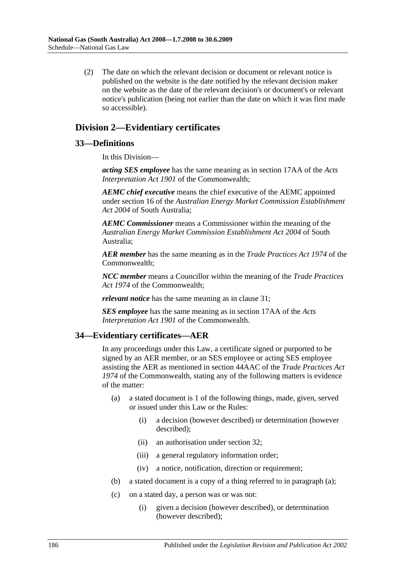(2) The date on which the relevant decision or document or relevant notice is published on the website is the date notified by the relevant decision maker on the website as the date of the relevant decision's or document's or relevant notice's publication (being not earlier than the date on which it was first made so accessible).

## **Division 2—Evidentiary certificates**

#### **33—Definitions**

In this Division—

*acting SES employee* has the same meaning as in section 17AA of the *Acts Interpretation Act 1901* of the Commonwealth;

*AEMC chief executive* means the chief executive of the AEMC appointed under section 16 of the *[Australian Energy Market Commission Establishment](http://www.legislation.sa.gov.au/index.aspx?action=legref&type=act&legtitle=Australian%20Energy%20Market%20Commission%20Establishment%20Act%202004)  Act [2004](http://www.legislation.sa.gov.au/index.aspx?action=legref&type=act&legtitle=Australian%20Energy%20Market%20Commission%20Establishment%20Act%202004)* of South Australia;

*AEMC Commissioner* means a Commissioner within the meaning of the *[Australian Energy Market Commission Establishment Act](http://www.legislation.sa.gov.au/index.aspx?action=legref&type=act&legtitle=Australian%20Energy%20Market%20Commission%20Establishment%20Act%202004) 2004* of South Australia;

*AER member* has the same meaning as in the *Trade Practices Act 1974* of the Commonwealth;

*NCC member* means a Councillor within the meaning of the *Trade Practices Act 1974* of the Commonwealth;

*relevant notice* has the same meaning as in clause 31;

*SES employee* has the same meaning as in section 17AA of the *Acts Interpretation Act 1901* of the Commonwealth.

#### <span id="page-185-0"></span>**34—Evidentiary certificates—AER**

In any proceedings under this Law, a certificate signed or purported to be signed by an AER member, or an SES employee or acting SES employee assisting the AER as mentioned in section 44AAC of the *Trade Practices Act 1974* of the Commonwealth, stating any of the following matters is evidence of the matter:

- (a) a stated document is 1 of the following things, made, given, served or issued under this Law or the Rules:
	- (i) a decision (however described) or determination (however described);
	- (ii) an authorisation under section 32;
	- (iii) a general regulatory information order;
	- (iv) a notice, notification, direction or requirement;
- (b) a stated document is a copy of a thing referred to in [paragraph](#page-185-0) (a);
- (c) on a stated day, a person was or was not:
	- (i) given a decision (however described), or determination (however described);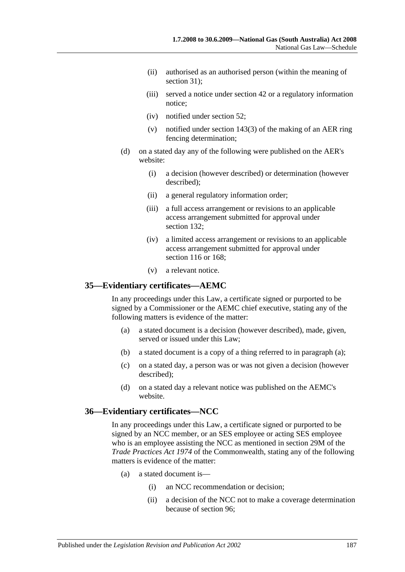- (ii) authorised as an authorised person (within the meaning of section 31):
- (iii) served a notice under section 42 or a regulatory information notice;
- (iv) notified under section 52;
- (v) notified under [section](#page-86-0) 143(3) of the making of an AER ring fencing determination;
- (d) on a stated day any of the following were published on the AER's website:
	- (i) a decision (however described) or determination (however described);
	- (ii) a general regulatory information order;
	- (iii) a full access arrangement or revisions to an applicable access arrangement submitted for approval under section 132;
	- (iv) a limited access arrangement or revisions to an applicable access arrangement submitted for approval under section 116 or 168;
	- (v) a relevant notice.

#### <span id="page-186-0"></span>**35—Evidentiary certificates—AEMC**

In any proceedings under this Law, a certificate signed or purported to be signed by a Commissioner or the AEMC chief executive, stating any of the following matters is evidence of the matter:

- (a) a stated document is a decision (however described), made, given, served or issued under this Law;
- (b) a stated document is a copy of a thing referred to in [paragraph](#page-186-0) (a);
- (c) on a stated day, a person was or was not given a decision (however described);
- (d) on a stated day a relevant notice was published on the AEMC's website.

#### **36—Evidentiary certificates—NCC**

In any proceedings under this Law, a certificate signed or purported to be signed by an NCC member, or an SES employee or acting SES employee who is an employee assisting the NCC as mentioned in section 29M of the *Trade Practices Act 1974* of the Commonwealth, stating any of the following matters is evidence of the matter:

- (a) a stated document is—
	- (i) an NCC recommendation or decision;
	- (ii) a decision of the NCC not to make a coverage determination because of section 96;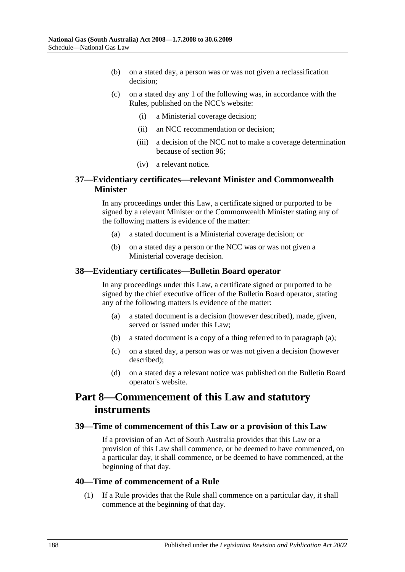- (b) on a stated day, a person was or was not given a reclassification decision;
- (c) on a stated day any 1 of the following was, in accordance with the Rules, published on the NCC's website:
	- (i) a Ministerial coverage decision;
	- (ii) an NCC recommendation or decision;
	- (iii) a decision of the NCC not to make a coverage determination because of section 96;
	- (iv) a relevant notice.

#### **37—Evidentiary certificates—relevant Minister and Commonwealth Minister**

In any proceedings under this Law, a certificate signed or purported to be signed by a relevant Minister or the Commonwealth Minister stating any of the following matters is evidence of the matter:

- (a) a stated document is a Ministerial coverage decision; or
- (b) on a stated day a person or the NCC was or was not given a Ministerial coverage decision.

#### <span id="page-187-0"></span>**38—Evidentiary certificates—Bulletin Board operator**

In any proceedings under this Law, a certificate signed or purported to be signed by the chief executive officer of the Bulletin Board operator, stating any of the following matters is evidence of the matter:

- (a) a stated document is a decision (however described), made, given, served or issued under this Law;
- (b) a stated document is a copy of a thing referred to in [paragraph](#page-187-0) (a);
- (c) on a stated day, a person was or was not given a decision (however described);
- (d) on a stated day a relevant notice was published on the Bulletin Board operator's website.

# **Part 8—Commencement of this Law and statutory instruments**

#### **39—Time of commencement of this Law or a provision of this Law**

If a provision of an Act of South Australia provides that this Law or a provision of this Law shall commence, or be deemed to have commenced, on a particular day, it shall commence, or be deemed to have commenced, at the beginning of that day.

#### **40—Time of commencement of a Rule**

(1) If a Rule provides that the Rule shall commence on a particular day, it shall commence at the beginning of that day.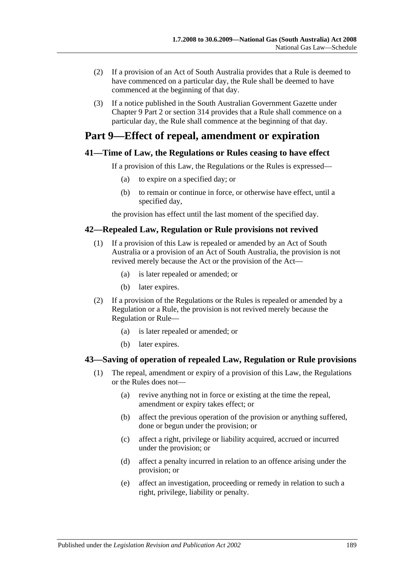- (2) If a provision of an Act of South Australia provides that a Rule is deemed to have commenced on a particular day, the Rule shall be deemed to have commenced at the beginning of that day.
- (3) If a notice published in the South Australian Government Gazette under Chapter 9 Part 2 or section 314 provides that a Rule shall commence on a particular day, the Rule shall commence at the beginning of that day.

# **Part 9—Effect of repeal, amendment or expiration**

### **41—Time of Law, the Regulations or Rules ceasing to have effect**

If a provision of this Law, the Regulations or the Rules is expressed—

- (a) to expire on a specified day; or
- (b) to remain or continue in force, or otherwise have effect, until a specified day,

the provision has effect until the last moment of the specified day.

### **42—Repealed Law, Regulation or Rule provisions not revived**

- (1) If a provision of this Law is repealed or amended by an Act of South Australia or a provision of an Act of South Australia, the provision is not revived merely because the Act or the provision of the Act—
	- (a) is later repealed or amended; or
	- (b) later expires.
- (2) If a provision of the Regulations or the Rules is repealed or amended by a Regulation or a Rule, the provision is not revived merely because the Regulation or Rule—
	- (a) is later repealed or amended; or
	- (b) later expires.

## **43—Saving of operation of repealed Law, Regulation or Rule provisions**

- (1) The repeal, amendment or expiry of a provision of this Law, the Regulations or the Rules does not—
	- (a) revive anything not in force or existing at the time the repeal, amendment or expiry takes effect; or
	- (b) affect the previous operation of the provision or anything suffered, done or begun under the provision; or
	- (c) affect a right, privilege or liability acquired, accrued or incurred under the provision; or
	- (d) affect a penalty incurred in relation to an offence arising under the provision; or
	- (e) affect an investigation, proceeding or remedy in relation to such a right, privilege, liability or penalty.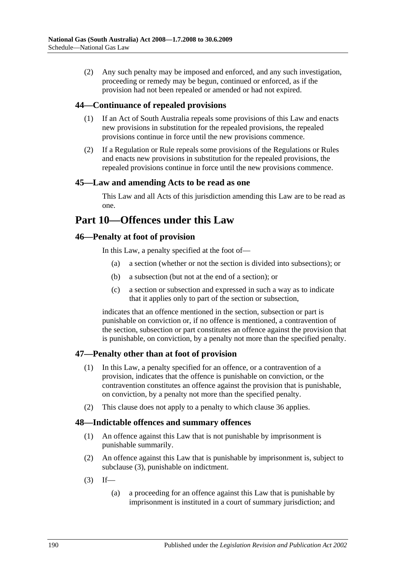(2) Any such penalty may be imposed and enforced, and any such investigation, proceeding or remedy may be begun, continued or enforced, as if the provision had not been repealed or amended or had not expired.

### **44—Continuance of repealed provisions**

- (1) If an Act of South Australia repeals some provisions of this Law and enacts new provisions in substitution for the repealed provisions, the repealed provisions continue in force until the new provisions commence.
- (2) If a Regulation or Rule repeals some provisions of the Regulations or Rules and enacts new provisions in substitution for the repealed provisions, the repealed provisions continue in force until the new provisions commence.

#### **45—Law and amending Acts to be read as one**

This Law and all Acts of this jurisdiction amending this Law are to be read as one.

# **Part 10—Offences under this Law**

#### **46—Penalty at foot of provision**

In this Law, a penalty specified at the foot of—

- (a) a section (whether or not the section is divided into subsections); or
- (b) a subsection (but not at the end of a section); or
- (c) a section or subsection and expressed in such a way as to indicate that it applies only to part of the section or subsection,

indicates that an offence mentioned in the section, subsection or part is punishable on conviction or, if no offence is mentioned, a contravention of the section, subsection or part constitutes an offence against the provision that is punishable, on conviction, by a penalty not more than the specified penalty.

## **47—Penalty other than at foot of provision**

- (1) In this Law, a penalty specified for an offence, or a contravention of a provision, indicates that the offence is punishable on conviction, or the contravention constitutes an offence against the provision that is punishable, on conviction, by a penalty not more than the specified penalty.
- (2) This clause does not apply to a penalty to which clause 36 applies.

#### **48—Indictable offences and summary offences**

- (1) An offence against this Law that is not punishable by imprisonment is punishable summarily.
- (2) An offence against this Law that is punishable by imprisonment is, subject to [subclause](#page-189-0) (3), punishable on indictment.
- <span id="page-189-0"></span> $(3)$  If—
	- (a) a proceeding for an offence against this Law that is punishable by imprisonment is instituted in a court of summary jurisdiction; and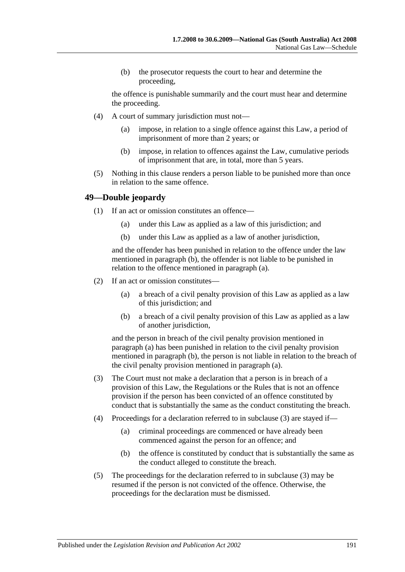(b) the prosecutor requests the court to hear and determine the proceeding,

the offence is punishable summarily and the court must hear and determine the proceeding.

- (4) A court of summary jurisdiction must not—
	- (a) impose, in relation to a single offence against this Law, a period of imprisonment of more than 2 years; or
	- (b) impose, in relation to offences against the Law, cumulative periods of imprisonment that are, in total, more than 5 years.
- (5) Nothing in this clause renders a person liable to be punished more than once in relation to the same offence.

#### <span id="page-190-1"></span>**49—Double jeopardy**

- <span id="page-190-0"></span>(1) If an act or omission constitutes an offence—
	- (a) under this Law as applied as a law of this jurisdiction; and
	- (b) under this Law as applied as a law of another jurisdiction,

and the offender has been punished in relation to the offence under the law mentioned in [paragraph](#page-190-0) (b), the offender is not liable to be punished in relation to the offence mentioned in [paragraph](#page-190-1) (a).

- <span id="page-190-3"></span><span id="page-190-2"></span>(2) If an act or omission constitutes—
	- (a) a breach of a civil penalty provision of this Law as applied as a law of this jurisdiction; and
	- (b) a breach of a civil penalty provision of this Law as applied as a law of another jurisdiction,

and the person in breach of the civil penalty provision mentioned in [paragraph](#page-190-2) (a) has been punished in relation to the civil penalty provision mentioned in [paragraph](#page-190-3) (b), the person is not liable in relation to the breach of the civil penalty provision mentioned in [paragraph](#page-190-2) (a).

- <span id="page-190-4"></span>(3) The Court must not make a declaration that a person is in breach of a provision of this Law, the Regulations or the Rules that is not an offence provision if the person has been convicted of an offence constituted by conduct that is substantially the same as the conduct constituting the breach.
- (4) Proceedings for a declaration referred to in [subclause](#page-190-4) (3) are stayed if—
	- (a) criminal proceedings are commenced or have already been commenced against the person for an offence; and
	- (b) the offence is constituted by conduct that is substantially the same as the conduct alleged to constitute the breach.
- (5) The proceedings for the declaration referred to in [subclause](#page-190-4) (3) may be resumed if the person is not convicted of the offence. Otherwise, the proceedings for the declaration must be dismissed.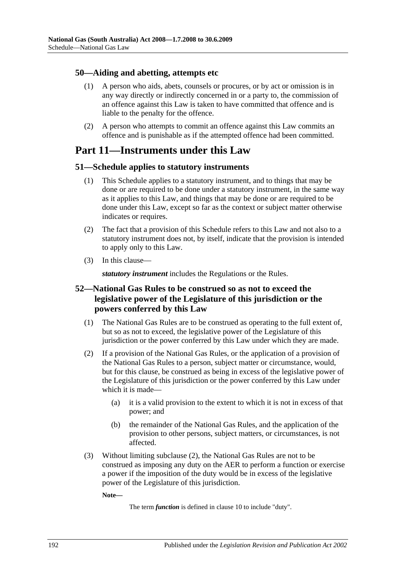#### **50—Aiding and abetting, attempts etc**

- (1) A person who aids, abets, counsels or procures, or by act or omission is in any way directly or indirectly concerned in or a party to, the commission of an offence against this Law is taken to have committed that offence and is liable to the penalty for the offence.
- (2) A person who attempts to commit an offence against this Law commits an offence and is punishable as if the attempted offence had been committed.

# **Part 11—Instruments under this Law**

### **51—Schedule applies to statutory instruments**

- (1) This Schedule applies to a statutory instrument, and to things that may be done or are required to be done under a statutory instrument, in the same way as it applies to this Law, and things that may be done or are required to be done under this Law, except so far as the context or subject matter otherwise indicates or requires.
- (2) The fact that a provision of this Schedule refers to this Law and not also to a statutory instrument does not, by itself, indicate that the provision is intended to apply only to this Law.
- (3) In this clause—

*statutory instrument* includes the Regulations or the Rules.

## **52—National Gas Rules to be construed so as not to exceed the legislative power of the Legislature of this jurisdiction or the powers conferred by this Law**

- (1) The National Gas Rules are to be construed as operating to the full extent of, but so as not to exceed, the legislative power of the Legislature of this jurisdiction or the power conferred by this Law under which they are made.
- <span id="page-191-0"></span>(2) If a provision of the National Gas Rules, or the application of a provision of the National Gas Rules to a person, subject matter or circumstance, would, but for this clause, be construed as being in excess of the legislative power of the Legislature of this jurisdiction or the power conferred by this Law under which it is made—
	- (a) it is a valid provision to the extent to which it is not in excess of that power; and
	- (b) the remainder of the National Gas Rules, and the application of the provision to other persons, subject matters, or circumstances, is not affected.
- (3) Without limiting [subclause](#page-191-0) (2), the National Gas Rules are not to be construed as imposing any duty on the AER to perform a function or exercise a power if the imposition of the duty would be in excess of the legislative power of the Legislature of this jurisdiction.

**Note—**

The term *function* is defined in clause 10 to include "duty".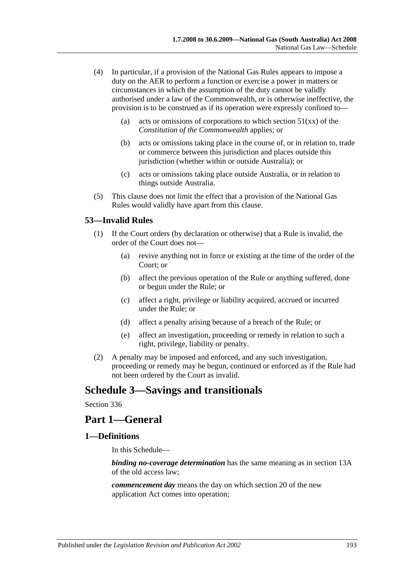- (4) In particular, if a provision of the National Gas Rules appears to impose a duty on the AER to perform a function or exercise a power in matters or circumstances in which the assumption of the duty cannot be validly authorised under a law of the Commonwealth, or is otherwise ineffective, the provision is to be construed as if its operation were expressly confined to—
	- (a) acts or omissions of corporations to which section  $51(xx)$  of the *Constitution of the Commonwealth* applies; or
	- (b) acts or omissions taking place in the course of, or in relation to, trade or commerce between this jurisdiction and places outside this jurisdiction (whether within or outside Australia); or
	- (c) acts or omissions taking place outside Australia, or in relation to things outside Australia.
- (5) This clause does not limit the effect that a provision of the National Gas Rules would validly have apart from this clause.

#### **53—Invalid Rules**

- (1) If the Court orders (by declaration or otherwise) that a Rule is invalid, the order of the Court does not—
	- (a) revive anything not in force or existing at the time of the order of the Court; or
	- (b) affect the previous operation of the Rule or anything suffered, done or begun under the Rule; or
	- (c) affect a right, privilege or liability acquired, accrued or incurred under the Rule; or
	- (d) affect a penalty arising because of a breach of the Rule; or
	- (e) affect an investigation, proceeding or remedy in relation to such a right, privilege, liability or penalty.
- (2) A penalty may be imposed and enforced, and any such investigation, proceeding or remedy may be begun, continued or enforced as if the Rule had not been ordered by the Court as invalid.

# **Schedule 3—Savings and transitionals**

Section 336

# **Part 1—General**

## **1—Definitions**

In this Schedule—

*binding no-coverage determination* has the same meaning as in section 13A of the old access law;

*commencement day* means the day on which section 20 of the new application Act comes into operation;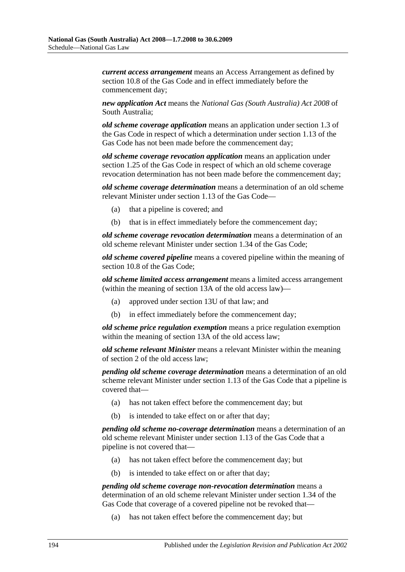*current access arrangement* means an Access Arrangement as defined by section 10.8 of the Gas Code and in effect immediately before the commencement day;

*new application Act* means the *[National Gas \(South Australia\) Act](http://www.legislation.sa.gov.au/index.aspx?action=legref&type=act&legtitle=National%20Gas%20(South%20Australia)%20Act%202008) 2008* of South Australia;

*old scheme coverage application* means an application under section 1.3 of the Gas Code in respect of which a determination under section 1.13 of the Gas Code has not been made before the commencement day;

*old scheme coverage revocation application* means an application under section 1.25 of the Gas Code in respect of which an old scheme coverage revocation determination has not been made before the commencement day;

*old scheme coverage determination* means a determination of an old scheme relevant Minister under section 1.13 of the Gas Code—

- (a) that a pipeline is covered; and
- (b) that is in effect immediately before the commencement day;

*old scheme coverage revocation determination* means a determination of an old scheme relevant Minister under section 1.34 of the Gas Code;

*old scheme covered pipeline* means a covered pipeline within the meaning of section 10.8 of the Gas Code;

*old scheme limited access arrangement* means a limited access arrangement (within the meaning of section 13A of the old access law)—

- (a) approved under section 13U of that law; and
- (b) in effect immediately before the commencement day;

*old scheme price regulation exemption* means a price regulation exemption within the meaning of section 13A of the old access law;

*old scheme relevant Minister* means a relevant Minister within the meaning of section 2 of the old access law;

*pending old scheme coverage determination* means a determination of an old scheme relevant Minister under section 1.13 of the Gas Code that a pipeline is covered that—

- (a) has not taken effect before the commencement day; but
- (b) is intended to take effect on or after that day;

*pending old scheme no-coverage determination* means a determination of an old scheme relevant Minister under section 1.13 of the Gas Code that a pipeline is not covered that—

- (a) has not taken effect before the commencement day; but
- (b) is intended to take effect on or after that day;

*pending old scheme coverage non-revocation determination* means a determination of an old scheme relevant Minister under section 1.34 of the Gas Code that coverage of a covered pipeline not be revoked that—

(a) has not taken effect before the commencement day; but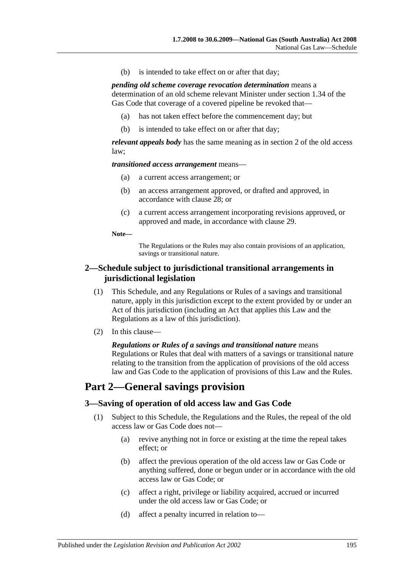(b) is intended to take effect on or after that day;

*pending old scheme coverage revocation determination* means a determination of an old scheme relevant Minister under section 1.34 of the Gas Code that coverage of a covered pipeline be revoked that—

- (a) has not taken effect before the commencement day; but
- (b) is intended to take effect on or after that day;

*relevant appeals body* has the same meaning as in section 2 of the old access law;

*transitioned access arrangement* means—

- (a) a current access arrangement; or
- (b) an access arrangement approved, or drafted and approved, in accordance with clause 28; or
- (c) a current access arrangement incorporating revisions approved, or approved and made, in accordance with clause 29.

**Note—**

The Regulations or the Rules may also contain provisions of an application, savings or transitional nature.

#### **2—Schedule subject to jurisdictional transitional arrangements in jurisdictional legislation**

- (1) This Schedule, and any Regulations or Rules of a savings and transitional nature, apply in this jurisdiction except to the extent provided by or under an Act of this jurisdiction (including an Act that applies this Law and the Regulations as a law of this jurisdiction).
- (2) In this clause—

*Regulations or Rules of a savings and transitional nature* means Regulations or Rules that deal with matters of a savings or transitional nature relating to the transition from the application of provisions of the old access law and Gas Code to the application of provisions of this Law and the Rules.

# **Part 2—General savings provision**

#### **3—Saving of operation of old access law and Gas Code**

- (1) Subject to this Schedule, the Regulations and the Rules, the repeal of the old access law or Gas Code does not—
	- (a) revive anything not in force or existing at the time the repeal takes effect; or
	- (b) affect the previous operation of the old access law or Gas Code or anything suffered, done or begun under or in accordance with the old access law or Gas Code; or
	- (c) affect a right, privilege or liability acquired, accrued or incurred under the old access law or Gas Code; or
	- (d) affect a penalty incurred in relation to—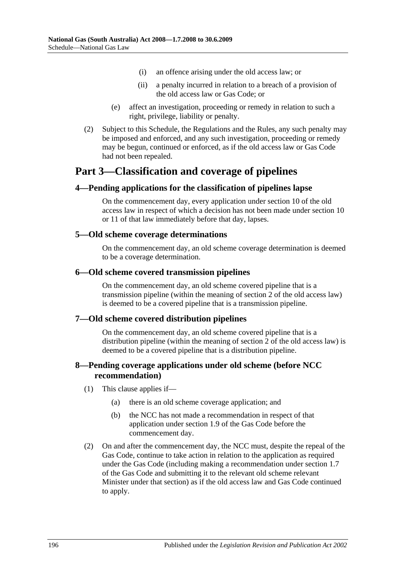- (i) an offence arising under the old access law; or
- (ii) a penalty incurred in relation to a breach of a provision of the old access law or Gas Code; or
- (e) affect an investigation, proceeding or remedy in relation to such a right, privilege, liability or penalty.
- (2) Subject to this Schedule, the Regulations and the Rules, any such penalty may be imposed and enforced, and any such investigation, proceeding or remedy may be begun, continued or enforced, as if the old access law or Gas Code had not been repealed.

# **Part 3—Classification and coverage of pipelines**

### **4—Pending applications for the classification of pipelines lapse**

On the commencement day, every application under section 10 of the old access law in respect of which a decision has not been made under section 10 or 11 of that law immediately before that day, lapses.

#### **5—Old scheme coverage determinations**

On the commencement day, an old scheme coverage determination is deemed to be a coverage determination.

#### **6—Old scheme covered transmission pipelines**

On the commencement day, an old scheme covered pipeline that is a transmission pipeline (within the meaning of section  $2$  of the old access law) is deemed to be a covered pipeline that is a transmission pipeline.

#### **7—Old scheme covered distribution pipelines**

On the commencement day, an old scheme covered pipeline that is a distribution pipeline (within the meaning of section 2 of the old access law) is deemed to be a covered pipeline that is a distribution pipeline.

#### **8—Pending coverage applications under old scheme (before NCC recommendation)**

- (1) This clause applies if—
	- (a) there is an old scheme coverage application; and
	- (b) the NCC has not made a recommendation in respect of that application under section 1.9 of the Gas Code before the commencement day.
- (2) On and after the commencement day, the NCC must, despite the repeal of the Gas Code, continue to take action in relation to the application as required under the Gas Code (including making a recommendation under section 1.7 of the Gas Code and submitting it to the relevant old scheme relevant Minister under that section) as if the old access law and Gas Code continued to apply.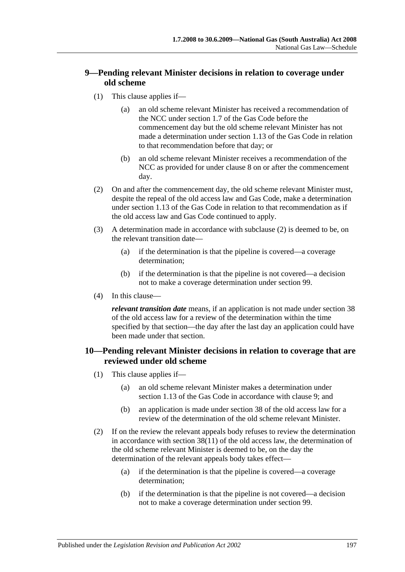## **9—Pending relevant Minister decisions in relation to coverage under old scheme**

- (1) This clause applies if—
	- (a) an old scheme relevant Minister has received a recommendation of the NCC under section 1.7 of the Gas Code before the commencement day but the old scheme relevant Minister has not made a determination under section 1.13 of the Gas Code in relation to that recommendation before that day; or
	- (b) an old scheme relevant Minister receives a recommendation of the NCC as provided for under clause 8 on or after the commencement day.
- <span id="page-196-0"></span>(2) On and after the commencement day, the old scheme relevant Minister must, despite the repeal of the old access law and Gas Code, make a determination under section 1.13 of the Gas Code in relation to that recommendation as if the old access law and Gas Code continued to apply.
- (3) A determination made in accordance with [subclause](#page-196-0) (2) is deemed to be, on the relevant transition date—
	- (a) if the determination is that the pipeline is covered—a coverage determination;
	- (b) if the determination is that the pipeline is not covered—a decision not to make a coverage determination under section 99.
- (4) In this clause—

*relevant transition date* means, if an application is not made under section 38 of the old access law for a review of the determination within the time specified by that section—the day after the last day an application could have been made under that section.

### **10—Pending relevant Minister decisions in relation to coverage that are reviewed under old scheme**

- (1) This clause applies if—
	- (a) an old scheme relevant Minister makes a determination under section 1.13 of the Gas Code in accordance with clause 9; and
	- (b) an application is made under section 38 of the old access law for a review of the determination of the old scheme relevant Minister.
- (2) If on the review the relevant appeals body refuses to review the determination in accordance with section 38(11) of the old access law, the determination of the old scheme relevant Minister is deemed to be, on the day the determination of the relevant appeals body takes effect—
	- (a) if the determination is that the pipeline is covered—a coverage determination;
	- (b) if the determination is that the pipeline is not covered—a decision not to make a coverage determination under section 99.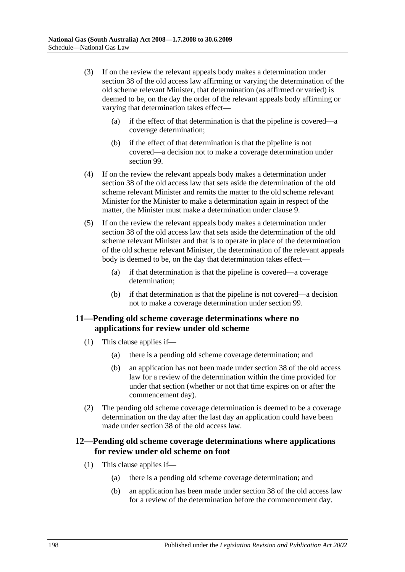- (3) If on the review the relevant appeals body makes a determination under section 38 of the old access law affirming or varying the determination of the old scheme relevant Minister, that determination (as affirmed or varied) is deemed to be, on the day the order of the relevant appeals body affirming or varying that determination takes effect—
	- (a) if the effect of that determination is that the pipeline is covered—a coverage determination;
	- (b) if the effect of that determination is that the pipeline is not covered—a decision not to make a coverage determination under section 99.
- (4) If on the review the relevant appeals body makes a determination under section 38 of the old access law that sets aside the determination of the old scheme relevant Minister and remits the matter to the old scheme relevant Minister for the Minister to make a determination again in respect of the matter, the Minister must make a determination under clause 9.
- (5) If on the review the relevant appeals body makes a determination under section 38 of the old access law that sets aside the determination of the old scheme relevant Minister and that is to operate in place of the determination of the old scheme relevant Minister, the determination of the relevant appeals body is deemed to be, on the day that determination takes effect—
	- (a) if that determination is that the pipeline is covered—a coverage determination;
	- (b) if that determination is that the pipeline is not covered—a decision not to make a coverage determination under section 99.

#### **11—Pending old scheme coverage determinations where no applications for review under old scheme**

- (1) This clause applies if—
	- (a) there is a pending old scheme coverage determination; and
	- (b) an application has not been made under section 38 of the old access law for a review of the determination within the time provided for under that section (whether or not that time expires on or after the commencement day).
- (2) The pending old scheme coverage determination is deemed to be a coverage determination on the day after the last day an application could have been made under section 38 of the old access law.

#### **12—Pending old scheme coverage determinations where applications for review under old scheme on foot**

- (1) This clause applies if—
	- (a) there is a pending old scheme coverage determination; and
	- (b) an application has been made under section 38 of the old access law for a review of the determination before the commencement day.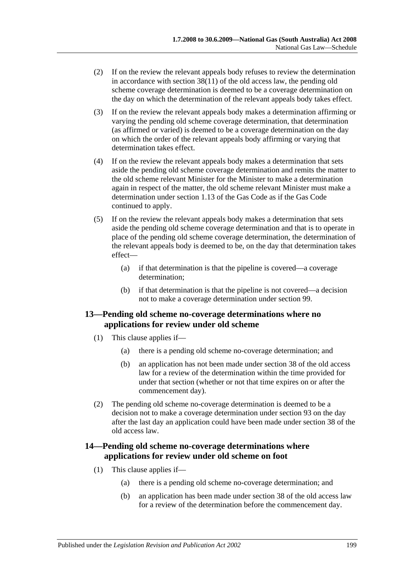- (2) If on the review the relevant appeals body refuses to review the determination in accordance with section 38(11) of the old access law, the pending old scheme coverage determination is deemed to be a coverage determination on the day on which the determination of the relevant appeals body takes effect.
- (3) If on the review the relevant appeals body makes a determination affirming or varying the pending old scheme coverage determination, that determination (as affirmed or varied) is deemed to be a coverage determination on the day on which the order of the relevant appeals body affirming or varying that determination takes effect.
- (4) If on the review the relevant appeals body makes a determination that sets aside the pending old scheme coverage determination and remits the matter to the old scheme relevant Minister for the Minister to make a determination again in respect of the matter, the old scheme relevant Minister must make a determination under section 1.13 of the Gas Code as if the Gas Code continued to apply.
- (5) If on the review the relevant appeals body makes a determination that sets aside the pending old scheme coverage determination and that is to operate in place of the pending old scheme coverage determination, the determination of the relevant appeals body is deemed to be, on the day that determination takes effect—
	- (a) if that determination is that the pipeline is covered—a coverage determination;
	- (b) if that determination is that the pipeline is not covered—a decision not to make a coverage determination under section 99.

#### **13—Pending old scheme no-coverage determinations where no applications for review under old scheme**

- (1) This clause applies if—
	- (a) there is a pending old scheme no-coverage determination; and
	- (b) an application has not been made under section 38 of the old access law for a review of the determination within the time provided for under that section (whether or not that time expires on or after the commencement day).
- (2) The pending old scheme no-coverage determination is deemed to be a decision not to make a coverage determination under section 93 on the day after the last day an application could have been made under section 38 of the old access law.

### **14—Pending old scheme no-coverage determinations where applications for review under old scheme on foot**

- (1) This clause applies if—
	- (a) there is a pending old scheme no-coverage determination; and
	- (b) an application has been made under section 38 of the old access law for a review of the determination before the commencement day.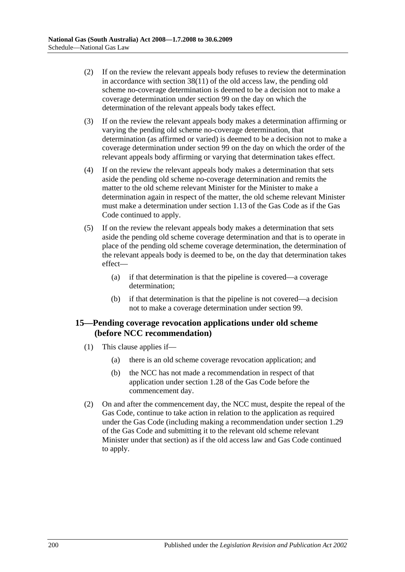- (2) If on the review the relevant appeals body refuses to review the determination in accordance with section 38(11) of the old access law, the pending old scheme no-coverage determination is deemed to be a decision not to make a coverage determination under section 99 on the day on which the determination of the relevant appeals body takes effect.
- (3) If on the review the relevant appeals body makes a determination affirming or varying the pending old scheme no-coverage determination, that determination (as affirmed or varied) is deemed to be a decision not to make a coverage determination under section 99 on the day on which the order of the relevant appeals body affirming or varying that determination takes effect.
- (4) If on the review the relevant appeals body makes a determination that sets aside the pending old scheme no-coverage determination and remits the matter to the old scheme relevant Minister for the Minister to make a determination again in respect of the matter, the old scheme relevant Minister must make a determination under section 1.13 of the Gas Code as if the Gas Code continued to apply.
- (5) If on the review the relevant appeals body makes a determination that sets aside the pending old scheme coverage determination and that is to operate in place of the pending old scheme coverage determination, the determination of the relevant appeals body is deemed to be, on the day that determination takes effect—
	- (a) if that determination is that the pipeline is covered—a coverage determination;
	- (b) if that determination is that the pipeline is not covered—a decision not to make a coverage determination under section 99.

#### **15—Pending coverage revocation applications under old scheme (before NCC recommendation)**

- (1) This clause applies if—
	- (a) there is an old scheme coverage revocation application; and
	- (b) the NCC has not made a recommendation in respect of that application under section 1.28 of the Gas Code before the commencement day.
- (2) On and after the commencement day, the NCC must, despite the repeal of the Gas Code, continue to take action in relation to the application as required under the Gas Code (including making a recommendation under section 1.29 of the Gas Code and submitting it to the relevant old scheme relevant Minister under that section) as if the old access law and Gas Code continued to apply.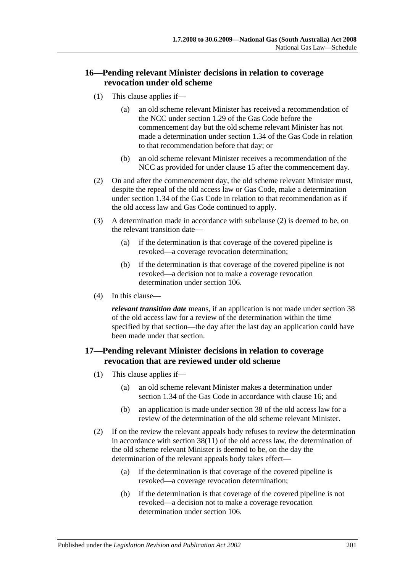## **16—Pending relevant Minister decisions in relation to coverage revocation under old scheme**

- (1) This clause applies if—
	- (a) an old scheme relevant Minister has received a recommendation of the NCC under section 1.29 of the Gas Code before the commencement day but the old scheme relevant Minister has not made a determination under section 1.34 of the Gas Code in relation to that recommendation before that day; or
	- (b) an old scheme relevant Minister receives a recommendation of the NCC as provided for under clause 15 after the commencement day.
- <span id="page-200-0"></span>(2) On and after the commencement day, the old scheme relevant Minister must, despite the repeal of the old access law or Gas Code, make a determination under section 1.34 of the Gas Code in relation to that recommendation as if the old access law and Gas Code continued to apply.
- (3) A determination made in accordance with [subclause](#page-200-0) (2) is deemed to be, on the relevant transition date—
	- (a) if the determination is that coverage of the covered pipeline is revoked—a coverage revocation determination;
	- (b) if the determination is that coverage of the covered pipeline is not revoked—a decision not to make a coverage revocation determination under section 106.
- (4) In this clause—

*relevant transition date* means, if an application is not made under section 38 of the old access law for a review of the determination within the time specified by that section—the day after the last day an application could have been made under that section.

### **17—Pending relevant Minister decisions in relation to coverage revocation that are reviewed under old scheme**

- (1) This clause applies if—
	- (a) an old scheme relevant Minister makes a determination under section 1.34 of the Gas Code in accordance with clause 16; and
	- (b) an application is made under section 38 of the old access law for a review of the determination of the old scheme relevant Minister.
- (2) If on the review the relevant appeals body refuses to review the determination in accordance with section 38(11) of the old access law, the determination of the old scheme relevant Minister is deemed to be, on the day the determination of the relevant appeals body takes effect—
	- (a) if the determination is that coverage of the covered pipeline is revoked—a coverage revocation determination;
	- (b) if the determination is that coverage of the covered pipeline is not revoked—a decision not to make a coverage revocation determination under section 106.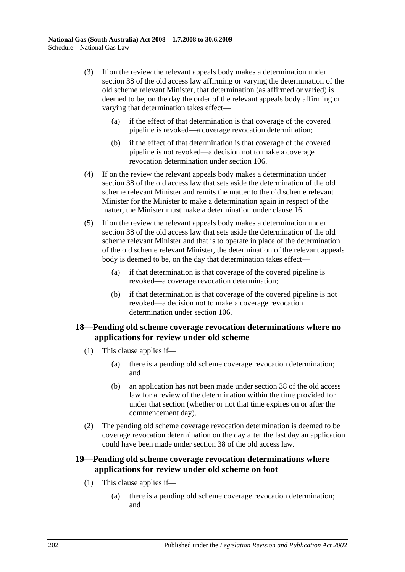- (3) If on the review the relevant appeals body makes a determination under section 38 of the old access law affirming or varying the determination of the old scheme relevant Minister, that determination (as affirmed or varied) is deemed to be, on the day the order of the relevant appeals body affirming or varying that determination takes effect—
	- (a) if the effect of that determination is that coverage of the covered pipeline is revoked—a coverage revocation determination;
	- (b) if the effect of that determination is that coverage of the covered pipeline is not revoked—a decision not to make a coverage revocation determination under section 106.
- (4) If on the review the relevant appeals body makes a determination under section 38 of the old access law that sets aside the determination of the old scheme relevant Minister and remits the matter to the old scheme relevant Minister for the Minister to make a determination again in respect of the matter, the Minister must make a determination under clause 16.
- (5) If on the review the relevant appeals body makes a determination under section 38 of the old access law that sets aside the determination of the old scheme relevant Minister and that is to operate in place of the determination of the old scheme relevant Minister, the determination of the relevant appeals body is deemed to be, on the day that determination takes effect—
	- (a) if that determination is that coverage of the covered pipeline is revoked—a coverage revocation determination;
	- (b) if that determination is that coverage of the covered pipeline is not revoked—a decision not to make a coverage revocation determination under section 106.

#### **18—Pending old scheme coverage revocation determinations where no applications for review under old scheme**

- (1) This clause applies if—
	- (a) there is a pending old scheme coverage revocation determination; and
	- (b) an application has not been made under section 38 of the old access law for a review of the determination within the time provided for under that section (whether or not that time expires on or after the commencement day).
- (2) The pending old scheme coverage revocation determination is deemed to be coverage revocation determination on the day after the last day an application could have been made under section 38 of the old access law.

### **19—Pending old scheme coverage revocation determinations where applications for review under old scheme on foot**

- (1) This clause applies if—
	- (a) there is a pending old scheme coverage revocation determination; and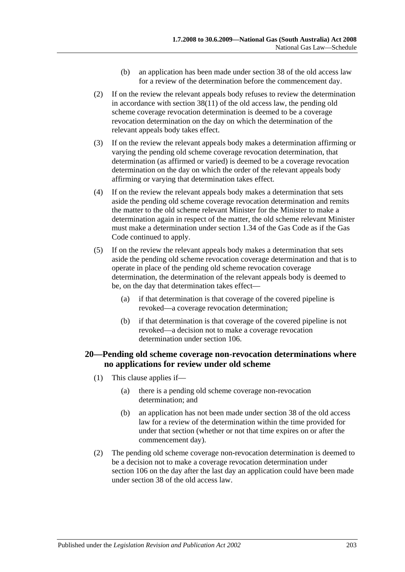- (b) an application has been made under section 38 of the old access law for a review of the determination before the commencement day.
- (2) If on the review the relevant appeals body refuses to review the determination in accordance with section 38(11) of the old access law, the pending old scheme coverage revocation determination is deemed to be a coverage revocation determination on the day on which the determination of the relevant appeals body takes effect.
- (3) If on the review the relevant appeals body makes a determination affirming or varying the pending old scheme coverage revocation determination, that determination (as affirmed or varied) is deemed to be a coverage revocation determination on the day on which the order of the relevant appeals body affirming or varying that determination takes effect.
- (4) If on the review the relevant appeals body makes a determination that sets aside the pending old scheme coverage revocation determination and remits the matter to the old scheme relevant Minister for the Minister to make a determination again in respect of the matter, the old scheme relevant Minister must make a determination under section 1.34 of the Gas Code as if the Gas Code continued to apply.
- (5) If on the review the relevant appeals body makes a determination that sets aside the pending old scheme revocation coverage determination and that is to operate in place of the pending old scheme revocation coverage determination, the determination of the relevant appeals body is deemed to be, on the day that determination takes effect—
	- (a) if that determination is that coverage of the covered pipeline is revoked—a coverage revocation determination;
	- (b) if that determination is that coverage of the covered pipeline is not revoked—a decision not to make a coverage revocation determination under section 106.

### **20—Pending old scheme coverage non-revocation determinations where no applications for review under old scheme**

- (1) This clause applies if—
	- (a) there is a pending old scheme coverage non-revocation determination; and
	- (b) an application has not been made under section 38 of the old access law for a review of the determination within the time provided for under that section (whether or not that time expires on or after the commencement day).
- (2) The pending old scheme coverage non-revocation determination is deemed to be a decision not to make a coverage revocation determination under section 106 on the day after the last day an application could have been made under section 38 of the old access law.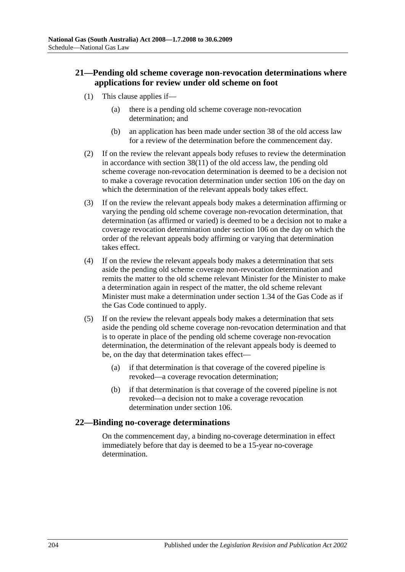## **21—Pending old scheme coverage non-revocation determinations where applications for review under old scheme on foot**

- (1) This clause applies if—
	- (a) there is a pending old scheme coverage non-revocation determination; and
	- (b) an application has been made under section 38 of the old access law for a review of the determination before the commencement day.
- (2) If on the review the relevant appeals body refuses to review the determination in accordance with section 38(11) of the old access law, the pending old scheme coverage non-revocation determination is deemed to be a decision not to make a coverage revocation determination under section 106 on the day on which the determination of the relevant appeals body takes effect.
- (3) If on the review the relevant appeals body makes a determination affirming or varying the pending old scheme coverage non-revocation determination, that determination (as affirmed or varied) is deemed to be a decision not to make a coverage revocation determination under section 106 on the day on which the order of the relevant appeals body affirming or varying that determination takes effect.
- (4) If on the review the relevant appeals body makes a determination that sets aside the pending old scheme coverage non-revocation determination and remits the matter to the old scheme relevant Minister for the Minister to make a determination again in respect of the matter, the old scheme relevant Minister must make a determination under section 1.34 of the Gas Code as if the Gas Code continued to apply.
- (5) If on the review the relevant appeals body makes a determination that sets aside the pending old scheme coverage non-revocation determination and that is to operate in place of the pending old scheme coverage non-revocation determination, the determination of the relevant appeals body is deemed to be, on the day that determination takes effect—
	- (a) if that determination is that coverage of the covered pipeline is revoked—a coverage revocation determination;
	- (b) if that determination is that coverage of the covered pipeline is not revoked—a decision not to make a coverage revocation determination under section 106.

#### **22—Binding no-coverage determinations**

On the commencement day, a binding no-coverage determination in effect immediately before that day is deemed to be a 15-year no-coverage determination.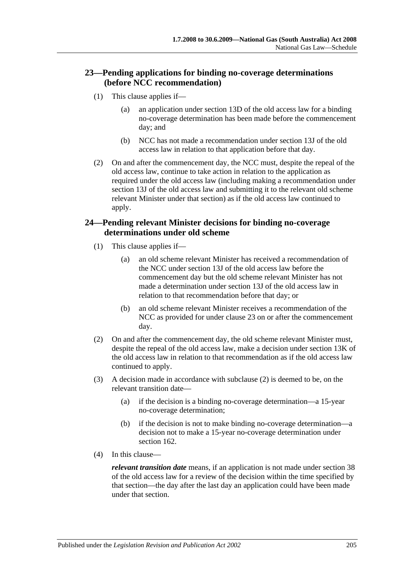## **23—Pending applications for binding no-coverage determinations (before NCC recommendation)**

- (1) This clause applies if—
	- (a) an application under section 13D of the old access law for a binding no-coverage determination has been made before the commencement day; and
	- (b) NCC has not made a recommendation under section 13J of the old access law in relation to that application before that day.
- (2) On and after the commencement day, the NCC must, despite the repeal of the old access law, continue to take action in relation to the application as required under the old access law (including making a recommendation under section 13J of the old access law and submitting it to the relevant old scheme relevant Minister under that section) as if the old access law continued to apply.

### **24—Pending relevant Minister decisions for binding no-coverage determinations under old scheme**

- (1) This clause applies if—
	- (a) an old scheme relevant Minister has received a recommendation of the NCC under section 13J of the old access law before the commencement day but the old scheme relevant Minister has not made a determination under section 13J of the old access law in relation to that recommendation before that day; or
	- (b) an old scheme relevant Minister receives a recommendation of the NCC as provided for under clause 23 on or after the commencement day.
- <span id="page-204-0"></span>(2) On and after the commencement day, the old scheme relevant Minister must, despite the repeal of the old access law, make a decision under section 13K of the old access law in relation to that recommendation as if the old access law continued to apply.
- (3) A decision made in accordance with [subclause](#page-204-0) (2) is deemed to be, on the relevant transition date—
	- (a) if the decision is a binding no-coverage determination—a 15-year no-coverage determination;
	- (b) if the decision is not to make binding no-coverage determination—a decision not to make a 15-year no-coverage determination under section 162.
- (4) In this clause—

*relevant transition date* means, if an application is not made under section 38 of the old access law for a review of the decision within the time specified by that section—the day after the last day an application could have been made under that section.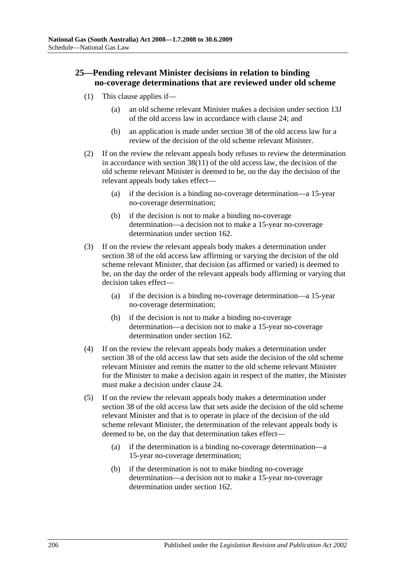## **25—Pending relevant Minister decisions in relation to binding no-coverage determinations that are reviewed under old scheme**

- (1) This clause applies if—
	- (a) an old scheme relevant Minister makes a decision under section 13J of the old access law in accordance with clause 24; and
	- (b) an application is made under section 38 of the old access law for a review of the decision of the old scheme relevant Minister.
- (2) If on the review the relevant appeals body refuses to review the determination in accordance with section 38(11) of the old access law, the decision of the old scheme relevant Minister is deemed to be, on the day the decision of the relevant appeals body takes effect—
	- (a) if the decision is a binding no-coverage determination—a 15-year no-coverage determination;
	- (b) if the decision is not to make a binding no-coverage determination—a decision not to make a 15-year no-coverage determination under section 162.
- (3) If on the review the relevant appeals body makes a determination under section 38 of the old access law affirming or varying the decision of the old scheme relevant Minister, that decision (as affirmed or varied) is deemed to be, on the day the order of the relevant appeals body affirming or varying that decision takes effect—
	- (a) if the decision is a binding no-coverage determination—a 15-year no-coverage determination;
	- (b) if the decision is not to make a binding no-coverage determination—a decision not to make a 15-year no-coverage determination under section 162.
- (4) If on the review the relevant appeals body makes a determination under section 38 of the old access law that sets aside the decision of the old scheme relevant Minister and remits the matter to the old scheme relevant Minister for the Minister to make a decision again in respect of the matter, the Minister must make a decision under clause 24.
- (5) If on the review the relevant appeals body makes a determination under section 38 of the old access law that sets aside the decision of the old scheme relevant Minister and that is to operate in place of the decision of the old scheme relevant Minister, the determination of the relevant appeals body is deemed to be, on the day that determination takes effect—
	- (a) if the determination is a binding no-coverage determination—a 15-year no-coverage determination;
	- (b) if the determination is not to make binding no-coverage determination—a decision not to make a 15-year no-coverage determination under section 162.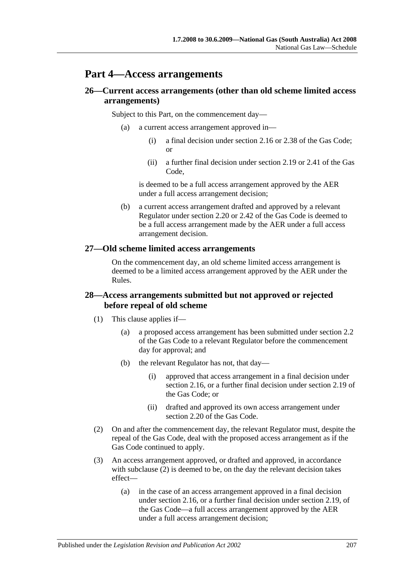# **Part 4—Access arrangements**

## **26—Current access arrangements (other than old scheme limited access arrangements)**

Subject to this Part, on the commencement day—

- (a) a current access arrangement approved in—
	- (i) a final decision under section 2.16 or 2.38 of the Gas Code; or
	- (ii) a further final decision under section 2.19 or 2.41 of the Gas Code,

is deemed to be a full access arrangement approved by the AER under a full access arrangement decision;

(b) a current access arrangement drafted and approved by a relevant Regulator under section 2.20 or 2.42 of the Gas Code is deemed to be a full access arrangement made by the AER under a full access arrangement decision.

#### **27—Old scheme limited access arrangements**

On the commencement day, an old scheme limited access arrangement is deemed to be a limited access arrangement approved by the AER under the Rules.

### **28—Access arrangements submitted but not approved or rejected before repeal of old scheme**

- (1) This clause applies if—
	- (a) a proposed access arrangement has been submitted under section 2.2 of the Gas Code to a relevant Regulator before the commencement day for approval; and
	- (b) the relevant Regulator has not, that day—
		- (i) approved that access arrangement in a final decision under section 2.16, or a further final decision under section 2.19 of the Gas Code; or
		- (ii) drafted and approved its own access arrangement under section 2.20 of the Gas Code.
- <span id="page-206-0"></span>(2) On and after the commencement day, the relevant Regulator must, despite the repeal of the Gas Code, deal with the proposed access arrangement as if the Gas Code continued to apply.
- (3) An access arrangement approved, or drafted and approved, in accordance with [subclause](#page-206-0) (2) is deemed to be, on the day the relevant decision takes effect—
	- (a) in the case of an access arrangement approved in a final decision under section 2.16, or a further final decision under section 2.19, of the Gas Code—a full access arrangement approved by the AER under a full access arrangement decision;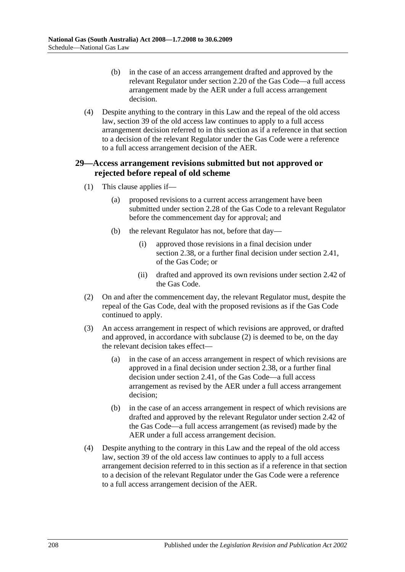- (b) in the case of an access arrangement drafted and approved by the relevant Regulator under section 2.20 of the Gas Code—a full access arrangement made by the AER under a full access arrangement decision.
- (4) Despite anything to the contrary in this Law and the repeal of the old access law, section 39 of the old access law continues to apply to a full access arrangement decision referred to in this section as if a reference in that section to a decision of the relevant Regulator under the Gas Code were a reference to a full access arrangement decision of the AER.

#### **29—Access arrangement revisions submitted but not approved or rejected before repeal of old scheme**

- (1) This clause applies if—
	- (a) proposed revisions to a current access arrangement have been submitted under section 2.28 of the Gas Code to a relevant Regulator before the commencement day for approval; and
	- (b) the relevant Regulator has not, before that day—
		- (i) approved those revisions in a final decision under section 2.38, or a further final decision under section 2.41, of the Gas Code; or
		- (ii) drafted and approved its own revisions under section 2.42 of the Gas Code.
- <span id="page-207-0"></span>(2) On and after the commencement day, the relevant Regulator must, despite the repeal of the Gas Code, deal with the proposed revisions as if the Gas Code continued to apply.
- (3) An access arrangement in respect of which revisions are approved, or drafted and approved, in accordance with [subclause](#page-207-0) (2) is deemed to be, on the day the relevant decision takes effect—
	- (a) in the case of an access arrangement in respect of which revisions are approved in a final decision under section 2.38, or a further final decision under section 2.41, of the Gas Code—a full access arrangement as revised by the AER under a full access arrangement decision;
	- (b) in the case of an access arrangement in respect of which revisions are drafted and approved by the relevant Regulator under section 2.42 of the Gas Code—a full access arrangement (as revised) made by the AER under a full access arrangement decision.
- (4) Despite anything to the contrary in this Law and the repeal of the old access law, section 39 of the old access law continues to apply to a full access arrangement decision referred to in this section as if a reference in that section to a decision of the relevant Regulator under the Gas Code were a reference to a full access arrangement decision of the AER.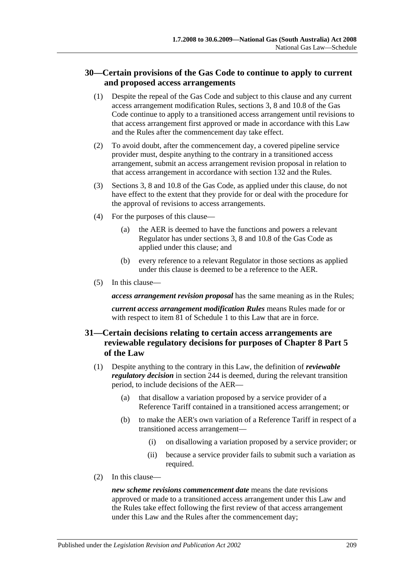## **30—Certain provisions of the Gas Code to continue to apply to current and proposed access arrangements**

- (1) Despite the repeal of the Gas Code and subject to this clause and any current access arrangement modification Rules, sections 3, 8 and 10.8 of the Gas Code continue to apply to a transitioned access arrangement until revisions to that access arrangement first approved or made in accordance with this Law and the Rules after the commencement day take effect.
- (2) To avoid doubt, after the commencement day, a covered pipeline service provider must, despite anything to the contrary in a transitioned access arrangement, submit an access arrangement revision proposal in relation to that access arrangement in accordance with section 132 and the Rules.
- (3) Sections 3, 8 and 10.8 of the Gas Code, as applied under this clause, do not have effect to the extent that they provide for or deal with the procedure for the approval of revisions to access arrangements.
- (4) For the purposes of this clause—
	- (a) the AER is deemed to have the functions and powers a relevant Regulator has under sections 3, 8 and 10.8 of the Gas Code as applied under this clause; and
	- (b) every reference to a relevant Regulator in those sections as applied under this clause is deemed to be a reference to the AER.
- (5) In this clause—

*access arrangement revision proposal* has the same meaning as in the Rules;

*current access arrangement modification Rules* means Rules made for or with respect to item 81 of Schedule 1 to this Law that are in force.

## **31—Certain decisions relating to certain access arrangements are reviewable regulatory decisions for purposes of Chapter 8 Part 5 of the Law**

- (1) Despite anything to the contrary in this Law, the definition of *reviewable regulatory decision* in section 244 is deemed, during the relevant transition period, to include decisions of the AER—
	- (a) that disallow a variation proposed by a service provider of a Reference Tariff contained in a transitioned access arrangement; or
	- (b) to make the AER's own variation of a Reference Tariff in respect of a transitioned access arrangement—
		- (i) on disallowing a variation proposed by a service provider; or
		- (ii) because a service provider fails to submit such a variation as required.
- (2) In this clause—

*new scheme revisions commencement date* means the date revisions approved or made to a transitioned access arrangement under this Law and the Rules take effect following the first review of that access arrangement under this Law and the Rules after the commencement day;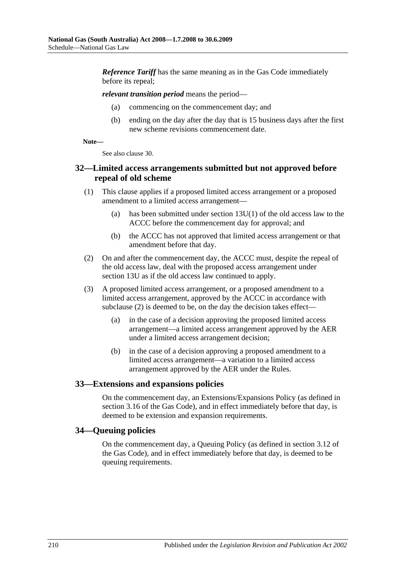*Reference Tariff* has the same meaning as in the Gas Code immediately before its repeal;

#### *relevant transition period* means the period—

- (a) commencing on the commencement day; and
- (b) ending on the day after the day that is 15 business days after the first new scheme revisions commencement date.

**Note—**

See also clause 30.

#### **32—Limited access arrangements submitted but not approved before repeal of old scheme**

- (1) This clause applies if a proposed limited access arrangement or a proposed amendment to a limited access arrangement—
	- (a) has been submitted under section 13U(1) of the old access law to the ACCC before the commencement day for approval; and
	- (b) the ACCC has not approved that limited access arrangement or that amendment before that day.
- <span id="page-209-0"></span>(2) On and after the commencement day, the ACCC must, despite the repeal of the old access law, deal with the proposed access arrangement under section 13U as if the old access law continued to apply.
- (3) A proposed limited access arrangement, or a proposed amendment to a limited access arrangement, approved by the ACCC in accordance with [subclause](#page-209-0) (2) is deemed to be, on the day the decision takes effect—
	- (a) in the case of a decision approving the proposed limited access arrangement—a limited access arrangement approved by the AER under a limited access arrangement decision;
	- (b) in the case of a decision approving a proposed amendment to a limited access arrangement—a variation to a limited access arrangement approved by the AER under the Rules.

#### **33—Extensions and expansions policies**

On the commencement day, an Extensions/Expansions Policy (as defined in section 3.16 of the Gas Code), and in effect immediately before that day, is deemed to be extension and expansion requirements.

#### **34—Queuing policies**

On the commencement day, a Queuing Policy (as defined in section 3.12 of the Gas Code), and in effect immediately before that day, is deemed to be queuing requirements.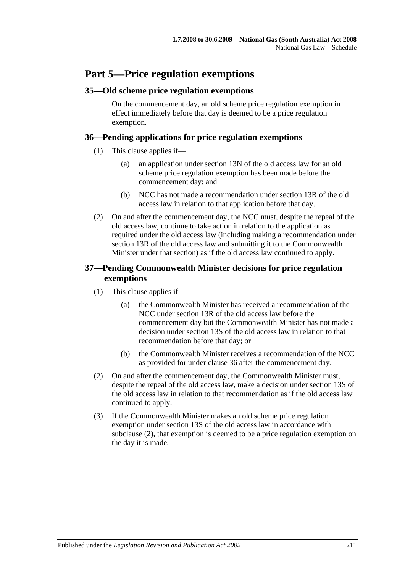# **Part 5—Price regulation exemptions**

### **35—Old scheme price regulation exemptions**

On the commencement day, an old scheme price regulation exemption in effect immediately before that day is deemed to be a price regulation exemption.

#### **36—Pending applications for price regulation exemptions**

- (1) This clause applies if—
	- (a) an application under section 13N of the old access law for an old scheme price regulation exemption has been made before the commencement day; and
	- (b) NCC has not made a recommendation under section 13R of the old access law in relation to that application before that day.
- (2) On and after the commencement day, the NCC must, despite the repeal of the old access law, continue to take action in relation to the application as required under the old access law (including making a recommendation under section 13R of the old access law and submitting it to the Commonwealth Minister under that section) as if the old access law continued to apply.

### **37—Pending Commonwealth Minister decisions for price regulation exemptions**

- (1) This clause applies if—
	- (a) the Commonwealth Minister has received a recommendation of the NCC under section 13R of the old access law before the commencement day but the Commonwealth Minister has not made a decision under section 13S of the old access law in relation to that recommendation before that day; or
	- (b) the Commonwealth Minister receives a recommendation of the NCC as provided for under clause 36 after the commencement day.
- <span id="page-210-0"></span>(2) On and after the commencement day, the Commonwealth Minister must, despite the repeal of the old access law, make a decision under section 13S of the old access law in relation to that recommendation as if the old access law continued to apply.
- (3) If the Commonwealth Minister makes an old scheme price regulation exemption under section 13S of the old access law in accordance with [subclause](#page-210-0) (2), that exemption is deemed to be a price regulation exemption on the day it is made.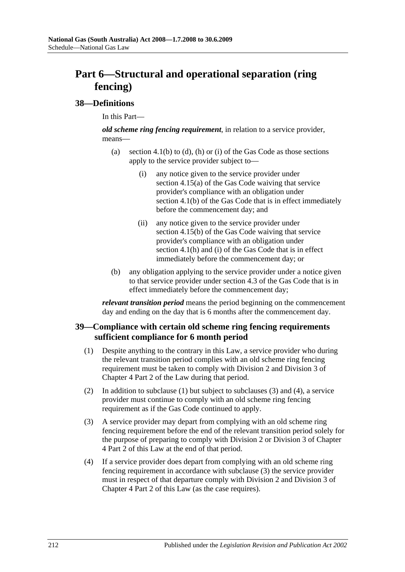# **Part 6—Structural and operational separation (ring fencing)**

#### **38—Definitions**

In this Part—

*old scheme ring fencing requirement*, in relation to a service provider, means—

- (a) section 4.1(b) to (d), (h) or (i) of the Gas Code as those sections apply to the service provider subject to—
	- (i) any notice given to the service provider under section 4.15(a) of the Gas Code waiving that service provider's compliance with an obligation under section 4.1(b) of the Gas Code that is in effect immediately before the commencement day; and
	- (ii) any notice given to the service provider under section 4.15(b) of the Gas Code waiving that service provider's compliance with an obligation under section 4.1(h) and (i) of the Gas Code that is in effect immediately before the commencement day; or
- (b) any obligation applying to the service provider under a notice given to that service provider under section 4.3 of the Gas Code that is in effect immediately before the commencement day;

*relevant transition period* means the period beginning on the commencement day and ending on the day that is 6 months after the commencement day.

#### <span id="page-211-0"></span>**39—Compliance with certain old scheme ring fencing requirements sufficient compliance for 6 month period**

- (1) Despite anything to the contrary in this Law, a service provider who during the relevant transition period complies with an old scheme ring fencing requirement must be taken to comply with Division 2 and Division 3 of Chapter 4 Part 2 of the Law during that period.
- (2) In addition to [subclause](#page-211-0) (1) but subject to [subclauses](#page-211-1) (3) and [\(4\),](#page-211-2) a service provider must continue to comply with an old scheme ring fencing requirement as if the Gas Code continued to apply.
- <span id="page-211-1"></span>(3) A service provider may depart from complying with an old scheme ring fencing requirement before the end of the relevant transition period solely for the purpose of preparing to comply with Division 2 or Division 3 of Chapter 4 Part 2 of this Law at the end of that period.
- <span id="page-211-2"></span>(4) If a service provider does depart from complying with an old scheme ring fencing requirement in accordance with [subclause](#page-211-1) (3) the service provider must in respect of that departure comply with Division 2 and Division 3 of Chapter 4 Part 2 of this Law (as the case requires).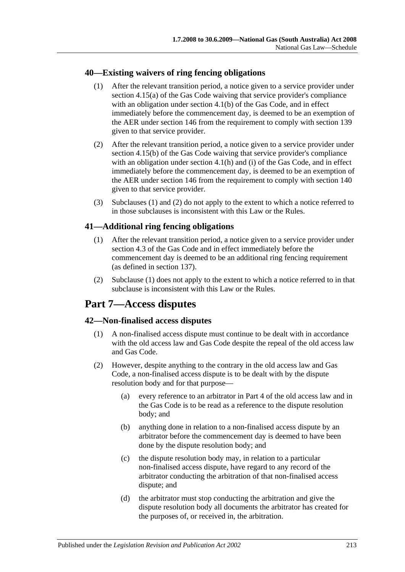#### <span id="page-212-0"></span>**40—Existing waivers of ring fencing obligations**

- (1) After the relevant transition period, a notice given to a service provider under section 4.15(a) of the Gas Code waiving that service provider's compliance with an obligation under section 4.1(b) of the Gas Code, and in effect immediately before the commencement day, is deemed to be an exemption of the AER under section 146 from the requirement to comply with section 139 given to that service provider.
- <span id="page-212-1"></span>(2) After the relevant transition period, a notice given to a service provider under section 4.15(b) of the Gas Code waiving that service provider's compliance with an obligation under section 4.1(h) and (i) of the Gas Code, and in effect immediately before the commencement day, is deemed to be an exemption of the AER under section 146 from the requirement to comply with section 140 given to that service provider.
- (3) [Subclauses](#page-212-0) (1) and [\(2\)](#page-212-1) do not apply to the extent to which a notice referred to in those subclauses is inconsistent with this Law or the Rules.

## <span id="page-212-2"></span>**41—Additional ring fencing obligations**

- (1) After the relevant transition period, a notice given to a service provider under section 4.3 of the Gas Code and in effect immediately before the commencement day is deemed to be an additional ring fencing requirement (as defined in section 137).
- (2) [Subclause](#page-212-2) (1) does not apply to the extent to which a notice referred to in that subclause is inconsistent with this Law or the Rules.

# **Part 7—Access disputes**

#### **42—Non-finalised access disputes**

- (1) A non-finalised access dispute must continue to be dealt with in accordance with the old access law and Gas Code despite the repeal of the old access law and Gas Code.
- (2) However, despite anything to the contrary in the old access law and Gas Code, a non-finalised access dispute is to be dealt with by the dispute resolution body and for that purpose—
	- (a) every reference to an arbitrator in Part 4 of the old access law and in the Gas Code is to be read as a reference to the dispute resolution body; and
	- (b) anything done in relation to a non-finalised access dispute by an arbitrator before the commencement day is deemed to have been done by the dispute resolution body; and
	- (c) the dispute resolution body may, in relation to a particular non-finalised access dispute, have regard to any record of the arbitrator conducting the arbitration of that non-finalised access dispute; and
	- (d) the arbitrator must stop conducting the arbitration and give the dispute resolution body all documents the arbitrator has created for the purposes of, or received in, the arbitration.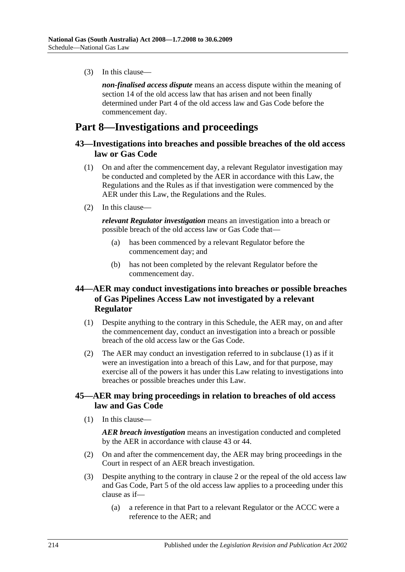(3) In this clause—

*non-finalised access dispute* means an access dispute within the meaning of section 14 of the old access law that has arisen and not been finally determined under Part 4 of the old access law and Gas Code before the commencement day.

# **Part 8—Investigations and proceedings**

#### **43—Investigations into breaches and possible breaches of the old access law or Gas Code**

- (1) On and after the commencement day, a relevant Regulator investigation may be conducted and completed by the AER in accordance with this Law, the Regulations and the Rules as if that investigation were commenced by the AER under this Law, the Regulations and the Rules.
- (2) In this clause—

*relevant Regulator investigation* means an investigation into a breach or possible breach of the old access law or Gas Code that—

- (a) has been commenced by a relevant Regulator before the commencement day; and
- (b) has not been completed by the relevant Regulator before the commencement day.

### **44—AER may conduct investigations into breaches or possible breaches of Gas Pipelines Access Law not investigated by a relevant Regulator**

- <span id="page-213-0"></span>(1) Despite anything to the contrary in this Schedule, the AER may, on and after the commencement day, conduct an investigation into a breach or possible breach of the old access law or the Gas Code.
- (2) The AER may conduct an investigation referred to in [subclause](#page-213-0) (1) as if it were an investigation into a breach of this Law, and for that purpose, may exercise all of the powers it has under this Law relating to investigations into breaches or possible breaches under this Law.

#### **45—AER may bring proceedings in relation to breaches of old access law and Gas Code**

(1) In this clause—

*AER breach investigation* means an investigation conducted and completed by the AER in accordance with clause 43 or 44.

- (2) On and after the commencement day, the AER may bring proceedings in the Court in respect of an AER breach investigation.
- (3) Despite anything to the contrary in clause 2 or the repeal of the old access law and Gas Code, Part 5 of the old access law applies to a proceeding under this clause as if—
	- (a) a reference in that Part to a relevant Regulator or the ACCC were a reference to the AER; and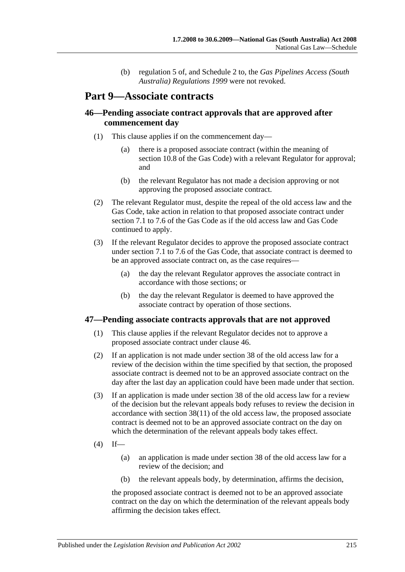(b) regulation 5 of, and Schedule 2 to, the *[Gas Pipelines Access \(South](http://www.legislation.sa.gov.au/index.aspx?action=legref&type=subordleg&legtitle=Gas%20Pipelines%20Access%20(South%20Australia)%20Regulations%201999)  [Australia\) Regulations](http://www.legislation.sa.gov.au/index.aspx?action=legref&type=subordleg&legtitle=Gas%20Pipelines%20Access%20(South%20Australia)%20Regulations%201999) 1999* were not revoked.

# **Part 9—Associate contracts**

### **46—Pending associate contract approvals that are approved after commencement day**

- (1) This clause applies if on the commencement day—
	- (a) there is a proposed associate contract (within the meaning of section 10.8 of the Gas Code) with a relevant Regulator for approval; and
	- (b) the relevant Regulator has not made a decision approving or not approving the proposed associate contract.
- (2) The relevant Regulator must, despite the repeal of the old access law and the Gas Code, take action in relation to that proposed associate contract under section 7.1 to 7.6 of the Gas Code as if the old access law and Gas Code continued to apply.
- (3) If the relevant Regulator decides to approve the proposed associate contract under section 7.1 to 7.6 of the Gas Code, that associate contract is deemed to be an approved associate contract on, as the case requires—
	- (a) the day the relevant Regulator approves the associate contract in accordance with those sections; or
	- (b) the day the relevant Regulator is deemed to have approved the associate contract by operation of those sections.

#### **47—Pending associate contracts approvals that are not approved**

- (1) This clause applies if the relevant Regulator decides not to approve a proposed associate contract under clause 46.
- (2) If an application is not made under section 38 of the old access law for a review of the decision within the time specified by that section, the proposed associate contract is deemed not to be an approved associate contract on the day after the last day an application could have been made under that section.
- (3) If an application is made under section 38 of the old access law for a review of the decision but the relevant appeals body refuses to review the decision in accordance with section  $38(11)$  of the old access law, the proposed associate contract is deemed not to be an approved associate contract on the day on which the determination of the relevant appeals body takes effect.
- $(4)$  If—
	- (a) an application is made under section 38 of the old access law for a review of the decision; and
	- (b) the relevant appeals body, by determination, affirms the decision,

the proposed associate contract is deemed not to be an approved associate contract on the day on which the determination of the relevant appeals body affirming the decision takes effect.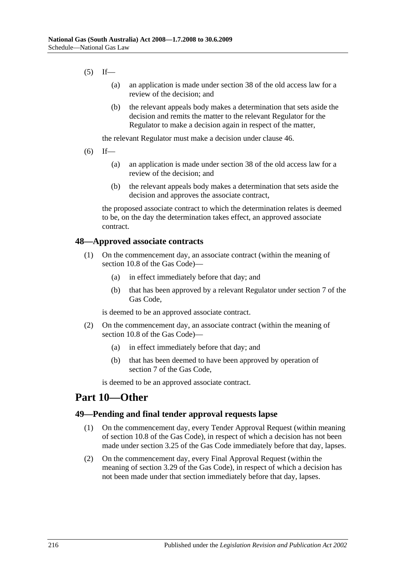- $(5)$  If—
	- (a) an application is made under section 38 of the old access law for a review of the decision; and
	- (b) the relevant appeals body makes a determination that sets aside the decision and remits the matter to the relevant Regulator for the Regulator to make a decision again in respect of the matter,

the relevant Regulator must make a decision under clause 46.

- $(6)$  If—
	- (a) an application is made under section 38 of the old access law for a review of the decision; and
	- (b) the relevant appeals body makes a determination that sets aside the decision and approves the associate contract,

the proposed associate contract to which the determination relates is deemed to be, on the day the determination takes effect, an approved associate contract.

#### **48—Approved associate contracts**

- (1) On the commencement day, an associate contract (within the meaning of section 10.8 of the Gas Code)—
	- (a) in effect immediately before that day; and
	- (b) that has been approved by a relevant Regulator under section 7 of the Gas Code,

is deemed to be an approved associate contract.

- (2) On the commencement day, an associate contract (within the meaning of section 10.8 of the Gas Code)—
	- (a) in effect immediately before that day; and
	- (b) that has been deemed to have been approved by operation of section 7 of the Gas Code,

is deemed to be an approved associate contract.

# **Part 10—Other**

#### **49—Pending and final tender approval requests lapse**

- (1) On the commencement day, every Tender Approval Request (within meaning of section 10.8 of the Gas Code), in respect of which a decision has not been made under section 3.25 of the Gas Code immediately before that day, lapses.
- (2) On the commencement day, every Final Approval Request (within the meaning of section 3.29 of the Gas Code), in respect of which a decision has not been made under that section immediately before that day, lapses.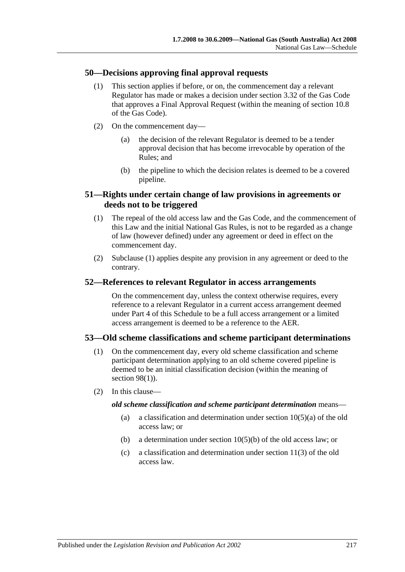### **50—Decisions approving final approval requests**

- (1) This section applies if before, or on, the commencement day a relevant Regulator has made or makes a decision under section 3.32 of the Gas Code that approves a Final Approval Request (within the meaning of section 10.8 of the Gas Code).
- (2) On the commencement day—
	- (a) the decision of the relevant Regulator is deemed to be a tender approval decision that has become irrevocable by operation of the Rules; and
	- (b) the pipeline to which the decision relates is deemed to be a covered pipeline.

## <span id="page-216-0"></span>**51—Rights under certain change of law provisions in agreements or deeds not to be triggered**

- (1) The repeal of the old access law and the Gas Code, and the commencement of this Law and the initial National Gas Rules, is not to be regarded as a change of law (however defined) under any agreement or deed in effect on the commencement day.
- (2) [Subclause](#page-216-0) (1) applies despite any provision in any agreement or deed to the contrary.

#### **52—References to relevant Regulator in access arrangements**

On the commencement day, unless the context otherwise requires, every reference to a relevant Regulator in a current access arrangement deemed under Part 4 of this Schedule to be a full access arrangement or a limited access arrangement is deemed to be a reference to the AER.

### **53—Old scheme classifications and scheme participant determinations**

- (1) On the commencement day, every old scheme classification and scheme participant determination applying to an old scheme covered pipeline is deemed to be an initial classification decision (within the meaning of [section](#page-68-0) 98(1)).
- (2) In this clause—

#### *old scheme classification and scheme participant determination* means—

- (a) a classification and determination under section  $10(5)(a)$  of the old access law; or
- (b) a determination under section 10(5)(b) of the old access law; or
- (c) a classification and determination under section 11(3) of the old access law.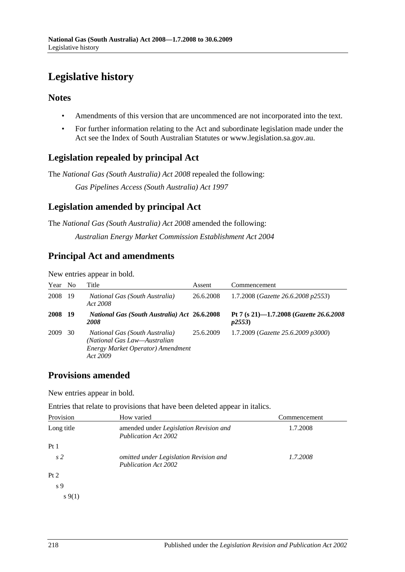# **Legislative history**

## **Notes**

- Amendments of this version that are uncommenced are not incorporated into the text.
- For further information relating to the Act and subordinate legislation made under the Act see the Index of South Australian Statutes or www.legislation.sa.gov.au.

# **Legislation repealed by principal Act**

The *National Gas (South Australia) Act 2008* repealed the following:

*Gas Pipelines Access (South Australia) Act 1997*

# **Legislation amended by principal Act**

The *National Gas (South Australia) Act 2008* amended the following: *Australian Energy Market Commission Establishment Act 2004*

# **Principal Act and amendments**

New entries appear in bold.

| Year | N <sub>0</sub> | Title                                                                                                                         | Assent    | Commencement                                       |
|------|----------------|-------------------------------------------------------------------------------------------------------------------------------|-----------|----------------------------------------------------|
| 2008 | -19            | <i>National Gas (South Australia)</i><br>Act 2008                                                                             | 26.6.2008 | 1.7.2008 ( <i>Gazette</i> 26.6.2008 <i>p</i> 2553) |
| 2008 | -19            | <b>National Gas (South Australia) Act 26.6.2008</b><br><b>2008</b>                                                            |           | Pt 7 (s 21)-1.7.2008 (Gazette 26.6.2008<br>p2553   |
| 2009 | 30             | <i>National Gas (South Australia)</i><br>(National Gas Law—Australian<br><b>Energy Market Operator) Amendment</b><br>Act 2009 | 25.6.2009 | 1.7.2009 (Gazette 25.6.2009 p3000)                 |

## **Provisions amended**

New entries appear in bold.

Entries that relate to provisions that have been deleted appear in italics.

| Provision      | How varied                                                            | Commencement |
|----------------|-----------------------------------------------------------------------|--------------|
| Long title     | amended under Legislation Revision and<br><b>Publication Act 2002</b> | 1.7.2008     |
| Pt1            |                                                                       |              |
| s <sub>2</sub> | omitted under Legislation Revision and<br><b>Publication Act 2002</b> | 1.7.2008     |
| Pt 2           |                                                                       |              |
| s <sub>9</sub> |                                                                       |              |
| $s\,9(1)$      |                                                                       |              |